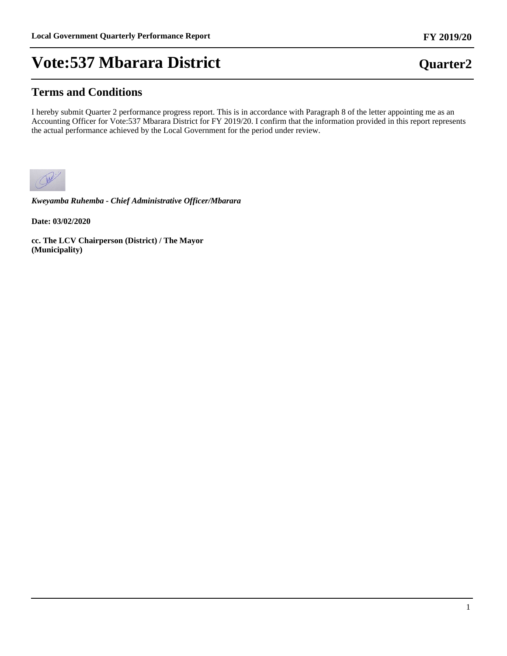### **Terms and Conditions**

I hereby submit Quarter 2 performance progress report. This is in accordance with Paragraph 8 of the letter appointing me as an Accounting Officer for Vote:537 Mbarara District for FY 2019/20. I confirm that the information provided in this report represents the actual performance achieved by the Local Government for the period under review.



*Kweyamba Ruhemba - Chief Administrative Officer/Mbarara*

**Date: 03/02/2020**

**cc. The LCV Chairperson (District) / The Mayor (Municipality)**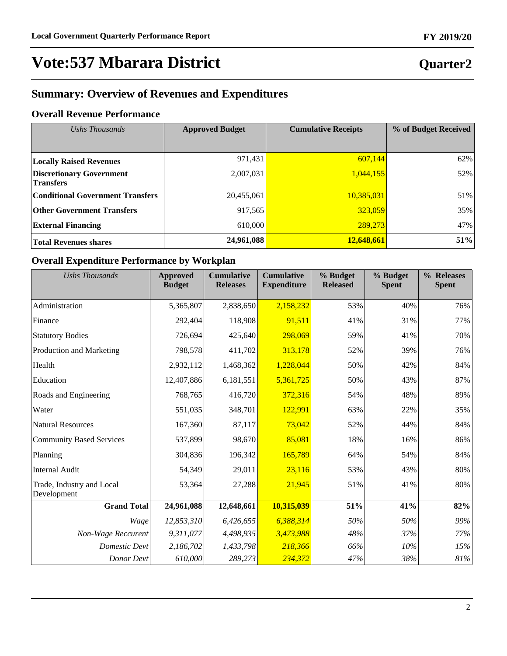## **Quarter2**

## **Summary: Overview of Revenues and Expenditures**

### **Overall Revenue Performance**

| Ushs Thousands                                      | <b>Approved Budget</b> | <b>Cumulative Receipts</b> | % of Budget Received |
|-----------------------------------------------------|------------------------|----------------------------|----------------------|
|                                                     |                        |                            |                      |
| <b>Locally Raised Revenues</b>                      | 971,431                | 607,144                    | 62%                  |
| <b>Discretionary Government</b><br><b>Transfers</b> | 2,007,031              | 1,044,155                  | 52%                  |
| <b>Conditional Government Transfers</b>             | 20,455,061             | 10,385,031                 | 51%                  |
| <b>Other Government Transfers</b>                   | 917,565                | 323,059                    | 35%                  |
| <b>External Financing</b>                           | 610,000                | 289,273                    | 47%                  |
| <b>Total Revenues shares</b>                        | 24,961,088             | 12,648,661                 | 51%                  |

### **Overall Expenditure Performance by Workplan**

| <b>Ushs Thousands</b>                    | <b>Approved</b><br><b>Budget</b> | <b>Cumulative</b><br><b>Releases</b> | <b>Cumulative</b><br><b>Expenditure</b> | % Budget<br><b>Released</b> | % Budget<br><b>Spent</b> | % Releases<br><b>Spent</b> |
|------------------------------------------|----------------------------------|--------------------------------------|-----------------------------------------|-----------------------------|--------------------------|----------------------------|
| Administration                           | 5,365,807                        | 2,838,650                            | 2,158,232                               | 53%                         | 40%                      | 76%                        |
| Finance                                  | 292,404                          | 118,908                              | 91,511                                  | 41%                         | 31%                      | 77%                        |
| <b>Statutory Bodies</b>                  | 726,694                          | 425,640                              | 298,069                                 | 59%                         | 41%                      | 70%                        |
| Production and Marketing                 | 798,578                          | 411,702                              | 313,178                                 | 52%                         | 39%                      | 76%                        |
| Health                                   | 2,932,112                        | 1,468,362                            | 1,228,044                               | 50%                         | 42%                      | 84%                        |
| Education                                | 12,407,886                       | 6,181,551                            | 5,361,725                               | 50%                         | 43%                      | 87%                        |
| Roads and Engineering                    | 768,765                          | 416,720                              | 372,316                                 | 54%                         | 48%                      | 89%                        |
| Water                                    | 551,035                          | 348,701                              | 122,991                                 | 63%                         | 22%                      | 35%                        |
| <b>Natural Resources</b>                 | 167,360                          | 87,117                               | 73,042                                  | 52%                         | 44%                      | 84%                        |
| <b>Community Based Services</b>          | 537,899                          | 98,670                               | 85,081                                  | 18%                         | 16%                      | 86%                        |
| Planning                                 | 304,836                          | 196,342                              | 165,789                                 | 64%                         | 54%                      | 84%                        |
| <b>Internal Audit</b>                    | 54,349                           | 29,011                               | 23,116                                  | 53%                         | 43%                      | 80%                        |
| Trade, Industry and Local<br>Development | 53,364                           | 27,288                               | 21,945                                  | 51%                         | 41%                      | 80%                        |
| <b>Grand Total</b>                       | 24,961,088                       | 12,648,661                           | 10,315,039                              | 51%                         | 41%                      | 82%                        |
| Wage                                     | 12,853,310                       | 6,426,655                            | 6,388,314                               | 50%                         | 50%                      | 99%                        |
| Non-Wage Reccurent                       | 9,311,077                        | 4,498,935                            | 3,473,988                               | 48%                         | 37%                      | 77%                        |
| <b>Domestic Devt</b>                     | 2,186,702                        | 1,433,798                            | 218,366                                 | 66%                         | 10%                      | 15%                        |
| Donor Devt                               | 610,000                          | 289,273                              | 234,372                                 | 47%                         | 38%                      | 81%                        |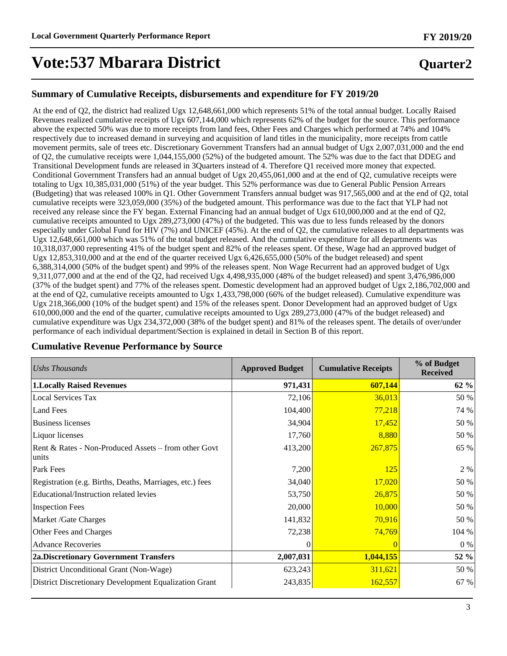## **Quarter2**

#### **Summary of Cumulative Receipts, disbursements and expenditure for FY 2019/20**

At the end of Q2, the district had realized Ugx 12,648,661,000 which represents 51% of the total annual budget. Locally Raised Revenues realized cumulative receipts of Ugx 607,144,000 which represents 62% of the budget for the source. This performance above the expected 50% was due to more receipts from land fees, Other Fees and Charges which performed at 74% and 104% respectively due to increased demand in surveying and acquisition of land titles in the municipality, more receipts from cattle movement permits, sale of trees etc. Discretionary Government Transfers had an annual budget of Ugx 2,007,031,000 and the end of Q2, the cumulative receipts were 1,044,155,000 (52%) of the budgeted amount. The 52% was due to the fact that DDEG and Transitional Development funds are released in 3Quarters instead of 4. Therefore Q1 received more money that expected. Conditional Government Transfers had an annual budget of Ugx 20,455,061,000 and at the end of Q2, cumulative receipts were totaling to Ugx 10,385,031,000 (51%) of the year budget. This 52% performance was due to General Public Pension Arrears (Budgeting) that was released 100% in Q1. Other Government Transfers annual budget was 917,565,000 and at the end of Q2, total cumulative receipts were 323,059,000 (35%) of the budgeted amount. This performance was due to the fact that YLP had not received any release since the FY began. External Financing had an annual budget of Ugx 610,000,000 and at the end of Q2, cumulative receipts amounted to Ugx 289,273,000 (47%) of the budgeted. This was due to less funds released by the donors especially under Global Fund for HIV (7%) and UNICEF (45%). At the end of Q2, the cumulative releases to all departments was Ugx 12,648,661,000 which was 51% of the total budget released. And the cumulative expenditure for all departments was 10,318,037,000 representing 41% of the budget spent and 82% of the releases spent. Of these, Wage had an approved budget of Ugx 12,853,310,000 and at the end of the quarter received Ugx 6,426,655,000 (50% of the budget released) and spent 6,388,314,000 (50% of the budget spent) and 99% of the releases spent. Non Wage Recurrent had an approved budget of Ugx 9,311,077,000 and at the end of the Q2, had received Ugx 4,498,935,000 (48% of the budget released) and spent 3,476,986,000 (37% of the budget spent) and 77% of the releases spent. Domestic development had an approved budget of Ugx 2,186,702,000 and at the end of Q2, cumulative receipts amounted to Ugx 1,433,798,000 (66% of the budget released). Cumulative expenditure was Ugx 218,366,000 (10% of the budget spent) and 15% of the releases spent. Donor Development had an approved budget of Ugx 610,000,000 and the end of the quarter, cumulative receipts amounted to Ugx 289,273,000 (47% of the budget released) and cumulative expenditure was Ugx 234,372,000 (38% of the budget spent) and 81% of the releases spent. The details of over/under performance of each individual department/Section is explained in detail in Section B of this report.

| Ushs Thousands                                                | <b>Approved Budget</b> | <b>Cumulative Receipts</b> | % of Budget<br><b>Received</b> |
|---------------------------------------------------------------|------------------------|----------------------------|--------------------------------|
| <b>1. Locally Raised Revenues</b>                             | 971,431                | 607,144                    | 62 %                           |
| <b>Local Services Tax</b>                                     | 72,106                 | 36,013                     | 50 %                           |
| <b>Land Fees</b>                                              | 104,400                | 77,218                     | 74 %                           |
| <b>Business licenses</b>                                      | 34,904                 | 17,452                     | 50 %                           |
| Liquor licenses                                               | 17,760                 | 8,880                      | 50 %                           |
| Rent & Rates - Non-Produced Assets - from other Govt<br>units | 413,200                | 267,875                    | 65 %                           |
| Park Fees                                                     | 7,200                  | <u>125</u>                 | 2 %                            |
| Registration (e.g. Births, Deaths, Marriages, etc.) fees      | 34,040                 | 17,020                     | 50 %                           |
| Educational/Instruction related levies                        | 53,750                 | 26,875                     | 50 %                           |
| <b>Inspection Fees</b>                                        | 20,000                 | 10,000                     | 50 %                           |
| Market /Gate Charges                                          | 141,832                | 70,916                     | 50 %                           |
| Other Fees and Charges                                        | 72,238                 | 74,769                     | 104 %                          |
| <b>Advance Recoveries</b>                                     |                        |                            | $0\%$                          |
| <b>2a.Discretionary Government Transfers</b>                  | 2,007,031              | 1,044,155                  | 52 %                           |
| District Unconditional Grant (Non-Wage)                       | 623,243                | 311,621                    | 50 %                           |
| District Discretionary Development Equalization Grant         | 243,835                | 162,557                    | 67 %                           |

#### **Cumulative Revenue Performance by Source**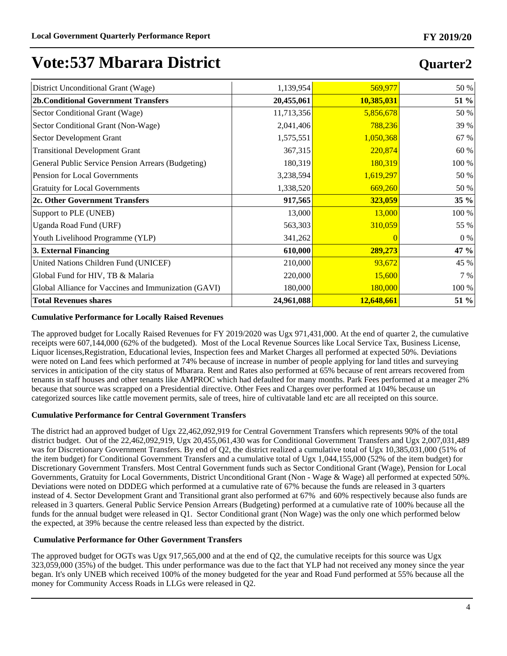## **Quarter2**

| District Unconditional Grant (Wage)                  | 1,139,954  | 569,977    | 50 %             |
|------------------------------------------------------|------------|------------|------------------|
| <b>2b.Conditional Government Transfers</b>           | 20,455,061 | 10,385,031 | 51 %             |
| Sector Conditional Grant (Wage)                      | 11,713,356 | 5,856,678  | 50 %             |
| Sector Conditional Grant (Non-Wage)                  | 2,041,406  | 788,236    | 39 %             |
| Sector Development Grant                             | 1,575,551  | 1,050,368  | 67 %             |
| <b>Transitional Development Grant</b>                | 367,315    | 220,874    | 60 %             |
| General Public Service Pension Arrears (Budgeting)   | 180,319    | 180,319    | 100 %            |
| Pension for Local Governments                        | 3,238,594  | 1,619,297  | 50 %             |
| <b>Gratuity for Local Governments</b>                | 1,338,520  | 669,260    | 50 %             |
| 2c. Other Government Transfers                       | 917,565    | 323,059    | 35 %             |
| Support to PLE (UNEB)                                | 13,000     | 13,000     | 100 %            |
| Uganda Road Fund (URF)                               | 563,303    | 310,059    | 55 %             |
| Youth Livelihood Programme (YLP)                     | 341,262    |            | 0 %              |
| 3. External Financing                                | 610,000    | 289,273    | 47 $\frac{9}{9}$ |
| United Nations Children Fund (UNICEF)                | 210,000    | 93,672     | 45 %             |
| Global Fund for HIV, TB & Malaria                    | 220,000    | 15,600     | 7 %              |
| Global Alliance for Vaccines and Immunization (GAVI) | 180,000    | 180,000    | 100 %            |
| <b>Total Revenues shares</b>                         | 24,961,088 | 12,648,661 | 51 %             |

#### **Cumulative Performance for Locally Raised Revenues**

The approved budget for Locally Raised Revenues for FY 2019/2020 was Ugx 971,431,000. At the end of quarter 2, the cumulative receipts were 607,144,000 (62% of the budgeted). Most of the Local Revenue Sources like Local Service Tax, Business License, Liquor licenses,Registration, Educational levies, Inspection fees and Market Charges all performed at expected 50%. Deviations were noted on Land fees which performed at 74% because of increase in number of people applying for land titles and surveying services in anticipation of the city status of Mbarara. Rent and Rates also performed at 65% because of rent arrears recovered from tenants in staff houses and other tenants like AMPROC which had defaulted for many months. Park Fees performed at a meager 2% because that source was scrapped on a Presidential directive. Other Fees and Charges over performed at 104% because un categorized sources like cattle movement permits, sale of trees, hire of cultivatable land etc are all receipted on this source.

#### **Cumulative Performance for Central Government Transfers**

The district had an approved budget of Ugx 22,462,092,919 for Central Government Transfers which represents 90% of the total district budget. Out of the 22,462,092,919, Ugx 20,455,061,430 was for Conditional Government Transfers and Ugx 2,007,031,489 was for Discretionary Government Transfers. By end of Q2, the district realized a cumulative total of Ugx 10,385,031,000 (51% of the item budget) for Conditional Government Transfers and a cumulative total of Ugx 1,044,155,000 (52% of the item budget) for Discretionary Government Transfers. Most Central Government funds such as Sector Conditional Grant (Wage), Pension for Local Governments, Gratuity for Local Governments, District Unconditional Grant (Non - Wage & Wage) all performed at expected 50%. Deviations were noted on DDDEG which performed at a cumulative rate of 67% because the funds are released in 3 quarters instead of 4. Sector Development Grant and Transitional grant also performed at 67% and 60% respectively because also funds are released in 3 quarters. General Public Service Pension Arrears (Budgeting) performed at a cumulative rate of 100% because all the funds for the annual budget were released in Q1. Sector Conditional grant (Non Wage) was the only one which performed below the expected, at 39% because the centre released less than expected by the district.

#### **Cumulative Performance for Other Government Transfers**

The approved budget for OGTs was Ugx 917,565,000 and at the end of Q2, the cumulative receipts for this source was Ugx 323,059,000 (35%) of the budget. This under performance was due to the fact that YLP had not received any money since the year began. It's only UNEB which received 100% of the money budgeted for the year and Road Fund performed at 55% because all the money for Community Access Roads in LLGs were released in Q2.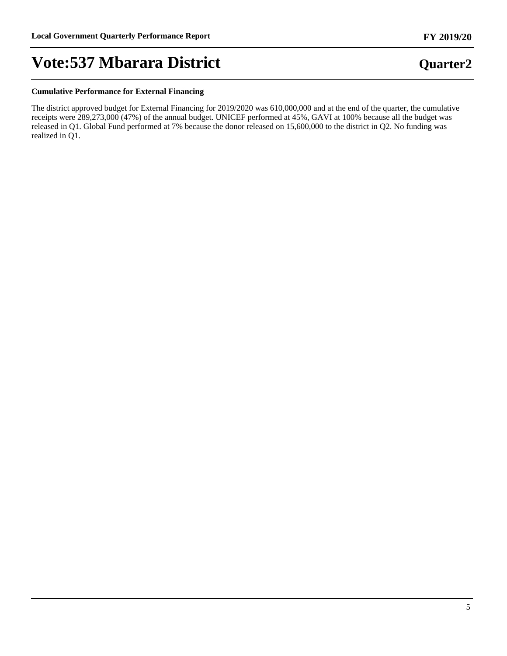**Quarter2**

## **Vote:537 Mbarara District**

#### **Cumulative Performance for External Financing**

The district approved budget for External Financing for 2019/2020 was 610,000,000 and at the end of the quarter, the cumulative receipts were 289,273,000 (47%) of the annual budget. UNICEF performed at 45%, GAVI at 100% because all the budget was released in Q1. Global Fund performed at 7% because the donor released on 15,600,000 to the district in Q2. No funding was realized in Q1.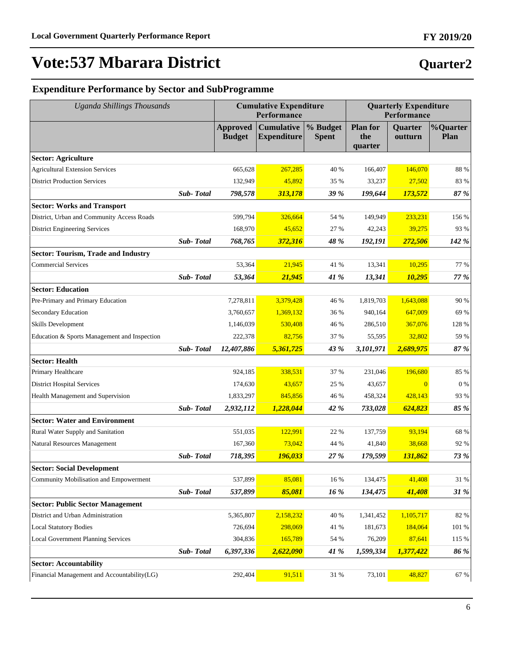**FY 2019/20**

### **Expenditure Performance by Sector and SubProgramme**

| <b>Uganda Shillings Thousands</b>            |           | <b>Cumulative Expenditure</b><br>Performance |                                         |                          | <b>Quarterly Expenditure</b><br>Performance |                           |                                |
|----------------------------------------------|-----------|----------------------------------------------|-----------------------------------------|--------------------------|---------------------------------------------|---------------------------|--------------------------------|
|                                              |           | <b>Approved</b><br><b>Budget</b>             | <b>Cumulative</b><br><b>Expenditure</b> | % Budget<br><b>Spent</b> | <b>Plan for</b><br>the<br>quarter           | <b>Quarter</b><br>outturn | <b>%Quarter</b><br><b>Plan</b> |
| <b>Sector: Agriculture</b>                   |           |                                              |                                         |                          |                                             |                           |                                |
| <b>Agricultural Extension Services</b>       |           | 665,628                                      | 267,285                                 | 40 %                     | 166,407                                     | 146,070                   | 88 %                           |
| <b>District Production Services</b>          |           | 132,949                                      | 45,892                                  | 35 %                     | 33,237                                      | 27,502                    | 83 %                           |
|                                              | Sub-Total | 798,578                                      | 313,178                                 | 39 %                     | 199,644                                     | 173,572                   | 87 %                           |
| <b>Sector: Works and Transport</b>           |           |                                              |                                         |                          |                                             |                           |                                |
| District, Urban and Community Access Roads   |           | 599,794                                      | 326,664                                 | 54 %                     | 149,949                                     | 233,231                   | 156 %                          |
| <b>District Engineering Services</b>         |           | 168,970                                      | 45,652                                  | 27 %                     | 42,243                                      | 39,275                    | 93 %                           |
|                                              | Sub-Total | 768,765                                      | 372,316                                 | 48 %                     | 192,191                                     | 272,506                   | 142 %                          |
| <b>Sector: Tourism, Trade and Industry</b>   |           |                                              |                                         |                          |                                             |                           |                                |
| <b>Commercial Services</b>                   |           | 53,364                                       | 21,945                                  | 41 %                     | 13,341                                      | 10.295                    | 77 %                           |
|                                              | Sub-Total | 53,364                                       | 21,945                                  | 41 %                     | 13,341                                      | 10,295                    | 77 %                           |
| <b>Sector: Education</b>                     |           |                                              |                                         |                          |                                             |                           |                                |
| Pre-Primary and Primary Education            |           | 7,278,811                                    | 3,379,428                               | 46 %                     | 1,819,703                                   | 1,643,088                 | 90 %                           |
| Secondary Education                          |           | 3,760,657                                    | 1,369,132                               | 36 %                     | 940,164                                     | 647,009                   | 69 %                           |
| <b>Skills Development</b>                    |           | 1,146,039                                    | 530,408                                 | 46 %                     | 286,510                                     | 367,076                   | 128 %                          |
| Education & Sports Management and Inspection |           | 222,378                                      | 82,756                                  | 37 %                     | 55,595                                      | 32,802                    | 59 %                           |
|                                              | Sub-Total | 12,407,886                                   | 5,361,725                               | 43 %                     | 3,101,971                                   | 2,689,975                 | 87 %                           |
| <b>Sector: Health</b>                        |           |                                              |                                         |                          |                                             |                           |                                |
| Primary Healthcare                           |           | 924,185                                      | 338,531                                 | 37 %                     | 231,046                                     | 196,680                   | 85 %                           |
| <b>District Hospital Services</b>            |           | 174,630                                      | 43,657                                  | 25 %                     | 43,657                                      | $\Omega$                  | 0%                             |
| Health Management and Supervision            |           | 1,833,297                                    | 845,856                                 | 46 %                     | 458,324                                     | 428,143                   | 93 %                           |
|                                              | Sub-Total | 2,932,112                                    | 1,228,044                               | 42 %                     | 733,028                                     | 624,823                   | 85 %                           |
| <b>Sector: Water and Environment</b>         |           |                                              |                                         |                          |                                             |                           |                                |
| Rural Water Supply and Sanitation            |           | 551,035                                      | 122,991                                 | 22 %                     | 137,759                                     | 93,194                    | 68 %                           |
| <b>Natural Resources Management</b>          |           | 167,360                                      | 73,042                                  | 44 %                     | 41,840                                      | 38,668                    | 92 %                           |
|                                              | Sub-Total | 718,395                                      | 196,033                                 | 27 %                     | 179,599                                     | 131,862                   | 73 %                           |
| <b>Sector: Social Development</b>            |           |                                              |                                         |                          |                                             |                           |                                |
| Community Mobilisation and Empowerment       |           | 537,899                                      | 85,081                                  | 16 %                     | 134,475                                     | 41,408                    | 31 %                           |
|                                              | Sub-Total | 537,899                                      | 85,081                                  | $16\ \%$                 | 134,475                                     | 41,408                    | 31 %                           |
| <b>Sector: Public Sector Management</b>      |           |                                              |                                         |                          |                                             |                           |                                |
| District and Urban Administration            |           | 5,365,807                                    | 2,158,232                               | 40 %                     | 1,341,452                                   | 1,105,717                 | 82 %                           |
| <b>Local Statutory Bodies</b>                |           | 726,694                                      | 298,069                                 | 41 %                     | 181,673                                     | 184,064                   | 101 %                          |
| <b>Local Government Planning Services</b>    |           | 304,836                                      | 165,789                                 | 54 %                     | 76,209                                      | 87,641                    | 115 %                          |
|                                              | Sub-Total | 6,397,336                                    | 2,622,090                               | 41 %                     | 1,599,334                                   | 1,377,422                 | 86 %                           |
| <b>Sector: Accountability</b>                |           |                                              |                                         |                          |                                             |                           |                                |
| Financial Management and Accountability(LG)  |           | 292,404                                      | 91,511                                  | 31 %                     | 73,101                                      | 48,827                    | $67~\%$                        |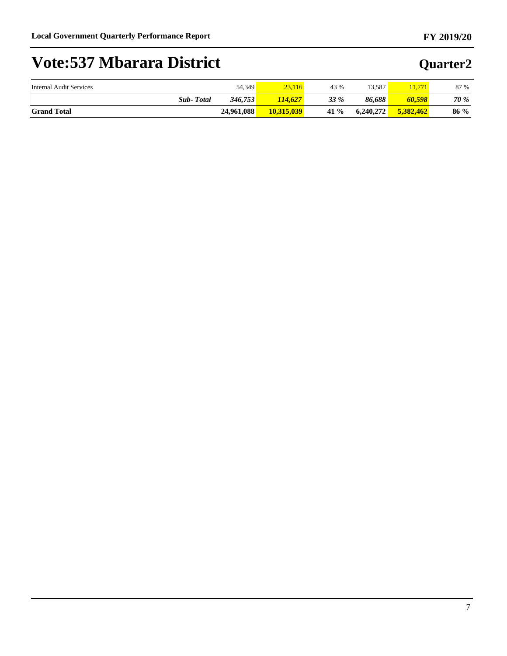| Internal Audit Services | 54,349     | 23,116     | 43 % | 13.587    | 1.771     | 87 % |
|-------------------------|------------|------------|------|-----------|-----------|------|
| <b>Sub-Total</b>        | 346,753    | 114.627    | 33 % | 86,688    | 60,598    | 70 % |
| <b>Grand Total</b>      | 24.961.088 | 10,315,039 | 41 % | 6.240.272 | 5.382.462 | 86%  |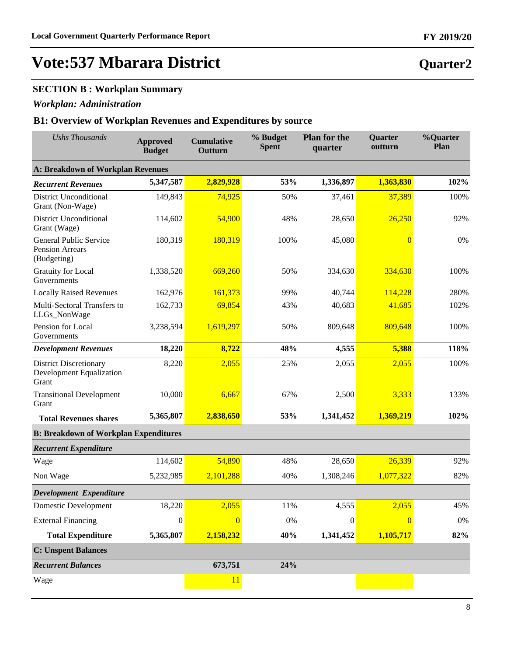### **SECTION B : Workplan Summary**

### *Workplan: Administration*

### **B1: Overview of Workplan Revenues and Expenditures by source**

| <b>Ushs Thousands</b>                                                  | <b>Approved</b><br><b>Budget</b> | <b>Cumulative</b><br>Outturn | % Budget<br><b>Spent</b> | <b>Plan for the</b><br>quarter | Quarter<br>outturn | %Quarter<br>Plan |  |  |
|------------------------------------------------------------------------|----------------------------------|------------------------------|--------------------------|--------------------------------|--------------------|------------------|--|--|
| <b>A: Breakdown of Workplan Revenues</b>                               |                                  |                              |                          |                                |                    |                  |  |  |
| <b>Recurrent Revenues</b>                                              | 5,347,587                        | 2,829,928                    | 53%                      | 1,336,897                      | 1,363,830          | 102%             |  |  |
| <b>District Unconditional</b><br>Grant (Non-Wage)                      | 149,843                          | 74,925                       | 50%                      | 37,461                         | 37,389             | 100%             |  |  |
| <b>District Unconditional</b><br>Grant (Wage)                          | 114,602                          | 54,900                       | 48%                      | 28,650                         | 26,250             | 92%              |  |  |
| <b>General Public Service</b><br><b>Pension Arrears</b><br>(Budgeting) | 180,319                          | 180,319                      | 100%                     | 45,080                         | $\overline{0}$     | 0%               |  |  |
| <b>Gratuity for Local</b><br>Governments                               | 1,338,520                        | 669,260                      | 50%                      | 334,630                        | 334,630            | 100%             |  |  |
| <b>Locally Raised Revenues</b>                                         | 162,976                          | 161,373                      | 99%                      | 40,744                         | 114,228            | 280%             |  |  |
| Multi-Sectoral Transfers to<br>LLGs_NonWage                            | 162,733                          | 69,854                       | 43%                      | 40,683                         | 41,685             | 102%             |  |  |
| Pension for Local<br>Governments                                       | 3,238,594                        | 1,619,297                    | 50%                      | 809,648                        | 809,648            | 100%             |  |  |
| <b>Development Revenues</b>                                            | 18,220                           | 8,722                        | 48%                      | 4,555                          | 5,388              | 118%             |  |  |
| <b>District Discretionary</b><br>Development Equalization<br>Grant     | 8,220                            | 2,055                        | 25%                      | 2,055                          | 2,055              | 100%             |  |  |
| <b>Transitional Development</b><br>Grant                               | 10,000                           | 6,667                        | 67%                      | 2,500                          | 3,333              | 133%             |  |  |
| <b>Total Revenues shares</b>                                           | 5,365,807                        | 2,838,650                    | 53%                      | 1,341,452                      | 1,369,219          | 102%             |  |  |
| <b>B: Breakdown of Workplan Expenditures</b>                           |                                  |                              |                          |                                |                    |                  |  |  |
| <b>Recurrent Expenditure</b>                                           |                                  |                              |                          |                                |                    |                  |  |  |
| Wage                                                                   | 114,602                          | 54,890                       | 48%                      | 28,650                         | 26,339             | 92%              |  |  |
| Non Wage                                                               | 5,232,985                        | 2,101,288                    | 40%                      | 1,308,246                      | 1,077,322          | 82%              |  |  |
| Development Expenditure                                                |                                  |                              |                          |                                |                    |                  |  |  |
| <b>Domestic Development</b>                                            | 18,220                           | 2,055                        | 11%                      | 4,555                          | 2,055              | 45%              |  |  |
| <b>External Financing</b>                                              | $\boldsymbol{0}$                 | $\overline{0}$               | 0%                       | $\theta$                       | $\overline{0}$     | $0\%$            |  |  |
| <b>Total Expenditure</b>                                               | 5,365,807                        | 2,158,232                    | 40%                      | 1,341,452                      | 1,105,717          | 82%              |  |  |
| <b>C: Unspent Balances</b>                                             |                                  |                              |                          |                                |                    |                  |  |  |
| <b>Recurrent Balances</b>                                              |                                  | 673,751                      | 24%                      |                                |                    |                  |  |  |
| Wage                                                                   |                                  | 11                           |                          |                                |                    |                  |  |  |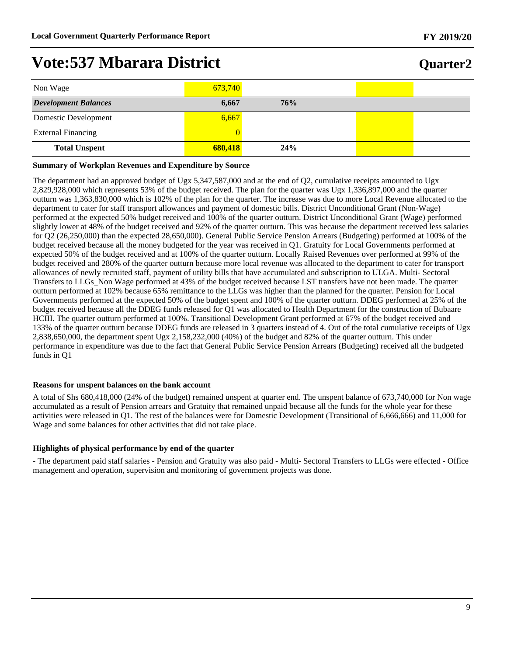| Quarter2 |
|----------|
|          |

| Non Wage                    | 673,740 |     |  |
|-----------------------------|---------|-----|--|
| <b>Development Balances</b> | 6,667   | 76% |  |
| Domestic Development        | 6,667   |     |  |
| <b>External Financing</b>   |         |     |  |
| <b>Total Unspent</b>        | 680,418 | 24% |  |

#### **Summary of Workplan Revenues and Expenditure by Source**

The department had an approved budget of Ugx 5,347,587,000 and at the end of Q2, cumulative receipts amounted to Ugx 2,829,928,000 which represents 53% of the budget received. The plan for the quarter was Ugx 1,336,897,000 and the quarter outturn was 1,363,830,000 which is 102% of the plan for the quarter. The increase was due to more Local Revenue allocated to the department to cater for staff transport allowances and payment of domestic bills. District Unconditional Grant (Non-Wage) performed at the expected 50% budget received and 100% of the quarter outturn. District Unconditional Grant (Wage) performed slightly lower at 48% of the budget received and 92% of the quarter outturn. This was because the department received less salaries for Q2 (26,250,000) than the expected 28,650,000). General Public Service Pension Arrears (Budgeting) performed at 100% of the budget received because all the money budgeted for the year was received in Q1. Gratuity for Local Governments performed at expected 50% of the budget received and at 100% of the quarter outturn. Locally Raised Revenues over performed at 99% of the budget received and 280% of the quarter outturn because more local revenue was allocated to the department to cater for transport allowances of newly recruited staff, payment of utility bills that have accumulated and subscription to ULGA. Multi- Sectoral Transfers to LLGs\_Non Wage performed at 43% of the budget received because LST transfers have not been made. The quarter outturn performed at 102% because 65% remittance to the LLGs was higher than the planned for the quarter. Pension for Local Governments performed at the expected 50% of the budget spent and 100% of the quarter outturn. DDEG performed at 25% of the budget received because all the DDEG funds released for Q1 was allocated to Health Department for the construction of Bubaare HCIII. The quarter outturn performed at 100%. Transitional Development Grant performed at 67% of the budget received and 133% of the quarter outturn because DDEG funds are released in 3 quarters instead of 4. Out of the total cumulative receipts of Ugx 2,838,650,000, the department spent Ugx 2,158,232,000 (40%) of the budget and 82% of the quarter outturn. This under performance in expenditure was due to the fact that General Public Service Pension Arrears (Budgeting) received all the budgeted funds in Q1

#### **Reasons for unspent balances on the bank account**

A total of Shs 680,418,000 (24% of the budget) remained unspent at quarter end. The unspent balance of 673,740,000 for Non wage accumulated as a result of Pension arrears and Gratuity that remained unpaid because all the funds for the whole year for these activities were released in Q1. The rest of the balances were for Domestic Development (Transitional of 6,666,666) and 11,000 for Wage and some balances for other activities that did not take place.

#### **Highlights of physical performance by end of the quarter**

- The department paid staff salaries - Pension and Gratuity was also paid - Multi- Sectoral Transfers to LLGs were effected - Office management and operation, supervision and monitoring of government projects was done.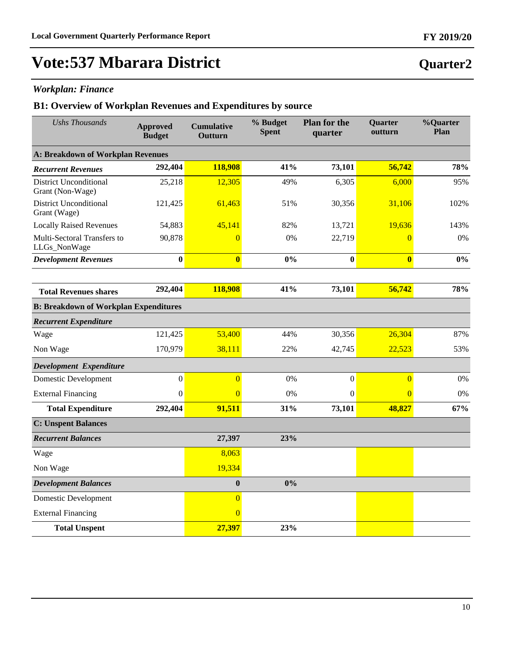**Quarter2**

## **Vote:537 Mbarara District**

### *Workplan: Finance*

| <b>Ushs Thousands</b>                             | <b>Approved</b><br><b>Budget</b> | <b>Cumulative</b><br>Outturn | % Budget<br><b>Spent</b> | <b>Plan for the</b><br>quarter | Quarter<br>outturn      | %Quarter<br>Plan |
|---------------------------------------------------|----------------------------------|------------------------------|--------------------------|--------------------------------|-------------------------|------------------|
| A: Breakdown of Workplan Revenues                 |                                  |                              |                          |                                |                         |                  |
| <b>Recurrent Revenues</b>                         | 292,404                          | 118,908                      | 41%                      | 73,101                         | 56,742                  | 78%              |
| <b>District Unconditional</b><br>Grant (Non-Wage) | 25,218                           | 12,305                       | 49%                      | 6,305                          | 6,000                   | 95%              |
| <b>District Unconditional</b><br>Grant (Wage)     | 121,425                          | 61,463                       | 51%                      | 30,356                         | 31,106                  | 102%             |
| <b>Locally Raised Revenues</b>                    | 54,883                           | 45,141                       | 82%                      | 13,721                         | 19,636                  | 143%             |
| Multi-Sectoral Transfers to<br>LLGs_NonWage       | 90,878                           | $\Omega$                     | 0%                       | 22,719                         | $\overline{0}$          | 0%               |
| <b>Development Revenues</b>                       | $\bf{0}$                         | $\bf{0}$                     | 0%                       | $\bf{0}$                       | $\overline{\mathbf{0}}$ | $0\%$            |
|                                                   |                                  |                              |                          |                                |                         |                  |
| <b>Total Revenues shares</b>                      | 292,404                          | 118,908                      | 41%                      | 73,101                         | 56,742                  | 78%              |
| <b>B: Breakdown of Workplan Expenditures</b>      |                                  |                              |                          |                                |                         |                  |
| <b>Recurrent Expenditure</b>                      |                                  |                              |                          |                                |                         |                  |
| Wage                                              | 121,425                          | 53,400                       | 44%                      | 30,356                         | 26,304                  | 87%              |
| Non Wage                                          | 170,979                          | 38,111                       | 22%                      | 42,745                         | 22,523                  | 53%              |
| Development Expenditure                           |                                  |                              |                          |                                |                         |                  |
| <b>Domestic Development</b>                       | $\mathbf{0}$                     | $\overline{0}$               | 0%                       | $\boldsymbol{0}$               | $\overline{0}$          | 0%               |
| <b>External Financing</b>                         | $\boldsymbol{0}$                 | $\Omega$                     | 0%                       | $\boldsymbol{0}$               | $\overline{0}$          | 0%               |
| <b>Total Expenditure</b>                          | 292,404                          | 91,511                       | 31%                      | 73,101                         | 48,827                  | 67%              |
| <b>C: Unspent Balances</b>                        |                                  |                              |                          |                                |                         |                  |
| <b>Recurrent Balances</b>                         |                                  | 27,397                       | 23%                      |                                |                         |                  |
| Wage                                              |                                  | 8,063                        |                          |                                |                         |                  |
| Non Wage                                          |                                  | 19,334                       |                          |                                |                         |                  |
| <b>Development Balances</b>                       |                                  | $\bf{0}$                     | 0%                       |                                |                         |                  |
| <b>Domestic Development</b>                       |                                  | $\overline{0}$               |                          |                                |                         |                  |
| <b>External Financing</b>                         |                                  | $\overline{0}$               |                          |                                |                         |                  |
| <b>Total Unspent</b>                              |                                  | 27,397                       | 23%                      |                                |                         |                  |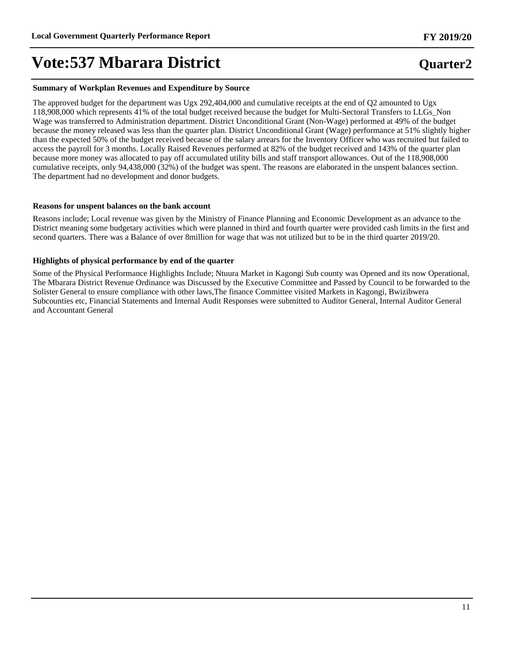#### **Summary of Workplan Revenues and Expenditure by Source**

The approved budget for the department was Ugx 292,404,000 and cumulative receipts at the end of Q2 amounted to Ugx 118,908,000 which represents 41% of the total budget received because the budget for Multi-Sectoral Transfers to LLGs\_Non Wage was transferred to Administration department. District Unconditional Grant (Non-Wage) performed at 49% of the budget because the money released was less than the quarter plan. District Unconditional Grant (Wage) performance at 51% slightly higher than the expected 50% of the budget received because of the salary arrears for the Inventory Officer who was recruited but failed to access the payroll for 3 months. Locally Raised Revenues performed at 82% of the budget received and 143% of the quarter plan because more money was allocated to pay off accumulated utility bills and staff transport allowances. Out of the 118,908,000 cumulative receipts, only 94,438,000 (32%) of the budget was spent. The reasons are elaborated in the unspent balances section. The department had no development and donor budgets.

#### **Reasons for unspent balances on the bank account**

Reasons include; Local revenue was given by the Ministry of Finance Planning and Economic Development as an advance to the District meaning some budgetary activities which were planned in third and fourth quarter were provided cash limits in the first and second quarters. There was a Balance of over 8million for wage that was not utilized but to be in the third quarter 2019/20.

#### **Highlights of physical performance by end of the quarter**

Some of the Physical Performance Highlights Include; Ntuura Market in Kagongi Sub county was Opened and its now Operational, The Mbarara District Revenue Ordinance was Discussed by the Executive Committee and Passed by Council to be forwarded to the Solister General to ensure compliance with other laws,The finance Committee visited Markets in Kagongi, Bwizibwera Subcounties etc, Financial Statements and Internal Audit Responses were submitted to Auditor General, Internal Auditor General and Accountant General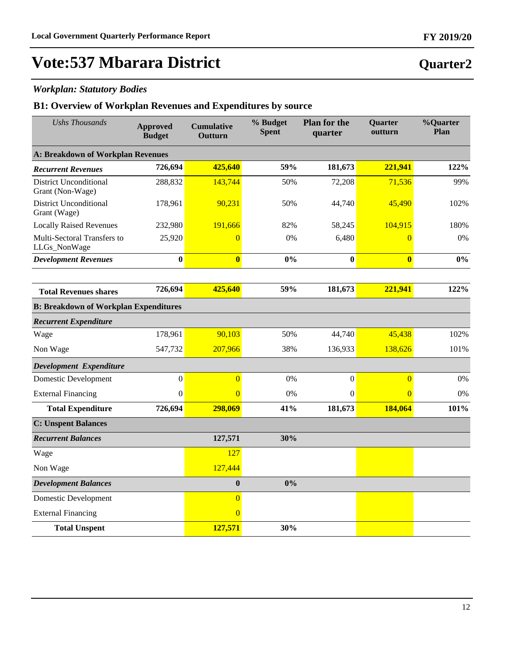**Quarter2**

## **Vote:537 Mbarara District**

### *Workplan: Statutory Bodies*

| <b>Ushs Thousands</b>                             | <b>Approved</b><br><b>Budget</b> | <b>Cumulative</b><br>Outturn | % Budget<br><b>Spent</b> | <b>Plan for the</b><br>quarter | Quarter<br>outturn | %Quarter<br>Plan |  |  |
|---------------------------------------------------|----------------------------------|------------------------------|--------------------------|--------------------------------|--------------------|------------------|--|--|
| <b>A: Breakdown of Workplan Revenues</b>          |                                  |                              |                          |                                |                    |                  |  |  |
| <b>Recurrent Revenues</b>                         | 726,694                          | 425,640                      | 59%                      | 181,673                        | 221,941            | 122%             |  |  |
| <b>District Unconditional</b><br>Grant (Non-Wage) | 288,832                          | 143,744                      | 50%                      | 72,208                         | 71,536             | 99%              |  |  |
| <b>District Unconditional</b><br>Grant (Wage)     | 178,961                          | 90,231                       | 50%                      | 44,740                         | 45,490             | 102%             |  |  |
| <b>Locally Raised Revenues</b>                    | 232,980                          | 191,666                      | 82%                      | 58,245                         | 104,915            | 180%             |  |  |
| Multi-Sectoral Transfers to<br>LLGs_NonWage       | 25,920                           | $\Omega$                     | 0%                       | 6,480                          | $\overline{0}$     | 0%               |  |  |
| <b>Development Revenues</b>                       | $\bf{0}$                         | $\bf{0}$                     | 0%                       | $\bf{0}$                       | $\bf{0}$           | $0\%$            |  |  |
|                                                   |                                  |                              |                          |                                |                    |                  |  |  |
| <b>Total Revenues shares</b>                      | 726,694                          | 425,640                      | 59%                      | 181,673                        | 221,941            | 122%             |  |  |
| <b>B: Breakdown of Workplan Expenditures</b>      |                                  |                              |                          |                                |                    |                  |  |  |
| <b>Recurrent Expenditure</b>                      |                                  |                              |                          |                                |                    |                  |  |  |
| Wage                                              | 178,961                          | 90,103                       | 50%                      | 44,740                         | 45,438             | 102%             |  |  |
| Non Wage                                          | 547,732                          | 207,966                      | 38%                      | 136,933                        | 138,626            | 101%             |  |  |
| Development Expenditure                           |                                  |                              |                          |                                |                    |                  |  |  |
| <b>Domestic Development</b>                       | $\boldsymbol{0}$                 | $\overline{0}$               | 0%                       | $\boldsymbol{0}$               | $\overline{0}$     | 0%               |  |  |
| <b>External Financing</b>                         | $\boldsymbol{0}$                 | $\Omega$                     | 0%                       | $\mathbf{0}$                   | $\overline{0}$     | 0%               |  |  |
| <b>Total Expenditure</b>                          | 726,694                          | 298,069                      | 41%                      | 181,673                        | 184,064            | 101%             |  |  |
| <b>C: Unspent Balances</b>                        |                                  |                              |                          |                                |                    |                  |  |  |
| <b>Recurrent Balances</b>                         |                                  | 127,571                      | 30%                      |                                |                    |                  |  |  |
| Wage                                              |                                  | 127                          |                          |                                |                    |                  |  |  |
| Non Wage                                          |                                  | 127,444                      |                          |                                |                    |                  |  |  |
| <b>Development Balances</b>                       |                                  | $\bf{0}$                     | 0%                       |                                |                    |                  |  |  |
| <b>Domestic Development</b>                       |                                  | $\overline{0}$               |                          |                                |                    |                  |  |  |
| <b>External Financing</b>                         |                                  | $\overline{0}$               |                          |                                |                    |                  |  |  |
| <b>Total Unspent</b>                              |                                  | 127,571                      | 30%                      |                                |                    |                  |  |  |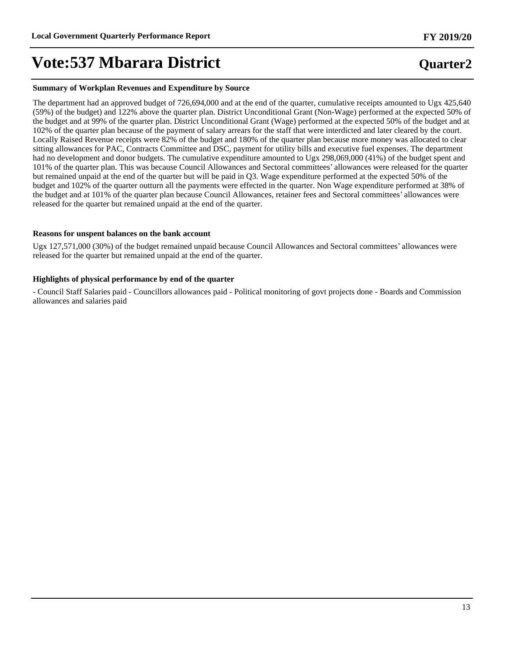#### **Summary of Workplan Revenues and Expenditure by Source**

The department had an approved budget of 726,694,000 and at the end of the quarter, cumulative receipts amounted to Ugx 425,640 (59%) of the budget) and 122% above the quarter plan. District Unconditional Grant (Non-Wage) performed at the expected 50% of the budget and at 99% of the quarter plan. District Unconditional Grant (Wage) performed at the expected 50% of the budget and at 102% of the quarter plan because of the payment of salary arrears for the staff that were interdicted and later cleared by the court. Locally Raised Revenue receipts were 82% of the budget and 180% of the quarter plan because more money was allocated to clear sitting allowances for PAC, Contracts Committee and DSC, payment for utility bills and executive fuel expenses. The department had no development and donor budgets. The cumulative expenditure amounted to Ugx 298,069,000 (41%) of the budget spent and 101% of the quarter plan. This was because Council Allowances and Sectoral committees' allowances were released for the quarter but remained unpaid at the end of the quarter but will be paid in Q3. Wage expenditure performed at the expected 50% of the budget and 102% of the quarter outturn all the payments were effected in the quarter. Non Wage expenditure performed at 38% of the budget and at 101% of the quarter plan because Council Allowances, retainer fees and Sectoral committees' allowances were released for the quarter but remained unpaid at the end of the quarter.

#### **Reasons for unspent balances on the bank account**

Ugx 127,571,000 (30%) of the budget remained unpaid because Council Allowances and Sectoral committees' allowances were released for the quarter but remained unpaid at the end of the quarter.

#### **Highlights of physical performance by end of the quarter**

- Council Staff Salaries paid - Councillors allowances paid - Political monitoring of govt projects done - Boards and Commission allowances and salaries paid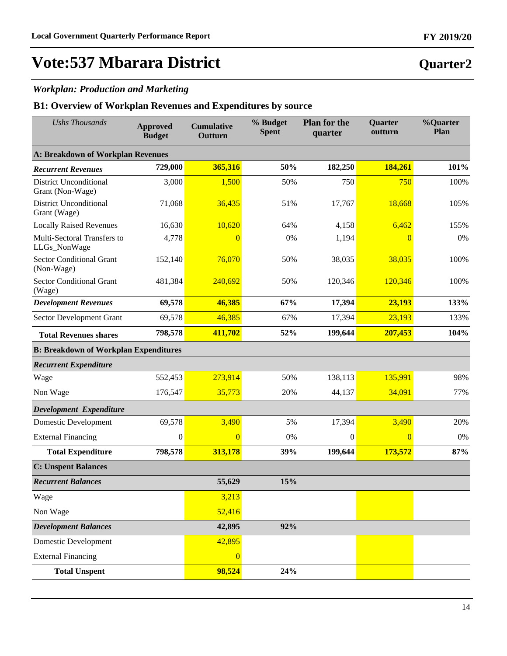### *Workplan: Production and Marketing*

| <b>Ushs Thousands</b>                             | <b>Approved</b><br><b>Budget</b> | <b>Cumulative</b><br>Outturn | % Budget<br><b>Spent</b> | <b>Plan for the</b><br>quarter | Quarter<br>outturn | %Quarter<br>Plan |  |
|---------------------------------------------------|----------------------------------|------------------------------|--------------------------|--------------------------------|--------------------|------------------|--|
| <b>A: Breakdown of Workplan Revenues</b>          |                                  |                              |                          |                                |                    |                  |  |
| <b>Recurrent Revenues</b>                         | 729,000                          | 365,316                      | 50%                      | 182,250                        | 184,261            | 101%             |  |
| <b>District Unconditional</b><br>Grant (Non-Wage) | 3,000                            | 1,500                        | 50%                      | 750                            | 750                | 100%             |  |
| <b>District Unconditional</b><br>Grant (Wage)     | 71,068                           | 36,435                       | 51%                      | 17,767                         | 18,668             | 105%             |  |
| <b>Locally Raised Revenues</b>                    | 16,630                           | 10,620                       | 64%                      | 4,158                          | 6,462              | 155%             |  |
| Multi-Sectoral Transfers to<br>LLGs_NonWage       | 4,778                            | $\theta$                     | 0%                       | 1,194                          | $\overline{0}$     | 0%               |  |
| <b>Sector Conditional Grant</b><br>(Non-Wage)     | 152,140                          | 76,070                       | 50%                      | 38,035                         | 38,035             | 100%             |  |
| <b>Sector Conditional Grant</b><br>(Wage)         | 481,384                          | 240,692                      | 50%                      | 120,346                        | 120,346            | 100%             |  |
| <b>Development Revenues</b>                       | 69,578                           | 46,385                       | 67%                      | 17,394                         | 23,193             | 133%             |  |
| Sector Development Grant                          | 69,578                           | 46,385                       | 67%                      | 17,394                         | 23,193             | 133%             |  |
| <b>Total Revenues shares</b>                      | 798,578                          | 411,702                      | 52%                      | 199,644                        | 207,453            | 104%             |  |
| <b>B: Breakdown of Workplan Expenditures</b>      |                                  |                              |                          |                                |                    |                  |  |
| <b>Recurrent Expenditure</b>                      |                                  |                              |                          |                                |                    |                  |  |
| Wage                                              | 552,453                          | 273,914                      | 50%                      | 138,113                        | 135,991            | 98%              |  |
| Non Wage                                          | 176,547                          | 35,773                       | 20%                      | 44,137                         | 34,091             | 77%              |  |
| Development Expenditure                           |                                  |                              |                          |                                |                    |                  |  |
| <b>Domestic Development</b>                       | 69,578                           | 3,490                        | 5%                       | 17,394                         | 3,490              | 20%              |  |
| <b>External Financing</b>                         | $\mathbf{0}$                     | $\overline{0}$               | 0%                       | $\mathbf{0}$                   | $\overline{0}$     | 0%               |  |
| <b>Total Expenditure</b>                          | 798,578                          | 313,178                      | 39%                      | 199,644                        | 173,572            | 87%              |  |
| <b>C: Unspent Balances</b>                        |                                  |                              |                          |                                |                    |                  |  |
| <b>Recurrent Balances</b>                         |                                  | 55,629                       | 15%                      |                                |                    |                  |  |
| Wage                                              |                                  | 3,213                        |                          |                                |                    |                  |  |
| Non Wage                                          |                                  | 52,416                       |                          |                                |                    |                  |  |
| <b>Development Balances</b>                       |                                  | 42,895                       | 92%                      |                                |                    |                  |  |
| <b>Domestic Development</b>                       |                                  | 42,895                       |                          |                                |                    |                  |  |
| <b>External Financing</b>                         |                                  | $\overline{0}$               |                          |                                |                    |                  |  |
| <b>Total Unspent</b>                              |                                  | 98,524                       | 24%                      |                                |                    |                  |  |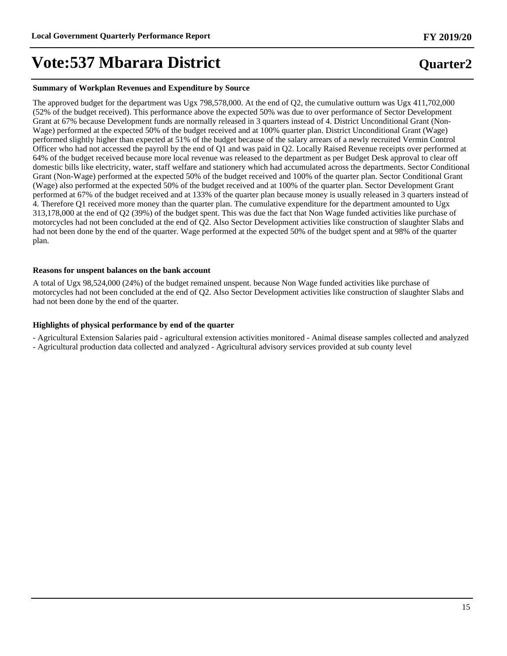#### **Summary of Workplan Revenues and Expenditure by Source**

The approved budget for the department was Ugx 798,578,000. At the end of Q2, the cumulative outturn was Ugx 411,702,000 (52% of the budget received). This performance above the expected 50% was due to over performance of Sector Development Grant at 67% because Development funds are normally released in 3 quarters instead of 4. District Unconditional Grant (Non-Wage) performed at the expected 50% of the budget received and at 100% quarter plan. District Unconditional Grant (Wage) performed slightly higher than expected at 51% of the budget because of the salary arrears of a newly recruited Vermin Control Officer who had not accessed the payroll by the end of Q1 and was paid in Q2. Locally Raised Revenue receipts over performed at 64% of the budget received because more local revenue was released to the department as per Budget Desk approval to clear off domestic bills like electricity, water, staff welfare and stationery which had accumulated across the departments. Sector Conditional Grant (Non-Wage) performed at the expected 50% of the budget received and 100% of the quarter plan. Sector Conditional Grant (Wage) also performed at the expected 50% of the budget received and at 100% of the quarter plan. Sector Development Grant performed at 67% of the budget received and at 133% of the quarter plan because money is usually released in 3 quarters instead of 4. Therefore Q1 received more money than the quarter plan. The cumulative expenditure for the department amounted to Ugx 313,178,000 at the end of Q2 (39%) of the budget spent. This was due the fact that Non Wage funded activities like purchase of motorcycles had not been concluded at the end of Q2. Also Sector Development activities like construction of slaughter Slabs and had not been done by the end of the quarter. Wage performed at the expected 50% of the budget spent and at 98% of the quarter plan.

#### **Reasons for unspent balances on the bank account**

A total of Ugx 98,524,000 (24%) of the budget remained unspent. because Non Wage funded activities like purchase of motorcycles had not been concluded at the end of Q2. Also Sector Development activities like construction of slaughter Slabs and had not been done by the end of the quarter.

#### **Highlights of physical performance by end of the quarter**

- Agricultural Extension Salaries paid - agricultural extension activities monitored - Animal disease samples collected and analyzed

- Agricultural production data collected and analyzed - Agricultural advisory services provided at sub county level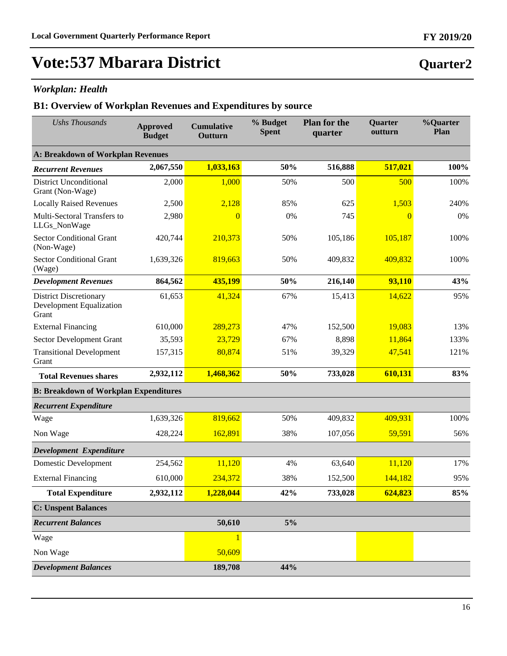**Quarter2**

# **Vote:537 Mbarara District**

### *Workplan: Health*

| <b>Ushs Thousands</b>                                                     | <b>Approved</b><br><b>Budget</b> | <b>Cumulative</b><br>Outturn | % Budget<br><b>Spent</b> | <b>Plan for the</b><br>quarter | <b>Quarter</b><br>outturn | %Quarter<br>Plan |
|---------------------------------------------------------------------------|----------------------------------|------------------------------|--------------------------|--------------------------------|---------------------------|------------------|
| <b>A: Breakdown of Workplan Revenues</b>                                  |                                  |                              |                          |                                |                           |                  |
| <b>Recurrent Revenues</b>                                                 | 2,067,550                        | 1,033,163                    | 50%                      | 516,888                        | 517,021                   | 100%             |
| <b>District Unconditional</b><br>Grant (Non-Wage)                         | 2,000                            | 1,000                        | 50%                      | 500                            | 500                       | 100%             |
| <b>Locally Raised Revenues</b>                                            | 2,500                            | 2,128                        | 85%                      | 625                            | 1,503                     | 240%             |
| Multi-Sectoral Transfers to<br>LLGs_NonWage                               | 2,980                            | $\overline{0}$               | 0%                       | 745                            | $\overline{0}$            | 0%               |
| <b>Sector Conditional Grant</b><br>(Non-Wage)                             | 420,744                          | 210,373                      | 50%                      | 105,186                        | 105,187                   | 100%             |
| <b>Sector Conditional Grant</b><br>(Wage)                                 | 1,639,326                        | 819,663                      | 50%                      | 409,832                        | 409,832                   | 100%             |
| <b>Development Revenues</b>                                               | 864,562                          | 435,199                      | 50%                      | 216,140                        | 93,110                    | 43%              |
| <b>District Discretionary</b><br><b>Development Equalization</b><br>Grant | 61,653                           | 41,324                       | 67%                      | 15,413                         | 14,622                    | 95%              |
| <b>External Financing</b>                                                 | 610,000                          | 289,273                      | 47%                      | 152,500                        | 19,083                    | 13%              |
| Sector Development Grant                                                  | 35,593                           | 23,729                       | 67%                      | 8,898                          | 11,864                    | 133%             |
| <b>Transitional Development</b><br>Grant                                  | 157,315                          | 80,874                       | 51%                      | 39,329                         | 47,541                    | 121%             |
| <b>Total Revenues shares</b>                                              | 2,932,112                        | 1,468,362                    | 50%                      | 733,028                        | 610,131                   | 83%              |
| <b>B: Breakdown of Workplan Expenditures</b>                              |                                  |                              |                          |                                |                           |                  |
| <b>Recurrent Expenditure</b>                                              |                                  |                              |                          |                                |                           |                  |
| Wage                                                                      | 1,639,326                        | 819,662                      | 50%                      | 409,832                        | 409,931                   | 100%             |
| Non Wage                                                                  | 428,224                          | 162,891                      | 38%                      | 107,056                        | 59,591                    | 56%              |
| Development Expenditure                                                   |                                  |                              |                          |                                |                           |                  |
| <b>Domestic Development</b>                                               | 254,562                          | 11,120                       | 4%                       | 63,640                         | 11,120                    | 17%              |
| <b>External Financing</b>                                                 | 610,000                          | 234,372                      | 38%                      | 152,500                        | 144,182                   | 95%              |
| <b>Total Expenditure</b>                                                  | 2,932,112                        | 1,228,044                    | 42%                      | 733,028                        | 624,823                   | 85%              |
| <b>C: Unspent Balances</b>                                                |                                  |                              |                          |                                |                           |                  |
| <b>Recurrent Balances</b>                                                 |                                  | 50,610                       | 5%                       |                                |                           |                  |
| Wage                                                                      |                                  | 1                            |                          |                                |                           |                  |
| Non Wage                                                                  |                                  | 50,609                       |                          |                                |                           |                  |
| <b>Development Balances</b>                                               |                                  | 189,708                      | 44%                      |                                |                           |                  |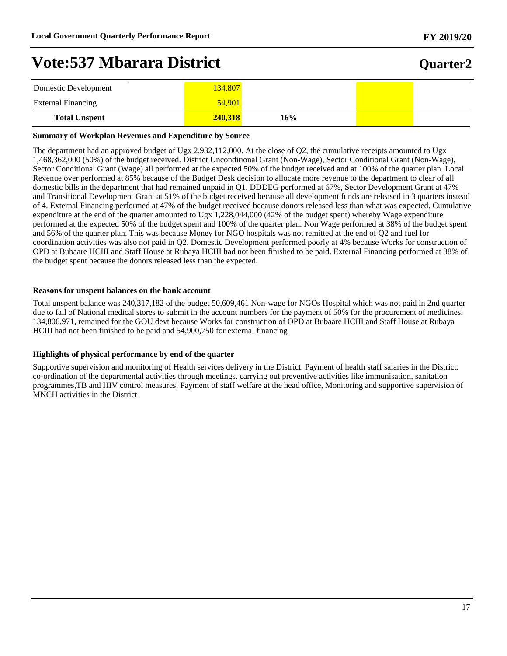### **Quarter2**

| Domestic Development      | 134,807 |     |  |
|---------------------------|---------|-----|--|
| <b>External Financing</b> | 54,901  |     |  |
| <b>Total Unspent</b>      | 240.318 | 16% |  |

#### **Summary of Workplan Revenues and Expenditure by Source**

The department had an approved budget of Ugx 2,932,112,000. At the close of Q2, the cumulative receipts amounted to Ugx 1,468,362,000 (50%) of the budget received. District Unconditional Grant (Non-Wage), Sector Conditional Grant (Non-Wage), Sector Conditional Grant (Wage) all performed at the expected 50% of the budget received and at 100% of the quarter plan. Local Revenue over performed at 85% because of the Budget Desk decision to allocate more revenue to the department to clear of all domestic bills in the department that had remained unpaid in Q1. DDDEG performed at 67%, Sector Development Grant at 47% and Transitional Development Grant at 51% of the budget received because all development funds are released in 3 quarters instead of 4. External Financing performed at 47% of the budget received because donors released less than what was expected. Cumulative expenditure at the end of the quarter amounted to Ugx 1,228,044,000 (42% of the budget spent) whereby Wage expenditure performed at the expected 50% of the budget spent and 100% of the quarter plan. Non Wage performed at 38% of the budget spent and 56% of the quarter plan. This was because Money for NGO hospitals was not remitted at the end of Q2 and fuel for coordination activities was also not paid in Q2. Domestic Development performed poorly at 4% because Works for construction of OPD at Bubaare HCIII and Staff House at Rubaya HCIII had not been finished to be paid. External Financing performed at 38% of the budget spent because the donors released less than the expected.

#### **Reasons for unspent balances on the bank account**

Total unspent balance was 240,317,182 of the budget 50,609,461 Non-wage for NGOs Hospital which was not paid in 2nd quarter due to fail of National medical stores to submit in the account numbers for the payment of 50% for the procurement of medicines. 134,806,971, remained for the GOU devt because Works for construction of OPD at Bubaare HCIII and Staff House at Rubaya HCIII had not been finished to be paid and 54,900,750 for external financing

#### **Highlights of physical performance by end of the quarter**

Supportive supervision and monitoring of Health services delivery in the District. Payment of health staff salaries in the District. co-ordination of the departmental activities through meetings. carrying out preventive activities like immunisation, sanitation programmes,TB and HIV control measures, Payment of staff welfare at the head office, Monitoring and supportive supervision of MNCH activities in the District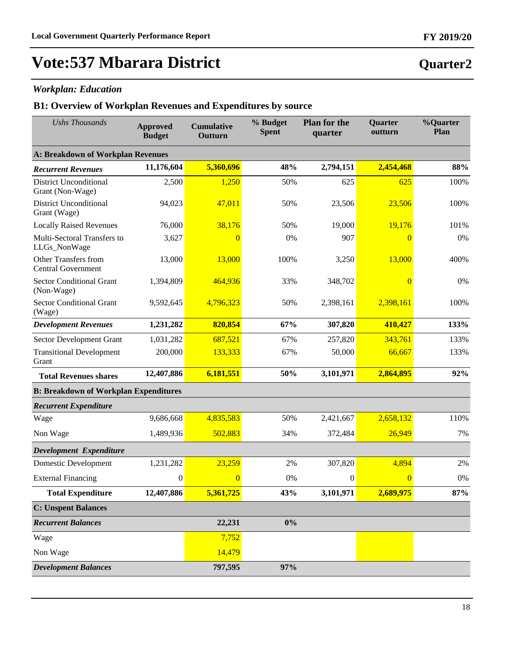### *Workplan: Education*

### **B1: Overview of Workplan Revenues and Expenditures by source**

| <b>Ushs Thousands</b>                                    | <b>Approved</b><br><b>Budget</b> | <b>Cumulative</b><br>Outturn | % Budget<br><b>Spent</b> | <b>Plan for the</b><br>quarter | <b>Quarter</b><br>outturn | %Quarter<br>Plan |  |  |
|----------------------------------------------------------|----------------------------------|------------------------------|--------------------------|--------------------------------|---------------------------|------------------|--|--|
| <b>A: Breakdown of Workplan Revenues</b>                 |                                  |                              |                          |                                |                           |                  |  |  |
| <b>Recurrent Revenues</b>                                | 11,176,604                       | 5,360,696                    | 48%                      | 2,794,151                      | 2,454,468                 | 88%              |  |  |
| <b>District Unconditional</b><br>Grant (Non-Wage)        | 2,500                            | 1,250                        | 50%                      | 625                            | 625                       | 100%             |  |  |
| <b>District Unconditional</b><br>Grant (Wage)            | 94,023                           | 47,011                       | 50%                      | 23,506                         | 23,506                    | 100%             |  |  |
| <b>Locally Raised Revenues</b>                           | 76,000                           | 38,176                       | 50%                      | 19,000                         | 19,176                    | 101%             |  |  |
| Multi-Sectoral Transfers to<br>LLGs_NonWage              | 3,627                            | $\overline{0}$               | 0%                       | 907                            | $\overline{0}$            | 0%               |  |  |
| <b>Other Transfers from</b><br><b>Central Government</b> | 13,000                           | 13,000                       | 100%                     | 3,250                          | 13,000                    | 400%             |  |  |
| <b>Sector Conditional Grant</b><br>(Non-Wage)            | 1,394,809                        | 464,936                      | 33%                      | 348,702                        | $\overline{0}$            | 0%               |  |  |
| <b>Sector Conditional Grant</b><br>(Wage)                | 9,592,645                        | 4,796,323                    | 50%                      | 2,398,161                      | 2,398,161                 | 100%             |  |  |
| <b>Development Revenues</b>                              | 1,231,282                        | 820,854                      | 67%                      | 307,820                        | 410,427                   | 133%             |  |  |
| Sector Development Grant                                 | 1,031,282                        | 687,521                      | 67%                      | 257,820                        | 343,761                   | 133%             |  |  |
| <b>Transitional Development</b><br>Grant                 | 200,000                          | 133,333                      | 67%                      | 50,000                         | 66,667                    | 133%             |  |  |
| <b>Total Revenues shares</b>                             | 12,407,886                       | 6,181,551                    | 50%                      | 3,101,971                      | 2,864,895                 | 92%              |  |  |
| <b>B: Breakdown of Workplan Expenditures</b>             |                                  |                              |                          |                                |                           |                  |  |  |
| <b>Recurrent Expenditure</b>                             |                                  |                              |                          |                                |                           |                  |  |  |
| Wage                                                     | 9,686,668                        | 4,835,583                    | 50%                      | 2,421,667                      | 2,658,132                 | 110%             |  |  |
| Non Wage                                                 | 1,489,936                        | 502,883                      | 34%                      | 372,484                        | 26,949                    | 7%               |  |  |
| Development Expenditure                                  |                                  |                              |                          |                                |                           |                  |  |  |
| Domestic Development                                     | 1,231,282                        | 23,259                       | 2%                       | 307,820                        | 4,894                     | 2%               |  |  |
| <b>External Financing</b>                                | $\boldsymbol{0}$                 | $\overline{0}$               | 0%                       | $\boldsymbol{0}$               | $\overline{0}$            | 0%               |  |  |
| <b>Total Expenditure</b>                                 | 12,407,886                       | 5,361,725                    | 43%                      | 3,101,971                      | 2,689,975                 | 87%              |  |  |
| <b>C: Unspent Balances</b>                               |                                  |                              |                          |                                |                           |                  |  |  |
| <b>Recurrent Balances</b>                                |                                  | 22,231                       | $0\%$                    |                                |                           |                  |  |  |
| Wage                                                     |                                  | 7,752                        |                          |                                |                           |                  |  |  |
| Non Wage                                                 |                                  | 14,479                       |                          |                                |                           |                  |  |  |
| <b>Development Balances</b>                              |                                  | 797,595                      | 97%                      |                                |                           |                  |  |  |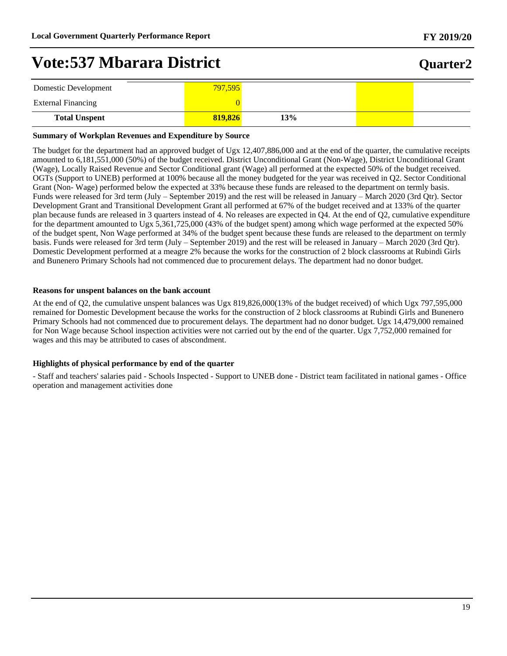## **Quarter2**

| Domestic Development      | 797,595 |    |  |
|---------------------------|---------|----|--|
| <b>External Financing</b> |         |    |  |
| <b>Total Unspent</b>      | 819,826 | 3% |  |

#### **Summary of Workplan Revenues and Expenditure by Source**

The budget for the department had an approved budget of Ugx 12,407,886,000 and at the end of the quarter, the cumulative receipts amounted to 6,181,551,000 (50%) of the budget received. District Unconditional Grant (Non-Wage), District Unconditional Grant (Wage), Locally Raised Revenue and Sector Conditional grant (Wage) all performed at the expected 50% of the budget received. OGTs (Support to UNEB) performed at 100% because all the money budgeted for the year was received in Q2. Sector Conditional Grant (Non- Wage) performed below the expected at 33% because these funds are released to the department on termly basis. Funds were released for 3rd term (July – September 2019) and the rest will be released in January – March 2020 (3rd Qtr). Sector Development Grant and Transitional Development Grant all performed at 67% of the budget received and at 133% of the quarter plan because funds are released in 3 quarters instead of 4. No releases are expected in Q4. At the end of Q2, cumulative expenditure for the department amounted to Ugx 5,361,725,000 (43% of the budget spent) among which wage performed at the expected 50% of the budget spent, Non Wage performed at 34% of the budget spent because these funds are released to the department on termly basis. Funds were released for 3rd term (July  $-$  September 2019) and the rest will be released in January  $-$  March 2020 (3rd Qtr). Domestic Development performed at a meagre 2% because the works for the construction of 2 block classrooms at Rubindi Girls and Bunenero Primary Schools had not commenced due to procurement delays. The department had no donor budget.

#### **Reasons for unspent balances on the bank account**

At the end of Q2, the cumulative unspent balances was Ugx 819,826,000(13% of the budget received) of which Ugx 797,595,000 remained for Domestic Development because the works for the construction of 2 block classrooms at Rubindi Girls and Bunenero Primary Schools had not commenced due to procurement delays. The department had no donor budget. Ugx 14,479,000 remained for Non Wage because School inspection activities were not carried out by the end of the quarter. Ugx 7,752,000 remained for wages and this may be attributed to cases of abscondment.

#### **Highlights of physical performance by end of the quarter**

- Staff and teachers' salaries paid - Schools Inspected - Support to UNEB done - District team facilitated in national games - Office operation and management activities done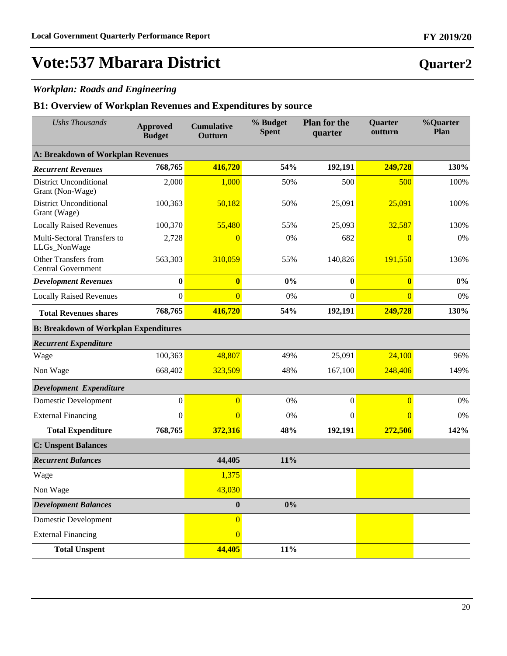### *Workplan: Roads and Engineering*

| <b>Ushs Thousands</b>                             | <b>Approved</b><br><b>Budget</b> | <b>Cumulative</b><br>Outturn | % Budget<br><b>Spent</b> | <b>Plan for the</b><br>quarter | Quarter<br>outturn | %Quarter<br>Plan |
|---------------------------------------------------|----------------------------------|------------------------------|--------------------------|--------------------------------|--------------------|------------------|
| <b>A: Breakdown of Workplan Revenues</b>          |                                  |                              |                          |                                |                    |                  |
| <b>Recurrent Revenues</b>                         | 768,765                          | 416,720                      | 54%                      | 192,191                        | 249,728            | 130%             |
| <b>District Unconditional</b><br>Grant (Non-Wage) | 2,000                            | 1,000                        | 50%                      | 500                            | 500                | 100%             |
| <b>District Unconditional</b><br>Grant (Wage)     | 100,363                          | 50,182                       | 50%                      | 25,091                         | 25,091             | 100%             |
| <b>Locally Raised Revenues</b>                    | 100,370                          | 55,480                       | 55%                      | 25,093                         | 32,587             | 130%             |
| Multi-Sectoral Transfers to<br>LLGs_NonWage       | 2,728                            | 0                            | 0%                       | 682                            | $\overline{0}$     | 0%               |
| Other Transfers from<br><b>Central Government</b> | 563,303                          | 310,059                      | 55%                      | 140,826                        | 191,550            | 136%             |
| <b>Development Revenues</b>                       | $\bf{0}$                         | $\overline{\mathbf{0}}$      | $0\%$                    | $\bf{0}$                       | $\bf{0}$           | $0\%$            |
| <b>Locally Raised Revenues</b>                    | $\mathbf{0}$                     | $\overline{0}$               | 0%                       | $\boldsymbol{0}$               | $\overline{0}$     | 0%               |
| <b>Total Revenues shares</b>                      | 768,765                          | 416,720                      | 54%                      | 192,191                        | 249,728            | 130%             |
| <b>B: Breakdown of Workplan Expenditures</b>      |                                  |                              |                          |                                |                    |                  |
| <b>Recurrent Expenditure</b>                      |                                  |                              |                          |                                |                    |                  |
| Wage                                              | 100,363                          | 48,807                       | 49%                      | 25,091                         | 24,100             | 96%              |
| Non Wage                                          | 668,402                          | 323,509                      | 48%                      | 167,100                        | 248,406            | 149%             |
| Development Expenditure                           |                                  |                              |                          |                                |                    |                  |
| Domestic Development                              | $\mathbf{0}$                     | $\overline{0}$               | 0%                       | $\boldsymbol{0}$               | $\overline{0}$     | 0%               |
| <b>External Financing</b>                         | $\mathbf{0}$                     | $\overline{0}$               | 0%                       | $\mathbf{0}$                   | $\overline{0}$     | 0%               |
| <b>Total Expenditure</b>                          | 768,765                          | 372,316                      | 48%                      | 192,191                        | 272,506            | 142%             |
| <b>C: Unspent Balances</b>                        |                                  |                              |                          |                                |                    |                  |
| <b>Recurrent Balances</b>                         |                                  | 44,405                       | 11%                      |                                |                    |                  |
| Wage                                              |                                  | 1,375                        |                          |                                |                    |                  |
| Non Wage                                          |                                  | 43,030                       |                          |                                |                    |                  |
| <b>Development Balances</b>                       |                                  | $\boldsymbol{0}$             | $0\%$                    |                                |                    |                  |
| <b>Domestic Development</b>                       |                                  | $\overline{0}$               |                          |                                |                    |                  |
| <b>External Financing</b>                         |                                  | $\overline{0}$               |                          |                                |                    |                  |
| <b>Total Unspent</b>                              |                                  | 44,405                       | 11%                      |                                |                    |                  |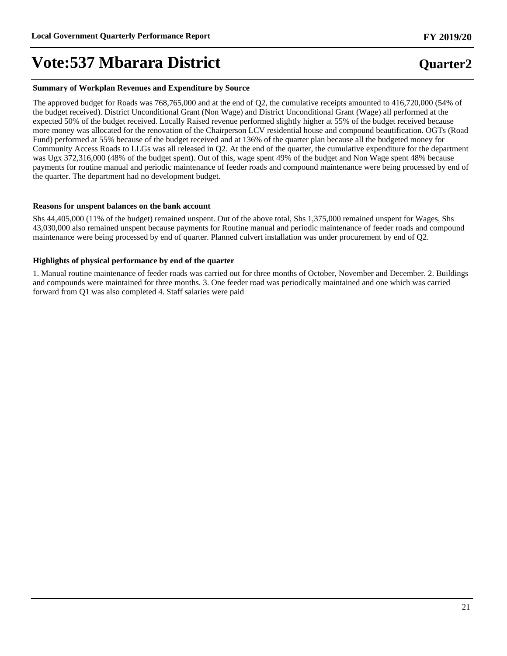#### **Summary of Workplan Revenues and Expenditure by Source**

The approved budget for Roads was 768,765,000 and at the end of Q2, the cumulative receipts amounted to 416,720,000 (54% of the budget received). District Unconditional Grant (Non Wage) and District Unconditional Grant (Wage) all performed at the expected 50% of the budget received. Locally Raised revenue performed slightly higher at 55% of the budget received because more money was allocated for the renovation of the Chairperson LCV residential house and compound beautification. OGTs (Road Fund) performed at 55% because of the budget received and at 136% of the quarter plan because all the budgeted money for Community Access Roads to LLGs was all released in Q2. At the end of the quarter, the cumulative expenditure for the department was Ugx 372,316,000 (48% of the budget spent). Out of this, wage spent 49% of the budget and Non Wage spent 48% because payments for routine manual and periodic maintenance of feeder roads and compound maintenance were being processed by end of the quarter. The department had no development budget.

#### **Reasons for unspent balances on the bank account**

Shs 44,405,000 (11% of the budget) remained unspent. Out of the above total, Shs 1,375,000 remained unspent for Wages, Shs 43,030,000 also remained unspent because payments for Routine manual and periodic maintenance of feeder roads and compound maintenance were being processed by end of quarter. Planned culvert installation was under procurement by end of Q2.

#### **Highlights of physical performance by end of the quarter**

1. Manual routine maintenance of feeder roads was carried out for three months of October, November and December. 2. Buildings and compounds were maintained for three months. 3. One feeder road was periodically maintained and one which was carried forward from Q1 was also completed 4. Staff salaries were paid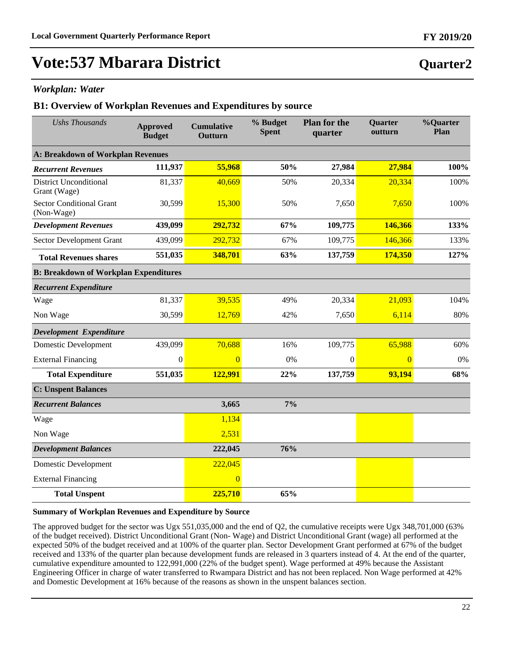### *Workplan: Water*

#### **B1: Overview of Workplan Revenues and Expenditures by source**

| <b>Ushs Thousands</b>                         | <b>Approved</b><br><b>Budget</b> | <b>Cumulative</b><br>Outturn | % Budget<br><b>Spent</b> | <b>Plan for the</b><br>quarter | <b>Quarter</b><br>outturn | %Quarter<br>Plan |  |
|-----------------------------------------------|----------------------------------|------------------------------|--------------------------|--------------------------------|---------------------------|------------------|--|
| A: Breakdown of Workplan Revenues             |                                  |                              |                          |                                |                           |                  |  |
| <b>Recurrent Revenues</b>                     | 111,937                          | 55,968                       | 50%                      | 27,984                         | 27,984                    | 100%             |  |
| <b>District Unconditional</b><br>Grant (Wage) | 81,337                           | 40,669                       | 50%                      | 20,334                         | 20,334                    | 100%             |  |
| <b>Sector Conditional Grant</b><br>(Non-Wage) | 30,599                           | 15,300                       | 50%                      | 7,650                          | 7,650                     | 100%             |  |
| <b>Development Revenues</b>                   | 439,099                          | 292,732                      | 67%                      | 109,775                        | 146,366                   | 133%             |  |
| Sector Development Grant                      | 439,099                          | 292,732                      | 67%                      | 109,775                        | 146,366                   | 133%             |  |
| <b>Total Revenues shares</b>                  | 551,035                          | 348,701                      | 63%                      | 137,759                        | 174,350                   | 127%             |  |
| <b>B: Breakdown of Workplan Expenditures</b>  |                                  |                              |                          |                                |                           |                  |  |
| <b>Recurrent Expenditure</b>                  |                                  |                              |                          |                                |                           |                  |  |
| Wage                                          | 81,337                           | 39,535                       | 49%                      | 20,334                         | 21,093                    | 104%             |  |
| Non Wage                                      | 30,599                           | 12,769                       | 42%                      | 7,650                          | 6,114                     | 80%              |  |
| Development Expenditure                       |                                  |                              |                          |                                |                           |                  |  |
| <b>Domestic Development</b>                   | 439,099                          | 70,688                       | 16%                      | 109,775                        | 65,988                    | 60%              |  |
| <b>External Financing</b>                     | $\mathbf{0}$                     | $\overline{0}$               | 0%                       | $\theta$                       | $\overline{0}$            | 0%               |  |
| <b>Total Expenditure</b>                      | 551,035                          | 122,991                      | 22%                      | 137,759                        | 93,194                    | 68%              |  |
| <b>C: Unspent Balances</b>                    |                                  |                              |                          |                                |                           |                  |  |
| <b>Recurrent Balances</b>                     |                                  | 3,665                        | 7%                       |                                |                           |                  |  |
| Wage                                          |                                  | 1,134                        |                          |                                |                           |                  |  |
| Non Wage                                      |                                  | 2,531                        |                          |                                |                           |                  |  |
| <b>Development Balances</b>                   |                                  | 222,045                      | 76%                      |                                |                           |                  |  |
| <b>Domestic Development</b>                   |                                  | 222,045                      |                          |                                |                           |                  |  |
| <b>External Financing</b>                     |                                  | $\overline{0}$               |                          |                                |                           |                  |  |
| <b>Total Unspent</b>                          |                                  | 225,710                      | 65%                      |                                |                           |                  |  |

#### **Summary of Workplan Revenues and Expenditure by Source**

The approved budget for the sector was Ugx 551,035,000 and the end of Q2, the cumulative receipts were Ugx 348,701,000 (63% of the budget received). District Unconditional Grant (Non- Wage) and District Unconditional Grant (wage) all performed at the expected 50% of the budget received and at 100% of the quarter plan. Sector Development Grant performed at 67% of the budget received and 133% of the quarter plan because development funds are released in 3 quarters instead of 4. At the end of the quarter, cumulative expenditure amounted to 122,991,000 (22% of the budget spent). Wage performed at 49% because the Assistant Engineering Officer in charge of water transferred to Rwampara District and has not been replaced. Non Wage performed at 42% and Domestic Development at 16% because of the reasons as shown in the unspent balances section.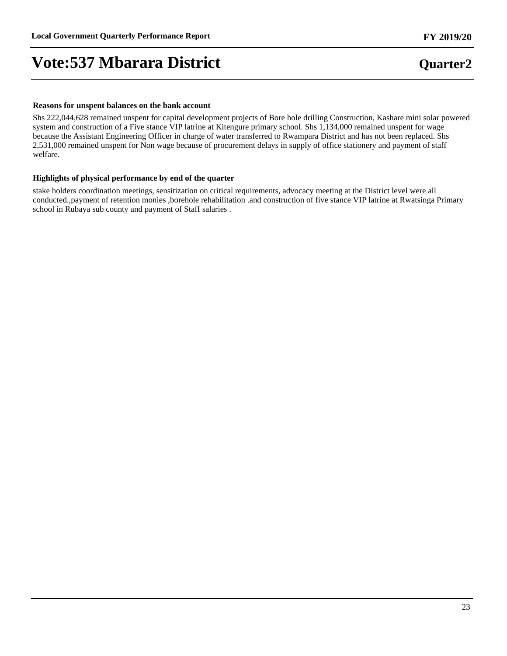#### **Reasons for unspent balances on the bank account**

Shs 222,044,628 remained unspent for capital development projects of Bore hole drilling Construction, Kashare mini solar powered system and construction of a Five stance VIP latrine at Kitengure primary school. Shs 1,134,000 remained unspent for wage because the Assistant Engineering Officer in charge of water transferred to Rwampara District and has not been replaced. Shs 2,531,000 remained unspent for Non wage because of procurement delays in supply of office stationery and payment of staff welfare.

#### **Highlights of physical performance by end of the quarter**

stake holders coordination meetings, sensitization on critical requirements, advocacy meeting at the District level were all conducted.,payment of retention monies ,borehole rehabilitation .and construction of five stance VIP latrine at Rwatsinga Primary school in Rubaya sub county and payment of Staff salaries .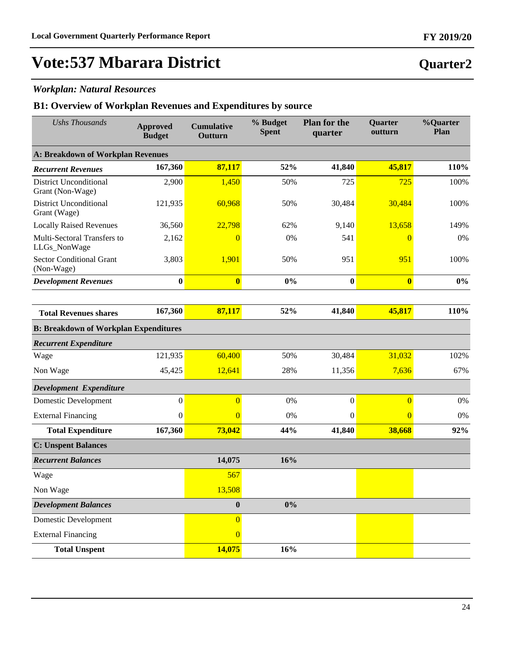### *Workplan: Natural Resources*

| <b>Ushs Thousands</b>                             | <b>Approved</b><br><b>Budget</b> | <b>Cumulative</b><br>Outturn | % Budget<br><b>Spent</b> | <b>Plan for the</b><br>quarter | Quarter<br>outturn | %Quarter<br>Plan |
|---------------------------------------------------|----------------------------------|------------------------------|--------------------------|--------------------------------|--------------------|------------------|
| <b>A: Breakdown of Workplan Revenues</b>          |                                  |                              |                          |                                |                    |                  |
| <b>Recurrent Revenues</b>                         | 167,360                          | 87,117                       | 52%                      | 41,840                         | 45,817             | 110%             |
| <b>District Unconditional</b><br>Grant (Non-Wage) | 2,900                            | 1,450                        | 50%                      | 725                            | 725                | 100%             |
| <b>District Unconditional</b><br>Grant (Wage)     | 121,935                          | 60,968                       | 50%                      | 30,484                         | 30,484             | 100%             |
| <b>Locally Raised Revenues</b>                    | 36,560                           | 22,798                       | 62%                      | 9,140                          | 13,658             | 149%             |
| Multi-Sectoral Transfers to<br>LLGs_NonWage       | 2,162                            | $\overline{0}$               | 0%                       | 541                            | $\overline{0}$     | 0%               |
| <b>Sector Conditional Grant</b><br>(Non-Wage)     | 3,803                            | 1,901                        | 50%                      | 951                            | 951                | 100%             |
| <b>Development Revenues</b>                       | $\bf{0}$                         | $\overline{\mathbf{0}}$      | $0\%$                    | $\bf{0}$                       | $\bf{0}$           | $0\%$            |
|                                                   |                                  |                              |                          |                                |                    |                  |
| <b>Total Revenues shares</b>                      | 167,360                          | 87,117                       | 52%                      | 41,840                         | 45,817             | 110%             |
| <b>B: Breakdown of Workplan Expenditures</b>      |                                  |                              |                          |                                |                    |                  |
| <b>Recurrent Expenditure</b>                      |                                  |                              |                          |                                |                    |                  |
| Wage                                              | 121,935                          | 60,400                       | 50%                      | 30,484                         | 31,032             | 102%             |
| Non Wage                                          | 45,425                           | 12,641                       | 28%                      | 11,356                         | 7,636              | 67%              |
| Development Expenditure                           |                                  |                              |                          |                                |                    |                  |
| Domestic Development                              | $\mathbf{0}$                     | $\overline{0}$               | 0%                       | $\boldsymbol{0}$               | $\overline{0}$     | 0%               |
| <b>External Financing</b>                         | $\mathbf{0}$                     | $\overline{0}$               | $0\%$                    | $\mathbf{0}$                   | $\overline{0}$     | 0%               |
| <b>Total Expenditure</b>                          | 167,360                          | 73,042                       | 44%                      | 41,840                         | 38,668             | 92%              |
| <b>C: Unspent Balances</b>                        |                                  |                              |                          |                                |                    |                  |
| <b>Recurrent Balances</b>                         |                                  | 14,075                       | 16%                      |                                |                    |                  |
| Wage                                              |                                  | 567                          |                          |                                |                    |                  |
| Non Wage                                          |                                  | 13,508                       |                          |                                |                    |                  |
| <b>Development Balances</b>                       |                                  | $\boldsymbol{0}$             | $0\%$                    |                                |                    |                  |
| <b>Domestic Development</b>                       |                                  | $\overline{0}$               |                          |                                |                    |                  |
| <b>External Financing</b>                         |                                  | $\overline{0}$               |                          |                                |                    |                  |
| <b>Total Unspent</b>                              |                                  | 14,075                       | 16%                      |                                |                    |                  |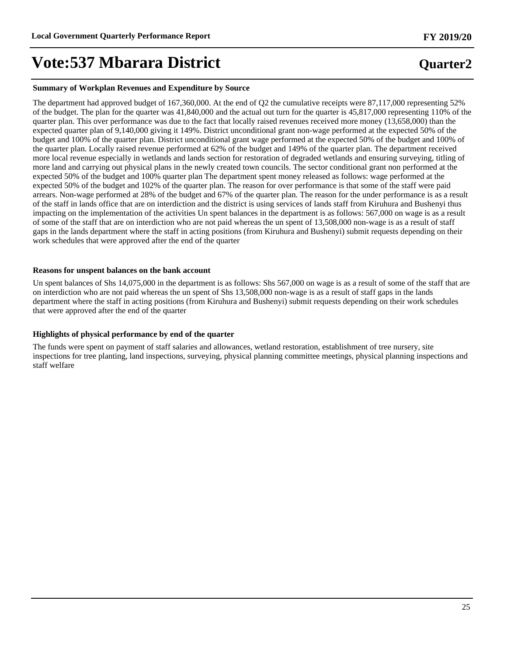#### **Summary of Workplan Revenues and Expenditure by Source**

The department had approved budget of 167,360,000. At the end of Q2 the cumulative receipts were 87,117,000 representing 52% of the budget. The plan for the quarter was 41,840,000 and the actual out turn for the quarter is 45,817,000 representing 110% of the quarter plan. This over performance was due to the fact that locally raised revenues received more money (13,658,000) than the expected quarter plan of 9,140,000 giving it 149%. District unconditional grant non-wage performed at the expected 50% of the budget and 100% of the quarter plan. District unconditional grant wage performed at the expected 50% of the budget and 100% of the quarter plan. Locally raised revenue performed at 62% of the budget and 149% of the quarter plan. The department received more local revenue especially in wetlands and lands section for restoration of degraded wetlands and ensuring surveying, titling of more land and carrying out physical plans in the newly created town councils. The sector conditional grant non performed at the expected 50% of the budget and 100% quarter plan The department spent money released as follows: wage performed at the expected 50% of the budget and 102% of the quarter plan. The reason for over performance is that some of the staff were paid arrears. Non-wage performed at 28% of the budget and 67% of the quarter plan. The reason for the under performance is as a result of the staff in lands office that are on interdiction and the district is using services of lands staff from Kiruhura and Bushenyi thus impacting on the implementation of the activities Un spent balances in the department is as follows: 567,000 on wage is as a result of some of the staff that are on interdiction who are not paid whereas the un spent of 13,508,000 non-wage is as a result of staff gaps in the lands department where the staff in acting positions (from Kiruhura and Bushenyi) submit requests depending on their work schedules that were approved after the end of the quarter

#### **Reasons for unspent balances on the bank account**

Un spent balances of Shs 14,075,000 in the department is as follows: Shs 567,000 on wage is as a result of some of the staff that are on interdiction who are not paid whereas the un spent of Shs 13,508,000 non-wage is as a result of staff gaps in the lands department where the staff in acting positions (from Kiruhura and Bushenyi) submit requests depending on their work schedules that were approved after the end of the quarter

#### **Highlights of physical performance by end of the quarter**

The funds were spent on payment of staff salaries and allowances, wetland restoration, establishment of tree nursery, site inspections for tree planting, land inspections, surveying, physical planning committee meetings, physical planning inspections and staff welfare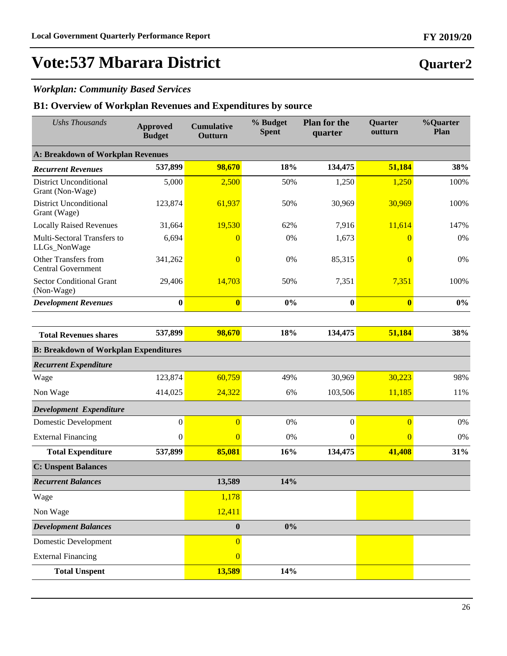### *Workplan: Community Based Services*

| <b>Ushs Thousands</b>                             | <b>Approved</b><br><b>Budget</b> | <b>Cumulative</b><br>Outturn | % Budget<br><b>Spent</b> | <b>Plan for the</b><br>quarter | <b>Quarter</b><br>outturn | %Quarter<br>Plan |
|---------------------------------------------------|----------------------------------|------------------------------|--------------------------|--------------------------------|---------------------------|------------------|
| <b>A: Breakdown of Workplan Revenues</b>          |                                  |                              |                          |                                |                           |                  |
| <b>Recurrent Revenues</b>                         | 537,899                          | 98,670                       | 18%                      | 134,475                        | 51,184                    | 38%              |
| <b>District Unconditional</b><br>Grant (Non-Wage) | 5,000                            | 2,500                        | 50%                      | 1,250                          | 1,250                     | 100%             |
| <b>District Unconditional</b><br>Grant (Wage)     | 123,874                          | 61,937                       | 50%                      | 30,969                         | 30,969                    | 100%             |
| <b>Locally Raised Revenues</b>                    | 31,664                           | 19,530                       | 62%                      | 7,916                          | 11,614                    | 147%             |
| Multi-Sectoral Transfers to<br>LLGs_NonWage       | 6,694                            | $\theta$                     | 0%                       | 1,673                          | $\theta$                  | 0%               |
| Other Transfers from<br><b>Central Government</b> | 341,262                          | $\overline{0}$               | 0%                       | 85,315                         | $\overline{0}$            | 0%               |
| <b>Sector Conditional Grant</b><br>(Non-Wage)     | 29,406                           | 14,703                       | 50%                      | 7,351                          | 7,351                     | 100%             |
| <b>Development Revenues</b>                       | $\bf{0}$                         | $\bf{0}$                     | 0%                       | $\bf{0}$                       | $\bf{0}$                  | $0\%$            |
|                                                   |                                  |                              |                          |                                |                           |                  |
| <b>Total Revenues shares</b>                      | 537,899                          | 98,670                       | 18%                      | 134,475                        | 51,184                    | 38%              |
| <b>B: Breakdown of Workplan Expenditures</b>      |                                  |                              |                          |                                |                           |                  |
| <b>Recurrent Expenditure</b>                      |                                  |                              |                          |                                |                           |                  |
| Wage                                              | 123,874                          | 60,759                       | 49%                      | 30,969                         | 30,223                    | 98%              |
| Non Wage                                          | 414,025                          | 24,322                       | 6%                       | 103,506                        | 11,185                    | 11%              |
| Development Expenditure                           |                                  |                              |                          |                                |                           |                  |
| <b>Domestic Development</b>                       | $\boldsymbol{0}$                 | $\overline{0}$               | 0%                       | $\boldsymbol{0}$               | $\overline{0}$            | 0%               |
| <b>External Financing</b>                         | $\boldsymbol{0}$                 | $\overline{0}$               | 0%                       | $\mathbf{0}$                   | $\overline{0}$            | 0%               |
| <b>Total Expenditure</b>                          | 537,899                          | 85,081                       | 16%                      | 134,475                        | 41,408                    | 31%              |
| <b>C: Unspent Balances</b>                        |                                  |                              |                          |                                |                           |                  |
| <b>Recurrent Balances</b>                         |                                  | 13,589                       | 14%                      |                                |                           |                  |
| Wage                                              |                                  | 1,178                        |                          |                                |                           |                  |
| Non Wage                                          |                                  | 12,411                       |                          |                                |                           |                  |
| <b>Development Balances</b>                       |                                  | $\boldsymbol{0}$             | $0\%$                    |                                |                           |                  |
| <b>Domestic Development</b>                       |                                  | $\overline{0}$               |                          |                                |                           |                  |
| <b>External Financing</b>                         |                                  | $\overline{0}$               |                          |                                |                           |                  |
| <b>Total Unspent</b>                              |                                  | 13,589                       | 14%                      |                                |                           |                  |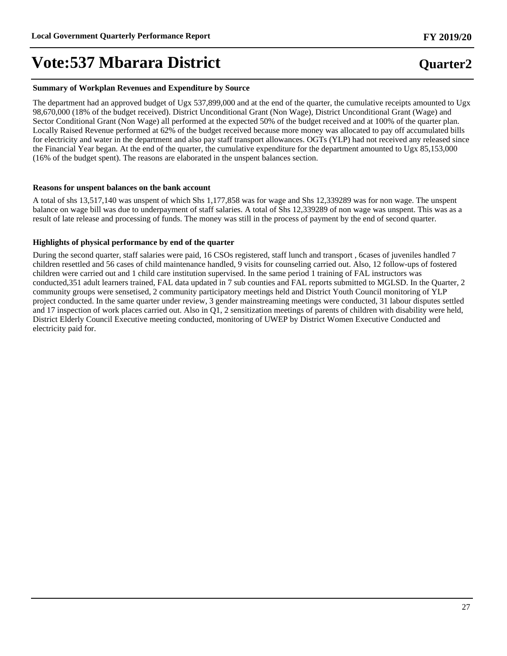#### **Summary of Workplan Revenues and Expenditure by Source**

The department had an approved budget of Ugx 537,899,000 and at the end of the quarter, the cumulative receipts amounted to Ugx 98,670,000 (18% of the budget received). District Unconditional Grant (Non Wage), District Unconditional Grant (Wage) and Sector Conditional Grant (Non Wage) all performed at the expected 50% of the budget received and at 100% of the quarter plan. Locally Raised Revenue performed at 62% of the budget received because more money was allocated to pay off accumulated bills for electricity and water in the department and also pay staff transport allowances. OGTs (YLP) had not received any released since the Financial Year began. At the end of the quarter, the cumulative expenditure for the department amounted to Ugx 85,153,000 (16% of the budget spent). The reasons are elaborated in the unspent balances section.

#### **Reasons for unspent balances on the bank account**

A total of shs 13,517,140 was unspent of which Shs 1,177,858 was for wage and Shs 12,339289 was for non wage. The unspent balance on wage bill was due to underpayment of staff salaries. A total of Shs 12,339289 of non wage was unspent. This was as a result of late release and processing of funds. The money was still in the process of payment by the end of second quarter.

#### **Highlights of physical performance by end of the quarter**

During the second quarter, staff salaries were paid, 16 CSOs registered, staff lunch and transport , 6cases of juveniles handled 7 children resettled and 56 cases of child maintenance handled, 9 visits for counseling carried out. Also, 12 follow-ups of fostered children were carried out and 1 child care institution supervised. In the same period 1 training of FAL instructors was conducted,351 adult learners trained, FAL data updated in 7 sub counties and FAL reports submitted to MGLSD. In the Quarter, 2 community groups were sensetised, 2 community participatory meetings held and District Youth Council monitoring of YLP project conducted. In the same quarter under review, 3 gender mainstreaming meetings were conducted, 31 labour disputes settled and 17 inspection of work places carried out. Also in  $\overline{Q1}$ , 2 sensitization meetings of parents of children with disability were held, District Elderly Council Executive meeting conducted, monitoring of UWEP by District Women Executive Conducted and electricity paid for.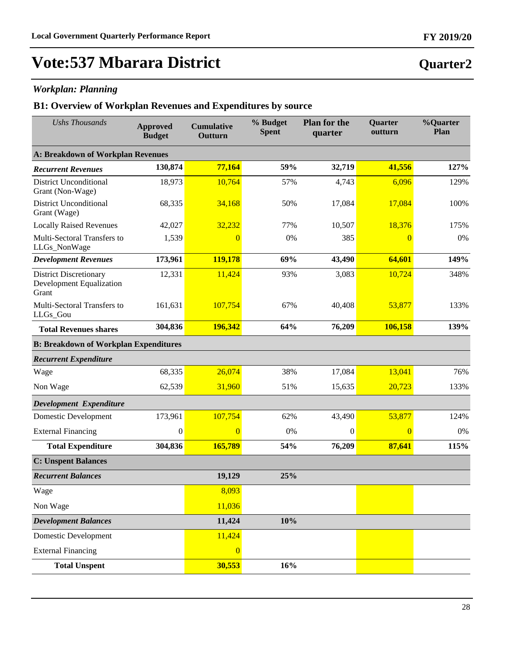### *Workplan: Planning*

| <b>Ushs Thousands</b>                                                     | <b>Approved</b><br><b>Budget</b> | <b>Cumulative</b><br>Outturn | % Budget<br><b>Spent</b> | <b>Plan for the</b><br>quarter | <b>Quarter</b><br>outturn | %Quarter<br>Plan |
|---------------------------------------------------------------------------|----------------------------------|------------------------------|--------------------------|--------------------------------|---------------------------|------------------|
| A: Breakdown of Workplan Revenues                                         |                                  |                              |                          |                                |                           |                  |
| <b>Recurrent Revenues</b>                                                 | 130,874                          | 77,164                       | 59%                      | 32,719                         | 41,556                    | 127%             |
| <b>District Unconditional</b><br>Grant (Non-Wage)                         | 18,973                           | 10,764                       | 57%                      | 4,743                          | 6,096                     | 129%             |
| <b>District Unconditional</b><br>Grant (Wage)                             | 68,335                           | 34,168                       | 50%                      | 17,084                         | 17,084                    | 100%             |
| <b>Locally Raised Revenues</b>                                            | 42,027                           | 32,232                       | 77%                      | 10,507                         | 18,376                    | 175%             |
| Multi-Sectoral Transfers to<br>LLGs_NonWage                               | 1,539                            | $\overline{0}$               | 0%                       | 385                            | $\overline{0}$            | 0%               |
| <b>Development Revenues</b>                                               | 173,961                          | 119,178                      | 69%                      | 43,490                         | 64,601                    | 149%             |
| <b>District Discretionary</b><br><b>Development Equalization</b><br>Grant | 12,331                           | 11,424                       | 93%                      | 3,083                          | 10,724                    | 348%             |
| Multi-Sectoral Transfers to<br>LLGs_Gou                                   | 161,631                          | 107,754                      | 67%                      | 40,408                         | 53,877                    | 133%             |
| <b>Total Revenues shares</b>                                              | 304,836                          | 196,342                      | 64%                      | 76,209                         | 106,158                   | 139%             |
| <b>B: Breakdown of Workplan Expenditures</b>                              |                                  |                              |                          |                                |                           |                  |
| <b>Recurrent Expenditure</b>                                              |                                  |                              |                          |                                |                           |                  |
| Wage                                                                      | 68,335                           | 26,074                       | 38%                      | 17,084                         | 13,041                    | 76%              |
| Non Wage                                                                  | 62,539                           | 31,960                       | 51%                      | 15,635                         | 20,723                    | 133%             |
| Development Expenditure                                                   |                                  |                              |                          |                                |                           |                  |
| <b>Domestic Development</b>                                               | 173,961                          | 107,754                      | 62%                      | 43,490                         | 53,877                    | 124%             |
| <b>External Financing</b>                                                 | $\boldsymbol{0}$                 | $\overline{0}$               | 0%                       | $\overline{0}$                 | $\overline{0}$            | 0%               |
| <b>Total Expenditure</b>                                                  | 304,836                          | 165,789                      | 54%                      | 76,209                         | 87,641                    | 115%             |
| <b>C: Unspent Balances</b>                                                |                                  |                              |                          |                                |                           |                  |
| <b>Recurrent Balances</b>                                                 |                                  | 19,129                       | 25%                      |                                |                           |                  |
| Wage                                                                      |                                  | 8,093                        |                          |                                |                           |                  |
| Non Wage                                                                  |                                  | 11,036                       |                          |                                |                           |                  |
| <b>Development Balances</b>                                               |                                  | 11,424                       | 10%                      |                                |                           |                  |
| <b>Domestic Development</b>                                               |                                  | 11,424                       |                          |                                |                           |                  |
| <b>External Financing</b>                                                 |                                  | $\overline{0}$               |                          |                                |                           |                  |
| <b>Total Unspent</b>                                                      |                                  | 30,553                       | 16%                      |                                |                           |                  |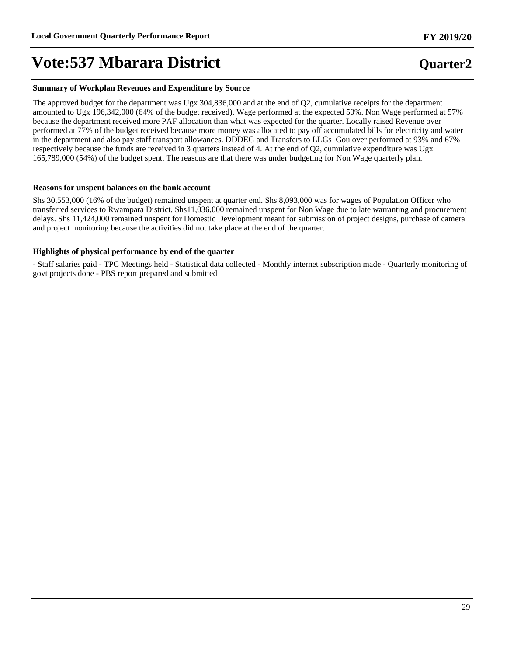#### **Summary of Workplan Revenues and Expenditure by Source**

The approved budget for the department was Ugx 304,836,000 and at the end of Q2, cumulative receipts for the department amounted to Ugx 196,342,000 (64% of the budget received). Wage performed at the expected 50%. Non Wage performed at 57% because the department received more PAF allocation than what was expected for the quarter. Locally raised Revenue over performed at 77% of the budget received because more money was allocated to pay off accumulated bills for electricity and water in the department and also pay staff transport allowances. DDDEG and Transfers to LLGs\_Gou over performed at 93% and 67% respectively because the funds are received in 3 quarters instead of 4. At the end of Q2, cumulative expenditure was Ugx 165,789,000 (54%) of the budget spent. The reasons are that there was under budgeting for Non Wage quarterly plan.

#### **Reasons for unspent balances on the bank account**

Shs 30,553,000 (16% of the budget) remained unspent at quarter end. Shs 8,093,000 was for wages of Population Officer who transferred services to Rwampara District. Shs11,036,000 remained unspent for Non Wage due to late warranting and procurement delays. Shs 11,424,000 remained unspent for Domestic Development meant for submission of project designs, purchase of camera and project monitoring because the activities did not take place at the end of the quarter.

#### **Highlights of physical performance by end of the quarter**

- Staff salaries paid - TPC Meetings held - Statistical data collected - Monthly internet subscription made - Quarterly monitoring of govt projects done - PBS report prepared and submitted

29

### **FY 2019/20**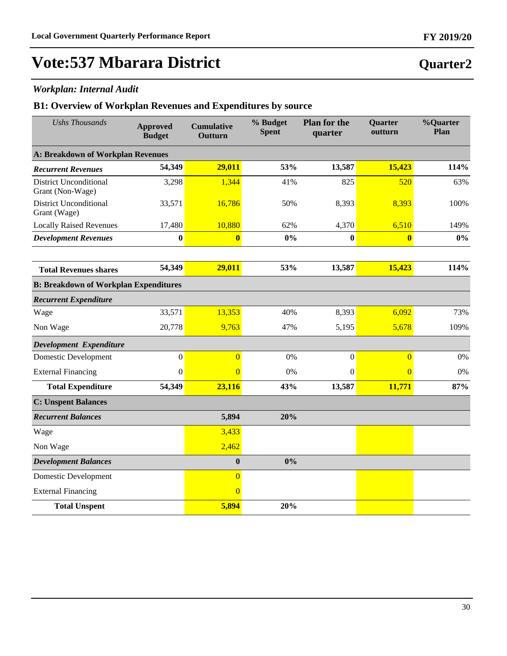### *Workplan: Internal Audit*

| <b>Ushs Thousands</b>                             | <b>Approved</b><br><b>Budget</b> | <b>Cumulative</b><br>Outturn | % Budget<br><b>Spent</b> | <b>Plan for the</b><br>quarter | Quarter<br>outturn      | %Quarter<br>Plan |
|---------------------------------------------------|----------------------------------|------------------------------|--------------------------|--------------------------------|-------------------------|------------------|
| A: Breakdown of Workplan Revenues                 |                                  |                              |                          |                                |                         |                  |
| <b>Recurrent Revenues</b>                         | 54,349                           | 29,011                       | 53%                      | 13,587                         | 15,423                  | 114%             |
| <b>District Unconditional</b><br>Grant (Non-Wage) | 3,298                            | 1,344                        | 41%                      | 825                            | 520                     | 63%              |
| <b>District Unconditional</b><br>Grant (Wage)     | 33,571                           | 16,786                       | 50%                      | 8,393                          | 8,393                   | 100%             |
| <b>Locally Raised Revenues</b>                    | 17,480                           | 10,880                       | 62%                      | 4,370                          | 6,510                   | 149%             |
| <b>Development Revenues</b>                       | $\bf{0}$                         | $\overline{\mathbf{0}}$      | 0%                       | $\bf{0}$                       | $\overline{\mathbf{0}}$ | $0\%$            |
|                                                   |                                  |                              |                          |                                |                         |                  |
| <b>Total Revenues shares</b>                      | 54,349                           | 29,011                       | 53%                      | 13,587                         | 15,423                  | 114%             |
| <b>B: Breakdown of Workplan Expenditures</b>      |                                  |                              |                          |                                |                         |                  |
| <b>Recurrent Expenditure</b>                      |                                  |                              |                          |                                |                         |                  |
| Wage                                              | 33,571                           | 13,353                       | 40%                      | 8,393                          | 6,092                   | 73%              |
| Non Wage                                          | 20,778                           | 9,763                        | 47%                      | 5,195                          | 5,678                   | 109%             |
| Development Expenditure                           |                                  |                              |                          |                                |                         |                  |
| <b>Domestic Development</b>                       | $\boldsymbol{0}$                 | $\overline{0}$               | 0%                       | $\boldsymbol{0}$               | $\overline{0}$          | 0%               |
| <b>External Financing</b>                         | $\mathbf{0}$                     | $\Omega$                     | 0%                       | $\mathbf{0}$                   | $\overline{0}$          | 0%               |
| <b>Total Expenditure</b>                          | 54,349                           | 23,116                       | 43%                      | 13,587                         | 11,771                  | 87%              |
| <b>C: Unspent Balances</b>                        |                                  |                              |                          |                                |                         |                  |
| <b>Recurrent Balances</b>                         |                                  | 5,894                        | 20%                      |                                |                         |                  |
| Wage                                              |                                  | 3,433                        |                          |                                |                         |                  |
| Non Wage                                          |                                  | 2,462                        |                          |                                |                         |                  |
| <b>Development Balances</b>                       |                                  | $\mathbf{0}$                 | 0%                       |                                |                         |                  |
| <b>Domestic Development</b>                       |                                  | $\overline{0}$               |                          |                                |                         |                  |
| <b>External Financing</b>                         |                                  | $\overline{0}$               |                          |                                |                         |                  |
| <b>Total Unspent</b>                              |                                  | 5,894                        | 20%                      |                                |                         |                  |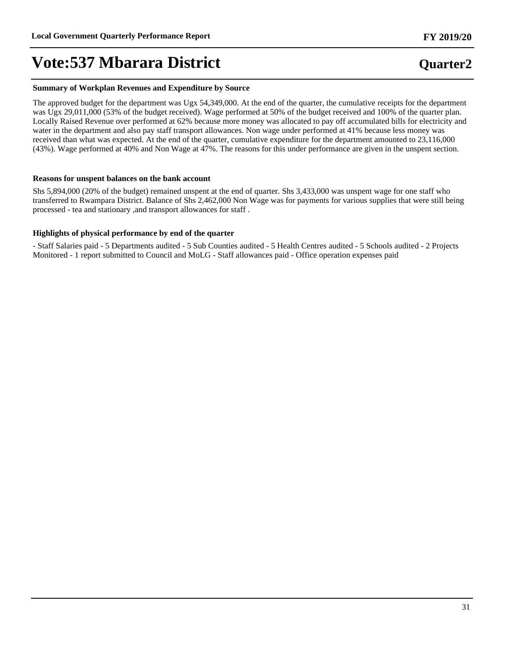#### **Summary of Workplan Revenues and Expenditure by Source**

The approved budget for the department was Ugx 54,349,000. At the end of the quarter, the cumulative receipts for the department was Ugx 29,011,000 (53% of the budget received). Wage performed at 50% of the budget received and 100% of the quarter plan. Locally Raised Revenue over performed at 62% because more money was allocated to pay off accumulated bills for electricity and water in the department and also pay staff transport allowances. Non wage under performed at 41% because less money was received than what was expected. At the end of the quarter, cumulative expenditure for the department amounted to 23,116,000 (43%). Wage performed at 40% and Non Wage at 47%. The reasons for this under performance are given in the unspent section.

#### **Reasons for unspent balances on the bank account**

Shs 5,894,000 (20% of the budget) remained unspent at the end of quarter. Shs 3,433,000 was unspent wage for one staff who transferred to Rwampara District. Balance of Shs 2,462,000 Non Wage was for payments for various supplies that were still being processed - tea and stationary ,and transport allowances for staff .

#### **Highlights of physical performance by end of the quarter**

- Staff Salaries paid - 5 Departments audited - 5 Sub Counties audited - 5 Health Centres audited - 5 Schools audited - 2 Projects Monitored - 1 report submitted to Council and MoLG - Staff allowances paid - Office operation expenses paid

## **Quarter2**

**FY 2019/20**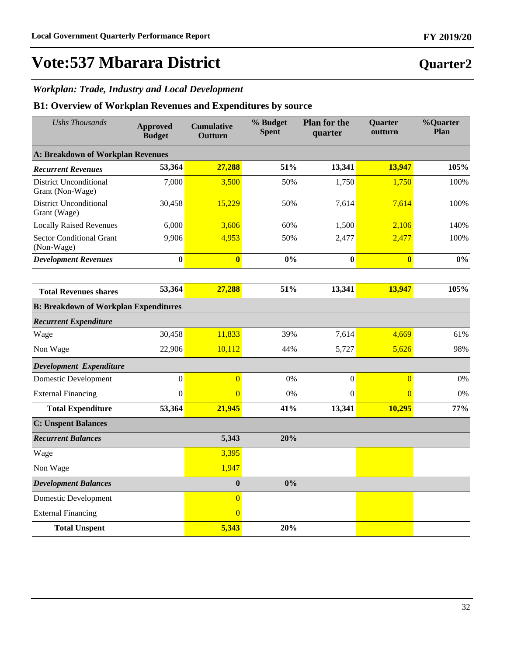**Quarter2**

## **Vote:537 Mbarara District**

### *Workplan: Trade, Industry and Local Development*

| <b>Ushs Thousands</b>                             | <b>Approved</b><br><b>Budget</b> | <b>Cumulative</b><br>Outturn | % Budget<br><b>Spent</b> | <b>Plan for the</b><br>quarter | Quarter<br>outturn      | %Quarter<br>Plan |
|---------------------------------------------------|----------------------------------|------------------------------|--------------------------|--------------------------------|-------------------------|------------------|
| A: Breakdown of Workplan Revenues                 |                                  |                              |                          |                                |                         |                  |
| <b>Recurrent Revenues</b>                         | 53,364                           | 27,288                       | 51%                      | 13,341                         | 13,947                  | 105%             |
| <b>District Unconditional</b><br>Grant (Non-Wage) | 7,000                            | 3,500                        | 50%                      | 1,750                          | 1,750                   | 100%             |
| <b>District Unconditional</b><br>Grant (Wage)     | 30,458                           | 15,229                       | 50%                      | 7,614                          | 7,614                   | 100%             |
| <b>Locally Raised Revenues</b>                    | 6,000                            | 3,606                        | 60%                      | 1,500                          | 2,106                   | 140%             |
| <b>Sector Conditional Grant</b><br>(Non-Wage)     | 9,906                            | 4,953                        | 50%                      | 2,477                          | 2,477                   | 100%             |
| <b>Development Revenues</b>                       | $\bf{0}$                         | $\overline{\mathbf{0}}$      | 0%                       | $\bf{0}$                       | $\overline{\mathbf{0}}$ | $0\%$            |
|                                                   |                                  |                              |                          |                                |                         |                  |
| <b>Total Revenues shares</b>                      | 53,364                           | 27,288                       | 51%                      | 13,341                         | 13,947                  | 105%             |
| <b>B: Breakdown of Workplan Expenditures</b>      |                                  |                              |                          |                                |                         |                  |
| <b>Recurrent Expenditure</b>                      |                                  |                              |                          |                                |                         |                  |
| Wage                                              | 30,458                           | 11,833                       | 39%                      | 7,614                          | 4,669                   | 61%              |
| Non Wage                                          | 22,906                           | 10,112                       | 44%                      | 5,727                          | 5,626                   | 98%              |
| Development Expenditure                           |                                  |                              |                          |                                |                         |                  |
| <b>Domestic Development</b>                       | $\boldsymbol{0}$                 | $\overline{0}$               | 0%                       | $\boldsymbol{0}$               | $\overline{0}$          | 0%               |
| <b>External Financing</b>                         | $\boldsymbol{0}$                 | $\overline{0}$               | 0%                       | $\boldsymbol{0}$               | $\overline{0}$          | 0%               |
| <b>Total Expenditure</b>                          | 53,364                           | 21,945                       | 41%                      | 13,341                         | 10,295                  | 77%              |
| <b>C: Unspent Balances</b>                        |                                  |                              |                          |                                |                         |                  |
| <b>Recurrent Balances</b>                         |                                  | 5,343                        | 20%                      |                                |                         |                  |
| Wage                                              |                                  | 3,395                        |                          |                                |                         |                  |
| Non Wage                                          |                                  | 1,947                        |                          |                                |                         |                  |
| <b>Development Balances</b>                       |                                  | $\boldsymbol{0}$             | $0\%$                    |                                |                         |                  |
| <b>Domestic Development</b>                       |                                  | $\overline{0}$               |                          |                                |                         |                  |
| <b>External Financing</b>                         |                                  | $\overline{0}$               |                          |                                |                         |                  |
| <b>Total Unspent</b>                              |                                  | 5,343                        | 20%                      |                                |                         |                  |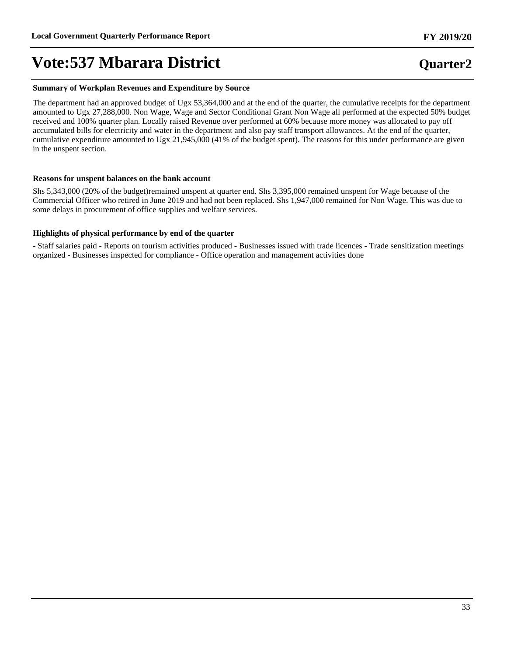#### **Summary of Workplan Revenues and Expenditure by Source**

The department had an approved budget of Ugx 53,364,000 and at the end of the quarter, the cumulative receipts for the department amounted to Ugx 27,288,000. Non Wage, Wage and Sector Conditional Grant Non Wage all performed at the expected 50% budget received and 100% quarter plan. Locally raised Revenue over performed at 60% because more money was allocated to pay off accumulated bills for electricity and water in the department and also pay staff transport allowances. At the end of the quarter, cumulative expenditure amounted to Ugx 21,945,000 (41% of the budget spent). The reasons for this under performance are given in the unspent section.

#### **Reasons for unspent balances on the bank account**

Shs 5,343,000 (20% of the budget)remained unspent at quarter end. Shs 3,395,000 remained unspent for Wage because of the Commercial Officer who retired in June 2019 and had not been replaced. Shs 1,947,000 remained for Non Wage. This was due to some delays in procurement of office supplies and welfare services.

#### **Highlights of physical performance by end of the quarter**

- Staff salaries paid - Reports on tourism activities produced - Businesses issued with trade licences - Trade sensitization meetings organized - Businesses inspected for compliance - Office operation and management activities done

## **FY 2019/20**

33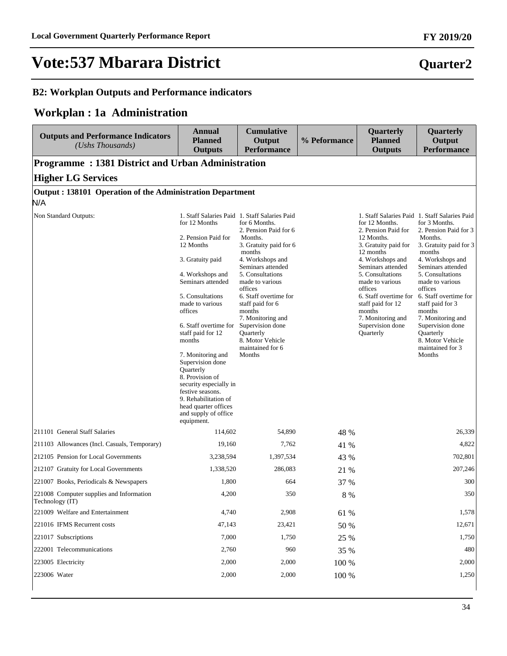### **B2: Workplan Outputs and Performance indicators**

### **Workplan : 1a Administration**

| <b>Outputs and Performance Indicators</b><br>(Ushs Thousands) | <b>Annual</b><br><b>Planned</b><br><b>Outputs</b>                                                                                                                                                                                                                                                                                                                                                                                     | <b>Cumulative</b><br>Output<br><b>Performance</b>                                                                                                                                                                                                                                                                                                                                                | % Peformance | Quarterly<br><b>Planned</b><br><b>Outputs</b>                                                                                                                                                                                                                                                     | Quarterly<br>Output<br><b>Performance</b>                                                                                                                                                                                                                                                                                                                                                               |
|---------------------------------------------------------------|---------------------------------------------------------------------------------------------------------------------------------------------------------------------------------------------------------------------------------------------------------------------------------------------------------------------------------------------------------------------------------------------------------------------------------------|--------------------------------------------------------------------------------------------------------------------------------------------------------------------------------------------------------------------------------------------------------------------------------------------------------------------------------------------------------------------------------------------------|--------------|---------------------------------------------------------------------------------------------------------------------------------------------------------------------------------------------------------------------------------------------------------------------------------------------------|---------------------------------------------------------------------------------------------------------------------------------------------------------------------------------------------------------------------------------------------------------------------------------------------------------------------------------------------------------------------------------------------------------|
| <b>Programme: 1381 District and Urban Administration</b>      |                                                                                                                                                                                                                                                                                                                                                                                                                                       |                                                                                                                                                                                                                                                                                                                                                                                                  |              |                                                                                                                                                                                                                                                                                                   |                                                                                                                                                                                                                                                                                                                                                                                                         |
| <b>Higher LG Services</b>                                     |                                                                                                                                                                                                                                                                                                                                                                                                                                       |                                                                                                                                                                                                                                                                                                                                                                                                  |              |                                                                                                                                                                                                                                                                                                   |                                                                                                                                                                                                                                                                                                                                                                                                         |
| Output: 138101 Operation of the Administration Department     |                                                                                                                                                                                                                                                                                                                                                                                                                                       |                                                                                                                                                                                                                                                                                                                                                                                                  |              |                                                                                                                                                                                                                                                                                                   |                                                                                                                                                                                                                                                                                                                                                                                                         |
| N/A                                                           |                                                                                                                                                                                                                                                                                                                                                                                                                                       |                                                                                                                                                                                                                                                                                                                                                                                                  |              |                                                                                                                                                                                                                                                                                                   |                                                                                                                                                                                                                                                                                                                                                                                                         |
| Non Standard Outputs:                                         | for 12 Months<br>2. Pension Paid for<br>12 Months<br>3. Gratuity paid<br>4. Workshops and<br>Seminars attended<br>5. Consultations<br>made to various<br>offices<br>6. Staff overtime for<br>staff paid for 12<br>months<br>7. Monitoring and<br>Supervision done<br>Quarterly<br>8. Provision of<br>security especially in<br>festive seasons.<br>9. Rehabilitation of<br>head quarter offices<br>and supply of office<br>equipment. | 1. Staff Salaries Paid 1. Staff Salaries Paid<br>for 6 Months.<br>2. Pension Paid for 6<br>Months.<br>3. Gratuity paid for 6<br>months<br>4. Workshops and<br>Seminars attended<br>5. Consultations<br>made to various<br>offices<br>6. Staff overtime for<br>staff paid for 6<br>months<br>7. Monitoring and<br>Supervision done<br>Quarterly<br>8. Motor Vehicle<br>maintained for 6<br>Months |              | for 12 Months.<br>2. Pension Paid for<br>12 Months.<br>3. Gratuity paid for<br>12 months<br>4. Workshops and<br>Seminars attended<br>5. Consultations<br>made to various<br>offices<br>6. Staff overtime for<br>staff paid for 12<br>months<br>7. Monitoring and<br>Supervision done<br>Quarterly | 1. Staff Salaries Paid 1. Staff Salaries Paid<br>for 3 Months.<br>2. Pension Paid for 3<br>Months.<br>3. Gratuity paid for 3<br>months<br>4. Workshops and<br>Seminars attended<br>5. Consultations<br>made to various<br>offices<br>6. Staff overtime for<br>staff paid for 3<br>months<br>7. Monitoring and<br>Supervision done<br><b>Ouarterly</b><br>8. Motor Vehicle<br>maintained for 3<br>Months |
| 211101 General Staff Salaries                                 | 114,602                                                                                                                                                                                                                                                                                                                                                                                                                               | 54,890                                                                                                                                                                                                                                                                                                                                                                                           | 48 %         |                                                                                                                                                                                                                                                                                                   | 26,339                                                                                                                                                                                                                                                                                                                                                                                                  |
| 211103 Allowances (Incl. Casuals, Temporary)                  | 19,160                                                                                                                                                                                                                                                                                                                                                                                                                                | 7,762                                                                                                                                                                                                                                                                                                                                                                                            | 41 %         |                                                                                                                                                                                                                                                                                                   | 4,822                                                                                                                                                                                                                                                                                                                                                                                                   |
| 212105 Pension for Local Governments                          | 3,238,594                                                                                                                                                                                                                                                                                                                                                                                                                             | 1,397,534                                                                                                                                                                                                                                                                                                                                                                                        | 43 %         |                                                                                                                                                                                                                                                                                                   | 702,801                                                                                                                                                                                                                                                                                                                                                                                                 |
| 212107 Gratuity for Local Governments                         | 1,338,520                                                                                                                                                                                                                                                                                                                                                                                                                             | 286,083                                                                                                                                                                                                                                                                                                                                                                                          | 21 %         |                                                                                                                                                                                                                                                                                                   | 207,246                                                                                                                                                                                                                                                                                                                                                                                                 |
| 221007 Books, Periodicals & Newspapers                        | 1,800                                                                                                                                                                                                                                                                                                                                                                                                                                 | 664                                                                                                                                                                                                                                                                                                                                                                                              | 37 %         |                                                                                                                                                                                                                                                                                                   | 300                                                                                                                                                                                                                                                                                                                                                                                                     |
| 221008 Computer supplies and Information<br>Technology (IT)   | 4,200                                                                                                                                                                                                                                                                                                                                                                                                                                 | 350                                                                                                                                                                                                                                                                                                                                                                                              | $8\ \%$      |                                                                                                                                                                                                                                                                                                   | 350                                                                                                                                                                                                                                                                                                                                                                                                     |
| 221009 Welfare and Entertainment                              | 4,740                                                                                                                                                                                                                                                                                                                                                                                                                                 | 2,908                                                                                                                                                                                                                                                                                                                                                                                            | 61 %         |                                                                                                                                                                                                                                                                                                   | 1,578                                                                                                                                                                                                                                                                                                                                                                                                   |
| 221016 IFMS Recurrent costs                                   | 47,143                                                                                                                                                                                                                                                                                                                                                                                                                                | 23,421                                                                                                                                                                                                                                                                                                                                                                                           | 50 %         |                                                                                                                                                                                                                                                                                                   | 12,671                                                                                                                                                                                                                                                                                                                                                                                                  |
| 221017 Subscriptions                                          | 7,000                                                                                                                                                                                                                                                                                                                                                                                                                                 | 1,750                                                                                                                                                                                                                                                                                                                                                                                            | 25 %         |                                                                                                                                                                                                                                                                                                   | 1,750                                                                                                                                                                                                                                                                                                                                                                                                   |
| 222001 Telecommunications                                     | 2,760                                                                                                                                                                                                                                                                                                                                                                                                                                 | 960                                                                                                                                                                                                                                                                                                                                                                                              | 35 %         |                                                                                                                                                                                                                                                                                                   | 480                                                                                                                                                                                                                                                                                                                                                                                                     |
| 223005 Electricity                                            | 2,000                                                                                                                                                                                                                                                                                                                                                                                                                                 | 2,000                                                                                                                                                                                                                                                                                                                                                                                            | 100 %        |                                                                                                                                                                                                                                                                                                   | 2,000                                                                                                                                                                                                                                                                                                                                                                                                   |
| 223006 Water                                                  | 2,000                                                                                                                                                                                                                                                                                                                                                                                                                                 | 2,000                                                                                                                                                                                                                                                                                                                                                                                            | 100 %        |                                                                                                                                                                                                                                                                                                   | 1,250                                                                                                                                                                                                                                                                                                                                                                                                   |

34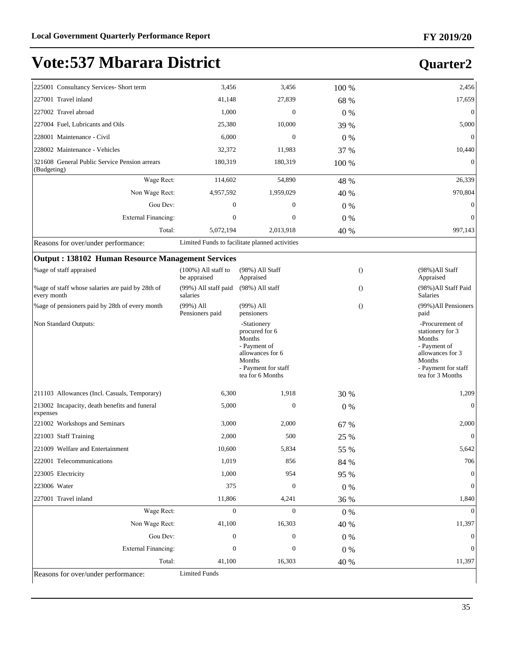## **Quarter2**

| 225001 Consultancy Services- Short term                          | 3,456                                  | 3,456                                                                                                                            | 100 %   | 2,456                                                                                                                                  |
|------------------------------------------------------------------|----------------------------------------|----------------------------------------------------------------------------------------------------------------------------------|---------|----------------------------------------------------------------------------------------------------------------------------------------|
| 227001 Travel inland                                             | 41,148                                 | 27,839                                                                                                                           | 68 %    | 17,659                                                                                                                                 |
| 227002 Travel abroad                                             | 1,000                                  | $\mathbf{0}$                                                                                                                     | $0\%$   | $\mathbf{0}$                                                                                                                           |
| 227004 Fuel, Lubricants and Oils                                 | 25,380                                 | 10,000                                                                                                                           | 39 %    | 5,000                                                                                                                                  |
| 228001 Maintenance - Civil                                       | 6,000                                  | $\mathbf{0}$                                                                                                                     | $0\%$   | $\mathbf{0}$                                                                                                                           |
| 228002 Maintenance - Vehicles                                    | 32,372                                 | 11,983                                                                                                                           | 37 %    | 10,440                                                                                                                                 |
| 321608 General Public Service Pension arrears<br>(Budgeting)     | 180,319                                | 180,319                                                                                                                          | 100 %   | $\boldsymbol{0}$                                                                                                                       |
| Wage Rect:                                                       | 114,602                                | 54,890                                                                                                                           | 48 %    | 26,339                                                                                                                                 |
| Non Wage Rect:                                                   | 4,957,592                              | 1,959,029                                                                                                                        | 40 %    | 970,804                                                                                                                                |
| Gou Dev:                                                         | $\boldsymbol{0}$                       | 0                                                                                                                                | $0\%$   | $\boldsymbol{0}$                                                                                                                       |
| <b>External Financing:</b>                                       | $\boldsymbol{0}$                       | $\boldsymbol{0}$                                                                                                                 | $0\%$   | $\mathbf{0}$                                                                                                                           |
| Total:                                                           | 5,072,194                              | 2,013,918                                                                                                                        | 40 %    | 997,143                                                                                                                                |
| Reasons for over/under performance:                              |                                        | Limited Funds to facilitate planned activities                                                                                   |         |                                                                                                                                        |
| <b>Output: 138102 Human Resource Management Services</b>         |                                        |                                                                                                                                  |         |                                                                                                                                        |
| %age of staff appraised                                          | $(100\%)$ All staff to<br>be appraised | (98%) All Staff<br>Appraised                                                                                                     |         | (98%)All Staff<br>$\theta$<br>Appraised                                                                                                |
| % age of staff whose salaries are paid by 28th of<br>every month | (99%) All staff paid<br>salaries       | $(98%)$ All staff                                                                                                                |         | (98%)All Staff Paid<br>$\Omega$<br>Salaries                                                                                            |
| % age of pensioners paid by 28th of every month                  | $(99\%)$ All<br>Pensioners paid        | $(99\%)$ All<br>pensioners                                                                                                       |         | $\theta$<br>(99%)All Pensioners<br>paid                                                                                                |
| Non Standard Outputs:                                            |                                        | -Stationery<br>procured for 6<br>Months<br>- Payment of<br>allowances for 6<br>Months<br>- Payment for staff<br>tea for 6 Months |         | -Procurement of<br>stationery for 3<br>Months<br>- Payment of<br>allowances for 3<br>Months<br>- Payment for staff<br>tea for 3 Months |
| 211103 Allowances (Incl. Casuals, Temporary)                     | 6,300                                  | 1,918                                                                                                                            | 30 %    | 1,209                                                                                                                                  |
| 213002 Incapacity, death benefits and funeral<br>expenses        | 5,000                                  | $\boldsymbol{0}$                                                                                                                 | $0\%$   | $\boldsymbol{0}$                                                                                                                       |
| 221002 Workshops and Seminars                                    | 3,000                                  | 2,000                                                                                                                            | 67 %    | 2,000                                                                                                                                  |
| 221003 Staff Training                                            | 2,000                                  | 500                                                                                                                              | 25 %    | $\boldsymbol{0}$                                                                                                                       |
| 221009 Welfare and Entertainment                                 | 10,600                                 | 5,834                                                                                                                            | 55 %    | 5,642                                                                                                                                  |
| 222001 Telecommunications                                        | 1,019                                  | 856                                                                                                                              | 84 %    | 706                                                                                                                                    |
| 223005 Electricity                                               | 1,000                                  | 954                                                                                                                              | 95 %    | $\boldsymbol{0}$                                                                                                                       |
| 223006 Water                                                     | 375                                    | $\boldsymbol{0}$                                                                                                                 | $0\ \%$ | $\boldsymbol{0}$                                                                                                                       |
| 227001 Travel inland                                             | 11,806                                 | 4,241                                                                                                                            | 36 %    | 1,840                                                                                                                                  |
| Wage Rect:                                                       | $\boldsymbol{0}$                       | $\mathbf{0}$                                                                                                                     | $0\ \%$ | $\mathbf{0}$                                                                                                                           |
| Non Wage Rect:                                                   | 41,100                                 | 16,303                                                                                                                           | 40 %    | 11,397                                                                                                                                 |
| Gou Dev:                                                         | $\boldsymbol{0}$                       | $\boldsymbol{0}$                                                                                                                 | $0\ \%$ | 0                                                                                                                                      |
| <b>External Financing:</b>                                       | $\boldsymbol{0}$                       | $\boldsymbol{0}$                                                                                                                 | $0\ \%$ | $\boldsymbol{0}$                                                                                                                       |
| Total:                                                           | 41,100                                 | 16,303                                                                                                                           | 40 %    | 11,397                                                                                                                                 |
| Reasons for over/under performance:                              | <b>Limited Funds</b>                   |                                                                                                                                  |         |                                                                                                                                        |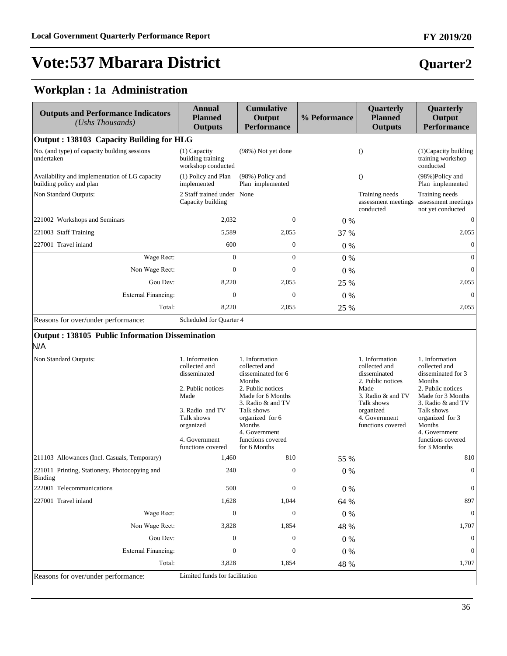## **Quarter2**

## **Workplan : 1a Administration**

| <b>Outputs and Performance Indicators</b><br>$(Ushs$ Thousands)            | <b>Annual</b><br><b>Planned</b><br><b>Outputs</b>         | <b>Cumulative</b><br>Output<br><b>Performance</b> | % Peformance | Quarterly<br><b>Planned</b><br><b>Outputs</b>      | Quarterly<br>Output<br><b>Performance</b>                  |  |  |  |
|----------------------------------------------------------------------------|-----------------------------------------------------------|---------------------------------------------------|--------------|----------------------------------------------------|------------------------------------------------------------|--|--|--|
| Output: 138103 Capacity Building for HLG                                   |                                                           |                                                   |              |                                                    |                                                            |  |  |  |
| No. (and type) of capacity building sessions<br>undertaken                 | $(1)$ Capacity<br>building training<br>workshop conducted | (98%) Not yet done                                |              | $\Omega$                                           | (1) Capacity building<br>training workshop<br>conducted    |  |  |  |
| Availability and implementation of LG capacity<br>building policy and plan | (1) Policy and Plan<br>implemented                        | (98%) Policy and<br>Plan implemented              |              | $\Omega$                                           | $(98%)$ Policy and<br>Plan implemented                     |  |  |  |
| Non Standard Outputs:                                                      | 2 Staff trained under None<br>Capacity building           |                                                   |              | Training needs<br>assessment meetings<br>conducted | Training needs<br>assessment meetings<br>not yet conducted |  |  |  |
| 221002 Workshops and Seminars                                              | 2,032                                                     | $\boldsymbol{0}$                                  | $0\%$        |                                                    | $\mathbf{0}$                                               |  |  |  |
| 221003 Staff Training                                                      | 5,589                                                     | 2,055                                             | 37 %         |                                                    | 2,055                                                      |  |  |  |
| 227001 Travel inland                                                       | 600                                                       | $\boldsymbol{0}$                                  | $0\%$        |                                                    | $\Omega$                                                   |  |  |  |
| Wage Rect:                                                                 | $\mathbf{0}$                                              | $\mathbf{0}$                                      | $0\%$        |                                                    | $\mathbf{0}$                                               |  |  |  |
| Non Wage Rect:                                                             | $\Omega$                                                  | $\mathbf{0}$                                      | $0\%$        |                                                    | $\theta$                                                   |  |  |  |
| Gou Dev:                                                                   | 8,220                                                     | 2,055                                             | 25 %         |                                                    | 2,055                                                      |  |  |  |
| <b>External Financing:</b>                                                 | $\mathbf{0}$                                              | $\theta$                                          | $0\%$        |                                                    | $\theta$                                                   |  |  |  |
| Total:                                                                     | 8,220                                                     | 2,055                                             | 25 %         |                                                    | 2,055                                                      |  |  |  |
| Reasons for over/under performance:                                        | Scheduled for Quarter 4                                   |                                                   |              |                                                    |                                                            |  |  |  |

#### **Output : 138105 Public Information Dissemination**  N/A

| Non Standard Outputs:                                    | 1. Information<br>collected and<br>disseminated<br>2. Public notices<br>Made<br>3. Radio and TV<br>Talk shows<br>organized<br>4. Government<br>functions covered | 1. Information<br>collected and<br>disseminated for 6<br>Months<br>2. Public notices<br>Made for 6 Months<br>3. Radio & and TV<br>Talk shows<br>organized for 6<br>Months<br>4. Government<br>functions covered<br>for 6 Months |       | 1. Information<br>collected and<br>disseminated<br>2. Public notices<br>Made<br>3. Radio & and TV<br>Talk shows<br>organized<br>4. Government<br>functions covered | 1. Information<br>collected and<br>disseminated for 3<br>Months<br>2. Public notices<br>Made for 3 Months<br>3. Radio & and TV<br>Talk shows<br>organized for 3<br>Months<br>4. Government<br>functions covered<br>for 3 Months |
|----------------------------------------------------------|------------------------------------------------------------------------------------------------------------------------------------------------------------------|---------------------------------------------------------------------------------------------------------------------------------------------------------------------------------------------------------------------------------|-------|--------------------------------------------------------------------------------------------------------------------------------------------------------------------|---------------------------------------------------------------------------------------------------------------------------------------------------------------------------------------------------------------------------------|
| 211103 Allowances (Incl. Casuals, Temporary)             | 1,460                                                                                                                                                            | 810                                                                                                                                                                                                                             | 55 %  |                                                                                                                                                                    | 810                                                                                                                                                                                                                             |
| 221011 Printing, Stationery, Photocopying and<br>Binding | 240                                                                                                                                                              | $\mathbf{0}$                                                                                                                                                                                                                    | $0\%$ |                                                                                                                                                                    | $\Omega$                                                                                                                                                                                                                        |
| 222001 Telecommunications                                | 500                                                                                                                                                              | $\mathbf{0}$                                                                                                                                                                                                                    | $0\%$ |                                                                                                                                                                    | $\overline{0}$                                                                                                                                                                                                                  |
| 227001 Travel inland                                     | 1,628                                                                                                                                                            | 1,044                                                                                                                                                                                                                           | 64 %  |                                                                                                                                                                    | 897                                                                                                                                                                                                                             |
| Wage Rect:                                               | $\Omega$                                                                                                                                                         | $\mathbf{0}$                                                                                                                                                                                                                    | $0\%$ |                                                                                                                                                                    | $\Omega$                                                                                                                                                                                                                        |
| Non Wage Rect:                                           | 3,828                                                                                                                                                            | 1,854                                                                                                                                                                                                                           | 48 %  |                                                                                                                                                                    | 1,707                                                                                                                                                                                                                           |
| Gou Dev:                                                 | $\Omega$                                                                                                                                                         | $\mathbf{0}$                                                                                                                                                                                                                    | $0\%$ |                                                                                                                                                                    | $\mathbf{0}$                                                                                                                                                                                                                    |
| External Financing:                                      | $\Omega$                                                                                                                                                         | $\Omega$                                                                                                                                                                                                                        | $0\%$ |                                                                                                                                                                    | $\overline{0}$                                                                                                                                                                                                                  |
| Total:<br>$\sim$ $\sim$<br>$\sim$                        | 3,828                                                                                                                                                            | 1,854                                                                                                                                                                                                                           | 48 %  |                                                                                                                                                                    | 1,707                                                                                                                                                                                                                           |

Reasons for over/under performance: Limited funds for facilitation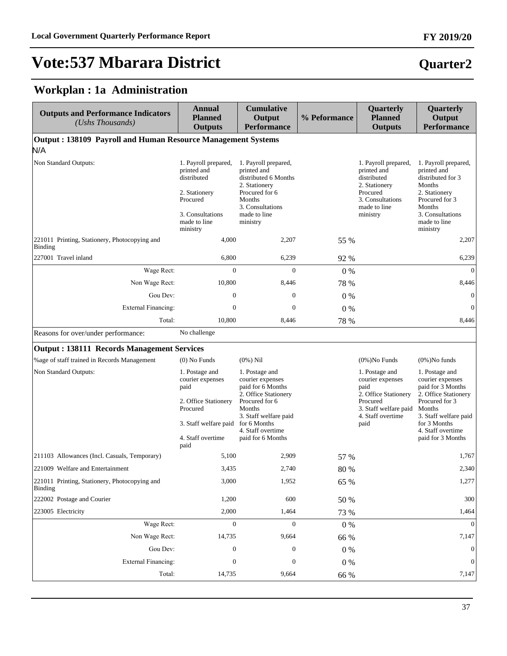# **Vote:537 Mbarara District**

### **Workplan : 1a Administration**

| <b>Outputs and Performance Indicators</b><br>(Ushs Thousands)   | <b>Annual</b><br><b>Planned</b><br><b>Outputs</b>                                                                                                 | <b>Cumulative</b><br>Output<br><b>Performance</b>                                                                                                                              | % Peformance | Quarterly<br><b>Planned</b><br><b>Outputs</b>                                                                                        | Quarterly<br>Output<br><b>Performance</b>                                                                                                                                                      |
|-----------------------------------------------------------------|---------------------------------------------------------------------------------------------------------------------------------------------------|--------------------------------------------------------------------------------------------------------------------------------------------------------------------------------|--------------|--------------------------------------------------------------------------------------------------------------------------------------|------------------------------------------------------------------------------------------------------------------------------------------------------------------------------------------------|
| Output: 138109 Payroll and Human Resource Management Systems    |                                                                                                                                                   |                                                                                                                                                                                |              |                                                                                                                                      |                                                                                                                                                                                                |
| N/A                                                             |                                                                                                                                                   |                                                                                                                                                                                |              |                                                                                                                                      |                                                                                                                                                                                                |
| Non Standard Outputs:                                           | 1. Payroll prepared,<br>printed and<br>distributed<br>2. Stationery<br>Procured<br>3. Consultations<br>made to line<br>ministry                   | 1. Payroll prepared,<br>printed and<br>distributed 6 Months<br>2. Stationery<br>Procured for 6<br>Months<br>3. Consultations<br>made to line<br>ministry                       |              | 1. Payroll prepared,<br>printed and<br>distributed<br>2. Stationery<br>Procured<br>3. Consultations<br>made to line<br>ministry      | 1. Payroll prepared,<br>printed and<br>distributed for 3<br>Months<br>2. Stationery<br>Procured for 3<br>Months<br>3. Consultations<br>made to line<br>ministry                                |
| 221011 Printing, Stationery, Photocopying and<br><b>Binding</b> | 4,000                                                                                                                                             | 2,207                                                                                                                                                                          | 55 %         |                                                                                                                                      | 2,207                                                                                                                                                                                          |
| 227001 Travel inland                                            | 6,800                                                                                                                                             | 6,239                                                                                                                                                                          | 92 %         |                                                                                                                                      | 6,239                                                                                                                                                                                          |
| Wage Rect:                                                      | $\boldsymbol{0}$                                                                                                                                  | $\boldsymbol{0}$                                                                                                                                                               | $0\%$        |                                                                                                                                      | $\mathbf{0}$                                                                                                                                                                                   |
| Non Wage Rect:                                                  | 10,800                                                                                                                                            | 8,446                                                                                                                                                                          | 78 %         |                                                                                                                                      | 8,446                                                                                                                                                                                          |
| Gou Dev:                                                        | $\mathbf{0}$                                                                                                                                      | $\mathbf{0}$                                                                                                                                                                   | 0%           |                                                                                                                                      | $\mathbf{0}$                                                                                                                                                                                   |
| <b>External Financing:</b>                                      | $\mathbf{0}$                                                                                                                                      | $\boldsymbol{0}$                                                                                                                                                               | $0\%$        |                                                                                                                                      | $\mathbf{0}$                                                                                                                                                                                   |
| Total:                                                          | 10,800                                                                                                                                            | 8,446                                                                                                                                                                          | 78 %         |                                                                                                                                      | 8,446                                                                                                                                                                                          |
| Reasons for over/under performance:                             | No challenge                                                                                                                                      |                                                                                                                                                                                |              |                                                                                                                                      |                                                                                                                                                                                                |
| <b>Output: 138111 Records Management Services</b>               |                                                                                                                                                   |                                                                                                                                                                                |              |                                                                                                                                      |                                                                                                                                                                                                |
| %age of staff trained in Records Management                     | $(0)$ No Funds                                                                                                                                    | $(0\%)$ Nil                                                                                                                                                                    |              | $(0\%)$ No Funds                                                                                                                     | $(0\%)$ No funds                                                                                                                                                                               |
| Non Standard Outputs:                                           | 1. Postage and<br>courier expenses<br>paid<br>2. Office Stationery<br>Procured<br>3. Staff welfare paid for 6 Months<br>4. Staff overtime<br>paid | 1. Postage and<br>courier expenses<br>paid for 6 Months<br>2. Office Stationery<br>Procured for 6<br>Months<br>3. Staff welfare paid<br>4. Staff overtime<br>paid for 6 Months |              | 1. Postage and<br>courier expenses<br>paid<br>2. Office Stationery<br>Procured<br>3. Staff welfare paid<br>4. Staff overtime<br>paid | 1. Postage and<br>courier expenses<br>paid for 3 Months<br>2. Office Stationery<br>Procured for 3<br>Months<br>3. Staff welfare paid<br>for 3 Months<br>4. Staff overtime<br>paid for 3 Months |
| 211103 Allowances (Incl. Casuals, Temporary)                    | 5,100                                                                                                                                             | 2,909                                                                                                                                                                          | 57 %         |                                                                                                                                      | 1,767                                                                                                                                                                                          |
| 221009 Welfare and Entertainment                                | 3,435                                                                                                                                             | 2.740                                                                                                                                                                          | 80 %         |                                                                                                                                      | 2,340                                                                                                                                                                                          |
| 221011 Printing, Stationery, Photocopying and<br><b>Binding</b> | 3,000                                                                                                                                             | 1,952                                                                                                                                                                          | 65 %         |                                                                                                                                      | 1,277                                                                                                                                                                                          |
| 222002 Postage and Courier                                      | 1,200                                                                                                                                             | 600                                                                                                                                                                            | 50 %         |                                                                                                                                      | 300                                                                                                                                                                                            |
| 223005 Electricity                                              | 2,000                                                                                                                                             | 1,464                                                                                                                                                                          | 73 %         |                                                                                                                                      | 1,464                                                                                                                                                                                          |
| Wage Rect:                                                      | $\boldsymbol{0}$                                                                                                                                  | $\mathbf{0}$                                                                                                                                                                   | $0\ \%$      |                                                                                                                                      | $\boldsymbol{0}$                                                                                                                                                                               |
| Non Wage Rect:                                                  | 14,735                                                                                                                                            | 9,664                                                                                                                                                                          | 66 %         |                                                                                                                                      | 7,147                                                                                                                                                                                          |
| Gou Dev:                                                        | $\boldsymbol{0}$                                                                                                                                  | $\boldsymbol{0}$                                                                                                                                                               | $0\ \%$      |                                                                                                                                      | $\mathbf{0}$                                                                                                                                                                                   |
| <b>External Financing:</b>                                      | $\boldsymbol{0}$                                                                                                                                  | $\boldsymbol{0}$                                                                                                                                                               | $0\ \%$      |                                                                                                                                      | $\mathbf{0}$                                                                                                                                                                                   |
| Total:                                                          | 14,735                                                                                                                                            | 9,664                                                                                                                                                                          | 66 %         |                                                                                                                                      | 7,147                                                                                                                                                                                          |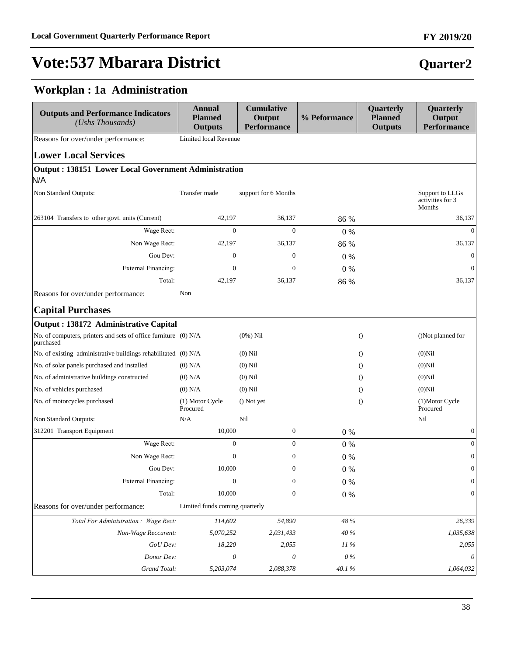### **Workplan : 1a Administration**

| <b>Outputs and Performance Indicators</b><br>(Ushs Thousands)                | <b>Annual</b><br><b>Planned</b><br><b>Outputs</b> | <b>Cumulative</b><br>Output<br><b>Performance</b> | % Peformance | Quarterly<br><b>Planned</b><br><b>Outputs</b> | Quarterly<br>Output<br><b>Performance</b>     |
|------------------------------------------------------------------------------|---------------------------------------------------|---------------------------------------------------|--------------|-----------------------------------------------|-----------------------------------------------|
| Reasons for over/under performance:                                          | Limited local Revenue                             |                                                   |              |                                               |                                               |
| <b>Lower Local Services</b>                                                  |                                                   |                                                   |              |                                               |                                               |
| <b>Output: 138151 Lower Local Government Administration</b>                  |                                                   |                                                   |              |                                               |                                               |
| N/A                                                                          |                                                   |                                                   |              |                                               |                                               |
| Non Standard Outputs:                                                        | Transfer made                                     | support for 6 Months                              |              |                                               | Support to LLGs<br>activities for 3<br>Months |
| 263104 Transfers to other govt. units (Current)                              | 42,197                                            | 36,137                                            | 86 %         |                                               | 36,137                                        |
| Wage Rect:                                                                   | $\boldsymbol{0}$                                  | $\boldsymbol{0}$                                  | 0%           |                                               | $\overline{0}$                                |
| Non Wage Rect:                                                               | 42,197                                            | 36,137                                            | 86 %         |                                               | 36,137                                        |
| Gou Dev:                                                                     | $\mathbf{0}$                                      | $\mathbf{0}$                                      | $0\%$        |                                               | $\mathbf{0}$                                  |
| <b>External Financing:</b>                                                   | $\mathbf{0}$                                      | $\overline{0}$                                    | $0\%$        |                                               | $\mathbf{0}$                                  |
| Total:                                                                       | 42,197                                            | 36,137                                            | 86 %         |                                               | 36,137                                        |
| Reasons for over/under performance:                                          | Non                                               |                                                   |              |                                               |                                               |
| <b>Capital Purchases</b>                                                     |                                                   |                                                   |              |                                               |                                               |
| Output : 138172 Administrative Capital                                       |                                                   |                                                   |              |                                               |                                               |
| No. of computers, printers and sets of office furniture (0) N/A<br>purchased |                                                   | $(0\%)$ Nil                                       |              | $\theta$                                      | ()Not planned for                             |
| No. of existing administrative buildings rehabilitated (0) N/A               |                                                   | $(0)$ Nil                                         |              | $\Omega$                                      | $(0)$ Nil                                     |
| No. of solar panels purchased and installed                                  | $(0)$ N/A                                         | $(0)$ Nil                                         |              | $\Omega$                                      | $(0)$ Nil                                     |
| No. of administrative buildings constructed                                  | $(0)$ N/A                                         | $(0)$ Nil                                         |              | $\Omega$                                      | $(0)$ Nil                                     |
| No. of vehicles purchased                                                    | $(0)$ N/A                                         | $(0)$ Nil                                         |              | $\Omega$                                      | $(0)$ Nil                                     |
| No. of motorcycles purchased                                                 | (1) Motor Cycle<br>Procured                       | () Not yet                                        |              | $\Omega$                                      | (1)Motor Cycle<br>Procured                    |
| Non Standard Outputs:                                                        | N/A                                               | Nil                                               |              |                                               | Nil                                           |
| 312201 Transport Equipment                                                   | 10,000                                            | $\boldsymbol{0}$                                  | 0%           |                                               | $\boldsymbol{0}$                              |
| Wage Rect:                                                                   | $\mathbf{0}$                                      | $\boldsymbol{0}$                                  | $0\%$        |                                               | $\boldsymbol{0}$                              |
| Non Wage Rect:                                                               | $\boldsymbol{0}$                                  | $\boldsymbol{0}$                                  | $0\%$        |                                               | $\boldsymbol{0}$                              |
| Gou Dev:                                                                     | 10,000                                            | $\boldsymbol{0}$                                  | $0\%$        |                                               | $\boldsymbol{0}$                              |
| <b>External Financing:</b>                                                   | $\boldsymbol{0}$                                  | $\boldsymbol{0}$                                  | $0\ \%$      |                                               | $\boldsymbol{0}$                              |
| Total:                                                                       | 10,000                                            | $\boldsymbol{0}$                                  | $0\ \%$      |                                               | $\boldsymbol{0}$                              |
| Reasons for over/under performance:                                          | Limited funds coming quarterly                    |                                                   |              |                                               |                                               |
| Total For Administration : Wage Rect:                                        | 114,602                                           | 54,890                                            | 48 %         |                                               | 26,339                                        |
| Non-Wage Reccurent:                                                          | 5,070,252                                         | 2,031,433                                         | 40 %         |                                               | 1,035,638                                     |
| GoU Dev:                                                                     | 18,220                                            | 2,055                                             | 11%          |                                               | 2,055                                         |
| Donor Dev:                                                                   | $\theta$                                          | $\theta$                                          | $0\%$        |                                               | 0                                             |
| Grand Total:                                                                 | 5,203,074                                         | 2,088,378                                         | $40.1~\%$    |                                               | 1,064,032                                     |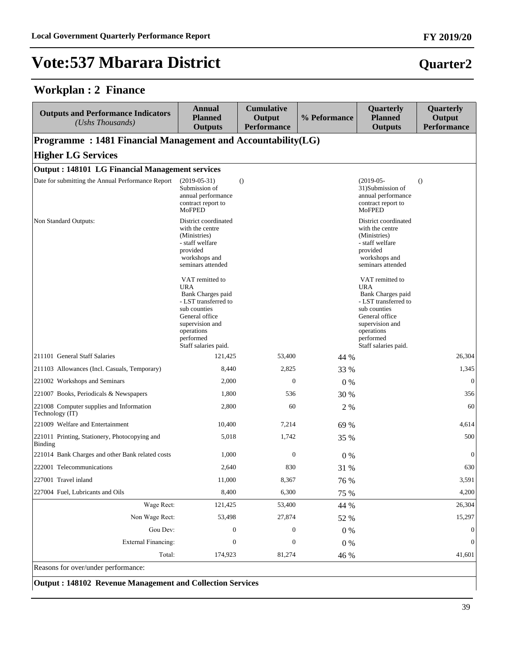### **Workplan : 2 Finance**

| <b>Outputs and Performance Indicators</b><br>(Ushs Thousands) | <b>Annual</b><br><b>Planned</b><br><b>Outputs</b>                                                                                                                                  | <b>Cumulative</b><br>Output<br><b>Performance</b> | % Peformance | Quarterly<br><b>Planned</b><br><b>Outputs</b>                                                                                                                                      | Quarterly<br>Output<br><b>Performance</b> |
|---------------------------------------------------------------|------------------------------------------------------------------------------------------------------------------------------------------------------------------------------------|---------------------------------------------------|--------------|------------------------------------------------------------------------------------------------------------------------------------------------------------------------------------|-------------------------------------------|
| Programme: 1481 Financial Management and Accountability(LG)   |                                                                                                                                                                                    |                                                   |              |                                                                                                                                                                                    |                                           |
| <b>Higher LG Services</b>                                     |                                                                                                                                                                                    |                                                   |              |                                                                                                                                                                                    |                                           |
| <b>Output: 148101 LG Financial Management services</b>        |                                                                                                                                                                                    |                                                   |              |                                                                                                                                                                                    |                                           |
| Date for submitting the Annual Performance Report             | $(2019-05-31)$<br>Submission of<br>annual performance<br>contract report to<br>MoFPED                                                                                              | $\theta$                                          |              | $(2019-05-$<br>31)Submission of<br>annual performance<br>contract report to<br><b>MoFPED</b>                                                                                       | $\Omega$                                  |
| Non Standard Outputs:                                         | District coordinated<br>with the centre<br>(Ministries)<br>- staff welfare<br>provided<br>workshops and<br>seminars attended                                                       |                                                   |              | District coordinated<br>with the centre<br>(Ministries)<br>- staff welfare<br>provided<br>workshops and<br>seminars attended                                                       |                                           |
|                                                               | VAT remitted to<br><b>URA</b><br>Bank Charges paid<br>- LST transferred to<br>sub counties<br>General office<br>supervision and<br>operations<br>performed<br>Staff salaries paid. |                                                   |              | VAT remitted to<br><b>URA</b><br>Bank Charges paid<br>- LST transferred to<br>sub counties<br>General office<br>supervision and<br>operations<br>performed<br>Staff salaries paid. |                                           |
| 211101 General Staff Salaries                                 | 121,425                                                                                                                                                                            | 53,400                                            | 44 %         |                                                                                                                                                                                    | 26,304                                    |
| 211103 Allowances (Incl. Casuals, Temporary)                  | 8,440                                                                                                                                                                              | 2,825                                             | 33 %         |                                                                                                                                                                                    | 1,345                                     |
| 221002 Workshops and Seminars                                 | 2,000                                                                                                                                                                              | $\theta$                                          | $0\%$        |                                                                                                                                                                                    | $\overline{0}$                            |
| 221007 Books, Periodicals & Newspapers                        | 1,800                                                                                                                                                                              | 536                                               | 30 %         |                                                                                                                                                                                    | 356                                       |
| 221008 Computer supplies and Information<br>Technology (IT)   | 2,800                                                                                                                                                                              | 60                                                | 2 %          |                                                                                                                                                                                    | 60                                        |
| 221009 Welfare and Entertainment                              | 10,400                                                                                                                                                                             | 7,214                                             | 69 %         |                                                                                                                                                                                    | 4,614                                     |
| 221011 Printing, Stationery, Photocopying and<br>Binding      | 5,018                                                                                                                                                                              | 1,742                                             | 35 %         |                                                                                                                                                                                    | 500                                       |
| 221014 Bank Charges and other Bank related costs              | 1,000                                                                                                                                                                              | $\boldsymbol{0}$                                  | $0\%$        |                                                                                                                                                                                    | $\mathbf{0}$                              |
| 222001 Telecommunications                                     | 2,640                                                                                                                                                                              | 830                                               | 31 %         |                                                                                                                                                                                    | 630                                       |
| 227001 Travel inland                                          | 11,000                                                                                                                                                                             | 8,367                                             | 76 %         |                                                                                                                                                                                    | 3,591                                     |
| 227004 Fuel, Lubricants and Oils                              | 8,400                                                                                                                                                                              | 6,300                                             | 75 %         |                                                                                                                                                                                    | 4,200                                     |
| Wage Rect:                                                    | 121,425                                                                                                                                                                            | 53,400                                            | 44 %         |                                                                                                                                                                                    | 26,304                                    |
| Non Wage Rect:                                                | 53,498                                                                                                                                                                             | 27,874                                            | 52 %         |                                                                                                                                                                                    | 15,297                                    |
| Gou Dev:                                                      | $\boldsymbol{0}$                                                                                                                                                                   | $\boldsymbol{0}$                                  | 0%           |                                                                                                                                                                                    | $\boldsymbol{0}$                          |
| <b>External Financing:</b>                                    | $\boldsymbol{0}$                                                                                                                                                                   | $\boldsymbol{0}$                                  | $0\ \%$      |                                                                                                                                                                                    | $\boldsymbol{0}$                          |
| Total:                                                        | 174,923                                                                                                                                                                            | 81,274                                            | 46 %         |                                                                                                                                                                                    | 41,601                                    |

Reasons for over/under performance:

**Output : 148102 Revenue Management and Collection Services**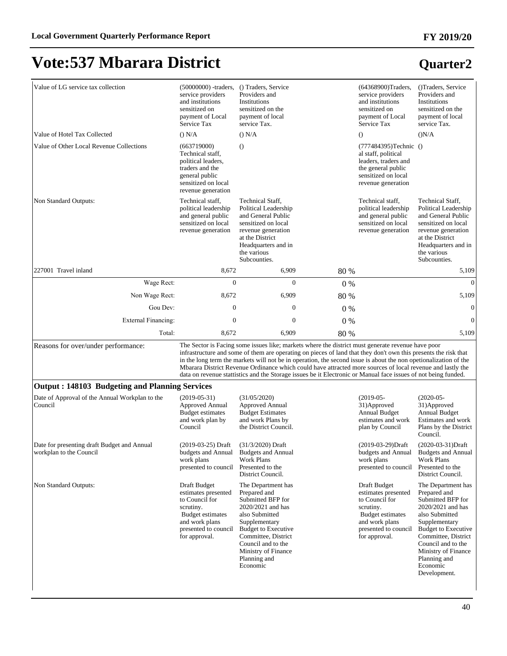| Value of LG service tax collection                                     | $(50000000)$ -traders,<br>service providers<br>and institutions<br>sensitized on<br>payment of Local<br>Service Tax                               | () Traders, Service<br>Providers and<br><b>Institutions</b><br>sensitized on the<br>payment of local<br>service Tax.                                                                                                                                                                                                                                                                                                                                                                                                                                                     |       | (64368900)Traders,<br>service providers<br>and institutions<br>sensitized on<br>payment of Local<br>Service Tax                                          | ()Traders, Service<br>Providers and<br>Institutions<br>sensitized on the<br>payment of local<br>service Tax.                                                                                                                                                  |
|------------------------------------------------------------------------|---------------------------------------------------------------------------------------------------------------------------------------------------|--------------------------------------------------------------------------------------------------------------------------------------------------------------------------------------------------------------------------------------------------------------------------------------------------------------------------------------------------------------------------------------------------------------------------------------------------------------------------------------------------------------------------------------------------------------------------|-------|----------------------------------------------------------------------------------------------------------------------------------------------------------|---------------------------------------------------------------------------------------------------------------------------------------------------------------------------------------------------------------------------------------------------------------|
| Value of Hotel Tax Collected                                           | () N/A                                                                                                                                            | () N/A                                                                                                                                                                                                                                                                                                                                                                                                                                                                                                                                                                   |       | $\Omega$                                                                                                                                                 | (N/A)                                                                                                                                                                                                                                                         |
| Value of Other Local Revenue Collections                               | (663719000)<br>Technical staff,<br>political leaders,<br>traders and the<br>general public<br>sensitized on local<br>revenue generation           | $\circ$                                                                                                                                                                                                                                                                                                                                                                                                                                                                                                                                                                  |       | (777484395)Technic ()<br>al staff, political<br>leaders, traders and<br>the general public<br>sensitized on local<br>revenue generation                  |                                                                                                                                                                                                                                                               |
| Non Standard Outputs:                                                  | Technical staff,<br>political leadership<br>and general public<br>sensitized on local<br>revenue generation                                       | Technical Staff,<br>Political Leadership<br>and General Public<br>sensitized on local<br>revenue generation<br>at the District<br>Headquarters and in<br>the various<br>Subcounties.                                                                                                                                                                                                                                                                                                                                                                                     |       | Technical staff,<br>political leadership<br>and general public<br>sensitized on local<br>revenue generation                                              | Technical Staff,<br>Political Leadership<br>and General Public<br>sensitized on local<br>revenue generation<br>at the District<br>Headquarters and in<br>the various<br>Subcounties.                                                                          |
| 227001 Travel inland                                                   | 8,672                                                                                                                                             | 6,909                                                                                                                                                                                                                                                                                                                                                                                                                                                                                                                                                                    | 80 %  |                                                                                                                                                          | 5,109                                                                                                                                                                                                                                                         |
| Wage Rect:                                                             | $\mathbf{0}$                                                                                                                                      | $\mathbf{0}$                                                                                                                                                                                                                                                                                                                                                                                                                                                                                                                                                             | 0%    |                                                                                                                                                          | $\theta$                                                                                                                                                                                                                                                      |
| Non Wage Rect:                                                         | 8,672                                                                                                                                             | 6,909                                                                                                                                                                                                                                                                                                                                                                                                                                                                                                                                                                    | 80 %  |                                                                                                                                                          | 5,109                                                                                                                                                                                                                                                         |
| Gou Dev:                                                               | $\mathbf{0}$                                                                                                                                      | $\boldsymbol{0}$                                                                                                                                                                                                                                                                                                                                                                                                                                                                                                                                                         | $0\%$ |                                                                                                                                                          | $\mathbf{0}$                                                                                                                                                                                                                                                  |
| <b>External Financing:</b>                                             | $\boldsymbol{0}$                                                                                                                                  | $\boldsymbol{0}$                                                                                                                                                                                                                                                                                                                                                                                                                                                                                                                                                         | 0%    |                                                                                                                                                          | $\overline{0}$                                                                                                                                                                                                                                                |
| Total:                                                                 | 8,672                                                                                                                                             | 6,909                                                                                                                                                                                                                                                                                                                                                                                                                                                                                                                                                                    | 80 %  |                                                                                                                                                          | 5,109                                                                                                                                                                                                                                                         |
| Reasons for over/under performance:                                    |                                                                                                                                                   | The Sector is Facing some issues like; markets where the district must generate revenue have poor<br>infrastructure and some of them are operating on pieces of land that they don't own this presents the risk that<br>in the long term the markets will not be in operation, the second issue is about the non operionalization of the<br>Mbarara District Revenue Ordinance which could have attracted more sources of local revenue and lastly the<br>data on revenue stattistics and the Storage issues be it Electronic or Manual face issues of not being funded. |       |                                                                                                                                                          |                                                                                                                                                                                                                                                               |
| <b>Output: 148103 Budgeting and Planning Services</b>                  |                                                                                                                                                   |                                                                                                                                                                                                                                                                                                                                                                                                                                                                                                                                                                          |       |                                                                                                                                                          |                                                                                                                                                                                                                                                               |
| Date of Approval of the Annual Workplan to the<br>Council              | $(2019-05-31)$<br>Approved Annual<br><b>Budget estimates</b><br>and work plan by<br>Council                                                       | (31/05/2020)<br>Approved Annual<br><b>Budget Estimates</b><br>and work Plans by<br>the District Council.                                                                                                                                                                                                                                                                                                                                                                                                                                                                 |       | $(2019-05-$<br>31) Approved<br><b>Annual Budget</b><br>estimates and work<br>plan by Council                                                             | $(2020-05-$<br>31) Approved<br><b>Annual Budget</b><br>Estimates and work<br>Plans by the District<br>Council.                                                                                                                                                |
| Date for presenting draft Budget and Annual<br>workplan to the Council | $(2019-03-25)$ Draft<br>budgets and Annual<br>work plans<br>presented to council                                                                  | $(31/3/2020)$ Draft<br><b>Budgets and Annual</b><br>Work Plans<br>Presented to the<br>District Council.                                                                                                                                                                                                                                                                                                                                                                                                                                                                  |       | (2019-03-29)Draft<br>work plans<br>presented to council                                                                                                  | (2020-03-31)Draft<br>budgets and Annual Budgets and Annual<br><b>Work Plans</b><br>Presented to the<br>District Council.                                                                                                                                      |
| Non Standard Outputs:                                                  | Draft Budget<br>estimates presented<br>to Council for<br>scrutiny.<br>Budget estimates<br>and work plans<br>presented to council<br>for approval. | The Department has<br>Prepared and<br>Submitted BFP for<br>2020/2021 and has<br>also Submitted<br>Supplementary<br><b>Budget to Executive</b><br>Committee, District<br>Council and to the<br>Ministry of Finance<br>Planning and<br>Economic                                                                                                                                                                                                                                                                                                                            |       | Draft Budget<br>estimates presented<br>to Council for<br>scrutiny.<br><b>Budget estimates</b><br>and work plans<br>presented to council<br>for approval. | The Department has<br>Prepared and<br>Submitted BFP for<br>2020/2021 and has<br>also Submitted<br>Supplementary<br><b>Budget to Executive</b><br>Committee, District<br>Council and to the<br>Ministry of Finance<br>Planning and<br>Economic<br>Development. |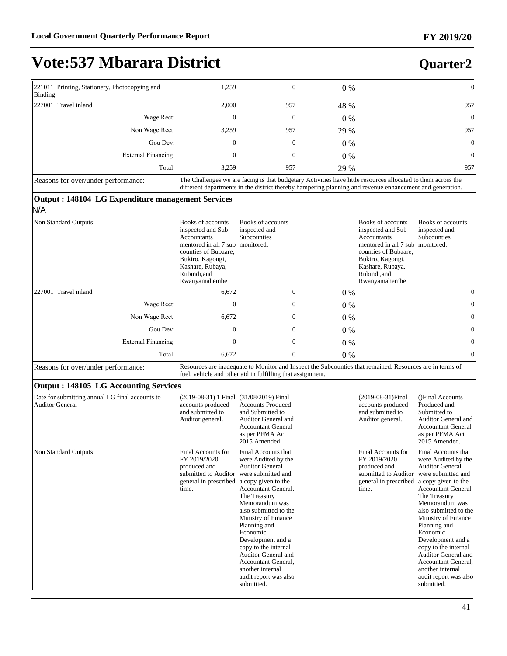# **Vote:537 Mbarara District**

| 221011 Printing, Stationery, Photocopying and<br>Binding | 1,259                                                                                                                                                                                                                    | $\mathbf{0}$ | $0\%$ | $\mathbf{0}$   |
|----------------------------------------------------------|--------------------------------------------------------------------------------------------------------------------------------------------------------------------------------------------------------------------------|--------------|-------|----------------|
| 227001 Travel inland                                     | 2,000                                                                                                                                                                                                                    | 957          | 48 %  | 957            |
| Wage Rect:                                               | $\theta$                                                                                                                                                                                                                 | $\mathbf{0}$ | $0\%$ | $\Omega$       |
| Non Wage Rect:                                           | 3,259                                                                                                                                                                                                                    | 957          | 29 %  | 957            |
| Gou Dev:                                                 | 0                                                                                                                                                                                                                        | $\mathbf{0}$ | $0\%$ | $\overline{0}$ |
| External Financing:                                      | 0                                                                                                                                                                                                                        | $\mathbf{0}$ | $0\%$ | $\Omega$       |
| Total:                                                   | 3.259                                                                                                                                                                                                                    | 957          | 29 %  | 957            |
| Reasons for over/under performance:                      | The Challenges we are facing is that budgetary Activities have little resources allocated to them across the<br>different departments in the district thereby hampering planning and revenue enhancement and generation. |              |       |                |
| Output : 148104 LG Expenditure management Services       |                                                                                                                                                                                                                          |              |       |                |

#### N/A

| Non Standard Outputs:              | Books of accounts<br>inspected and Sub<br>Accountants<br>mentored in all 7 sub monitored.<br>counties of Bubaare,<br>Bukiro, Kagongi,<br>Kashare, Rubaya,<br>Rubindi, and<br>Rwanyamahembe | Books of accounts<br>inspected and<br><b>Subcounties</b> |              | Books of accounts<br>inspected and Sub<br>Accountants<br>mentored in all 7 sub monitored.<br>counties of Bubaare,<br>Bukiro, Kagongi,<br>Kashare, Rubaya,<br>Rubindi, and<br>Rwanyamahembe | Books of accounts<br>inspected and<br><b>Subcounties</b> |
|------------------------------------|--------------------------------------------------------------------------------------------------------------------------------------------------------------------------------------------|----------------------------------------------------------|--------------|--------------------------------------------------------------------------------------------------------------------------------------------------------------------------------------------|----------------------------------------------------------|
| 227001 Travel inland               | 6,672                                                                                                                                                                                      |                                                          | $\mathbf{0}$ | $0\%$                                                                                                                                                                                      | 0                                                        |
| Wage Rect:                         | $\Omega$                                                                                                                                                                                   |                                                          | $\mathbf{0}$ | $0\%$                                                                                                                                                                                      | 0                                                        |
| Non Wage Rect:                     | 6,672                                                                                                                                                                                      |                                                          | $\mathbf{0}$ | $0\%$                                                                                                                                                                                      | $\mathbf{0}$                                             |
| Gou Dev:                           | $\Omega$                                                                                                                                                                                   |                                                          | $\Omega$     | $0\%$                                                                                                                                                                                      | $\mathbf{0}$                                             |
| External Financing:                | $\Omega$                                                                                                                                                                                   |                                                          | $\mathbf{0}$ | $0\%$                                                                                                                                                                                      | 0                                                        |
| Total:                             | 6,672                                                                                                                                                                                      |                                                          | $\mathbf{0}$ | $0\%$                                                                                                                                                                                      | $\Omega$                                                 |
| Reasons for overlunder performance |                                                                                                                                                                                            |                                                          |              | Resources are inadequate to Monitor and Inspect the Subcounties that remained Resources are in terms of                                                                                    |                                                          |

Leasons for over/under performance: Resources are inadequate to Monitor and Inspect the Subcounties that remained. Resources are in terms of the Subcounties that remained. Resources are in terms of the Subcounties that rem fuel, vehicle and other aid in fulfilling that assignment.

#### **Output : 148105 LG Accounting Services**

| Date for submitting annual LG final accounts to<br><b>Auditor General</b> | (2019-08-31) 1 Final (31/08/2019) Final<br>accounts produced<br>and submitted to<br>Auditor general.                             | <b>Accounts Produced</b><br>and Submitted to<br>Auditor General and<br><b>Accountant General</b><br>as per PFMA Act<br>2015 Amended.                                                                                                                                                                                                                                                                | $(2019-08-31)$ Final<br>accounts produced<br>and submitted to<br>Auditor general.                                                | ()Final Accounts<br>Produced and<br>Submitted to<br>Auditor General and<br><b>Accountant General</b><br>as per PFMA Act<br>2015 Amended.                                                                                                                                                                                                                                                     |
|---------------------------------------------------------------------------|----------------------------------------------------------------------------------------------------------------------------------|-----------------------------------------------------------------------------------------------------------------------------------------------------------------------------------------------------------------------------------------------------------------------------------------------------------------------------------------------------------------------------------------------------|----------------------------------------------------------------------------------------------------------------------------------|----------------------------------------------------------------------------------------------------------------------------------------------------------------------------------------------------------------------------------------------------------------------------------------------------------------------------------------------------------------------------------------------|
| Non Standard Outputs:                                                     | Final Accounts for<br>FY 2019/2020<br>produced and<br>submitted to Auditor<br>general in prescribed a copy given to the<br>time. | Final Accounts that<br>were Audited by the<br><b>Auditor General</b><br>were submitted and<br><b>Accountant General.</b><br>The Treasury<br>Memorandum was<br>also submitted to the<br>Ministry of Finance<br>Planning and<br>Economic<br>Development and a<br>copy to the internal<br><b>Auditor General and</b><br>Accountant General,<br>another internal<br>audit report was also<br>submitted. | Final Accounts for<br>FY 2019/2020<br>produced and<br>submitted to Auditor<br>general in prescribed a copy given to the<br>time. | Final Accounts that<br>were Audited by the<br><b>Auditor General</b><br>were submitted and<br><b>Accountant General.</b><br>The Treasury<br>Memorandum was<br>also submitted to the<br>Ministry of Finance<br>Planning and<br>Economic<br>Development and a<br>copy to the internal<br>Auditor General and<br>Accountant General,<br>another internal<br>audit report was also<br>submitted. |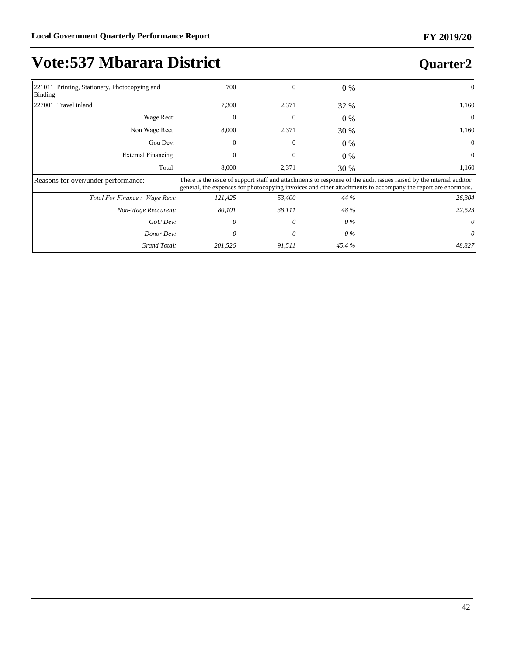# **Vote:537 Mbarara District**

| 221011 Printing, Stationery, Photocopying and<br>Binding | 700      | 0            | $0\%$       |                                                                                                                                                                                                                                   |
|----------------------------------------------------------|----------|--------------|-------------|-----------------------------------------------------------------------------------------------------------------------------------------------------------------------------------------------------------------------------------|
| 227001 Travel inland                                     | 7,300    | 2,371        | 32 %        | 1,160                                                                                                                                                                                                                             |
| Wage Rect:                                               | $\theta$ | $\mathbf{0}$ | $0\%$       | $\Omega$                                                                                                                                                                                                                          |
| Non Wage Rect:                                           | 8,000    | 2,371        | 30 %        | 1,160                                                                                                                                                                                                                             |
| Gou Dev:                                                 | 0        | $\Omega$     | $0\%$       |                                                                                                                                                                                                                                   |
| <b>External Financing:</b>                               |          | 0            | $0\%$       |                                                                                                                                                                                                                                   |
| Total:                                                   | 8,000    | 2,371        | <b>30 %</b> | 1,160                                                                                                                                                                                                                             |
| Reasons for over/under performance:                      |          |              |             | There is the issue of support staff and attachments to response of the audit issues raised by the internal auditor<br>general, the expenses for photocopying invoices and other attachments to accompany the report are enormous. |
| Total For Finance: Wage Rect:                            | 121,425  | 53,400       | 44 %        | 26,304                                                                                                                                                                                                                            |
| Non-Wage Reccurent:                                      | 80,101   | 38,111       | 48 %        | 22,523                                                                                                                                                                                                                            |
| GoU Dev:                                                 | 0        | 0            | 0 %         |                                                                                                                                                                                                                                   |
| Donor Dev:                                               | 0        | 0            | 0 %         |                                                                                                                                                                                                                                   |
| Grand Total:                                             | 201,526  | 91,511       | 45.4%       | 48,827                                                                                                                                                                                                                            |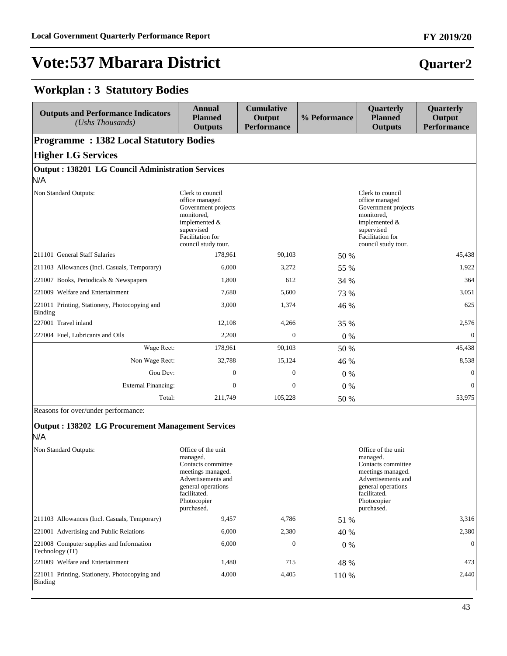### **Workplan : 3 Statutory Bodies**

| <b>Outputs and Performance Indicators</b><br>(Ushs Thousands) | Annual<br><b>Planned</b><br><b>Outputs</b>                                                                                                                 | <b>Cumulative</b><br>Output<br><b>Performance</b> | % Peformance | Quarterly<br><b>Planned</b><br><b>Outputs</b>                                                                                                              | Quarterly<br>Output<br><b>Performance</b> |  |  |  |  |  |
|---------------------------------------------------------------|------------------------------------------------------------------------------------------------------------------------------------------------------------|---------------------------------------------------|--------------|------------------------------------------------------------------------------------------------------------------------------------------------------------|-------------------------------------------|--|--|--|--|--|
|                                                               | <b>Programme: 1382 Local Statutory Bodies</b>                                                                                                              |                                                   |              |                                                                                                                                                            |                                           |  |  |  |  |  |
| <b>Higher LG Services</b>                                     |                                                                                                                                                            |                                                   |              |                                                                                                                                                            |                                           |  |  |  |  |  |
| <b>Output: 138201 LG Council Administration Services</b>      |                                                                                                                                                            |                                                   |              |                                                                                                                                                            |                                           |  |  |  |  |  |
| N/A                                                           |                                                                                                                                                            |                                                   |              |                                                                                                                                                            |                                           |  |  |  |  |  |
| Non Standard Outputs:                                         | Clerk to council<br>office managed<br>Government projects<br>monitored.<br>implemented $&$<br>supervised<br><b>Facilitation</b> for<br>council study tour. |                                                   |              | Clerk to council<br>office managed<br>Government projects<br>monitored,<br>implemented $&$<br>supervised<br><b>Facilitation</b> for<br>council study tour. |                                           |  |  |  |  |  |
| 211101 General Staff Salaries                                 | 178.961                                                                                                                                                    | 90.103                                            | 50 %         |                                                                                                                                                            | 45,438                                    |  |  |  |  |  |
| [211103 Allowances (Incl. Casuals, Temporary)                 | 6.000                                                                                                                                                      | 3,272                                             | 55 %         |                                                                                                                                                            | 1,922                                     |  |  |  |  |  |
| 221007 Books, Periodicals & Newspapers                        | 1.800                                                                                                                                                      | 612                                               | 34 %         |                                                                                                                                                            | 364                                       |  |  |  |  |  |
| 221009 Welfare and Entertainment                              | 7.680                                                                                                                                                      | 5,600                                             | 73 %         |                                                                                                                                                            | 3,051                                     |  |  |  |  |  |
| 221011 Printing, Stationery, Photocopying and<br>Binding      | 3,000                                                                                                                                                      | 1,374                                             | 46 %         |                                                                                                                                                            | 625                                       |  |  |  |  |  |
| 227001 Travel inland                                          | 12,108                                                                                                                                                     | 4,266                                             | 35 %         |                                                                                                                                                            | 2,576                                     |  |  |  |  |  |
| 227004 Fuel, Lubricants and Oils                              | 2,200                                                                                                                                                      | $\Omega$                                          | $0\%$        |                                                                                                                                                            | $\Omega$                                  |  |  |  |  |  |
| Wage Rect:                                                    | 178,961                                                                                                                                                    | 90,103                                            | 50 %         |                                                                                                                                                            | 45,438                                    |  |  |  |  |  |
| Non Wage Rect:                                                | 32,788                                                                                                                                                     | 15,124                                            | 46 %         |                                                                                                                                                            | 8,538                                     |  |  |  |  |  |
| Gou Dev:                                                      | $\overline{0}$                                                                                                                                             | $\Omega$                                          | $0\%$        |                                                                                                                                                            | $\mathbf{0}$                              |  |  |  |  |  |
| External Financing:                                           | $\mathbf{0}$                                                                                                                                               | $\overline{0}$                                    | $0\%$        |                                                                                                                                                            | $\mathbf{0}$                              |  |  |  |  |  |
| Total:                                                        | 211,749                                                                                                                                                    | 105,228                                           | 50 %         |                                                                                                                                                            | 53,975                                    |  |  |  |  |  |

Reasons for over/under performance:

#### **Output : 138202 LG Procurement Management Services** N/A

| Non Standard Outputs:                                       | Office of the unit<br>managed.<br>Contacts committee<br>meetings managed.<br>Advertisements and<br>general operations<br>facilitated.<br>Photocopier<br>purchased. |              |       | Office of the unit<br>managed.<br>Contacts committee<br>meetings managed.<br>Advertisements and<br>general operations<br>facilitated.<br>Photocopier<br>purchased. |
|-------------------------------------------------------------|--------------------------------------------------------------------------------------------------------------------------------------------------------------------|--------------|-------|--------------------------------------------------------------------------------------------------------------------------------------------------------------------|
| [211103 Allowances (Incl. Casuals, Temporary)               | 9,457                                                                                                                                                              | 4,786        | 51 %  | 3,316                                                                                                                                                              |
| 221001 Advertising and Public Relations                     | 6,000                                                                                                                                                              | 2,380        | 40 %  | 2,380                                                                                                                                                              |
| 221008 Computer supplies and Information<br>Technology (IT) | 6,000                                                                                                                                                              | $\mathbf{0}$ | $0\%$ | $\Omega$                                                                                                                                                           |
| 221009 Welfare and Entertainment                            | 1,480                                                                                                                                                              | 715          | 48 %  | 473                                                                                                                                                                |
| 221011 Printing, Stationery, Photocopying and<br>Binding    | 4,000                                                                                                                                                              | 4,405        | 110 % | 2,440                                                                                                                                                              |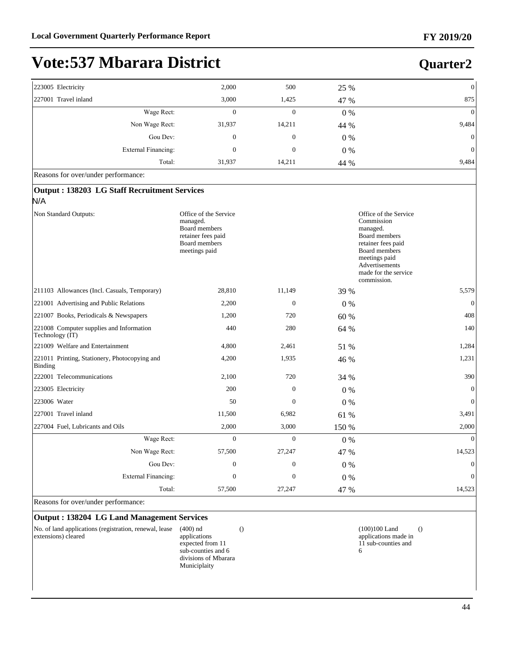# **Vote:537 Mbarara District**

| 223005 Electricity   |                     | 2,000            | 500              | 25 %  | $\mathbf{0}$ |
|----------------------|---------------------|------------------|------------------|-------|--------------|
| 227001 Travel inland |                     | 3,000            | 1,425            | 47 %  | 875          |
|                      | Wage Rect:          | 0                | $\mathbf{0}$     | $0\%$ | $\mathbf{0}$ |
|                      | Non Wage Rect:      | 31,937           | 14,211           | 44 %  | 9,484        |
|                      | Gou Dev:            | $\boldsymbol{0}$ | $\boldsymbol{0}$ | $0\%$ | $\mathbf{0}$ |
|                      | External Financing: | 0                | $\mathbf{0}$     | $0\%$ | $\mathbf{0}$ |
|                      | Total:              | 31,937           | 14,211           | 44 %  | 9,484        |

Reasons for over/under performance:

| <b>Output: 138203 LG Staff Recruitment Services</b>                                                               |                |       |                                                                                                                                                                                          |
|-------------------------------------------------------------------------------------------------------------------|----------------|-------|------------------------------------------------------------------------------------------------------------------------------------------------------------------------------------------|
|                                                                                                                   |                |       |                                                                                                                                                                                          |
| Office of the Service<br>managed.<br><b>Board</b> members<br>retainer fees paid<br>Board members<br>meetings paid |                |       | Office of the Service<br>Commission<br>managed.<br><b>Board members</b><br>retainer fees paid<br>Board members<br>meetings paid<br>Advertisements<br>made for the service<br>commission. |
| 28,810                                                                                                            | 11,149         | 39 %  | 5,579                                                                                                                                                                                    |
| 2,200                                                                                                             | $\mathbf{0}$   | $0\%$ | $\mathbf{0}$                                                                                                                                                                             |
| 1,200                                                                                                             | 720            | 60 %  | 408                                                                                                                                                                                      |
| 440                                                                                                               | 280            | 64 %  | 140                                                                                                                                                                                      |
| 4,800                                                                                                             | 2,461          | 51 %  | 1,284                                                                                                                                                                                    |
| 4,200                                                                                                             | 1,935          | 46 %  | 1,231                                                                                                                                                                                    |
| 2,100                                                                                                             | 720            | 34 %  | 390                                                                                                                                                                                      |
| 200                                                                                                               | $\mathbf{0}$   | $0\%$ | $\mathbf{0}$                                                                                                                                                                             |
| 50                                                                                                                | $\Omega$       | $0\%$ | $\mathbf{0}$                                                                                                                                                                             |
| 11,500                                                                                                            | 6,982          | 61 %  | 3,491                                                                                                                                                                                    |
| 2,000                                                                                                             | 3,000          | 150 % | 2,000                                                                                                                                                                                    |
| Wage Rect:<br>$\overline{0}$                                                                                      | $\overline{0}$ | $0\%$ | $\theta$                                                                                                                                                                                 |
| Non Wage Rect:<br>57,500                                                                                          | 27,247         | 47 %  | 14,523                                                                                                                                                                                   |
| Gou Dev:<br>$\overline{0}$                                                                                        | $\overline{0}$ | $0\%$ | $\mathbf{0}$                                                                                                                                                                             |
| <b>External Financing:</b><br>$\theta$                                                                            | $\Omega$       | $0\%$ | $\mathbf{0}$                                                                                                                                                                             |
| Total:<br>57,500                                                                                                  | 27,247         | 47 %  | 14,523                                                                                                                                                                                   |
|                                                                                                                   |                |       |                                                                                                                                                                                          |

Reasons for over/under performance:

#### **Output : 138204 LG Land Management Services**

| No. of land applications (registration, renewal, lease | $(400)$ nd    |
|--------------------------------------------------------|---------------|
| extensions) cleared                                    | applications  |
|                                                        | expected from |

 $11$ sub-counties and 6 divisions of Mbarara Municiplaity

() (100)100 Land applications made in 11 sub-counties and 6 ()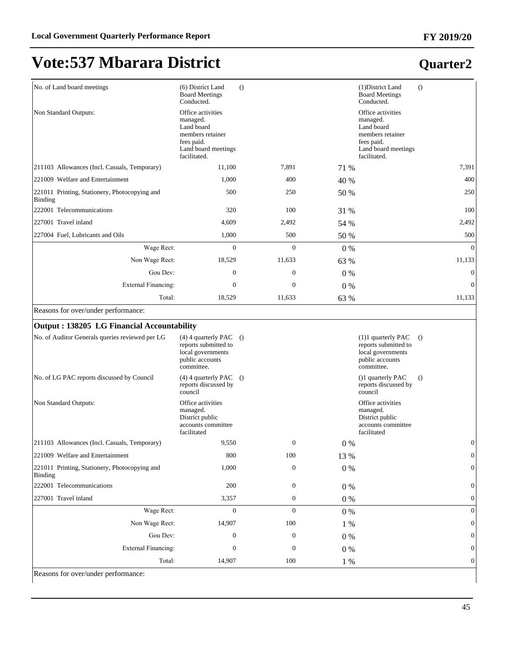### **Quarter2**

| No. of Land board meetings                               | (6) District Land<br><b>Board Meetings</b><br>Conducted.                                                             | $\left( \right)$ |       | (1) District Land<br><b>Board Meetings</b><br>Conducted.                                                             | $\left( \right)$ |
|----------------------------------------------------------|----------------------------------------------------------------------------------------------------------------------|------------------|-------|----------------------------------------------------------------------------------------------------------------------|------------------|
| Non Standard Outputs:                                    | Office activities<br>managed.<br>Land board<br>members retainer<br>fees paid.<br>Land board meetings<br>facilitated. |                  |       | Office activities<br>managed.<br>Land board<br>members retainer<br>fees paid.<br>Land board meetings<br>facilitated. |                  |
| 211103 Allowances (Incl. Casuals, Temporary)             | 11,100                                                                                                               | 7,891            | 71 %  |                                                                                                                      | 7,391            |
| 221009 Welfare and Entertainment                         | 1,000                                                                                                                | 400              | 40 %  |                                                                                                                      | 400              |
| 221011 Printing, Stationery, Photocopying and<br>Binding | 500                                                                                                                  | 250              | 50 %  |                                                                                                                      | 250              |
| 222001 Telecommunications                                | 320                                                                                                                  | 100              | 31 %  |                                                                                                                      | 100              |
| 227001 Travel inland                                     | 4,609                                                                                                                | 2,492            | 54 %  |                                                                                                                      | 2,492            |
| 227004 Fuel, Lubricants and Oils                         | 1,000                                                                                                                | 500              | 50 %  |                                                                                                                      | 500              |
| Wage Rect:                                               | $\mathbf{0}$                                                                                                         | $\mathbf{0}$     | $0\%$ |                                                                                                                      | $\theta$         |
| Non Wage Rect:                                           | 18,529                                                                                                               | 11,633           | 63 %  |                                                                                                                      | 11,133           |
| Gou Dev:                                                 | $\mathbf{0}$                                                                                                         | $\mathbf{0}$     | $0\%$ |                                                                                                                      | $\mathbf{0}$     |
| <b>External Financing:</b>                               | $\mathbf{0}$                                                                                                         | $\mathbf{0}$     | $0\%$ |                                                                                                                      | $\mathbf{0}$     |
| Total:                                                   | 18,529                                                                                                               | 11,633           | 63 %  |                                                                                                                      | 11,133           |

Reasons for over/under performance:

| Output: 138205 LG Financial Accountability               |                                                                                                          |              |       |                                                                                                    |                  |
|----------------------------------------------------------|----------------------------------------------------------------------------------------------------------|--------------|-------|----------------------------------------------------------------------------------------------------|------------------|
| No. of Auditor Generals queries reviewed per LG          | $(4)$ 4 quarterly PAC $()$<br>reports submitted to<br>local governments<br>public accounts<br>committee. |              |       | $(1)1$ quarterly PAC<br>reports submitted to<br>local governments<br>public accounts<br>committee. | $\Omega$         |
| No. of LG PAC reports discussed by Council               | $(4)$ 4 quarterly PAC $()$<br>reports discussed by<br>council                                            |              |       | ()1 quarterly PAC<br>reports discussed by<br>council                                               | $\left( \right)$ |
| Non Standard Outputs:                                    | Office activities<br>managed.<br>District public<br>accounts committee<br>facilitated                    |              |       | Office activities<br>managed.<br>District public<br>accounts committee<br>facilitated              |                  |
| 211103 Allowances (Incl. Casuals, Temporary)             | 9,550                                                                                                    | $\mathbf{0}$ | $0\%$ |                                                                                                    | $\mathbf{0}$     |
| 221009 Welfare and Entertainment                         | 800                                                                                                      | 100          | 13 %  |                                                                                                    | $\mathbf{0}$     |
| 221011 Printing, Stationery, Photocopying and<br>Binding | 1,000                                                                                                    | $\mathbf{0}$ | $0\%$ |                                                                                                    | $\mathbf{0}$     |
| 222001 Telecommunications                                | 200                                                                                                      | $\mathbf{0}$ | $0\%$ |                                                                                                    | $\boldsymbol{0}$ |
| 227001 Travel inland                                     | 3,357                                                                                                    | $\mathbf{0}$ | $0\%$ |                                                                                                    | $\overline{0}$   |
| Wage Rect:                                               | $\mathbf{0}$                                                                                             | $\mathbf{0}$ | $0\%$ |                                                                                                    | $\overline{0}$   |
| Non Wage Rect:                                           | 14,907                                                                                                   | 100          | $1\%$ |                                                                                                    | $\overline{0}$   |
| Gou Dev:                                                 | 0                                                                                                        | $\mathbf{0}$ | 0%    |                                                                                                    | $\mathbf{0}$     |
| <b>External Financing:</b>                               | $\Omega$                                                                                                 | $\Omega$     | $0\%$ |                                                                                                    | $\mathbf{0}$     |
| Total:                                                   | 14,907                                                                                                   | 100          | 1 %   |                                                                                                    | $\mathbf{0}$     |

Reasons for over/under performance: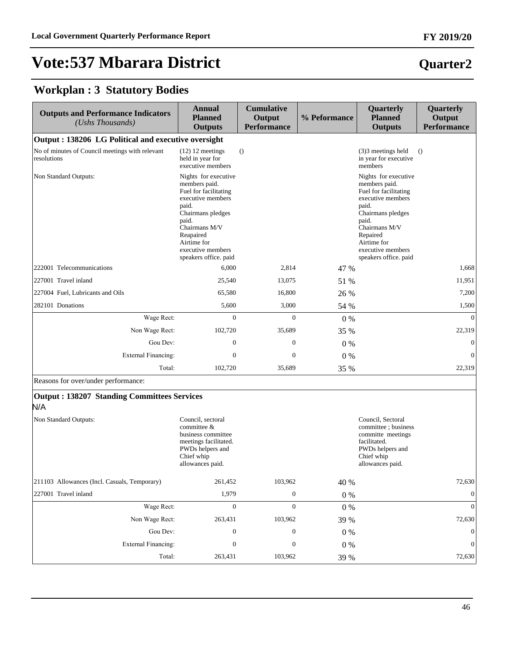### **Quarter2**

### **Workplan : 3 Statutory Bodies**

| <b>Outputs and Performance Indicators</b><br>(Ushs Thousands)  | <b>Annual</b><br><b>Planned</b><br><b>Outputs</b>                                                                                                                                                                     | <b>Cumulative</b><br>Output<br><b>Performance</b> | % Peformance | Quarterly<br><b>Planned</b><br><b>Outputs</b>                                                                                                                                                                        | Quarterly<br>Output<br><b>Performance</b> |
|----------------------------------------------------------------|-----------------------------------------------------------------------------------------------------------------------------------------------------------------------------------------------------------------------|---------------------------------------------------|--------------|----------------------------------------------------------------------------------------------------------------------------------------------------------------------------------------------------------------------|-------------------------------------------|
| Output: 138206 LG Political and executive oversight            |                                                                                                                                                                                                                       |                                                   |              |                                                                                                                                                                                                                      |                                           |
| No of minutes of Council meetings with relevant<br>resolutions | $(12)$ 12 meetings<br>held in year for<br>executive members                                                                                                                                                           | $\bigcirc$                                        |              | $(3)$ 3 meetings held<br>in year for executive<br>members                                                                                                                                                            | $\Omega$                                  |
| Non Standard Outputs:                                          | Nights for executive<br>members paid.<br>Fuel for facilitating<br>executive members<br>paid.<br>Chairmans pledges<br>paid.<br>Chairmans M/V<br>Reapaired<br>Airtime for<br>executive members<br>speakers office. paid |                                                   |              | Nights for executive<br>members paid.<br>Fuel for facilitating<br>executive members<br>paid.<br>Chairmans pledges<br>paid.<br>Chairmans M/V<br>Repaired<br>Airtime for<br>executive members<br>speakers office. paid |                                           |
| 222001 Telecommunications                                      | 6,000                                                                                                                                                                                                                 | 2,814                                             | 47 %         |                                                                                                                                                                                                                      | 1,668                                     |
| 227001 Travel inland                                           | 25,540                                                                                                                                                                                                                | 13,075                                            | 51 %         |                                                                                                                                                                                                                      | 11,951                                    |
| 227004 Fuel, Lubricants and Oils                               | 65,580                                                                                                                                                                                                                | 16,800                                            | 26 %         |                                                                                                                                                                                                                      | 7,200                                     |
| 282101 Donations                                               | 5,600                                                                                                                                                                                                                 | 3,000                                             | 54 %         |                                                                                                                                                                                                                      | 1,500                                     |
| Wage Rect:                                                     | $\mathbf{0}$                                                                                                                                                                                                          | $\overline{0}$                                    | 0%           |                                                                                                                                                                                                                      | $\theta$                                  |
| Non Wage Rect:                                                 | 102,720                                                                                                                                                                                                               | 35,689                                            | 35 %         |                                                                                                                                                                                                                      | 22,319                                    |
| Gou Dev:                                                       | $\boldsymbol{0}$                                                                                                                                                                                                      | $\boldsymbol{0}$                                  | $0\%$        |                                                                                                                                                                                                                      | $\boldsymbol{0}$                          |
| <b>External Financing:</b>                                     | $\boldsymbol{0}$                                                                                                                                                                                                      | $\boldsymbol{0}$                                  | 0%           |                                                                                                                                                                                                                      | $\mathbf{0}$                              |
| Total:                                                         | 102,720                                                                                                                                                                                                               | 35,689                                            | 35 %         |                                                                                                                                                                                                                      | 22,319                                    |
| Reasons for over/under performance:                            |                                                                                                                                                                                                                       |                                                   |              |                                                                                                                                                                                                                      |                                           |
| <b>Output: 138207 Standing Committees Services</b><br>N/A      |                                                                                                                                                                                                                       |                                                   |              |                                                                                                                                                                                                                      |                                           |
| Non Standard Outputs:                                          | Council, sectoral<br>committee &<br>business committee<br>meetings facilitated.<br>PWDs helpers and<br>Chief whip<br>allowances paid.                                                                                 |                                                   |              | Council, Sectoral<br>committee; business<br>committe meetings<br>facilitated.<br>PWDs helpers and<br>Chief whip<br>allowances paid.                                                                                  |                                           |
| 211103 Allowances (Incl. Casuals, Temporary)                   | 261,452                                                                                                                                                                                                               | 103,962                                           | 40 %         |                                                                                                                                                                                                                      | 72,630                                    |
| 227001 Travel inland                                           | 1,979                                                                                                                                                                                                                 | $\boldsymbol{0}$                                  | $0\ \%$      |                                                                                                                                                                                                                      | $\mathbf{0}$                              |
| Wage Rect:                                                     | $\boldsymbol{0}$                                                                                                                                                                                                      | $\boldsymbol{0}$                                  | $0\ \%$      |                                                                                                                                                                                                                      | $\mathbf{0}$                              |
| Non Wage Rect:                                                 | 263,431                                                                                                                                                                                                               | 103,962                                           | 39 %         |                                                                                                                                                                                                                      | 72,630                                    |
| Gou Dev:                                                       | $\boldsymbol{0}$                                                                                                                                                                                                      | $\boldsymbol{0}$                                  | $0\%$        |                                                                                                                                                                                                                      | $\boldsymbol{0}$                          |
| <b>External Financing:</b>                                     | $\boldsymbol{0}$                                                                                                                                                                                                      | $\boldsymbol{0}$                                  | $0\ \%$      |                                                                                                                                                                                                                      | $\boldsymbol{0}$                          |
| Total:                                                         | 263,431                                                                                                                                                                                                               | 103,962                                           | 39 %         |                                                                                                                                                                                                                      | 72,630                                    |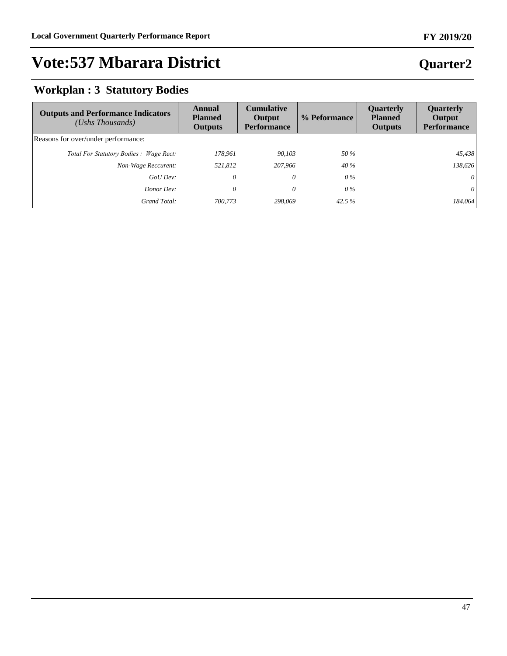#### **FY 2019/20**

# **Vote:537 Mbarara District**

### **Workplan : 3 Statutory Bodies**

| <b>Outputs and Performance Indicators</b><br>$(Ushs$ Thousands) | Annual<br><b>Planned</b><br><b>Outputs</b> | <b>Cumulative</b><br>Output<br><b>Performance</b> | % Peformance | <b>Ouarterly</b><br><b>Planned</b><br><b>Outputs</b> | <b>Ouarterly</b><br>Output<br><b>Performance</b> |
|-----------------------------------------------------------------|--------------------------------------------|---------------------------------------------------|--------------|------------------------------------------------------|--------------------------------------------------|
| Reasons for over/under performance:                             |                                            |                                                   |              |                                                      |                                                  |
| Total For Statutory Bodies: Wage Rect:                          | 178,961                                    | 90,103                                            | 50 %         |                                                      | 45,438                                           |
| Non-Wage Reccurent:                                             | 521,812                                    | 207,966                                           | 40 %         |                                                      | 138,626                                          |
| GoU Dev:                                                        | 0                                          | 0                                                 | $0\%$        |                                                      | 0                                                |
| Donor Dev:                                                      | 0                                          | 0                                                 | $0\%$        |                                                      | 0                                                |
| Grand Total:                                                    | 700,773                                    | 298.069                                           | 42.5 $%$     |                                                      | 184,064                                          |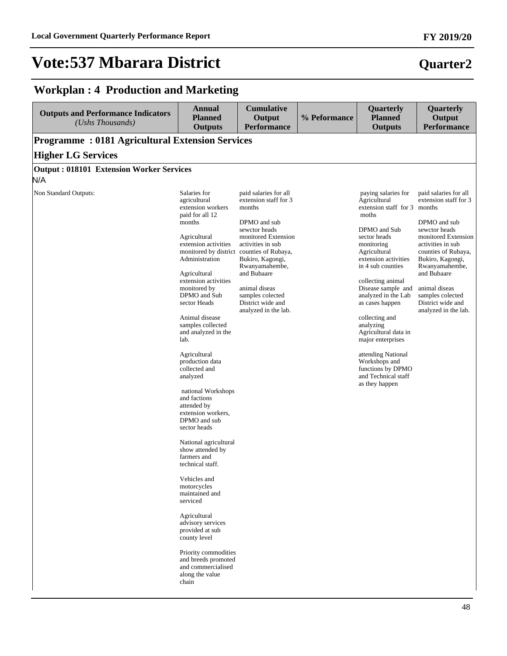# **Quarter2**

### **Workplan : 4 Production and Marketing**

| <b>Outputs and Performance Indicators</b><br>(Ushs Thousands) | <b>Annual</b><br><b>Planned</b><br><b>Outputs</b>                                                                                                                                                                                                                                                                                                                                                                                                                                                                                                                                                                                                               | <b>Cumulative</b><br>Output<br><b>Performance</b>                                                                                                                                                                                                                            | % Peformance | Quarterly<br><b>Planned</b><br><b>Outputs</b>                                                                                                                                                                                                                                                                                                                                                                                                                 | Quarterly<br>Output<br><b>Performance</b>                                                                                                                                                                                                                                                 |
|---------------------------------------------------------------|-----------------------------------------------------------------------------------------------------------------------------------------------------------------------------------------------------------------------------------------------------------------------------------------------------------------------------------------------------------------------------------------------------------------------------------------------------------------------------------------------------------------------------------------------------------------------------------------------------------------------------------------------------------------|------------------------------------------------------------------------------------------------------------------------------------------------------------------------------------------------------------------------------------------------------------------------------|--------------|---------------------------------------------------------------------------------------------------------------------------------------------------------------------------------------------------------------------------------------------------------------------------------------------------------------------------------------------------------------------------------------------------------------------------------------------------------------|-------------------------------------------------------------------------------------------------------------------------------------------------------------------------------------------------------------------------------------------------------------------------------------------|
| <b>Programme: 0181 Agricultural Extension Services</b>        |                                                                                                                                                                                                                                                                                                                                                                                                                                                                                                                                                                                                                                                                 |                                                                                                                                                                                                                                                                              |              |                                                                                                                                                                                                                                                                                                                                                                                                                                                               |                                                                                                                                                                                                                                                                                           |
| <b>Higher LG Services</b>                                     |                                                                                                                                                                                                                                                                                                                                                                                                                                                                                                                                                                                                                                                                 |                                                                                                                                                                                                                                                                              |              |                                                                                                                                                                                                                                                                                                                                                                                                                                                               |                                                                                                                                                                                                                                                                                           |
| <b>Output: 018101 Extension Worker Services</b><br>N/A        |                                                                                                                                                                                                                                                                                                                                                                                                                                                                                                                                                                                                                                                                 |                                                                                                                                                                                                                                                                              |              |                                                                                                                                                                                                                                                                                                                                                                                                                                                               |                                                                                                                                                                                                                                                                                           |
|                                                               |                                                                                                                                                                                                                                                                                                                                                                                                                                                                                                                                                                                                                                                                 |                                                                                                                                                                                                                                                                              |              |                                                                                                                                                                                                                                                                                                                                                                                                                                                               |                                                                                                                                                                                                                                                                                           |
| Non Standard Outputs:                                         | Salaries for<br>agricultural<br>extension workers<br>paid for all 12<br>months<br>Agricultural<br>extension activities<br>monitored by district counties of Rubaya,<br>Administration<br>Agricultural<br>extension activities<br>monitored by<br>DPMO and Sub<br>sector Heads<br>Animal disease<br>samples collected<br>and analyzed in the<br>lab.<br>Agricultural<br>production data<br>collected and<br>analyzed<br>national Workshops<br>and factions<br>attended by<br>extension workers,<br>DPMO and sub<br>sector heads<br>National agricultural<br>show attended by<br>farmers and<br>technical staff.<br>Vehicles and<br>motorcycles<br>maintained and | paid salaries for all<br>extension staff for 3<br>months<br>DPMO and sub<br>sewctor heads<br>monitored Extension<br>activities in sub<br>Bukiro, Kagongi,<br>Rwanyamahembe,<br>and Bubaare<br>animal diseas<br>samples colected<br>District wide and<br>analyzed in the lab. |              | paying salaries for<br>Agricultural<br>extension staff for 3 months<br>moths<br>DPMO and Sub<br>sector heads<br>monitoring<br>Agricultural<br>extension activities<br>in 4 sub counties<br>collecting animal<br>Disease sample and<br>analyzed in the Lab<br>as cases happen<br>collecting and<br>analyzing<br>Agricultural data in<br>major enterprises<br>attending National<br>Workshops and<br>functions by DPMO<br>and Technical staff<br>as they happen | paid salaries for all<br>extension staff for 3<br>DPMO and sub<br>sewctor heads<br>monitored Extension<br>activities in sub<br>counties of Rubaya,<br>Bukiro, Kagongi,<br>Rwanyamahembe,<br>and Bubaare<br>animal diseas<br>samples colected<br>District wide and<br>analyzed in the lab. |
|                                                               | serviced<br>Agricultural<br>advisory services<br>provided at sub<br>county level                                                                                                                                                                                                                                                                                                                                                                                                                                                                                                                                                                                |                                                                                                                                                                                                                                                                              |              |                                                                                                                                                                                                                                                                                                                                                                                                                                                               |                                                                                                                                                                                                                                                                                           |
|                                                               | Priority commodities<br>and breeds promoted<br>and commercialised<br>along the value<br>chain                                                                                                                                                                                                                                                                                                                                                                                                                                                                                                                                                                   |                                                                                                                                                                                                                                                                              |              |                                                                                                                                                                                                                                                                                                                                                                                                                                                               |                                                                                                                                                                                                                                                                                           |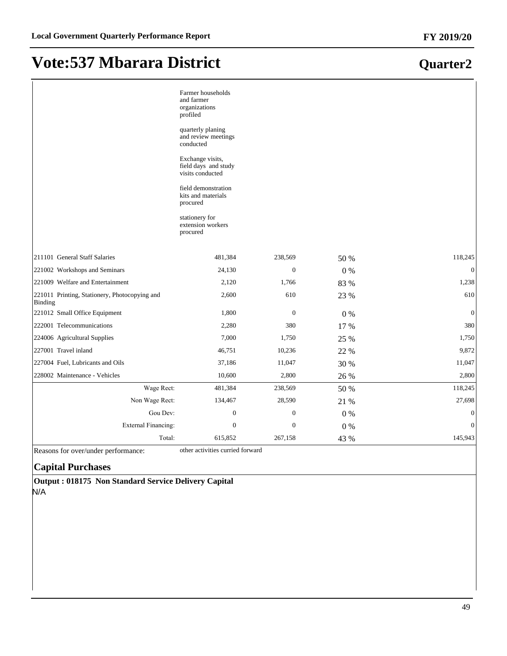|                                                          | Farmer households<br>and farmer<br>organizations<br>profiled<br>quarterly planing<br>and review meetings<br>conducted<br>Exchange visits,<br>field days and study<br>visits conducted<br>field demonstration<br>kits and materials<br>procured<br>stationery for<br>extension workers<br>procured |                  |       |                  |
|----------------------------------------------------------|---------------------------------------------------------------------------------------------------------------------------------------------------------------------------------------------------------------------------------------------------------------------------------------------------|------------------|-------|------------------|
| 211101 General Staff Salaries                            | 481,384                                                                                                                                                                                                                                                                                           | 238,569          | 50 %  | 118,245          |
| 221002 Workshops and Seminars                            | 24,130                                                                                                                                                                                                                                                                                            | $\boldsymbol{0}$ | $0\%$ | $\boldsymbol{0}$ |
| 221009 Welfare and Entertainment                         | 2,120                                                                                                                                                                                                                                                                                             | 1,766            | 83 %  | 1,238            |
| 221011 Printing, Stationery, Photocopying and<br>Binding | 2,600                                                                                                                                                                                                                                                                                             | 610              | 23 %  | 610              |
| 221012 Small Office Equipment                            | 1,800                                                                                                                                                                                                                                                                                             | $\mathbf{0}$     | $0\%$ | $\boldsymbol{0}$ |
| 222001 Telecommunications                                | 2,280                                                                                                                                                                                                                                                                                             | 380              | 17 %  | 380              |
| 224006 Agricultural Supplies                             | 7,000                                                                                                                                                                                                                                                                                             | 1,750            | 25 %  | 1,750            |
| 227001 Travel inland                                     | 46,751                                                                                                                                                                                                                                                                                            | 10,236           | 22 %  | 9,872            |
| 227004 Fuel, Lubricants and Oils                         | 37,186                                                                                                                                                                                                                                                                                            | 11,047           | 30 %  | 11,047           |
| 228002 Maintenance - Vehicles                            | 10,600                                                                                                                                                                                                                                                                                            | 2,800            | 26 %  | 2,800            |
| Wage Rect:                                               | 481,384                                                                                                                                                                                                                                                                                           | 238,569          | 50 %  | 118,245          |
| Non Wage Rect:                                           | 134,467                                                                                                                                                                                                                                                                                           | 28,590           | 21 %  | 27,698           |
| Gou Dev:                                                 | $\boldsymbol{0}$                                                                                                                                                                                                                                                                                  | $\boldsymbol{0}$ | $0\%$ | $\boldsymbol{0}$ |
| <b>External Financing:</b>                               | $\boldsymbol{0}$                                                                                                                                                                                                                                                                                  | $\boldsymbol{0}$ | $0\%$ | $\mathbf{0}$     |
| Total:                                                   | 615,852                                                                                                                                                                                                                                                                                           | 267,158          | 43 %  | 145,943          |

Reasons for over/under performance: other activities curried forward

#### **Capital Purchases**

**Output : 018175 Non Standard Service Delivery Capital** N/A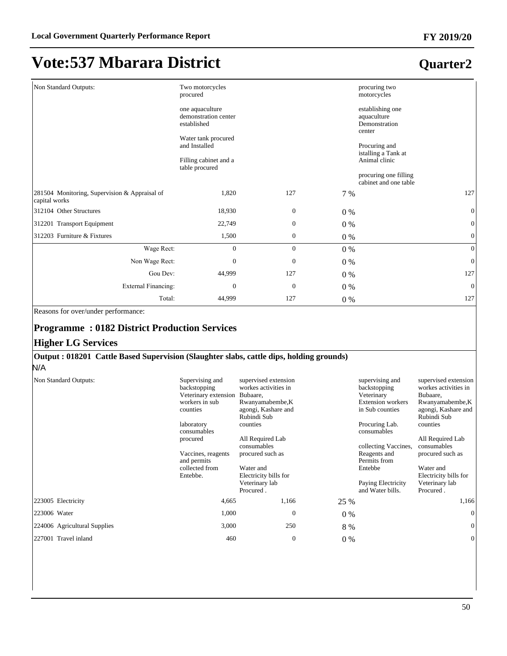### **Quarter2**

| Non Standard Outputs:                                          | Two motorcycles<br>procured                                                                    |                  | procuring two<br>motorcycles |                                                                                        |
|----------------------------------------------------------------|------------------------------------------------------------------------------------------------|------------------|------------------------------|----------------------------------------------------------------------------------------|
|                                                                | one aquaculture<br>demonstration center<br>established<br>Water tank procured<br>and Installed |                  |                              | establishing one<br>aquaculture<br>Demonstration<br>center<br>Procuring and            |
|                                                                | Filling cabinet and a<br>table procured                                                        |                  |                              | istalling a Tank at<br>Animal clinic<br>procuring one filling<br>cabinet and one table |
| 281504 Monitoring, Supervision & Appraisal of<br>capital works | 1,820                                                                                          | 127              | 7 %                          | 127                                                                                    |
| 312104 Other Structures                                        | 18,930                                                                                         | $\boldsymbol{0}$ | $0\%$                        | $\mathbf{0}$                                                                           |
| 312201 Transport Equipment                                     | 22,749                                                                                         | $\boldsymbol{0}$ | $0\%$                        | $\mathbf{0}$                                                                           |
| 312203 Furniture & Fixtures                                    | 1,500                                                                                          | $\boldsymbol{0}$ | $0\%$                        | $\boldsymbol{0}$                                                                       |
| Wage Rect:                                                     | $\mathbf{0}$                                                                                   | $\overline{0}$   | $0\%$                        | $\mathbf{0}$                                                                           |
| Non Wage Rect:                                                 | 0                                                                                              | $\boldsymbol{0}$ | $0\%$                        | $\mathbf{0}$                                                                           |
| Gou Dev:                                                       | 44,999                                                                                         | 127              | $0\%$                        | 127                                                                                    |
| <b>External Financing:</b>                                     | $\mathbf{0}$                                                                                   | $\mathbf{0}$     | $0\%$                        | $\mathbf{0}$                                                                           |
| Total:                                                         | 44,999                                                                                         | 127              | $0\%$                        | 127                                                                                    |

Reasons for over/under performance:

#### **Programme : 0182 District Production Services**

#### **Higher LG Services**

#### **Output : 018201 Cattle Based Supervision (Slaughter slabs, cattle dips, holding grounds)**

N/A

| Non Standard Outputs:        | Supervising and<br>backstopping<br>Veterinary extension<br>workers in sub<br>counties<br>laboratory<br>consumables<br>procured | supervised extension<br>workes activities in<br>Bubaare,<br>Rwanyamabembe, K<br>agongi, Kashare and<br>Rubindi Sub<br>counties<br>All Required Lab<br>consumables |       | supervising and<br>backstopping<br>Veterinary<br><b>Extension workers</b><br>in Sub counties<br>Procuring Lab.<br>consumables<br>collecting Vaccines, | supervised extension<br>workes activities in<br>Bubaare,<br>Rwanyamabembe, K<br>agongi, Kashare and<br>Rubindi Sub<br>counties<br>All Required Lab<br>consumables |
|------------------------------|--------------------------------------------------------------------------------------------------------------------------------|-------------------------------------------------------------------------------------------------------------------------------------------------------------------|-------|-------------------------------------------------------------------------------------------------------------------------------------------------------|-------------------------------------------------------------------------------------------------------------------------------------------------------------------|
|                              | Vaccines, reagents<br>and permits                                                                                              | procured such as                                                                                                                                                  |       | Reagents and<br>Permits from                                                                                                                          | procured such as                                                                                                                                                  |
|                              | collected from<br>Entebbe.                                                                                                     | Water and<br>Electricity bills for                                                                                                                                |       | Entebbe                                                                                                                                               | Water and<br>Electricity bills for                                                                                                                                |
|                              |                                                                                                                                | Veterinary lab<br>Procured.                                                                                                                                       |       | Paying Electricity<br>and Water bills.                                                                                                                | Veterinary lab<br>Procured.                                                                                                                                       |
| 223005 Electricity           | 4,665                                                                                                                          | 1,166                                                                                                                                                             | 25 %  |                                                                                                                                                       | 1,166                                                                                                                                                             |
| 223006 Water                 | 1,000                                                                                                                          | $\Omega$                                                                                                                                                          | $0\%$ |                                                                                                                                                       | $\Omega$                                                                                                                                                          |
| 224006 Agricultural Supplies | 3,000                                                                                                                          | 250                                                                                                                                                               | 8 %   |                                                                                                                                                       | $\overline{0}$                                                                                                                                                    |
| 227001 Travel inland         | 460                                                                                                                            | $\mathbf{0}$                                                                                                                                                      | $0\%$ |                                                                                                                                                       | $\theta$                                                                                                                                                          |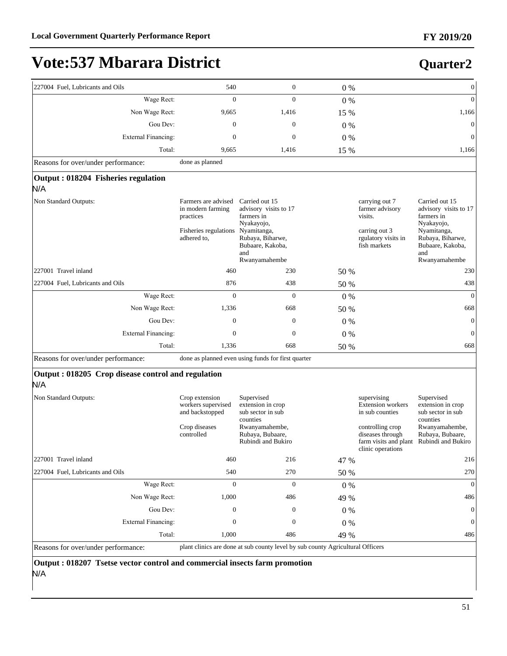# **Vote:537 Mbarara District**

| 227004 Fuel, Lubricants and Oils                          | 540                                                                                           | $\boldsymbol{0}$                                                                                                                                   | 0%    |                                                                                                      | $\boldsymbol{0}$                                                                                                                                   |
|-----------------------------------------------------------|-----------------------------------------------------------------------------------------------|----------------------------------------------------------------------------------------------------------------------------------------------------|-------|------------------------------------------------------------------------------------------------------|----------------------------------------------------------------------------------------------------------------------------------------------------|
| Wage Rect:                                                | $\mathbf{0}$                                                                                  | $\overline{0}$                                                                                                                                     | 0%    |                                                                                                      | $\boldsymbol{0}$                                                                                                                                   |
| Non Wage Rect:                                            | 9,665                                                                                         | 1,416                                                                                                                                              | 15 %  |                                                                                                      | 1,166                                                                                                                                              |
| Gou Dev:                                                  | $\boldsymbol{0}$                                                                              | $\boldsymbol{0}$                                                                                                                                   | $0\%$ |                                                                                                      | $\mathbf{0}$                                                                                                                                       |
| <b>External Financing:</b>                                | $\mathbf{0}$                                                                                  | $\boldsymbol{0}$                                                                                                                                   | 0%    |                                                                                                      | $\boldsymbol{0}$                                                                                                                                   |
| Total:                                                    | 9,665                                                                                         | 1,416                                                                                                                                              | 15 %  |                                                                                                      | 1,166                                                                                                                                              |
| Reasons for over/under performance:                       | done as planned                                                                               |                                                                                                                                                    |       |                                                                                                      |                                                                                                                                                    |
| Output: 018204 Fisheries regulation<br>N/A                |                                                                                               |                                                                                                                                                    |       |                                                                                                      |                                                                                                                                                    |
| Non Standard Outputs:                                     | Farmers are advised<br>in modern farming<br>practices<br>Fisheries regulations<br>adhered to, | Carried out 15<br>advisory visits to 17<br>farmers in<br>Nyakayojo,<br>Nyamitanga,<br>Rubaya, Biharwe,<br>Bubaare, Kakoba,<br>and<br>Rwanyamahembe |       | carrying out 7<br>farmer advisory<br>visits.<br>carring out 3<br>rgulatory visits in<br>fish markets | Carried out 15<br>advisory visits to 17<br>farmers in<br>Nyakayojo,<br>Nyamitanga,<br>Rubaya, Biharwe,<br>Bubaare, Kakoba,<br>and<br>Rwanyamahembe |
| 227001 Travel inland                                      | 460                                                                                           | 230                                                                                                                                                | 50 %  |                                                                                                      | 230                                                                                                                                                |
| 227004 Fuel, Lubricants and Oils                          | 876                                                                                           | 438                                                                                                                                                | 50 %  |                                                                                                      | 438                                                                                                                                                |
| Wage Rect:                                                | $\mathbf{0}$                                                                                  | $\theta$                                                                                                                                           | 0%    |                                                                                                      | $\mathbf{0}$                                                                                                                                       |
| Non Wage Rect:                                            | 1,336                                                                                         | 668                                                                                                                                                | 50 %  |                                                                                                      | 668                                                                                                                                                |
| Gou Dev:                                                  | $\mathbf{0}$                                                                                  | $\boldsymbol{0}$                                                                                                                                   | $0\%$ |                                                                                                      | $\mathbf{0}$                                                                                                                                       |
| <b>External Financing:</b>                                | $\mathbf{0}$                                                                                  | $\boldsymbol{0}$                                                                                                                                   | 0%    |                                                                                                      | $\mathbf{0}$                                                                                                                                       |
| Total:                                                    | 1,336                                                                                         | 668                                                                                                                                                | 50 %  |                                                                                                      | 668                                                                                                                                                |
| Reasons for over/under performance:                       |                                                                                               | done as planned even using funds for first quarter                                                                                                 |       |                                                                                                      |                                                                                                                                                    |
| Output: 018205 Crop disease control and regulation<br>N/A |                                                                                               |                                                                                                                                                    |       |                                                                                                      |                                                                                                                                                    |
| Non Standard Outputs:                                     | Crop extension<br>workers supervised<br>and backstopped                                       | Supervised<br>extension in crop<br>sub sector in sub<br>counties                                                                                   |       | supervising<br>Extension workers<br>in sub counties                                                  | Supervised<br>extension in crop<br>sub sector in sub<br>counties                                                                                   |
|                                                           | Crop diseases<br>controlled                                                                   | Rwanyamahembe,<br>Rubaya, Bubaare,<br>Rubindi and Bukiro                                                                                           |       | controlling crop<br>diseases through<br>clinic operations                                            | Rwanyamahembe,<br>Rubaya, Bubaare,<br>farm visits and plant Rubindi and Bukiro                                                                     |
| 227001 Travel inland                                      | 460                                                                                           | 216                                                                                                                                                | 47 %  |                                                                                                      | 216                                                                                                                                                |
| 227004 Fuel, Lubricants and Oils                          | 540                                                                                           | 270                                                                                                                                                | 50 %  |                                                                                                      | 270                                                                                                                                                |
| Wage Rect:                                                | $\boldsymbol{0}$                                                                              | $\boldsymbol{0}$                                                                                                                                   | 0%    |                                                                                                      | $\boldsymbol{0}$                                                                                                                                   |
| Non Wage Rect:                                            | 1,000                                                                                         | 486                                                                                                                                                | 49 %  |                                                                                                      | 486                                                                                                                                                |
| Gou Dev:                                                  | $\boldsymbol{0}$                                                                              | $\boldsymbol{0}$                                                                                                                                   | $0\%$ |                                                                                                      | $\boldsymbol{0}$                                                                                                                                   |

Reasons for over/under performance: plant clinics are done at sub county level by sub county Agricultural Officers

([WHUQDO)LQDQFLQJ 0 0 0 % 0

Total: 1,000 486 49 % 486

**Output : 018207 Tsetse vector control and commercial insects farm promotion**  N/A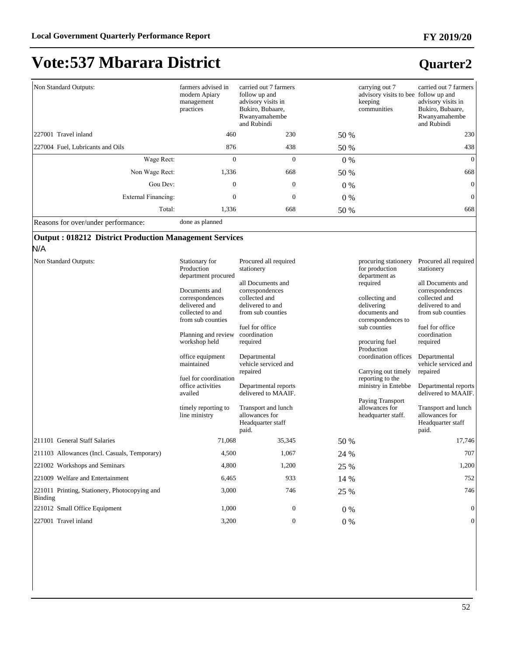### **Quarter2**

| Non Standard Outputs:               | farmers advised in<br>modern Apiary<br>management<br>practices | carried out 7 farmers<br>follow up and<br>advisory visits in<br>Bukiro, Bubaare,<br>Rwanyamahembe<br>and Rubindi |       | carrying out 7<br>advisory visits to bee follow up and<br>keeping<br>communities | carried out 7 farmers<br>advisory visits in<br>Bukiro, Bubaare,<br>Rwanyamahembe<br>and Rubindi |
|-------------------------------------|----------------------------------------------------------------|------------------------------------------------------------------------------------------------------------------|-------|----------------------------------------------------------------------------------|-------------------------------------------------------------------------------------------------|
| 227001 Travel inland                | 460                                                            | 230                                                                                                              | 50 %  |                                                                                  | 230                                                                                             |
| 227004 Fuel, Lubricants and Oils    | 876                                                            | 438                                                                                                              | 50 %  |                                                                                  | 438                                                                                             |
| Wage Rect:                          | $\theta$                                                       | $\mathbf{0}$                                                                                                     | $0\%$ |                                                                                  | $\overline{0}$                                                                                  |
| Non Wage Rect:                      | 1,336                                                          | 668                                                                                                              | 50 %  |                                                                                  | 668                                                                                             |
| Gou Dev:                            | $\mathbf{0}$                                                   | $\mathbf{0}$                                                                                                     | $0\%$ |                                                                                  | $\mathbf{0}$                                                                                    |
| External Financing:                 | $\mathbf{0}$                                                   | $\mathbf{0}$                                                                                                     | $0\%$ |                                                                                  | $\mathbf{0}$                                                                                    |
| Total:                              | 1,336                                                          | 668                                                                                                              | 50 %  |                                                                                  | 668                                                                                             |
| Reasons for over/under performance: | done as planned                                                |                                                                                                                  |       |                                                                                  |                                                                                                 |

#### **Output : 018212 District Production Management Services**

N/A

| Non Standard Outputs:                                    | Stationary for<br>Production<br>department procured<br>Documents and<br>correspondences<br>delivered and<br>collected to and<br>from sub counties<br>Planning and review<br>workshop held<br>office equipment<br>maintained<br>fuel for coordination<br>office activities<br>availed<br>timely reporting to<br>line ministry | Procured all required<br>stationery<br>all Documents and<br>correspondences<br>collected and<br>delivered to and<br>from sub counties<br>fuel for office<br>coordination<br>required<br>Departmental<br>vehicle serviced and<br>repaired<br>Departmental reports<br>delivered to MAAIF.<br>Transport and lunch<br>allowances for<br>Headquarter staff<br>paid. |       | procuring stationery<br>for production<br>department as<br>required<br>collecting and<br>delivering<br>documents and<br>correspondences to<br>sub counties<br>procuring fuel<br>Production<br>coordination offices<br>Carrying out timely<br>reporting to the<br>ministry in Entebbe<br>Paying Transport<br>allowances for<br>headquarter staff. | Procured all required<br>stationery<br>all Documents and<br>correspondences<br>collected and<br>delivered to and<br>from sub counties<br>fuel for office<br>coordination<br>required<br>Departmental<br>vehicle serviced and<br>repaired<br>Departmental reports<br>delivered to MAAIF.<br>Transport and lunch<br>allowances for<br>Headquarter staff<br>paid. |
|----------------------------------------------------------|------------------------------------------------------------------------------------------------------------------------------------------------------------------------------------------------------------------------------------------------------------------------------------------------------------------------------|----------------------------------------------------------------------------------------------------------------------------------------------------------------------------------------------------------------------------------------------------------------------------------------------------------------------------------------------------------------|-------|--------------------------------------------------------------------------------------------------------------------------------------------------------------------------------------------------------------------------------------------------------------------------------------------------------------------------------------------------|----------------------------------------------------------------------------------------------------------------------------------------------------------------------------------------------------------------------------------------------------------------------------------------------------------------------------------------------------------------|
| 211101 General Staff Salaries                            | 71.068                                                                                                                                                                                                                                                                                                                       | 35,345                                                                                                                                                                                                                                                                                                                                                         | 50 %  |                                                                                                                                                                                                                                                                                                                                                  | 17,746                                                                                                                                                                                                                                                                                                                                                         |
| 211103 Allowances (Incl. Casuals, Temporary)             | 4,500                                                                                                                                                                                                                                                                                                                        | 1,067                                                                                                                                                                                                                                                                                                                                                          | 24 %  |                                                                                                                                                                                                                                                                                                                                                  | 707                                                                                                                                                                                                                                                                                                                                                            |
| 221002 Workshops and Seminars                            | 4,800                                                                                                                                                                                                                                                                                                                        | 1,200                                                                                                                                                                                                                                                                                                                                                          | 25 %  |                                                                                                                                                                                                                                                                                                                                                  | 1,200                                                                                                                                                                                                                                                                                                                                                          |
| 221009 Welfare and Entertainment                         | 6,465                                                                                                                                                                                                                                                                                                                        | 933                                                                                                                                                                                                                                                                                                                                                            | 14 %  |                                                                                                                                                                                                                                                                                                                                                  | 752                                                                                                                                                                                                                                                                                                                                                            |
| 221011 Printing, Stationery, Photocopying and<br>Binding | 3,000                                                                                                                                                                                                                                                                                                                        | 746                                                                                                                                                                                                                                                                                                                                                            | 25 %  |                                                                                                                                                                                                                                                                                                                                                  | 746                                                                                                                                                                                                                                                                                                                                                            |
| 221012 Small Office Equipment                            | 1,000                                                                                                                                                                                                                                                                                                                        | $\mathbf{0}$                                                                                                                                                                                                                                                                                                                                                   | $0\%$ |                                                                                                                                                                                                                                                                                                                                                  | $\mathbf{0}$                                                                                                                                                                                                                                                                                                                                                   |
| 227001 Travel inland                                     | 3,200                                                                                                                                                                                                                                                                                                                        | $\mathbf{0}$                                                                                                                                                                                                                                                                                                                                                   | $0\%$ |                                                                                                                                                                                                                                                                                                                                                  | $\mathbf{0}$                                                                                                                                                                                                                                                                                                                                                   |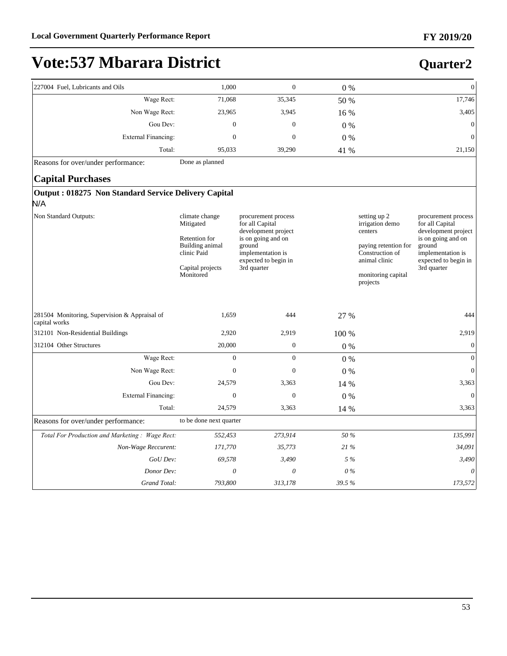# **Vote:537 Mbarara District**

| 227004 Fuel, Lubricants and Oils                                   | 1,000                                                                                                           | $\boldsymbol{0}$                                                                                                                                          | 0%    | $\mathbf{0}$                                                                                                                                                                                                                                                                                          |
|--------------------------------------------------------------------|-----------------------------------------------------------------------------------------------------------------|-----------------------------------------------------------------------------------------------------------------------------------------------------------|-------|-------------------------------------------------------------------------------------------------------------------------------------------------------------------------------------------------------------------------------------------------------------------------------------------------------|
| Wage Rect:                                                         | 71,068                                                                                                          | 35,345                                                                                                                                                    | 50 %  | 17,746                                                                                                                                                                                                                                                                                                |
| Non Wage Rect:                                                     | 23,965                                                                                                          | 3,945                                                                                                                                                     | 16 %  | 3,405                                                                                                                                                                                                                                                                                                 |
| Gou Dev:                                                           | $\mathbf{0}$                                                                                                    | $\mathbf{0}$                                                                                                                                              | $0\%$ | $\overline{0}$                                                                                                                                                                                                                                                                                        |
| <b>External Financing:</b>                                         | $\overline{0}$                                                                                                  | $\overline{0}$                                                                                                                                            | $0\%$ | $\overline{0}$                                                                                                                                                                                                                                                                                        |
| Total:                                                             | 95,033                                                                                                          | 39,290                                                                                                                                                    | 41 %  | 21,150                                                                                                                                                                                                                                                                                                |
| Reasons for over/under performance:                                | Done as planned                                                                                                 |                                                                                                                                                           |       |                                                                                                                                                                                                                                                                                                       |
| <b>Capital Purchases</b>                                           |                                                                                                                 |                                                                                                                                                           |       |                                                                                                                                                                                                                                                                                                       |
| <b>Output: 018275 Non Standard Service Delivery Capital</b><br>N/A |                                                                                                                 |                                                                                                                                                           |       |                                                                                                                                                                                                                                                                                                       |
| Non Standard Outputs:                                              | climate change<br>Mitigated<br>Retention for<br>Building animal<br>clinic Paid<br>Capital projects<br>Monitored | procurement process<br>for all Capital<br>development project<br>is on going and on<br>ground<br>implementation is<br>expected to begin in<br>3rd quarter |       | setting up 2<br>procurement process<br>for all Capital<br>irrigation demo<br>development project<br>centers<br>is on going and on<br>ground<br>paying retention for<br>Construction of<br>implementation is<br>animal clinic<br>expected to begin in<br>3rd quarter<br>monitoring capital<br>projects |
| 281504 Monitoring, Supervision & Appraisal of<br>capital works     | 1,659                                                                                                           | 444                                                                                                                                                       | 27 %  | 444                                                                                                                                                                                                                                                                                                   |
| 312101 Non-Residential Buildings                                   | 2,920                                                                                                           | 2,919                                                                                                                                                     | 100 % | 2,919                                                                                                                                                                                                                                                                                                 |
| 312104 Other Structures                                            | 20,000                                                                                                          | $\boldsymbol{0}$                                                                                                                                          | $0\%$ | $\boldsymbol{0}$                                                                                                                                                                                                                                                                                      |
| Wage Rect:                                                         | $\mathbf{0}$                                                                                                    | $\mathbf{0}$                                                                                                                                              | 0%    | $\theta$                                                                                                                                                                                                                                                                                              |
| Non Wage Rect:                                                     | $\mathbf{0}$                                                                                                    | $\mathbf{0}$                                                                                                                                              | $0\%$ | $\mathbf{0}$                                                                                                                                                                                                                                                                                          |
| Gou Dev:                                                           | 24,579                                                                                                          | 3,363                                                                                                                                                     | 14 %  | 3,363                                                                                                                                                                                                                                                                                                 |
| <b>External Financing:</b>                                         | $\boldsymbol{0}$                                                                                                | $\boldsymbol{0}$                                                                                                                                          | 0%    | $\overline{0}$                                                                                                                                                                                                                                                                                        |
| Total:                                                             | 24,579                                                                                                          | 3,363                                                                                                                                                     | 14 %  | 3,363                                                                                                                                                                                                                                                                                                 |
| Reasons for over/under performance:                                | to be done next quarter                                                                                         |                                                                                                                                                           |       |                                                                                                                                                                                                                                                                                                       |
| Total For Production and Marketing: Wage Rect:                     | 552,453                                                                                                         | 273,914                                                                                                                                                   | 50 %  | 135,991                                                                                                                                                                                                                                                                                               |
| Non-Wage Reccurent:                                                | 171,770                                                                                                         | 35,773                                                                                                                                                    | 21 %  | 34,091                                                                                                                                                                                                                                                                                                |
| GoU Dev:                                                           | 69,578                                                                                                          | 3,490                                                                                                                                                     | 5 %   | 3,490                                                                                                                                                                                                                                                                                                 |
| Donor Dev:                                                         | $\theta$                                                                                                        | $\theta$                                                                                                                                                  | $0\%$ | $\theta$                                                                                                                                                                                                                                                                                              |
| Grand Total:                                                       | 793,800                                                                                                         | 313,178                                                                                                                                                   | 39.5% | 173,572                                                                                                                                                                                                                                                                                               |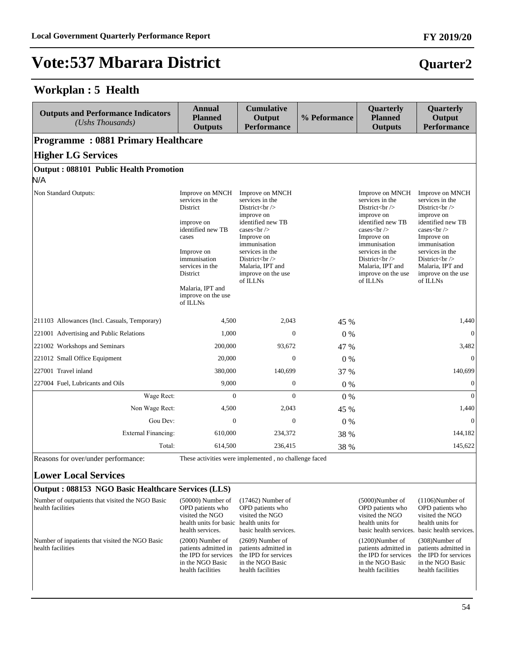### **Workplan : 5 Health**

| <b>Outputs and Performance Indicators</b><br>(Ushs Thousands) | <b>Annual</b><br><b>Planned</b><br><b>Outputs</b>                                                                                                                                                                    | <b>Cumulative</b><br>Output<br><b>Performance</b>                                                                                                                      | % Peformance | Quarterly<br><b>Planned</b><br><b>Outputs</b>                                                                                          | Quarterly<br>Output<br><b>Performance</b>                                                                                                                                                                                                                                |
|---------------------------------------------------------------|----------------------------------------------------------------------------------------------------------------------------------------------------------------------------------------------------------------------|------------------------------------------------------------------------------------------------------------------------------------------------------------------------|--------------|----------------------------------------------------------------------------------------------------------------------------------------|--------------------------------------------------------------------------------------------------------------------------------------------------------------------------------------------------------------------------------------------------------------------------|
| <b>Programme: 0881 Primary Healthcare</b>                     |                                                                                                                                                                                                                      |                                                                                                                                                                        |              |                                                                                                                                        |                                                                                                                                                                                                                                                                          |
| <b>Higher LG Services</b>                                     |                                                                                                                                                                                                                      |                                                                                                                                                                        |              |                                                                                                                                        |                                                                                                                                                                                                                                                                          |
| <b>Output: 088101 Public Health Promotion</b>                 |                                                                                                                                                                                                                      |                                                                                                                                                                        |              |                                                                                                                                        |                                                                                                                                                                                                                                                                          |
| N/A                                                           |                                                                                                                                                                                                                      |                                                                                                                                                                        |              |                                                                                                                                        |                                                                                                                                                                                                                                                                          |
| Non Standard Outputs:                                         | Improve on MNCH<br>services in the<br><b>District</b><br>improve on<br>identified new TB<br>cases<br>Improve on<br>immunisation<br>services in the<br>District<br>Malaria, IPT and<br>improve on the use<br>of ILLNs | Improve on MNCH<br>services in the<br>District $\left\langle \text{br}\right\rangle$<br>improve on<br>identified new TB<br>cases<br><br>Improve on<br>immunisation<br> |              | Improve on MNCH<br>services in the<br>District $br>$<br>improve on<br>identified new TB<br>cases<br><br>Improve on<br>immunisation<br> | Improve on MNCH<br>services in the<br>District $\left\langle \text{br}\right\rangle$<br>improve on<br>identified new TB<br>cases $\text{ch}$ /><br>Improve on<br>immunisation<br>services in the<br>District $br>$<br>Malaria, IPT and<br>improve on the use<br>of ILLNs |
| 211103 Allowances (Incl. Casuals, Temporary)                  | 4,500                                                                                                                                                                                                                | 2,043                                                                                                                                                                  | 45 %         |                                                                                                                                        | 1,440                                                                                                                                                                                                                                                                    |
| 221001 Advertising and Public Relations                       | 1,000                                                                                                                                                                                                                | $\mathbf{0}$                                                                                                                                                           | 0%           |                                                                                                                                        | $\mathbf{0}$                                                                                                                                                                                                                                                             |
| 221002 Workshops and Seminars                                 | 200,000                                                                                                                                                                                                              | 93,672                                                                                                                                                                 | 47 %         |                                                                                                                                        | 3,482                                                                                                                                                                                                                                                                    |
| 221012 Small Office Equipment                                 | 20,000                                                                                                                                                                                                               | $\Omega$                                                                                                                                                               | 0%           |                                                                                                                                        | $\overline{0}$                                                                                                                                                                                                                                                           |
| 227001 Travel inland                                          | 380,000                                                                                                                                                                                                              | 140,699                                                                                                                                                                | 37 %         |                                                                                                                                        | 140,699                                                                                                                                                                                                                                                                  |
| 227004 Fuel, Lubricants and Oils                              | 9,000                                                                                                                                                                                                                | $\boldsymbol{0}$                                                                                                                                                       | $0\%$        |                                                                                                                                        | $\mathbf{0}$                                                                                                                                                                                                                                                             |
| Wage Rect:                                                    | $\Omega$                                                                                                                                                                                                             | $\theta$                                                                                                                                                               | 0%           |                                                                                                                                        | $\overline{0}$                                                                                                                                                                                                                                                           |
| Non Wage Rect:                                                | 4,500                                                                                                                                                                                                                | 2,043                                                                                                                                                                  | 45 %         |                                                                                                                                        | 1,440                                                                                                                                                                                                                                                                    |
| Gou Dev:                                                      | $\theta$                                                                                                                                                                                                             | $\mathbf{0}$                                                                                                                                                           | 0%           |                                                                                                                                        | $\mathbf{0}$                                                                                                                                                                                                                                                             |
| <b>External Financing:</b>                                    | 610,000                                                                                                                                                                                                              | 234,372                                                                                                                                                                | 38 %         |                                                                                                                                        | 144,182                                                                                                                                                                                                                                                                  |
| Total:                                                        | 614,500                                                                                                                                                                                                              | 236,415                                                                                                                                                                | 38 %         |                                                                                                                                        | 145,622                                                                                                                                                                                                                                                                  |
| Reasons for over/under performance:                           |                                                                                                                                                                                                                      | These activities were implemented, no challenge faced                                                                                                                  |              |                                                                                                                                        |                                                                                                                                                                                                                                                                          |

#### **Lower Local Services**

#### **Output : 088153 NGO Basic Healthcare Services (LLS)**

| Number of outpatients that visited the NGO Basic<br>health facilities | $(50000)$ Number of<br>OPD patients who<br>visited the NGO<br>health units for basic health units for<br>health services. | $(17462)$ Number of<br>OPD patients who<br>visited the NGO<br>basic health services.                        | $(5000)$ Number of<br>OPD patients who<br>visited the NGO<br>health units for                               | $(1106)$ Number of<br>OPD patients who<br>visited the NGO<br>health units for<br>basic health services. basic health services. |
|-----------------------------------------------------------------------|---------------------------------------------------------------------------------------------------------------------------|-------------------------------------------------------------------------------------------------------------|-------------------------------------------------------------------------------------------------------------|--------------------------------------------------------------------------------------------------------------------------------|
| Number of inpatients that visited the NGO Basic<br>health facilities  | $(2000)$ Number of<br>patients admitted in<br>the IPD for services<br>in the NGO Basic<br>health facilities               | $(2609)$ Number of<br>patients admitted in<br>the IPD for services<br>in the NGO Basic<br>health facilities | $(1200)$ Number of<br>patients admitted in<br>the IPD for services<br>in the NGO Basic<br>health facilities | $(308)$ Number of<br>patients admitted in<br>the IPD for services<br>in the NGO Basic<br>health facilities                     |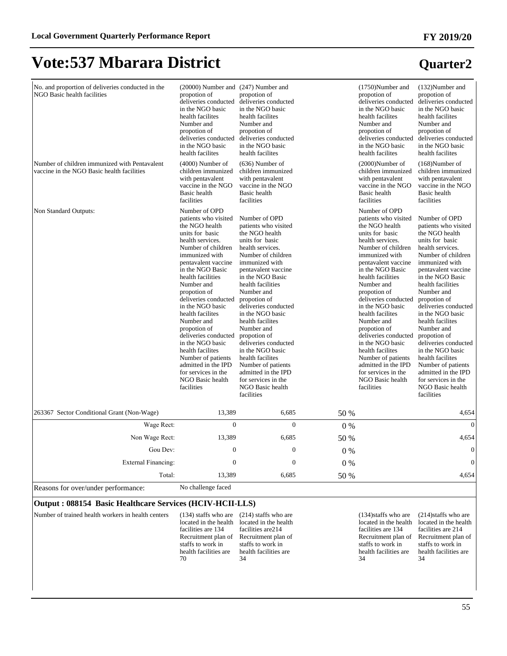| No. and proportion of deliveries conducted in the<br>NGO Basic health facilities            | (20000) Number and (247) Number and<br>propotion of<br>deliveries conducted<br>in the NGO basic<br>health facilites<br>Number and<br>propotion of<br>deliveries conducted<br>in the NGO basic<br>health facilites                                                                                                                                                                                                                                                                                        | propotion of<br>deliveries conducted<br>in the NGO basic<br>health facilites<br>Number and<br>propotion of<br>deliveries conducted<br>in the NGO basic<br>health facilites                                                                                                                                                                                                                                                                                                                               |         | $(1750)$ Number and<br>propotion of<br>deliveries conducted<br>in the NGO basic<br>health facilites<br>Number and<br>propotion of<br>deliveries conducted<br>in the NGO basic<br>health facilites                                                                                                                                                                                                                                                                                                        | (132)Number and<br>propotion of<br>deliveries conducted<br>in the NGO basic<br>health facilites<br>Number and<br>propotion of<br>deliveries conducted<br>in the NGO basic<br>health facilites                                                                                                                                                                                                                                                                                                            |
|---------------------------------------------------------------------------------------------|----------------------------------------------------------------------------------------------------------------------------------------------------------------------------------------------------------------------------------------------------------------------------------------------------------------------------------------------------------------------------------------------------------------------------------------------------------------------------------------------------------|----------------------------------------------------------------------------------------------------------------------------------------------------------------------------------------------------------------------------------------------------------------------------------------------------------------------------------------------------------------------------------------------------------------------------------------------------------------------------------------------------------|---------|----------------------------------------------------------------------------------------------------------------------------------------------------------------------------------------------------------------------------------------------------------------------------------------------------------------------------------------------------------------------------------------------------------------------------------------------------------------------------------------------------------|----------------------------------------------------------------------------------------------------------------------------------------------------------------------------------------------------------------------------------------------------------------------------------------------------------------------------------------------------------------------------------------------------------------------------------------------------------------------------------------------------------|
| Number of children immunized with Pentavalent<br>vaccine in the NGO Basic health facilities | $(4000)$ Number of<br>children immunized<br>with pentavalent<br>vaccine in the NGO<br><b>Basic</b> health<br>facilities                                                                                                                                                                                                                                                                                                                                                                                  | $(636)$ Number of<br>children immunized<br>with pentavalent<br>vaccine in the NGO<br><b>Basic</b> health<br>facilities                                                                                                                                                                                                                                                                                                                                                                                   |         | $(2000)$ Number of<br>children immunized<br>with pentavalent<br>vaccine in the NGO<br><b>Basic</b> health<br>facilities                                                                                                                                                                                                                                                                                                                                                                                  | $(168)$ Number of<br>children immunized<br>with pentavalent<br>vaccine in the NGO<br><b>Basic</b> health<br>facilities                                                                                                                                                                                                                                                                                                                                                                                   |
| Non Standard Outputs:                                                                       | Number of OPD<br>patients who visited<br>the NGO health<br>units for basic<br>health services.<br>Number of children<br>immunized with<br>pentavalent vaccine<br>in the NGO Basic<br>health facilities<br>Number and<br>propotion of<br>deliveries conducted<br>in the NGO basic<br>health facilites<br>Number and<br>propotion of<br>deliveries conducted<br>in the NGO basic<br>health facilites<br>Number of patients<br>admitted in the IPD<br>for services in the<br>NGO Basic health<br>facilities | Number of OPD<br>patients who visited<br>the NGO health<br>units for basic<br>health services.<br>Number of children<br>immunized with<br>pentavalent vaccine<br>in the NGO Basic<br>health facilities<br>Number and<br>propotion of<br>deliveries conducted<br>in the NGO basic<br>health facilites<br>Number and<br>propotion of<br>deliveries conducted<br>in the NGO basic<br>health facilites<br>Number of patients<br>admitted in the IPD<br>for services in the<br>NGO Basic health<br>facilities |         | Number of OPD<br>patients who visited<br>the NGO health<br>units for basic<br>health services.<br>Number of children<br>immunized with<br>pentavalent vaccine<br>in the NGO Basic<br>health facilities<br>Number and<br>propotion of<br>deliveries conducted<br>in the NGO basic<br>health facilites<br>Number and<br>propotion of<br>deliveries conducted<br>in the NGO basic<br>health facilites<br>Number of patients<br>admitted in the IPD<br>for services in the<br>NGO Basic health<br>facilities | Number of OPD<br>patients who visited<br>the NGO health<br>units for basic<br>health services.<br>Number of children<br>immunized with<br>pentavalent vaccine<br>in the NGO Basic<br>health facilities<br>Number and<br>propotion of<br>deliveries conducted<br>in the NGO basic<br>health facilites<br>Number and<br>propotion of<br>deliveries conducted<br>in the NGO basic<br>health facilites<br>Number of patients<br>admitted in the IPD<br>for services in the<br>NGO Basic health<br>facilities |
| 263367 Sector Conditional Grant (Non-Wage)                                                  | 13,389                                                                                                                                                                                                                                                                                                                                                                                                                                                                                                   | 6,685                                                                                                                                                                                                                                                                                                                                                                                                                                                                                                    | 50 %    |                                                                                                                                                                                                                                                                                                                                                                                                                                                                                                          | 4,654                                                                                                                                                                                                                                                                                                                                                                                                                                                                                                    |
| Wage Rect:                                                                                  | $\overline{0}$                                                                                                                                                                                                                                                                                                                                                                                                                                                                                           | $\overline{0}$                                                                                                                                                                                                                                                                                                                                                                                                                                                                                           | $0\ \%$ |                                                                                                                                                                                                                                                                                                                                                                                                                                                                                                          | $\mathbf{0}$                                                                                                                                                                                                                                                                                                                                                                                                                                                                                             |
| Non Wage Rect:                                                                              | 13,389                                                                                                                                                                                                                                                                                                                                                                                                                                                                                                   | 6,685                                                                                                                                                                                                                                                                                                                                                                                                                                                                                                    | 50 %    |                                                                                                                                                                                                                                                                                                                                                                                                                                                                                                          | 4,654                                                                                                                                                                                                                                                                                                                                                                                                                                                                                                    |
| Gou Dev:                                                                                    | $\overline{0}$                                                                                                                                                                                                                                                                                                                                                                                                                                                                                           | $\overline{0}$                                                                                                                                                                                                                                                                                                                                                                                                                                                                                           | 0%      |                                                                                                                                                                                                                                                                                                                                                                                                                                                                                                          | $\boldsymbol{0}$                                                                                                                                                                                                                                                                                                                                                                                                                                                                                         |
| External Financing:                                                                         | $\mathbf{0}$                                                                                                                                                                                                                                                                                                                                                                                                                                                                                             | $\mathbf{0}$                                                                                                                                                                                                                                                                                                                                                                                                                                                                                             | $0\%$   |                                                                                                                                                                                                                                                                                                                                                                                                                                                                                                          | $\boldsymbol{0}$                                                                                                                                                                                                                                                                                                                                                                                                                                                                                         |
| Total:                                                                                      | 13.389                                                                                                                                                                                                                                                                                                                                                                                                                                                                                                   | 6.685                                                                                                                                                                                                                                                                                                                                                                                                                                                                                                    | 50 %    |                                                                                                                                                                                                                                                                                                                                                                                                                                                                                                          | 4.654                                                                                                                                                                                                                                                                                                                                                                                                                                                                                                    |
| Reasons for over/under performance:                                                         | No challenge faced                                                                                                                                                                                                                                                                                                                                                                                                                                                                                       |                                                                                                                                                                                                                                                                                                                                                                                                                                                                                                          |         |                                                                                                                                                                                                                                                                                                                                                                                                                                                                                                          |                                                                                                                                                                                                                                                                                                                                                                                                                                                                                                          |
| Output: 088154 Basic Healthcare Services (HCIV-HCII-LLS)                                    |                                                                                                                                                                                                                                                                                                                                                                                                                                                                                                          |                                                                                                                                                                                                                                                                                                                                                                                                                                                                                                          |         |                                                                                                                                                                                                                                                                                                                                                                                                                                                                                                          |                                                                                                                                                                                                                                                                                                                                                                                                                                                                                                          |

| Number of trained health workers in health centers |                       | $(134)$ staffs who are $(214)$ staffs who are |                                         | $(134)$ staffs who are $(214)$ staffs who are |
|----------------------------------------------------|-----------------------|-----------------------------------------------|-----------------------------------------|-----------------------------------------------|
|                                                    |                       | located in the health located in the health   |                                         | located in the health located in the health   |
|                                                    | facilities are 134    | facilities are 214                            | facilities are 134                      | facilities are 214                            |
|                                                    |                       | Recruitment plan of Recruitment plan of       | Recruitment plan of Recruitment plan of |                                               |
|                                                    | staffs to work in     | staffs to work in                             | staffs to work in                       | staffs to work in                             |
|                                                    | health facilities are | health facilities are                         | health facilities are                   | health facilities are                         |
|                                                    | 70                    | 34                                            | 34                                      | 34                                            |
|                                                    |                       |                                               |                                         |                                               |
|                                                    |                       |                                               |                                         |                                               |

**Quarter2**

#### 55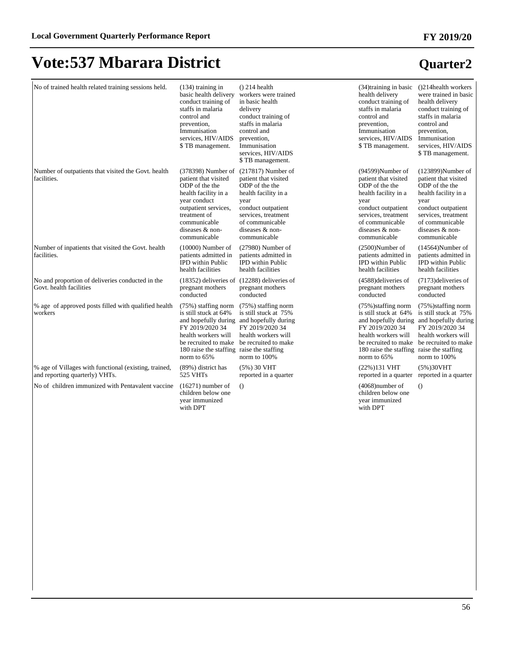| No of trained health related training sessions held.                                    | $(134)$ training in<br>basic health delivery<br>conduct training of<br>staffs in malaria<br>control and<br>prevention,<br>Immunisation<br>services, HIV/AIDS<br>\$TB management.                     | $()$ 214 health<br>workers were trained<br>in basic health<br>delivery<br>conduct training of<br>staffs in malaria<br>control and<br>prevention,<br>Immunisation<br>services, HIV/AIDS<br>\$TB management. | (34) training in basic<br>health delivery<br>conduct training of<br>staffs in malaria<br>control and<br>prevention,<br>Immunisation<br>services, HIV/AIDS<br>\$TB management.                      | (214 health workers)<br>were trained in basic<br>health delivery<br>conduct training of<br>staffs in malaria<br>control and<br>prevention,<br>Immunisation<br>services, HIV/AIDS<br>\$TB management. |
|-----------------------------------------------------------------------------------------|------------------------------------------------------------------------------------------------------------------------------------------------------------------------------------------------------|------------------------------------------------------------------------------------------------------------------------------------------------------------------------------------------------------------|----------------------------------------------------------------------------------------------------------------------------------------------------------------------------------------------------|------------------------------------------------------------------------------------------------------------------------------------------------------------------------------------------------------|
| Number of outpatients that visited the Govt. health<br>facilities.                      | (378398) Number of<br>patient that visited<br>ODP of the the<br>health facility in a<br>year conduct<br>outpatient services,<br>treatment of<br>communicable<br>diseases & non-<br>communicable      | $(217817)$ Number of<br>patient that visited<br>ODP of the the<br>health facility in a<br>year<br>conduct outpatient<br>services, treatment<br>of communicable<br>diseases & non-<br>communicable          | (94599)Number of<br>patient that visited<br>ODP of the the<br>health facility in a<br>year<br>conduct outpatient<br>services, treatment<br>of communicable<br>diseases & non-<br>communicable      | $(123899)$ Number of<br>patient that visited<br>ODP of the the<br>health facility in a<br>year<br>conduct outpatient<br>services, treatment<br>of communicable<br>diseases & non-<br>communicable    |
| Number of inpatients that visited the Govt. health<br>facilities.                       | $(10000)$ Number of<br>patients admitted in<br><b>IPD</b> within Public<br>health facilities                                                                                                         | $(27980)$ Number of<br>patients admitted in<br><b>IPD</b> within Public<br>health facilities                                                                                                               | $(2500)$ Number of<br>patients admitted in<br><b>IPD</b> within Public<br>health facilities                                                                                                        | $(14564)$ Number of<br>patients admitted in<br><b>IPD</b> within Public<br>health facilities                                                                                                         |
| No and proportion of deliveries conducted in the<br>Govt. health facilities             | pregnant mothers<br>conducted                                                                                                                                                                        | (18352) deliveries of (12288) deliveries of<br>pregnant mothers<br>conducted                                                                                                                               | (4588) deliveries of<br>pregnant mothers<br>conducted                                                                                                                                              | (7173) deliveries of<br>pregnant mothers<br>conducted                                                                                                                                                |
| % age of approved posts filled with qualified health<br>workers                         | $(75%)$ staffing norm<br>is still stuck at 64%<br>and hopefully during<br>FY 2019/2020 34<br>health workers will<br>be recruited to make<br>180 raise the staffing raise the staffing<br>norm to 65% | $(75%)$ staffing norm<br>is still stuck at 75%<br>and hopefully during<br>FY 2019/2020 34<br>health workers will<br>be recruited to make<br>norm to 100%                                                   | $(75\%)$ staffing norm<br>is still stuck at 64%<br>FY 2019/2020 34<br>health workers will<br>be recruited to make be recruited to make<br>180 raise the staffing raise the staffing<br>norm to 65% | $(75\%)$ staffing norm<br>is still stuck at 75%<br>and hopefully during and hopefully during<br>FY 2019/2020 34<br>health workers will<br>norm to 100%                                               |
| % age of Villages with functional (existing, trained,<br>and reporting quarterly) VHTs. | (89%) district has<br>525 VHTs                                                                                                                                                                       | $(5\%)$ 30 VHT<br>reported in a quarter                                                                                                                                                                    | (22%)131 VHT<br>reported in a quarter                                                                                                                                                              | (5%)30VHT<br>reported in a quarter                                                                                                                                                                   |
| No of children immunized with Pentavalent vaccine                                       | $(16271)$ number of<br>children below one<br>vear immunized<br>with DPT                                                                                                                              | $\Omega$                                                                                                                                                                                                   | $(4068)$ number of<br>children below one<br>vear immunized<br>with DPT                                                                                                                             | $\left( \right)$                                                                                                                                                                                     |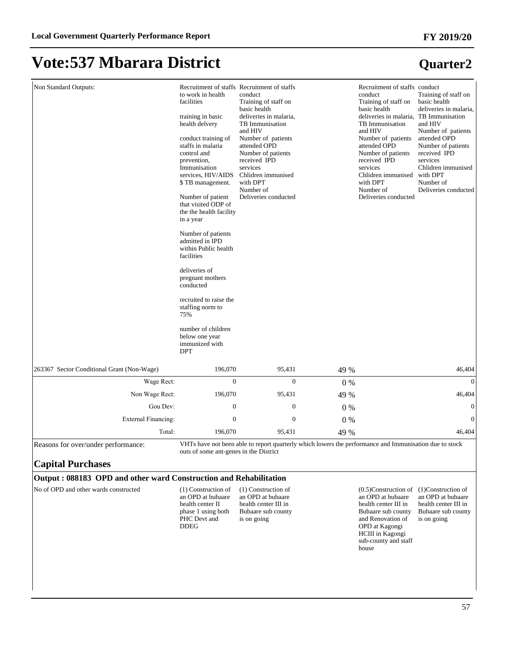#### **FY 2019/20**

### **Vote:537 Mbarara District**

| Non Standard Outputs:                      | to work in health<br>facilities<br>training in basic<br>health delvery<br>conduct training of<br>staffs in malaria<br>control and<br>prevention,<br>Immunisation<br>services, HIV/AIDS<br>\$TB management.<br>Number of patient<br>that visited ODP of<br>the the health facility<br>in a year<br>Number of patients<br>admitted in IPD<br>within Public health<br>facilities<br>deliveries of<br>pregnant mothers<br>conducted<br>recruited to raise the<br>staffing norm to<br>75%<br>number of children<br>below one year<br>immunized with<br><b>DPT</b> | Recruitment of staffs Recruitment of staffs<br>conduct<br>Training of staff on<br>basic health<br>deliveries in malaria,<br>TB Immunisation<br>and HIV<br>Number of patients<br>attended OPD<br>Number of patients<br>received IPD<br>services<br>Chlidren immunised<br>with DPT<br>Number of<br>Deliveries conducted |       | Recruitment of staffs conduct<br>conduct<br>Training of staff on<br>basic health<br>deliveries in malaria, TB Immunisation<br>TB Immunisation<br>and HIV<br>Number of patients<br>attended OPD<br>Number of patients<br>received IPD<br>services<br>Chlidren immunised<br>with DPT<br>Number of<br>Deliveries conducted | Training of staff on<br>basic health<br>deliveries in malaria,<br>and HIV<br>Number of patients<br>attended OPD<br>Number of patients<br>received IPD<br>services<br>Chlidren immunised<br>with DPT<br>Number of<br>Deliveries conducted |
|--------------------------------------------|--------------------------------------------------------------------------------------------------------------------------------------------------------------------------------------------------------------------------------------------------------------------------------------------------------------------------------------------------------------------------------------------------------------------------------------------------------------------------------------------------------------------------------------------------------------|-----------------------------------------------------------------------------------------------------------------------------------------------------------------------------------------------------------------------------------------------------------------------------------------------------------------------|-------|-------------------------------------------------------------------------------------------------------------------------------------------------------------------------------------------------------------------------------------------------------------------------------------------------------------------------|------------------------------------------------------------------------------------------------------------------------------------------------------------------------------------------------------------------------------------------|
| 263367 Sector Conditional Grant (Non-Wage) | 196,070                                                                                                                                                                                                                                                                                                                                                                                                                                                                                                                                                      | 95,431                                                                                                                                                                                                                                                                                                                | 49 %  |                                                                                                                                                                                                                                                                                                                         | 46,404                                                                                                                                                                                                                                   |
| Wage Rect:                                 | $\boldsymbol{0}$                                                                                                                                                                                                                                                                                                                                                                                                                                                                                                                                             | $\Omega$                                                                                                                                                                                                                                                                                                              | 0%    |                                                                                                                                                                                                                                                                                                                         | $\boldsymbol{0}$                                                                                                                                                                                                                         |
| Non Wage Rect:                             | 196,070                                                                                                                                                                                                                                                                                                                                                                                                                                                                                                                                                      | 95,431                                                                                                                                                                                                                                                                                                                | 49 %  |                                                                                                                                                                                                                                                                                                                         | 46,404                                                                                                                                                                                                                                   |
| Gou Dev:                                   | $\overline{0}$                                                                                                                                                                                                                                                                                                                                                                                                                                                                                                                                               | $\mathbf{0}$                                                                                                                                                                                                                                                                                                          | 0%    |                                                                                                                                                                                                                                                                                                                         | $\overline{0}$                                                                                                                                                                                                                           |
| <b>External Financing:</b>                 | $\mathbf{0}$                                                                                                                                                                                                                                                                                                                                                                                                                                                                                                                                                 | $\boldsymbol{0}$                                                                                                                                                                                                                                                                                                      | $0\%$ |                                                                                                                                                                                                                                                                                                                         | $\Omega$                                                                                                                                                                                                                                 |
| Total:                                     | 196,070                                                                                                                                                                                                                                                                                                                                                                                                                                                                                                                                                      | 95,431                                                                                                                                                                                                                                                                                                                | 49 %  |                                                                                                                                                                                                                                                                                                                         | 46,404                                                                                                                                                                                                                                   |

#### **Output : 088183 OPD and other ward Construction and Rehabilitation**

No of OPD and other wards constructed (1) Construction of

an OPD at bubaare health center II phase 1 using both PHC Devt and DDEG

(1) Construction of an OPD at bubaare health center III in Bubaare sub county is on going

(0.5)Construction of (1)Construction of an OPD at bubaare an OPD at bubaare health center III in Bubaare sub county and Renovation of OPD at Kagongi HCIII in Kagongi sub-county and staff house health center III in Bubaare sub county is on going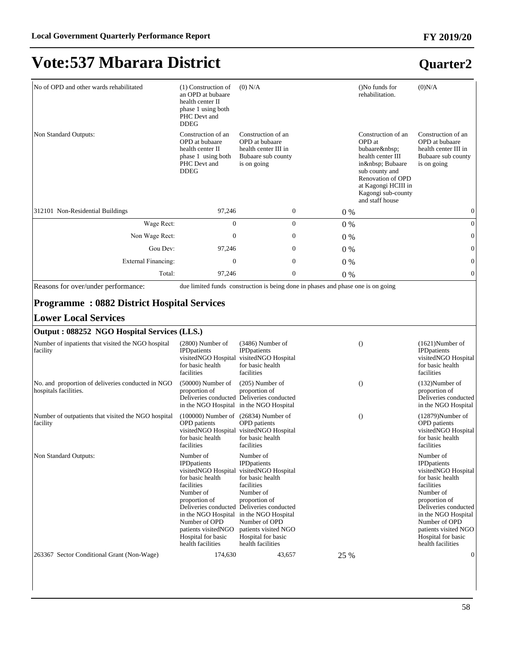| No of OPD and other wards rehabilitated                                    | (1) Construction of<br>an OPD at bubaare<br>health center II<br>phase 1 using both<br>PHC Devt and<br><b>DDEG</b>                                                                                          | $(0)$ N/A                                                                                                                                                                                                                                                                                           |       | ()No funds for<br>rehabilitation.                                                                                                                                                  | (0)N/A                                                                                                                                                                                                                                                     |
|----------------------------------------------------------------------------|------------------------------------------------------------------------------------------------------------------------------------------------------------------------------------------------------------|-----------------------------------------------------------------------------------------------------------------------------------------------------------------------------------------------------------------------------------------------------------------------------------------------------|-------|------------------------------------------------------------------------------------------------------------------------------------------------------------------------------------|------------------------------------------------------------------------------------------------------------------------------------------------------------------------------------------------------------------------------------------------------------|
| Non Standard Outputs:                                                      | Construction of an<br>OPD at bubaare<br>health center II<br>phase 1 using both<br>PHC Devt and<br><b>DDEG</b>                                                                                              | Construction of an<br>OPD at bubaare<br>health center III in<br>Bubaare sub county<br>is on going                                                                                                                                                                                                   |       | Construction of an<br>OPD at<br>bubaare<br>health center III<br>in  Bubaare<br>sub county and<br>Renovation of OPD<br>at Kagongi HCIII in<br>Kagongi sub-county<br>and staff house | Construction of an<br>OPD at bubaare<br>health center III in<br>Bubaare sub county<br>is on going                                                                                                                                                          |
| 312101 Non-Residential Buildings                                           | 97,246                                                                                                                                                                                                     | $\mathbf{0}$                                                                                                                                                                                                                                                                                        | $0\%$ |                                                                                                                                                                                    | $\mathbf{0}$                                                                                                                                                                                                                                               |
| Wage Rect:                                                                 | $\mathbf{0}$                                                                                                                                                                                               | $\mathbf{0}$                                                                                                                                                                                                                                                                                        | $0\%$ |                                                                                                                                                                                    | $\mathbf{0}$                                                                                                                                                                                                                                               |
| Non Wage Rect:                                                             | $\boldsymbol{0}$                                                                                                                                                                                           | $\boldsymbol{0}$                                                                                                                                                                                                                                                                                    | $0\%$ |                                                                                                                                                                                    | $\mathbf{0}$                                                                                                                                                                                                                                               |
| Gou Dev:                                                                   | 97,246                                                                                                                                                                                                     | $\mathbf{0}$                                                                                                                                                                                                                                                                                        | $0\%$ |                                                                                                                                                                                    | $\boldsymbol{0}$                                                                                                                                                                                                                                           |
| External Financing:                                                        | $\mathbf{0}$                                                                                                                                                                                               | $\mathbf{0}$                                                                                                                                                                                                                                                                                        | $0\%$ |                                                                                                                                                                                    | $\mathbf{0}$                                                                                                                                                                                                                                               |
| Total:                                                                     | 97,246                                                                                                                                                                                                     | $\mathbf{0}$                                                                                                                                                                                                                                                                                        | $0\%$ |                                                                                                                                                                                    | $\boldsymbol{0}$                                                                                                                                                                                                                                           |
| <b>Lower Local Services</b><br>Output: 088252 NGO Hospital Services (LLS.) |                                                                                                                                                                                                            |                                                                                                                                                                                                                                                                                                     |       |                                                                                                                                                                                    |                                                                                                                                                                                                                                                            |
| Number of inpatients that visited the NGO hospital<br>facility             | $(2800)$ Number of<br><b>IPD</b> patients<br>for basic health<br>facilities                                                                                                                                | $(3486)$ Number of<br><b>IPD</b> patients<br>visitedNGO Hospital visitedNGO Hospital<br>for basic health<br>facilities                                                                                                                                                                              |       | $\left( \right)$                                                                                                                                                                   | $(1621)$ Number of<br><b>IPD</b> patients<br>visitedNGO Hospital<br>for basic health<br>facilities                                                                                                                                                         |
| No. and proportion of deliveries conducted in NGO<br>hospitals facilities. | $(50000)$ Number of<br>proportion of<br>in the NGO Hospital                                                                                                                                                | $(205)$ Number of<br>proportion of<br>Deliveries conducted Deliveries conducted<br>in the NGO Hospital                                                                                                                                                                                              |       | $\theta$                                                                                                                                                                           | $(132)$ Number of<br>proportion of<br>Deliveries conducted<br>in the NGO Hospital                                                                                                                                                                          |
| Number of outpatients that visited the NGO hospital<br>facility            | $(100000)$ Number of $(26834)$ Number of<br><b>OPD</b> patients<br>for basic health<br>facilities                                                                                                          | <b>OPD</b> patients<br>visitedNGO Hospital visitedNGO Hospital<br>for basic health<br>facilities                                                                                                                                                                                                    |       | $\theta$                                                                                                                                                                           | $(12879)$ Number of<br><b>OPD</b> patients<br>visitedNGO Hospital<br>for basic health<br>facilities                                                                                                                                                        |
| Non Standard Outputs:                                                      | Number of<br><b>IPD</b> patients<br>visitedNGO Hospital<br>for basic health<br>facilities<br>Number of<br>proportion of<br>Number of OPD<br>patients visitedNGO<br>Hospital for basic<br>health facilities | Number of<br><b>IPD</b> patients<br>visitedNGO Hospital<br>for basic health<br>facilities<br>Number of<br>proportion of<br>Deliveries conducted Deliveries conducted<br>in the NGO Hospital in the NGO Hospital<br>Number of OPD<br>patients visited NGO<br>Hospital for basic<br>health facilities |       |                                                                                                                                                                                    | Number of<br><b>IPD</b> patients<br>visitedNGO Hospital<br>for basic health<br>facilities<br>Number of<br>proportion of<br>Deliveries conducted<br>in the NGO Hospital<br>Number of OPD<br>patients visited NGO<br>Hospital for basic<br>health facilities |
| 263367 Sector Conditional Grant (Non-Wage)                                 | 174,630                                                                                                                                                                                                    | 43,657                                                                                                                                                                                                                                                                                              | 25 %  |                                                                                                                                                                                    | $\boldsymbol{0}$                                                                                                                                                                                                                                           |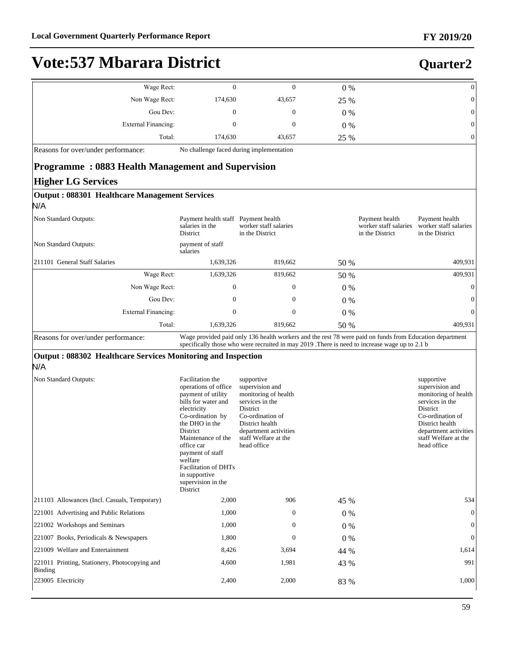| <b>Vote:537 Mbarara District</b>    |                                          |        |       | Quarter2   |
|-------------------------------------|------------------------------------------|--------|-------|------------|
| Wage Rect:                          |                                          |        | $0\%$ | U          |
| Non Wage Rect:                      | 174,630                                  | 43,657 | 25 %  | 0          |
| Gou Dev:                            | $\mathbf{0}$                             | 0      | $0\%$ | $\epsilon$ |
| External Financing:                 |                                          | 0      | $0\%$ | $\epsilon$ |
| Total:                              | 174.630                                  | 43,657 | 25 %  | 0          |
| Reasons for over/under performance: | No challenge faced during implementation |        |       |            |

#### **Programme : 0883 Health Management and Supervision Higher LG Services**

| <b>EXAMPLE LAST DELAICES</b>                                        |                                                                                                                                                                                                                                                                                                             |                                                                                                                                                                                                          |       |                                                            |                                                                                                                                                                                             |
|---------------------------------------------------------------------|-------------------------------------------------------------------------------------------------------------------------------------------------------------------------------------------------------------------------------------------------------------------------------------------------------------|----------------------------------------------------------------------------------------------------------------------------------------------------------------------------------------------------------|-------|------------------------------------------------------------|---------------------------------------------------------------------------------------------------------------------------------------------------------------------------------------------|
| Output: 088301 Healthcare Management Services<br>N/A                |                                                                                                                                                                                                                                                                                                             |                                                                                                                                                                                                          |       |                                                            |                                                                                                                                                                                             |
| Non Standard Outputs:                                               | Payment health staff Payment health<br>salaries in the<br><b>District</b>                                                                                                                                                                                                                                   | worker staff salaries<br>in the District                                                                                                                                                                 |       | Payment health<br>worker staff salaries<br>in the District | Payment health<br>worker staff salaries<br>in the District                                                                                                                                  |
| Non Standard Outputs:                                               | payment of staff<br>salaries                                                                                                                                                                                                                                                                                |                                                                                                                                                                                                          |       |                                                            |                                                                                                                                                                                             |
| 211101 General Staff Salaries                                       | 1,639,326                                                                                                                                                                                                                                                                                                   | 819,662                                                                                                                                                                                                  | 50 %  |                                                            | 409,931                                                                                                                                                                                     |
| Wage Rect:                                                          | 1,639,326                                                                                                                                                                                                                                                                                                   | 819,662                                                                                                                                                                                                  | 50 %  |                                                            | 409,931                                                                                                                                                                                     |
| Non Wage Rect:                                                      | $\mathbf{0}$                                                                                                                                                                                                                                                                                                | $\mathbf{0}$                                                                                                                                                                                             | $0\%$ |                                                            | $\overline{0}$                                                                                                                                                                              |
| Gou Dev:                                                            | $\overline{0}$                                                                                                                                                                                                                                                                                              | $\overline{0}$                                                                                                                                                                                           | $0\%$ |                                                            | $\overline{0}$                                                                                                                                                                              |
| <b>External Financing:</b>                                          | $\boldsymbol{0}$                                                                                                                                                                                                                                                                                            | $\boldsymbol{0}$                                                                                                                                                                                         | $0\%$ |                                                            | $\boldsymbol{0}$                                                                                                                                                                            |
| Total:                                                              | 1,639,326                                                                                                                                                                                                                                                                                                   | 819,662                                                                                                                                                                                                  | 50 %  |                                                            | 409,931                                                                                                                                                                                     |
| Reasons for over/under performance:                                 |                                                                                                                                                                                                                                                                                                             | Wage provided paid only 136 health workers and the rest 78 were paid on funds from Education department<br>specifically those who were recruited in may 2019. There is need to increase wage up to 2.1 b |       |                                                            |                                                                                                                                                                                             |
| Output: 088302 Healthcare Services Monitoring and Inspection<br>N/A |                                                                                                                                                                                                                                                                                                             |                                                                                                                                                                                                          |       |                                                            |                                                                                                                                                                                             |
| Non Standard Outputs:                                               | Facilitation the<br>operations of office<br>payment of utility<br>bills for water and<br>electricity<br>Co-ordination by<br>the DHO in the<br>District<br>Maintenance of the<br>office car<br>payment of staff<br>welfare<br><b>Facilitation of DHTs</b><br>in supportive<br>supervision in the<br>District | supportive<br>supervision and<br>monitoring of health<br>services in the<br>District<br>Co-ordination of<br>District health<br>department activities<br>staff Welfare at the<br>head office              |       |                                                            | supportive<br>supervision and<br>monitoring of health<br>services in the<br>District<br>Co-ordination of<br>District health<br>department activities<br>staff Welfare at the<br>head office |
| 211103 Allowances (Incl. Casuals, Temporary)                        | 2,000                                                                                                                                                                                                                                                                                                       | 906                                                                                                                                                                                                      | 45 %  |                                                            | 534                                                                                                                                                                                         |
| 221001 Advertising and Public Relations                             | 1,000                                                                                                                                                                                                                                                                                                       | $\mathbf{0}$                                                                                                                                                                                             | 0%    |                                                            | $\mathbf{0}$                                                                                                                                                                                |
| 221002 Workshops and Seminars                                       | 1,000                                                                                                                                                                                                                                                                                                       | $\mathbf{0}$                                                                                                                                                                                             | $0\%$ |                                                            | $\theta$                                                                                                                                                                                    |
| 221007 Books, Periodicals & Newspapers                              | 1,800                                                                                                                                                                                                                                                                                                       | $\mathbf{0}$                                                                                                                                                                                             | $0\%$ |                                                            | $\overline{0}$                                                                                                                                                                              |
| 221009 Welfare and Entertainment                                    | 8,426                                                                                                                                                                                                                                                                                                       | 3,694                                                                                                                                                                                                    | 44 %  |                                                            | 1.614                                                                                                                                                                                       |
| 221011 Printing, Stationery, Photocopying and<br>Binding            | 4,600                                                                                                                                                                                                                                                                                                       | 1,981                                                                                                                                                                                                    | 43 %  |                                                            | 991                                                                                                                                                                                         |
| 223005 Electricity                                                  | 2,400                                                                                                                                                                                                                                                                                                       | 2,000                                                                                                                                                                                                    | 83 %  |                                                            | 1,000                                                                                                                                                                                       |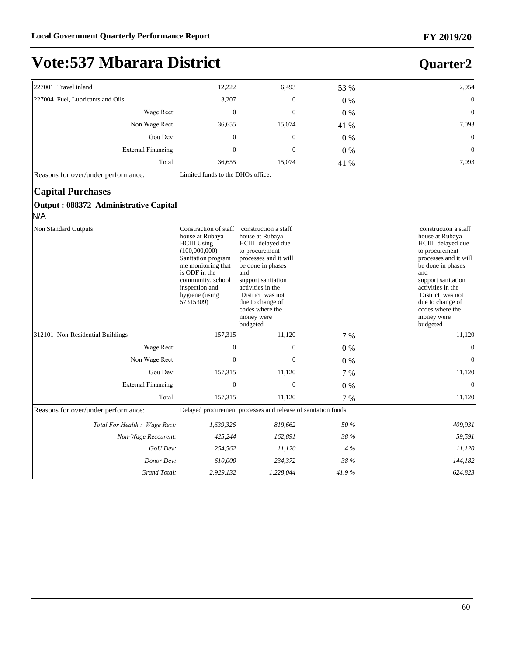### **Vote:537 Mbarara District**

#### 227001 Travel inland 2.954 and 2.954 the contract of the contract of the contract of the contract of the contract of the contract of the contract of the contract of the contract of the contract of the contract of the contr 227004 Fuel, Lubricants and Oils 3,207 0 0 % 0 :DJH5HFW 0 0 0 % 0 Non Wage Rect: 36,655 15,074 41 % 7,093 \*RX'HY 0 0 0 % 0 ([WHUQDO)LQDQFLQJ 0 0 0 % 0 Total: 36,655 15,074 41 % 7,093 Reasons for over/under performance: Limited funds to the DHOs office. **Capital Purchases Output : 088372 Administrative Capital** N/A Non Standard Outputs: house at Rubaya HCIII Using (100,000,000) Sanitation program me monitoring that is ODF in the community, school inspection and hygiene (using 57315309) Constraction of staff construction a staff house at Rubaya HCIII delayed due to procurement processes and it will be done in phases and support sanitation activities in the District was not due to change of codes where the money were budgeted construction a staff house at Rubaya HCIII delayed due to procurement processes and it will be done in phases and support sanitation activities in the District was not due to change of codes where the money were budgeted 312101 Non-Residential Buildings 157,315 11,120 7 % 11,120 11,120 :DJH5HFW 0 0 0 % 0 1RQ:DJH5HFW 0 0 0 % 0 Gou Dev: 157,315 11,120 7 % 11,120 ([WHUQDO)LQDQFLQJ 0 0 0 % 0 Total: 157,315 11,120 7 % 11,120 Reasons for over/under performance: Delayed procurement processes and release of sanitation funds *7RWDO)RU+HDOWK:DJH5HFW 1,639,326 819,662 50 % 409,931 Non-Wage Reccurent: 425,244 162,891 38 % 59,591 GoU Dev: 254,562 11,120 4 % 11,120 Donor Dev: 610,000 234,372 38 % 144,182 Grand Total: 2,929,132 1,228,044 41.9 % 624,823*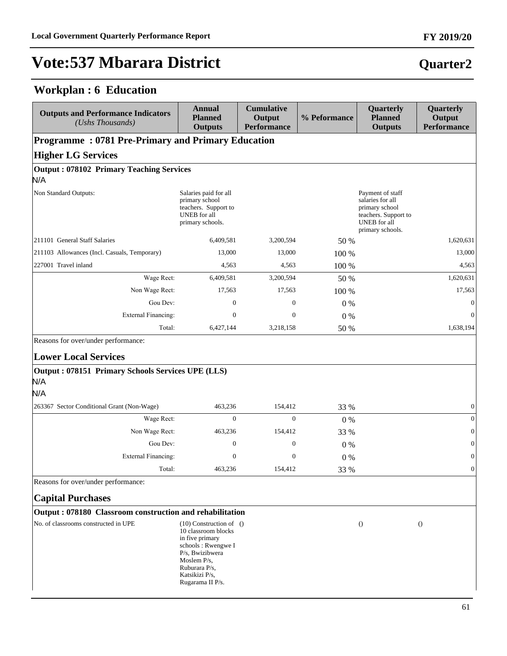### **Workplan : 6 Education**

| <b>Outputs and Performance Indicators</b><br>(Ushs Thousands)                                  | <b>Annual</b><br><b>Planned</b><br><b>Outputs</b>                                                                                                                                       | <b>Cumulative</b><br>Output<br><b>Performance</b> | % Peformance | Quarterly<br><b>Planned</b><br><b>Outputs</b>                                                                             | Quarterly<br>Output<br><b>Performance</b> |
|------------------------------------------------------------------------------------------------|-----------------------------------------------------------------------------------------------------------------------------------------------------------------------------------------|---------------------------------------------------|--------------|---------------------------------------------------------------------------------------------------------------------------|-------------------------------------------|
| <b>Programme: 0781 Pre-Primary and Primary Education</b>                                       |                                                                                                                                                                                         |                                                   |              |                                                                                                                           |                                           |
| <b>Higher LG Services</b>                                                                      |                                                                                                                                                                                         |                                                   |              |                                                                                                                           |                                           |
| <b>Output: 078102 Primary Teaching Services</b><br>N/A                                         |                                                                                                                                                                                         |                                                   |              |                                                                                                                           |                                           |
| Non Standard Outputs:                                                                          | Salaries paid for all<br>primary school<br>teachers. Support to<br>UNEB for all<br>primary schools.                                                                                     |                                                   |              | Payment of staff<br>salaries for all<br>primary school<br>teachers. Support to<br><b>UNEB</b> for all<br>primary schools. |                                           |
| 211101 General Staff Salaries                                                                  | 6,409,581                                                                                                                                                                               | 3,200,594                                         | 50 %         |                                                                                                                           | 1,620,631                                 |
| 211103 Allowances (Incl. Casuals, Temporary)                                                   | 13,000                                                                                                                                                                                  | 13,000                                            | 100 %        |                                                                                                                           | 13,000                                    |
| 227001 Travel inland                                                                           | 4,563                                                                                                                                                                                   | 4,563                                             | 100 %        |                                                                                                                           | 4,563                                     |
| Wage Rect:                                                                                     | 6,409,581                                                                                                                                                                               | 3,200,594                                         | 50 %         |                                                                                                                           | 1,620,631                                 |
| Non Wage Rect:                                                                                 | 17,563                                                                                                                                                                                  | 17,563                                            | 100 %        |                                                                                                                           | 17,563                                    |
| Gou Dev:                                                                                       | $\mathbf{0}$                                                                                                                                                                            | 0                                                 | $0\%$        |                                                                                                                           | $\boldsymbol{0}$                          |
| <b>External Financing:</b>                                                                     | $\boldsymbol{0}$                                                                                                                                                                        | $\mathbf{0}$                                      | 0%           |                                                                                                                           | $\mathbf{0}$                              |
| Total:                                                                                         | 6,427,144                                                                                                                                                                               | 3,218,158                                         | 50 %         |                                                                                                                           | 1,638,194                                 |
| <b>Lower Local Services</b><br>Output: 078151 Primary Schools Services UPE (LLS)<br>N/A<br>N/A |                                                                                                                                                                                         |                                                   |              |                                                                                                                           |                                           |
| 263367 Sector Conditional Grant (Non-Wage)                                                     | 463,236                                                                                                                                                                                 | 154,412                                           | 33 %         |                                                                                                                           | $\mathbf{0}$                              |
| Wage Rect:                                                                                     | $\Omega$                                                                                                                                                                                | $\Omega$                                          | $0\%$        |                                                                                                                           | $\mathbf{0}$                              |
| Non Wage Rect:                                                                                 | 463,236                                                                                                                                                                                 | 154,412                                           | 33 %         |                                                                                                                           | $\mathbf{0}$                              |
| Gou Dev:                                                                                       | $\boldsymbol{0}$                                                                                                                                                                        | $\boldsymbol{0}$                                  | $0\%$        |                                                                                                                           | $\boldsymbol{0}$                          |
| <b>External Financing:</b>                                                                     | $\mathbf{0}$                                                                                                                                                                            | $\mathbf{0}$                                      | $0\%$        |                                                                                                                           | $\mathbf{0}$                              |
| Total:                                                                                         | 463,236                                                                                                                                                                                 | 154,412                                           | 33 %         |                                                                                                                           | $\boldsymbol{0}$                          |
| Reasons for over/under performance:                                                            |                                                                                                                                                                                         |                                                   |              |                                                                                                                           |                                           |
| <b>Capital Purchases</b>                                                                       |                                                                                                                                                                                         |                                                   |              |                                                                                                                           |                                           |
| Output: 078180 Classroom construction and rehabilitation                                       |                                                                                                                                                                                         |                                                   |              |                                                                                                                           |                                           |
| No. of classrooms constructed in UPE                                                           | $(10)$ Construction of $()$<br>10 classroom blocks<br>in five primary<br>schools: Rwengwe I<br>P/s, Bwizibwera<br>Moslem $P/s$ ,<br>Ruburara P/s,<br>Katsikizi P/s,<br>Rugarama II P/s. |                                                   |              | $\left( \right)$                                                                                                          | $\left( \right)$                          |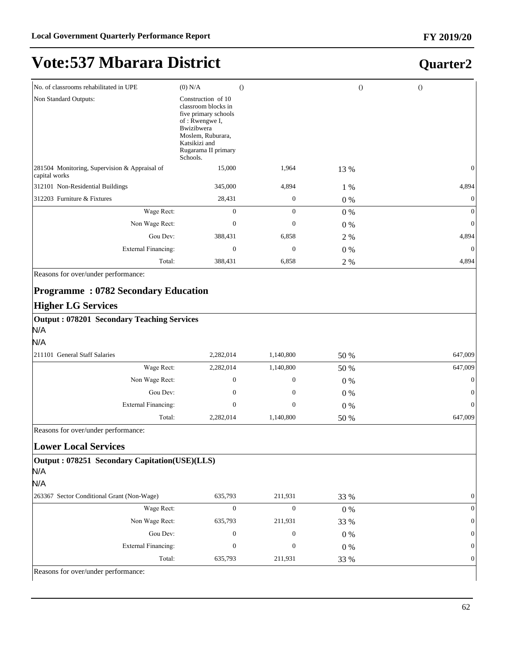#### **FY 2019/20**

# **Vote:537 Mbarara District**

### **Quarter2**

| No. of classrooms rehabilitated in UPE                         | $(0)$ N/A                                                                                                                                                                         | $\Omega$         | $\theta$ | $\theta$ |              |
|----------------------------------------------------------------|-----------------------------------------------------------------------------------------------------------------------------------------------------------------------------------|------------------|----------|----------|--------------|
| Non Standard Outputs:                                          | Construction of 10<br>classroom blocks in<br>five primary schools<br>of: Rwengwe I,<br><b>Bwizibwera</b><br>Moslem, Ruburara,<br>Katsikizi and<br>Rugarama II primary<br>Schools. |                  |          |          |              |
| 281504 Monitoring, Supervision & Appraisal of<br>capital works | 15,000                                                                                                                                                                            | 1,964            | 13 %     |          | $\mathbf{0}$ |
| 312101 Non-Residential Buildings                               | 345,000                                                                                                                                                                           | 4,894            | 1 %      |          | 4,894        |
| 312203 Furniture & Fixtures                                    | 28,431                                                                                                                                                                            | $\boldsymbol{0}$ | $0\%$    |          | $\mathbf{0}$ |
| Wage Rect:                                                     | $\mathbf{0}$                                                                                                                                                                      | $\mathbf{0}$     | $0\%$    |          | $\Omega$     |
| Non Wage Rect:                                                 | $\Omega$                                                                                                                                                                          | $\mathbf{0}$     | $0\%$    |          | $\theta$     |
| Gou Dev:                                                       | 388,431                                                                                                                                                                           | 6,858            | 2 %      |          | 4,894        |
| External Financing:                                            | $\mathbf{0}$                                                                                                                                                                      | $\mathbf{0}$     | $0\%$    |          | $\Omega$     |
| Total:                                                         | 388,431                                                                                                                                                                           | 6,858            | 2 %      |          | 4,894        |
| Reasons for over/under performance:                            |                                                                                                                                                                                   |                  |          |          |              |
| <b>Programme: 0782 Secondary Education</b>                     |                                                                                                                                                                                   |                  |          |          |              |
| <b>Higher LG Services</b>                                      |                                                                                                                                                                                   |                  |          |          |              |
| Output: 078201 Secondary Teaching Services<br>N/A<br>N/A       |                                                                                                                                                                                   |                  |          |          |              |
| 211101 General Staff Salaries                                  | 2,282,014                                                                                                                                                                         | 1,140,800        | 50 %     |          | 647,009      |

| 647,009      | $50\%$ | 1,140,800 | 2,282,014 | 1211101 General Staff Salaries |
|--------------|--------|-----------|-----------|--------------------------------|
| 647,009      | 50 %   | 1,140,800 | 2,282,014 | Wage Rect:                     |
| $\mathbf{0}$ | $0\%$  | 0         |           | Non Wage Rect:                 |
| $\theta$     | $0\%$  | 0         |           | Gou Dev:                       |
| $\Omega$     | $0\%$  | 0         |           | External Financing:            |
| 647,009      | 50 %   | 1,140,800 | 2,282,014 | Total:                         |

Reasons for over/under performance:

#### **Lower Local Services**

#### **Output : 078251 Secondary Capitation(USE)(LLS)**

```
N/A
```

| N/A                                        |                     |         |         |       |                |
|--------------------------------------------|---------------------|---------|---------|-------|----------------|
| 263367 Sector Conditional Grant (Non-Wage) |                     | 635,793 | 211,931 | 33 %  | $\overline{0}$ |
|                                            | Wage Rect:          | 0       | 0       | $0\%$ | $\overline{0}$ |
|                                            | Non Wage Rect:      | 635,793 | 211,931 | 33 %  | $\overline{0}$ |
|                                            | Gou Dev:            | 0       | 0       | 0 %   | $\overline{0}$ |
|                                            | External Financing: | 0       | 0       | $0\%$ | $\overline{0}$ |
|                                            | Total:              | 635,793 | 211,931 | 33 %  | $\overline{0}$ |

Reasons for over/under performance: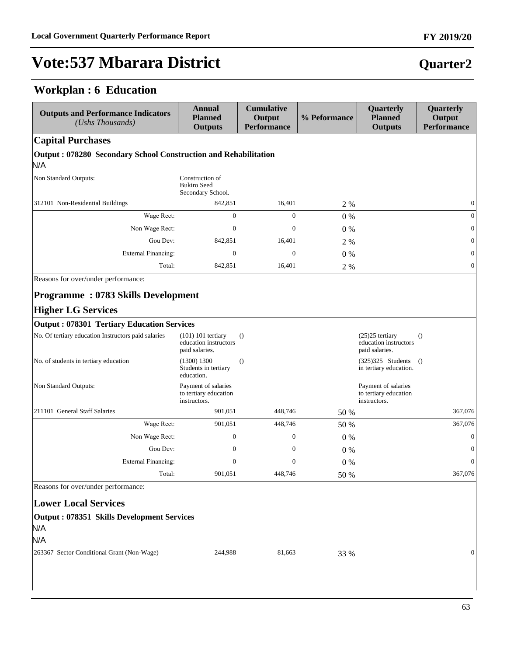### **Workplan : 6 Education**

| <b>Outputs and Performance Indicators</b><br>(Ushs Thousands)          | <b>Annual</b><br><b>Planned</b><br><b>Outputs</b>            | <b>Cumulative</b><br>Output<br><b>Performance</b> | % Peformance | Quarterly<br><b>Planned</b><br><b>Outputs</b>                | Quarterly<br>Output<br><b>Performance</b> |
|------------------------------------------------------------------------|--------------------------------------------------------------|---------------------------------------------------|--------------|--------------------------------------------------------------|-------------------------------------------|
| <b>Capital Purchases</b>                                               |                                                              |                                                   |              |                                                              |                                           |
| Output: 078280 Secondary School Construction and Rehabilitation        |                                                              |                                                   |              |                                                              |                                           |
| N/A                                                                    |                                                              |                                                   |              |                                                              |                                           |
| Non Standard Outputs:                                                  | Construction of<br><b>Bukiro Seed</b><br>Secondary School.   |                                                   |              |                                                              |                                           |
| 312101 Non-Residential Buildings                                       | 842,851                                                      | 16,401                                            | 2 %          |                                                              | $\mathbf{0}$                              |
| Wage Rect:                                                             | $\overline{0}$                                               | $\mathbf{0}$                                      | 0%           |                                                              | $\overline{0}$                            |
| Non Wage Rect:                                                         | $\mathbf{0}$                                                 | $\mathbf{0}$                                      | $0\%$        |                                                              | $\mathbf{0}$                              |
| Gou Dev:                                                               | 842,851                                                      | 16,401                                            | 2 %          |                                                              | $\mathbf{0}$                              |
| <b>External Financing:</b>                                             | $\overline{0}$                                               | $\theta$                                          | 0%           |                                                              | $\overline{0}$                            |
| Total:                                                                 | 842,851                                                      | 16,401                                            | 2 %          |                                                              | $\mathbf{0}$                              |
| Reasons for over/under performance:                                    |                                                              |                                                   |              |                                                              |                                           |
| <b>Programme: 0783 Skills Development</b><br><b>Higher LG Services</b> |                                                              |                                                   |              |                                                              |                                           |
| <b>Output: 078301 Tertiary Education Services</b>                      |                                                              |                                                   |              |                                                              |                                           |
| No. Of tertiary education Instructors paid salaries                    | $(101)$ 101 tertiary                                         | $\theta$                                          |              | $(25)25$ tertiary                                            | $\Omega$                                  |
|                                                                        | education instructors<br>paid salaries.                      |                                                   |              | education instructors<br>paid salaries.                      |                                           |
| No. of students in tertiary education                                  | (1300) 1300<br>Students in tertiary<br>education.            | $\theta$                                          |              | $(325)325$ Students<br>in tertiary education.                | $\theta$                                  |
| Non Standard Outputs:                                                  | Payment of salaries<br>to tertiary education<br>instructors. |                                                   |              | Payment of salaries<br>to tertiary education<br>instructors. |                                           |
| 211101 General Staff Salaries                                          | 901,051                                                      | 448,746                                           | 50 %         |                                                              | 367,076                                   |
| Wage Rect:                                                             | 901,051                                                      | 448,746                                           | 50 %         |                                                              | 367,076                                   |
| Non Wage Rect:                                                         | $\mathbf{0}$                                                 | $\mathbf{0}$                                      | 0%           |                                                              | $\mathbf{0}$                              |
| Gou Dev:                                                               | $\mathbf{0}$                                                 | $\boldsymbol{0}$                                  | $0\%$        |                                                              | $\boldsymbol{0}$                          |
| External Financing:                                                    | $\boldsymbol{0}$                                             | $\mathbf{0}$                                      | 0%           |                                                              | $\mathbf{0}$                              |
| Total:                                                                 | 901,051                                                      | 448,746                                           | 50 %         |                                                              | 367,076                                   |
| Reasons for over/under performance:                                    |                                                              |                                                   |              |                                                              |                                           |
| <b>Lower Local Services</b>                                            |                                                              |                                                   |              |                                                              |                                           |
| <b>Output: 078351 Skills Development Services</b><br>N/A               |                                                              |                                                   |              |                                                              |                                           |
| N/A                                                                    |                                                              |                                                   |              |                                                              |                                           |
| 263367 Sector Conditional Grant (Non-Wage)                             | 244,988                                                      | 81,663                                            | 33 %         |                                                              | $\overline{0}$                            |

#### 63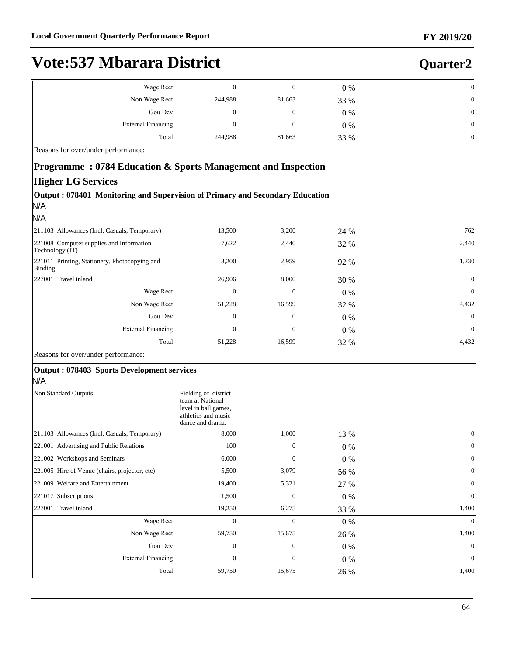### **Quarter2**

| Wage Rect:          |         | υ      | $0\%$ | 0  |
|---------------------|---------|--------|-------|----|
| Non Wage Rect:      | 244,988 | 81,663 | 33 %  | 01 |
| Gou Dev:            | 0       | 0      | $0\%$ | 01 |
| External Financing: |         |        | $0\%$ | 01 |
| Total:              | 244,988 | 81,663 | 33 %  | 0  |

Reasons for over/under performance:

#### **Programme : 0784 Education & Sports Management and Inspection**

#### **Higher LG Services**

| 13,500   | 3,200        | 24 %  | 762          |
|----------|--------------|-------|--------------|
| 7,622    | 2,440        | 32 %  | 2,440        |
| 3,200    | 2,959        | 92 %  | 1,230        |
| 26,906   | 8,000        | 30 %  | $\Omega$     |
| $\Omega$ | $\Omega$     | $0\%$ | $\Omega$     |
| 51,228   | 16,599       | 32 %  | 4,432        |
| 0        | $\mathbf{0}$ | $0\%$ | $\Omega$     |
| $\Omega$ | $\Omega$     | $0\%$ | $\mathbf{0}$ |
| 51,228   | 16,599       | 32 %  | 4,432        |
|          |              |       |              |
|          |              |       |              |

#### $N/A$

| .                                             |                                                                                                             |              |             |              |
|-----------------------------------------------|-------------------------------------------------------------------------------------------------------------|--------------|-------------|--------------|
| Non Standard Outputs:                         | Fielding of district<br>team at National<br>level in ball games,<br>athletics and music<br>dance and drama. |              |             |              |
| [211103 Allowances (Incl. Casuals, Temporary) | 8,000                                                                                                       | 1,000        | 13 %        | $\theta$     |
| 221001 Advertising and Public Relations       | 100                                                                                                         | $\mathbf{0}$ | $0\%$       | $\theta$     |
| 221002 Workshops and Seminars                 | 6,000                                                                                                       | $\Omega$     | $0\%$       | $\mathbf{0}$ |
| 221005 Hire of Venue (chairs, projector, etc) | 5,500                                                                                                       | 3,079        | 56 %        | $\theta$     |
| 221009 Welfare and Entertainment              | 19,400                                                                                                      | 5,321        | 27 %        | $\theta$     |
| 221017 Subscriptions                          | 1,500                                                                                                       | $\mathbf{0}$ | $0\%$       | $\theta$     |
| 227001 Travel inland                          | 19,250                                                                                                      | 6,275        | <b>33 %</b> | 1,400        |
| Wage Rect:                                    | $\Omega$                                                                                                    | $\Omega$     | $0\%$       | $\theta$     |
| Non Wage Rect:                                | 59,750                                                                                                      | 15,675       | 26 %        | 1,400        |
| Gou Dev:                                      | $\Omega$                                                                                                    | $\mathbf{0}$ | $0\%$       | $\Omega$     |
| External Financing:                           | $\mathbf{0}$                                                                                                | $\mathbf{0}$ | $0\%$       | $\theta$     |
| Total:                                        | 59,750                                                                                                      | 15,675       | 26 %        | 1,400        |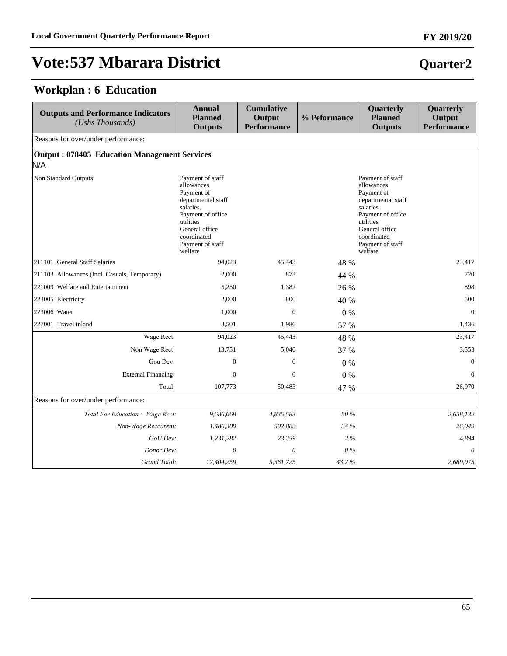### **Workplan : 6 Education**

| <b>Outputs and Performance Indicators</b><br>(Ushs Thousands) | <b>Annual</b><br><b>Planned</b><br><b>Outputs</b>                                                                                                                                 | <b>Cumulative</b><br>Output<br><b>Performance</b> | % Peformance | Quarterly<br><b>Planned</b><br><b>Outputs</b>                                                                                                                                     | Quarterly<br>Output<br><b>Performance</b> |
|---------------------------------------------------------------|-----------------------------------------------------------------------------------------------------------------------------------------------------------------------------------|---------------------------------------------------|--------------|-----------------------------------------------------------------------------------------------------------------------------------------------------------------------------------|-------------------------------------------|
| Reasons for over/under performance:                           |                                                                                                                                                                                   |                                                   |              |                                                                                                                                                                                   |                                           |
| <b>Output: 078405 Education Management Services</b><br>N/A    |                                                                                                                                                                                   |                                                   |              |                                                                                                                                                                                   |                                           |
| Non Standard Outputs:                                         | Payment of staff<br>allowances<br>Payment of<br>departmental staff<br>salaries.<br>Payment of office<br>utilities<br>General office<br>coordinated<br>Payment of staff<br>welfare |                                                   |              | Payment of staff<br>allowances<br>Payment of<br>departmental staff<br>salaries.<br>Payment of office<br>utilities<br>General office<br>coordinated<br>Payment of staff<br>welfare |                                           |
| 211101 General Staff Salaries                                 | 94.023                                                                                                                                                                            | 45.443                                            | 48 %         |                                                                                                                                                                                   | 23,417                                    |
| 211103 Allowances (Incl. Casuals, Temporary)                  | 2,000                                                                                                                                                                             | 873                                               | 44 %         |                                                                                                                                                                                   | 720                                       |
| 221009 Welfare and Entertainment                              | 5,250                                                                                                                                                                             | 1,382                                             | 26 %         |                                                                                                                                                                                   | 898                                       |
| 223005 Electricity                                            | 2,000                                                                                                                                                                             | 800                                               | 40 %         |                                                                                                                                                                                   | 500                                       |
| 223006 Water                                                  | 1,000                                                                                                                                                                             | $\mathbf{0}$                                      | $0\%$        |                                                                                                                                                                                   | $\mathbf{0}$                              |
| 227001 Travel inland                                          | 3,501                                                                                                                                                                             | 1,986                                             | 57 %         |                                                                                                                                                                                   | 1,436                                     |
| Wage Rect:                                                    | 94,023                                                                                                                                                                            | 45,443                                            | 48 %         |                                                                                                                                                                                   | 23,417                                    |
| Non Wage Rect:                                                | 13,751                                                                                                                                                                            | 5,040                                             | 37 %         |                                                                                                                                                                                   | 3,553                                     |
| Gou Dev:                                                      | $\mathbf{0}$                                                                                                                                                                      | $\mathbf{0}$                                      | $0\%$        |                                                                                                                                                                                   | $\mathbf{0}$                              |
| <b>External Financing:</b>                                    | $\Omega$                                                                                                                                                                          | $\Omega$                                          | $0\%$        |                                                                                                                                                                                   | $\mathbf{0}$                              |
| Total:                                                        | 107,773                                                                                                                                                                           | 50,483                                            | 47 %         |                                                                                                                                                                                   | 26,970                                    |
| Reasons for over/under performance:                           |                                                                                                                                                                                   |                                                   |              |                                                                                                                                                                                   |                                           |
| Total For Education : Wage Rect:                              | 9,686,668                                                                                                                                                                         | 4,835,583                                         | 50 %         |                                                                                                                                                                                   | 2,658,132                                 |
| Non-Wage Reccurent:                                           | 1,486,309                                                                                                                                                                         | 502,883                                           | 34 %         |                                                                                                                                                                                   | 26,949                                    |
| GoU Dev:                                                      | 1,231,282                                                                                                                                                                         | 23,259                                            | $2\%$        |                                                                                                                                                                                   | 4,894                                     |
| Donor Dev:                                                    | $\theta$                                                                                                                                                                          | 0                                                 | $0\%$        |                                                                                                                                                                                   | $\theta$                                  |
| Grand Total:                                                  | 12,404,259                                                                                                                                                                        | 5,361,725                                         | 43.2%        |                                                                                                                                                                                   | 2,689,975                                 |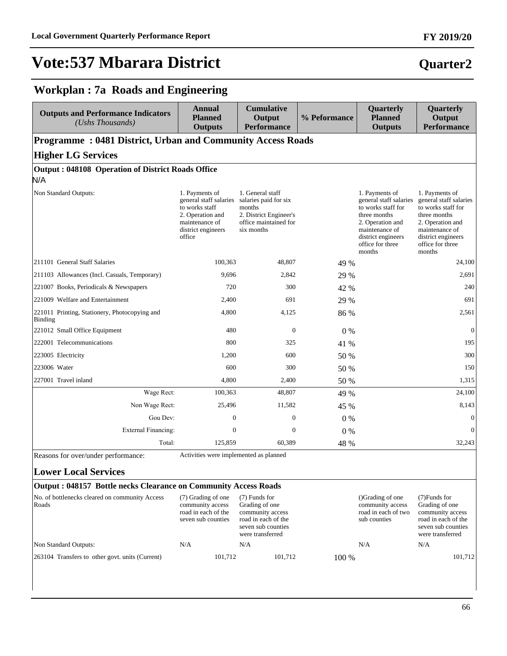#### **FY 2019/20**

### **Quarter2**

### **Workplan : 7a Roads and Engineering**

| <b>Outputs and Performance Indicators</b><br>(Ushs Thousands)   | <b>Annual</b><br><b>Planned</b><br><b>Outputs</b>                                                                                                                                                           | <b>Cumulative</b><br>Output<br><b>Performance</b>                                                                    | % Peformance | Quarterly<br><b>Planned</b><br><b>Outputs</b>                                                                                                                            | Quarterly<br>Output<br><b>Performance</b>                                                                                                                                |
|-----------------------------------------------------------------|-------------------------------------------------------------------------------------------------------------------------------------------------------------------------------------------------------------|----------------------------------------------------------------------------------------------------------------------|--------------|--------------------------------------------------------------------------------------------------------------------------------------------------------------------------|--------------------------------------------------------------------------------------------------------------------------------------------------------------------------|
| Programme: 0481 District, Urban and Community Access Roads      |                                                                                                                                                                                                             |                                                                                                                      |              |                                                                                                                                                                          |                                                                                                                                                                          |
| <b>Higher LG Services</b>                                       |                                                                                                                                                                                                             |                                                                                                                      |              |                                                                                                                                                                          |                                                                                                                                                                          |
| <b>Output: 048108 Operation of District Roads Office</b><br>N/A |                                                                                                                                                                                                             |                                                                                                                      |              |                                                                                                                                                                          |                                                                                                                                                                          |
| Non Standard Outputs:                                           | 1. Payments of<br>general staff salaries<br>to works staff<br>2. Operation and<br>maintenance of<br>district engineers<br>office                                                                            | 1. General staff<br>salaries paid for six<br>months<br>2. District Engineer's<br>office maintained for<br>six months |              | 1. Payments of<br>general staff salaries<br>to works staff for<br>three months<br>2. Operation and<br>maintenance of<br>district engineers<br>office for three<br>months | 1. Payments of<br>general staff salaries<br>to works staff for<br>three months<br>2. Operation and<br>maintenance of<br>district engineers<br>office for three<br>months |
| 211101 General Staff Salaries                                   | 100,363                                                                                                                                                                                                     | 48,807                                                                                                               | 49 %         |                                                                                                                                                                          | 24,100                                                                                                                                                                   |
| 211103 Allowances (Incl. Casuals, Temporary)                    | 9,696                                                                                                                                                                                                       | 2,842                                                                                                                | 29 %         |                                                                                                                                                                          | 2,691                                                                                                                                                                    |
| 221007 Books, Periodicals & Newspapers                          | 720                                                                                                                                                                                                         | 300                                                                                                                  | 42 %         |                                                                                                                                                                          | 240                                                                                                                                                                      |
| 221009 Welfare and Entertainment                                | 2,400                                                                                                                                                                                                       | 691                                                                                                                  | 29 %         |                                                                                                                                                                          | 691                                                                                                                                                                      |
| 221011 Printing, Stationery, Photocopying and<br><b>Binding</b> | 4,800                                                                                                                                                                                                       | 4,125                                                                                                                | 86 %         |                                                                                                                                                                          | 2,561                                                                                                                                                                    |
| 221012 Small Office Equipment                                   | 480                                                                                                                                                                                                         | $\boldsymbol{0}$                                                                                                     | $0\%$        |                                                                                                                                                                          | $\boldsymbol{0}$                                                                                                                                                         |
| 222001 Telecommunications                                       | 800                                                                                                                                                                                                         | 325                                                                                                                  | 41 %         |                                                                                                                                                                          | 195                                                                                                                                                                      |
| 223005 Electricity                                              | 1,200                                                                                                                                                                                                       | 600                                                                                                                  | 50 %         |                                                                                                                                                                          | 300                                                                                                                                                                      |
| 223006 Water                                                    | 600                                                                                                                                                                                                         | 300                                                                                                                  | 50 %         |                                                                                                                                                                          | 150                                                                                                                                                                      |
| 227001 Travel inland                                            | 4,800                                                                                                                                                                                                       | 2,400                                                                                                                | 50 %         |                                                                                                                                                                          | 1,315                                                                                                                                                                    |
| Wage Rect:                                                      | 100,363                                                                                                                                                                                                     | 48,807                                                                                                               | 49 %         |                                                                                                                                                                          | 24,100                                                                                                                                                                   |
| Non Wage Rect:                                                  | 25,496                                                                                                                                                                                                      | 11,582                                                                                                               | 45 %         |                                                                                                                                                                          | 8,143                                                                                                                                                                    |
| Gou Dev:                                                        | $\mathbf{0}$                                                                                                                                                                                                | $\boldsymbol{0}$                                                                                                     | $0\%$        |                                                                                                                                                                          | $\boldsymbol{0}$                                                                                                                                                         |
| <b>External Financing:</b>                                      | $\mathbf{0}$                                                                                                                                                                                                | $\mathbf{0}$                                                                                                         | $0\%$        |                                                                                                                                                                          | $\mathbf{0}$                                                                                                                                                             |
| Total:                                                          | 125,859                                                                                                                                                                                                     | 60,389                                                                                                               | 48 %         |                                                                                                                                                                          | 32,243                                                                                                                                                                   |
| Reasons for over/under performance:                             | Activities were implemented as planned                                                                                                                                                                      |                                                                                                                      |              |                                                                                                                                                                          |                                                                                                                                                                          |
| <b>Lower Local Services</b>                                     |                                                                                                                                                                                                             |                                                                                                                      |              |                                                                                                                                                                          |                                                                                                                                                                          |
| Output: 048157 Bottle necks Clearance on Community Access Roads |                                                                                                                                                                                                             |                                                                                                                      |              |                                                                                                                                                                          |                                                                                                                                                                          |
| No. of bottlenecks cleared on community Access<br>Roads         | (7) Funds for<br>(7) Grading of one<br>community access<br>Grading of one<br>road in each of the<br>community access<br>seven sub counties<br>road in each of the<br>seven sub counties<br>were transferred |                                                                                                                      |              | ()Grading of one<br>community access<br>road in each of two<br>sub counties                                                                                              | $(7)$ Funds for<br>Grading of one<br>community access<br>road in each of the<br>seven sub counties<br>were transferred                                                   |
| Non Standard Outputs:                                           | N/A                                                                                                                                                                                                         | N/A                                                                                                                  |              | N/A                                                                                                                                                                      | N/A                                                                                                                                                                      |
| 263104 Transfers to other govt. units (Current)                 | 101,712                                                                                                                                                                                                     | 101,712                                                                                                              | 100 %        |                                                                                                                                                                          | 101,712                                                                                                                                                                  |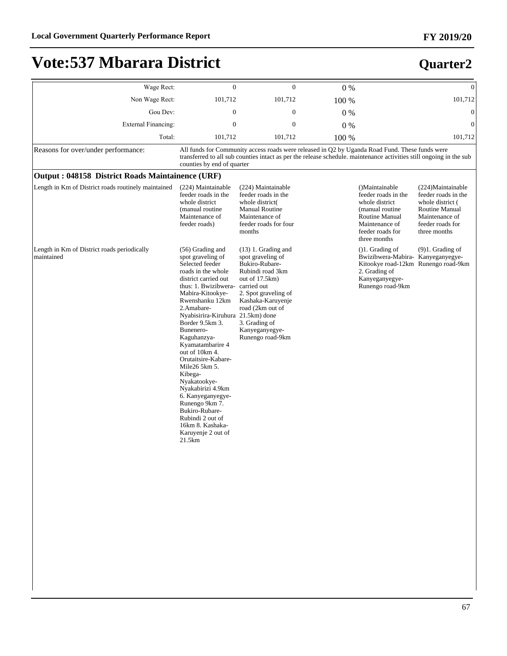| Wage Rect:                                                | $\overline{0}$                                                                                                                                                                                                                                                                                                                                                                                                                                                                                                                         | $\mathbf{0}$                                                                                                                                                                                                                              | $0\%$ |                                                                                                                                                        | $\mathbf{0}$                                                                                                                         |
|-----------------------------------------------------------|----------------------------------------------------------------------------------------------------------------------------------------------------------------------------------------------------------------------------------------------------------------------------------------------------------------------------------------------------------------------------------------------------------------------------------------------------------------------------------------------------------------------------------------|-------------------------------------------------------------------------------------------------------------------------------------------------------------------------------------------------------------------------------------------|-------|--------------------------------------------------------------------------------------------------------------------------------------------------------|--------------------------------------------------------------------------------------------------------------------------------------|
| Non Wage Rect:                                            | 101,712                                                                                                                                                                                                                                                                                                                                                                                                                                                                                                                                | 101,712                                                                                                                                                                                                                                   | 100 % |                                                                                                                                                        | 101,712                                                                                                                              |
| Gou Dev:                                                  | $\mathbf{0}$                                                                                                                                                                                                                                                                                                                                                                                                                                                                                                                           | $\mathbf{0}$                                                                                                                                                                                                                              | $0\%$ |                                                                                                                                                        | $\mathbf{0}$                                                                                                                         |
| <b>External Financing:</b>                                | $\mathbf{0}$                                                                                                                                                                                                                                                                                                                                                                                                                                                                                                                           | $\mathbf{0}$                                                                                                                                                                                                                              | $0\%$ |                                                                                                                                                        | $\mathbf{0}$                                                                                                                         |
| Total:                                                    | 101,712                                                                                                                                                                                                                                                                                                                                                                                                                                                                                                                                | 101,712                                                                                                                                                                                                                                   | 100 % |                                                                                                                                                        | 101,712                                                                                                                              |
| Reasons for over/under performance:                       | counties by end of quarter                                                                                                                                                                                                                                                                                                                                                                                                                                                                                                             | All funds for Community access roads were released in Q2 by Uganda Road Fund. These funds were<br>transferred to all sub counties intact as per the release schedule. maintenance activities still ongoing in the sub                     |       |                                                                                                                                                        |                                                                                                                                      |
| Output: 048158 District Roads Maintainence (URF)          |                                                                                                                                                                                                                                                                                                                                                                                                                                                                                                                                        |                                                                                                                                                                                                                                           |       |                                                                                                                                                        |                                                                                                                                      |
| Length in Km of District roads routinely maintained       | (224) Maintainable<br>feeder roads in the<br>whole district<br>(manual routine)<br>Maintenance of<br>feeder roads)                                                                                                                                                                                                                                                                                                                                                                                                                     | (224) Maintainable<br>feeder roads in the<br>whole district<br><b>Manual Routine</b><br>Maintenance of<br>feeder roads for four<br>months                                                                                                 |       | ()Maintainable<br>feeder roads in the<br>whole district<br>(manual routine)<br>Routine Manual<br>Maintenance of<br>feeder roads for<br>three months    | (224)Maintainable<br>feeder roads in the<br>whole district (<br>Routine Manual<br>Maintenance of<br>feeder roads for<br>three months |
| Length in Km of District roads periodically<br>maintained | (56) Grading and<br>spot graveling of<br>Selected feeder<br>roads in the whole<br>district carried out<br>thus: 1. Bwizibwera-<br>Mabira-Kitookye-<br>Rwenshanku 12km<br>2.Amabare-<br>Nyabisirira-Kiruhura 21.5km) done<br>Border 9.5km 3.<br>Bunenero-<br>Kaguhanzya-<br>Kyamatambarire 4<br>out of 10km 4.<br>Orutaitsire-Kabare-<br>Mile26 5km 5.<br>Kibega-<br>Nyakatookye-<br>Nyakabirizi 4.9km<br>6. Kanyeganyegye-<br>Runengo 9km 7.<br>Bukiro-Rubare-<br>Rubindi 2 out of<br>16km 8. Kashaka-<br>Karuyenje 2 out of<br>21.5km | $(13)$ 1. Grading and<br>spot graveling of<br>Bukiro-Rubare-<br>Rubindi road 3km<br>out of 17.5km)<br>carried out<br>2. Spot graveling of<br>Kashaka-Karuyenje<br>road (2km out of<br>3. Grading of<br>Kanyeganyegye-<br>Runengo road-9km |       | $( )1$ . Grading of<br>Bwizibwera-Mabira- Kanyeganyegye-<br>Kitookye road-12km Runengo road-9km<br>2. Grading of<br>Kanyeganyegye-<br>Runengo road-9km | $(9)1.$ Grading of                                                                                                                   |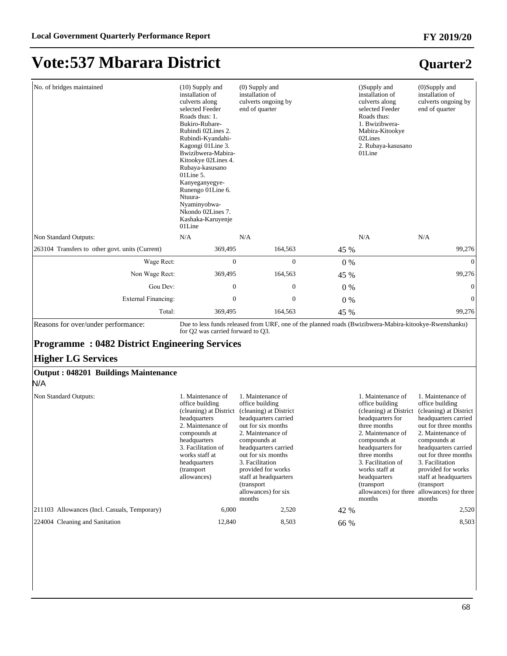| No. of bridges maintained                                                                                                        | $(10)$ Supply and<br>installation of<br>culverts along<br>selected Feeder<br>Roads thus: 1.<br>Bukiro-Rubare-<br>Rubindi 02Lines 2.<br>Rubindi-Kyandahi-<br>Kagongi 01Line 3.<br>Bwizibwera-Mabira-<br>Kitookye 02Lines 4.<br>Rubaya-kasusano<br>$01$ Line 5.<br>Kanyeganyegye-<br>Runengo 01Line 6.<br>Ntuura-<br>Nyaminyobwa-<br>Nkondo 02Lines 7.<br>Kashaka-Karuyenje<br>01Line | $(0)$ Supply and<br>installation of<br>culverts ongoing by<br>end of quarter                                                                                                                                                                                                                                      |       | ()Supply and<br>installation of<br>culverts along<br>selected Feeder<br>Roads thus:<br>1. Bwizibwera-<br>Mabira-Kitookye<br>02Lines<br>2. Rubaya-kasusano<br>01Line                                                                                          | $(0)$ Supply and<br>installation of<br>culverts ongoing by<br>end of quarter                                                                                                                                                                                                                                                                  |
|----------------------------------------------------------------------------------------------------------------------------------|-------------------------------------------------------------------------------------------------------------------------------------------------------------------------------------------------------------------------------------------------------------------------------------------------------------------------------------------------------------------------------------|-------------------------------------------------------------------------------------------------------------------------------------------------------------------------------------------------------------------------------------------------------------------------------------------------------------------|-------|--------------------------------------------------------------------------------------------------------------------------------------------------------------------------------------------------------------------------------------------------------------|-----------------------------------------------------------------------------------------------------------------------------------------------------------------------------------------------------------------------------------------------------------------------------------------------------------------------------------------------|
| Non Standard Outputs:                                                                                                            | N/A                                                                                                                                                                                                                                                                                                                                                                                 | N/A                                                                                                                                                                                                                                                                                                               |       | N/A                                                                                                                                                                                                                                                          | N/A                                                                                                                                                                                                                                                                                                                                           |
| 263104 Transfers to other govt. units (Current)                                                                                  | 369,495                                                                                                                                                                                                                                                                                                                                                                             | 164,563                                                                                                                                                                                                                                                                                                           | 45 %  |                                                                                                                                                                                                                                                              | 99,276                                                                                                                                                                                                                                                                                                                                        |
| Wage Rect:                                                                                                                       | $\overline{0}$                                                                                                                                                                                                                                                                                                                                                                      | $\overline{0}$                                                                                                                                                                                                                                                                                                    | 0%    |                                                                                                                                                                                                                                                              | $\overline{0}$                                                                                                                                                                                                                                                                                                                                |
| Non Wage Rect:                                                                                                                   | 369,495                                                                                                                                                                                                                                                                                                                                                                             | 164,563                                                                                                                                                                                                                                                                                                           | 45 %  |                                                                                                                                                                                                                                                              | 99,276                                                                                                                                                                                                                                                                                                                                        |
| Gou Dev:                                                                                                                         | $\overline{0}$                                                                                                                                                                                                                                                                                                                                                                      | $\overline{0}$                                                                                                                                                                                                                                                                                                    | $0\%$ |                                                                                                                                                                                                                                                              | $\overline{0}$                                                                                                                                                                                                                                                                                                                                |
| <b>External Financing:</b>                                                                                                       | $\mathbf{0}$                                                                                                                                                                                                                                                                                                                                                                        | $\mathbf{0}$                                                                                                                                                                                                                                                                                                      | 0%    |                                                                                                                                                                                                                                                              | $\mathbf{0}$                                                                                                                                                                                                                                                                                                                                  |
| Total:                                                                                                                           | 369,495                                                                                                                                                                                                                                                                                                                                                                             | 164,563                                                                                                                                                                                                                                                                                                           | 45 %  |                                                                                                                                                                                                                                                              | 99,276                                                                                                                                                                                                                                                                                                                                        |
| Reasons for over/under performance:                                                                                              | for Q2 was carried forward to Q3.                                                                                                                                                                                                                                                                                                                                                   | Due to less funds released from URF, one of the planned roads (Bwizibwera-Mabira-kitookye-Rwenshanku)                                                                                                                                                                                                             |       |                                                                                                                                                                                                                                                              |                                                                                                                                                                                                                                                                                                                                               |
| <b>Programme: 0482 District Engineering Services</b><br><b>Higher LG Services</b><br>Output: 048201 Buildings Maintenance<br>N/A |                                                                                                                                                                                                                                                                                                                                                                                     |                                                                                                                                                                                                                                                                                                                   |       |                                                                                                                                                                                                                                                              |                                                                                                                                                                                                                                                                                                                                               |
| Non Standard Outputs:                                                                                                            | 1. Maintenance of<br>office building<br>(cleaning) at District<br>headquarters<br>2. Maintenance of<br>compounds at<br>headquarters<br>3. Facilitation of<br>works staff at<br>headquarters<br>(transport<br>allowances)                                                                                                                                                            | 1. Maintenance of<br>office building<br>(cleaning) at District<br>headquarters carried<br>out for six months<br>2. Maintenance of<br>compounds at<br>headquarters carried<br>out for six months<br>3. Facilitation<br>provided for works<br>staff at headquarters<br>(transport)<br>allowances) for six<br>months |       | 1. Maintenance of<br>office building<br>(cleaning) at District<br>headquarters for<br>three months<br>2. Maintenance of<br>compounds at<br>headquarters for<br>three months<br>3. Facilitation of<br>works staff at<br>headquarters<br>(transport)<br>months | 1. Maintenance of<br>office building<br>(cleaning) at District<br>headquarters carried<br>out for three months<br>2. Maintenance of<br>compounds at<br>headquarters carried<br>out for three months<br>3. Facilitation<br>provided for works<br>staff at headquarters<br>(transport)<br>allowances) for three allowances) for three<br>months |

211103 Allowances (Incl. Casuals, Temporary) 6,000 2,520 42 % 2,520

| 224004 Cleaning and Sanitation | ،2.840 | 8,503 | 66 % | 8.503 |
|--------------------------------|--------|-------|------|-------|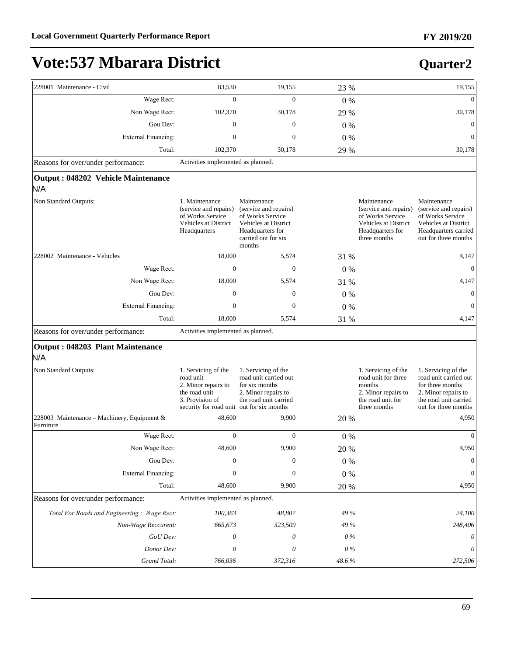# **Vote:537 Mbarara District**

| 228001 Maintenance - Civil                               | 83,530                                                                                                                                   | 19,155                                                                                                                                | 23 %      |                                                                                                                      | 19,155                                                                                                                                   |
|----------------------------------------------------------|------------------------------------------------------------------------------------------------------------------------------------------|---------------------------------------------------------------------------------------------------------------------------------------|-----------|----------------------------------------------------------------------------------------------------------------------|------------------------------------------------------------------------------------------------------------------------------------------|
| Wage Rect:                                               | $\overline{0}$                                                                                                                           | $\Omega$                                                                                                                              |           |                                                                                                                      | $\theta$                                                                                                                                 |
|                                                          |                                                                                                                                          |                                                                                                                                       | $0\%$     |                                                                                                                      | 30,178                                                                                                                                   |
| Non Wage Rect:                                           | 102,370                                                                                                                                  | 30,178                                                                                                                                | 29 %      |                                                                                                                      |                                                                                                                                          |
| Gou Dev:                                                 | $\boldsymbol{0}$                                                                                                                         | $\boldsymbol{0}$                                                                                                                      | 0%        |                                                                                                                      | $\mathbf{0}$                                                                                                                             |
| <b>External Financing:</b>                               | $\overline{0}$                                                                                                                           | $\mathbf{0}$                                                                                                                          | 0%        |                                                                                                                      | $\mathbf{0}$                                                                                                                             |
| Total:                                                   | 102,370                                                                                                                                  | 30,178                                                                                                                                | 29 %      |                                                                                                                      | 30,178                                                                                                                                   |
| Reasons for over/under performance:                      | Activities implemented as planned.                                                                                                       |                                                                                                                                       |           |                                                                                                                      |                                                                                                                                          |
| Output: 048202 Vehicle Maintenance<br>N/A                |                                                                                                                                          |                                                                                                                                       |           |                                                                                                                      |                                                                                                                                          |
| Non Standard Outputs:                                    | 1. Maintenance<br>(service and repairs)<br>of Works Service<br>Vehicles at District<br>Headquarters                                      | Maintenance<br>(service and repairs)<br>of Works Service<br>Vehicles at District<br>Headquarters for<br>carried out for six<br>months |           | Maintenance<br>(service and repairs)<br>of Works Service<br>Vehicles at District<br>Headquarters for<br>three months | Maintenance<br>(service and repairs)<br>of Works Service<br>Vehicles at District<br>Headquarters carried<br>out for three months         |
| 228002 Maintenance - Vehicles                            | 18,000                                                                                                                                   | 5,574                                                                                                                                 | 31 %      |                                                                                                                      | 4,147                                                                                                                                    |
| Wage Rect:                                               | $\Omega$                                                                                                                                 | $\Omega$                                                                                                                              | $0\%$     |                                                                                                                      | $\Omega$                                                                                                                                 |
| Non Wage Rect:                                           | 18,000                                                                                                                                   | 5,574                                                                                                                                 | 31 %      |                                                                                                                      | 4,147                                                                                                                                    |
| Gou Dev:                                                 | $\boldsymbol{0}$                                                                                                                         | $\boldsymbol{0}$                                                                                                                      | 0%        |                                                                                                                      | $\mathbf{0}$                                                                                                                             |
| <b>External Financing:</b>                               | $\mathbf{0}$                                                                                                                             | $\mathbf{0}$                                                                                                                          | 0%        |                                                                                                                      | $\mathbf{0}$                                                                                                                             |
| Total:                                                   | 18,000                                                                                                                                   | 5,574                                                                                                                                 | 31 %      |                                                                                                                      | 4,147                                                                                                                                    |
| Reasons for over/under performance:                      | Activities implemented as planned.                                                                                                       |                                                                                                                                       |           |                                                                                                                      |                                                                                                                                          |
| <b>Output: 048203 Plant Maintenance</b><br>N/A           |                                                                                                                                          |                                                                                                                                       |           |                                                                                                                      |                                                                                                                                          |
| Non Standard Outputs:                                    | 1. Servicing of the<br>road unit<br>2. Minor repairs to<br>the road unit<br>3. Provision of<br>security for road unit out for six months | 1. Servicing of the<br>road unit carried out<br>for six months<br>2. Minor repairs to<br>the road unit carried                        |           | 1. Servicing of the<br>road unit for three<br>months<br>2. Minor repairs to<br>the road unit for<br>three months     | 1. Servicing of the<br>road unit carried out<br>for three months<br>2. Minor repairs to<br>the road unit carried<br>out for three months |
| 228003 Maintenance – Machinery, Equipment &<br>Furniture | 48,600                                                                                                                                   | 9,900                                                                                                                                 | 20 %      |                                                                                                                      | 4,950                                                                                                                                    |
| Wage Rect:                                               | $\boldsymbol{0}$                                                                                                                         | $\boldsymbol{0}$                                                                                                                      | 0%        |                                                                                                                      | $\theta$                                                                                                                                 |
| Non Wage Rect:                                           | 48,600                                                                                                                                   | 9,900                                                                                                                                 | 20 %      |                                                                                                                      | 4,950                                                                                                                                    |
| Gou Dev:                                                 | $\mathbf{0}$                                                                                                                             | $\boldsymbol{0}$                                                                                                                      | $0\%$     |                                                                                                                      | $\boldsymbol{0}$                                                                                                                         |
| <b>External Financing:</b>                               | $\boldsymbol{0}$                                                                                                                         | $\boldsymbol{0}$                                                                                                                      | $0\%$     |                                                                                                                      | $\mathbf{0}$                                                                                                                             |
| Total:                                                   | 48,600                                                                                                                                   | 9,900                                                                                                                                 | 20 %      |                                                                                                                      | 4,950                                                                                                                                    |
| Reasons for over/under performance:                      | Activities implemented as planned.                                                                                                       |                                                                                                                                       |           |                                                                                                                      |                                                                                                                                          |
| Total For Roads and Engineering: Wage Rect:              | 100,363                                                                                                                                  | 48,807                                                                                                                                | 49 %      |                                                                                                                      | 24,100                                                                                                                                   |
| Non-Wage Reccurent:                                      | 665,673                                                                                                                                  | 323,509                                                                                                                               | 49 %      |                                                                                                                      | 248,406                                                                                                                                  |
| GoU Dev:                                                 | $\theta$                                                                                                                                 | 0                                                                                                                                     | $0\%$     |                                                                                                                      | $\theta$                                                                                                                                 |
| Donor Dev:                                               | 0                                                                                                                                        | $\theta$                                                                                                                              | $0\,\%$   |                                                                                                                      | 0                                                                                                                                        |
| Grand Total:                                             | 766,036                                                                                                                                  | 372,316                                                                                                                               | $48.6~\%$ |                                                                                                                      | 272,506                                                                                                                                  |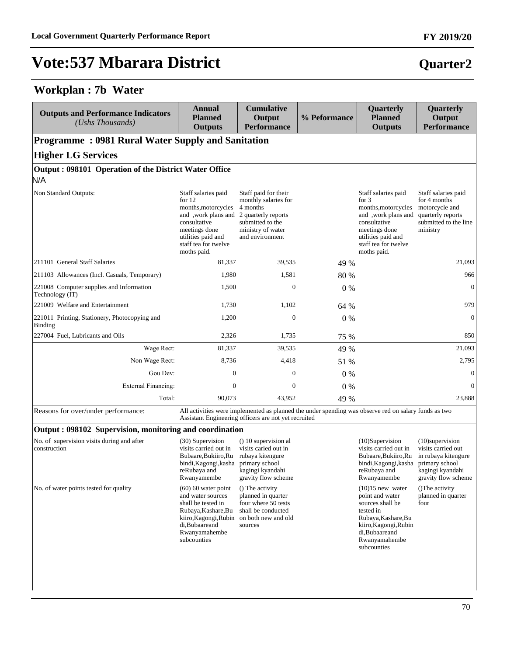### **Workplan : 7b Water**

| <b>Outputs and Performance Indicators</b><br>$(Ushs$ Thousands) | <b>Annual</b><br><b>Planned</b><br><b>Outputs</b>                                                                                                                           | <b>Cumulative</b><br>Output<br><b>Performance</b>                                                                                           | % Peformance | Quarterly<br><b>Planned</b><br><b>Outputs</b>                                                                                                                              | Quarterly<br>Output<br><b>Performance</b>                                                                       |  |  |  |  |  |
|-----------------------------------------------------------------|-----------------------------------------------------------------------------------------------------------------------------------------------------------------------------|---------------------------------------------------------------------------------------------------------------------------------------------|--------------|----------------------------------------------------------------------------------------------------------------------------------------------------------------------------|-----------------------------------------------------------------------------------------------------------------|--|--|--|--|--|
| <b>Programme: 0981 Rural Water Supply and Sanitation</b>        |                                                                                                                                                                             |                                                                                                                                             |              |                                                                                                                                                                            |                                                                                                                 |  |  |  |  |  |
| <b>Higher LG Services</b>                                       |                                                                                                                                                                             |                                                                                                                                             |              |                                                                                                                                                                            |                                                                                                                 |  |  |  |  |  |
| Output: 098101 Operation of the District Water Office           |                                                                                                                                                                             |                                                                                                                                             |              |                                                                                                                                                                            |                                                                                                                 |  |  |  |  |  |
| N/A                                                             |                                                                                                                                                                             |                                                                                                                                             |              |                                                                                                                                                                            |                                                                                                                 |  |  |  |  |  |
| Non Standard Outputs:                                           | Staff salaries paid<br>for $12$<br>months, motorcycles<br>and, work plans and<br>consultative<br>meetings done<br>utilities paid and<br>staff tea for twelve<br>moths paid. | Staff paid for their<br>monthly salaries for<br>4 months<br>2 quarterly reports<br>submitted to the<br>ministry of water<br>and environment |              | Staff salaries paid<br>for $3$<br>months, motorcycles<br>and, work plans and<br>consultative<br>meetings done<br>utilities paid and<br>staff tea for twelve<br>moths paid. | Staff salaries paid<br>for 4 months<br>motorcycle and<br>quarterly reports<br>submitted to the line<br>ministry |  |  |  |  |  |
| 211101 General Staff Salaries                                   | 81,337                                                                                                                                                                      | 39,535                                                                                                                                      | 49 %         |                                                                                                                                                                            | 21,093                                                                                                          |  |  |  |  |  |
| 211103 Allowances (Incl. Casuals, Temporary)                    | 1,980                                                                                                                                                                       | 1,581                                                                                                                                       | 80 %         |                                                                                                                                                                            | 966                                                                                                             |  |  |  |  |  |
| 221008 Computer supplies and Information<br>Technology (IT)     | 1,500                                                                                                                                                                       | $\mathbf{0}$                                                                                                                                | $0\%$        |                                                                                                                                                                            | $\mathbf{0}$                                                                                                    |  |  |  |  |  |
| 221009 Welfare and Entertainment                                | 1,730                                                                                                                                                                       | 1,102                                                                                                                                       | 64 %         |                                                                                                                                                                            | 979                                                                                                             |  |  |  |  |  |
| 221011 Printing, Stationery, Photocopying and<br>Binding        | 1,200                                                                                                                                                                       | $\mathbf{0}$                                                                                                                                | $0\%$        |                                                                                                                                                                            | $\theta$                                                                                                        |  |  |  |  |  |
| 227004 Fuel, Lubricants and Oils                                | 2,326                                                                                                                                                                       | 1,735                                                                                                                                       | 75 %         |                                                                                                                                                                            | 850                                                                                                             |  |  |  |  |  |
| Wage Rect:                                                      | 81,337                                                                                                                                                                      | 39,535                                                                                                                                      | 49 %         |                                                                                                                                                                            | 21,093                                                                                                          |  |  |  |  |  |
| Non Wage Rect:                                                  | 8,736                                                                                                                                                                       | 4,418                                                                                                                                       | 51 %         |                                                                                                                                                                            | 2,795                                                                                                           |  |  |  |  |  |
| Gou Dev:                                                        | $\mathbf{0}$                                                                                                                                                                | $\mathbf{0}$                                                                                                                                | $0\%$        |                                                                                                                                                                            | $\mathbf{0}$                                                                                                    |  |  |  |  |  |
| <b>External Financing:</b>                                      | $\Omega$                                                                                                                                                                    | $\Omega$                                                                                                                                    | $0\%$        |                                                                                                                                                                            | $\Omega$                                                                                                        |  |  |  |  |  |
| Total:                                                          | 90,073                                                                                                                                                                      | 43.952                                                                                                                                      | 49 %         |                                                                                                                                                                            | 23,888                                                                                                          |  |  |  |  |  |

ons for over/under performance: All activities were implemented as planned the under spending was observe red on salary funds as two Assistant Engineering officers are not yet recruited

#### **Output : 098102 Supervision, monitoring and coordination**

| No. of supervision visits during and after<br>construction | (30) Supervision<br>visits carried out in<br>Bubaare, Bukiiro, Ru<br>bindi, Kagongi, kasha<br>reRubaya and<br>Rwanyamembe                                          | () 10 supervision al<br>visits caried out in<br>rubaya kitengure<br>primary school<br>kagingi kyandahi<br>gravity flow scheme | $(10)$ Supervision<br>visits carried out in<br>Bubaare, Bukiiro, Ru<br>bindi, Kagongi, kasha<br>reRubaya and<br>Rwanyamembe                                              | $(10)$ supervision<br>visits carried out<br>in rubaya kitengure<br>primary school<br>kagingi kyandahi<br>gravity flow scheme |
|------------------------------------------------------------|--------------------------------------------------------------------------------------------------------------------------------------------------------------------|-------------------------------------------------------------------------------------------------------------------------------|--------------------------------------------------------------------------------------------------------------------------------------------------------------------------|------------------------------------------------------------------------------------------------------------------------------|
| No. of water points tested for quality                     | $(60)$ 60 water point<br>and water sources<br>shall be tested in<br>Rubaya, Kashare, Bu<br>kiiro, Kagongi, Rubin<br>di, Bubaareand<br>Rwanyamahembe<br>subcounties | () The activity<br>planned in quarter<br>four where 50 tests<br>shall be conducted<br>on both new and old<br>sources          | $(10)15$ new water<br>point and water<br>sources shall be<br>tested in<br>Rubaya, Kashare, Bu<br>kiiro, Kagongi, Rubin<br>di, Bubaareand<br>Rwanyamahembe<br>subcounties | (The activity)<br>planned in quarter<br>four                                                                                 |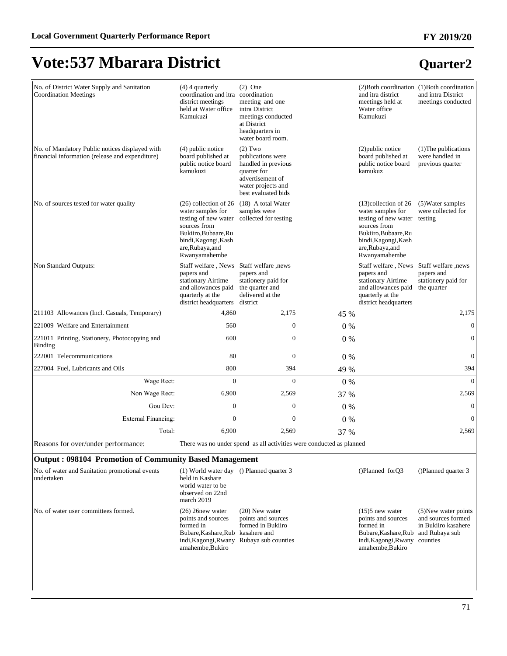# **Quarter2**

**FY 2019/20**

| No. of District Water Supply and Sanitation<br><b>Coordination Meetings</b>                       | $(4)$ 4 quarterly<br>coordination and itra coordination<br>district meetings<br>held at Water office<br>Kamukuzi                                                          | $(2)$ One<br>meeting and one<br>intra District<br>meetings conducted<br>at District<br>headquarters in<br>water board room.           |       | and itra district<br>meetings held at<br>Water office<br>Kamukuzi                                                                                                                 | $(2)$ Both coordination $(1)$ Both coordination<br>and intra District<br>meetings conducted |  |  |  |
|---------------------------------------------------------------------------------------------------|---------------------------------------------------------------------------------------------------------------------------------------------------------------------------|---------------------------------------------------------------------------------------------------------------------------------------|-------|-----------------------------------------------------------------------------------------------------------------------------------------------------------------------------------|---------------------------------------------------------------------------------------------|--|--|--|
| No. of Mandatory Public notices displayed with<br>financial information (release and expenditure) | $(4)$ public notice<br>board published at<br>public notice board<br>kamukuzi                                                                                              | $(2)$ Two<br>publications were<br>handled in previous<br>quarter for<br>advertisement of<br>water projects and<br>best evaluated bids |       | (2) public notice<br>board published at<br>public notice board<br>kamukuz                                                                                                         | (1) The publications<br>were handled in<br>previous quarter                                 |  |  |  |
| No. of sources tested for water quality                                                           | $(26)$ collection of 26<br>water samples for<br>testing of new water<br>sources from<br>Bukiiro, Bubaare, Ru<br>bindi, Kagongi, Kash<br>are, Rubaya, and<br>Rwanyamahembe | (18) A total Water<br>samples were<br>collected for testing                                                                           |       | $(13)$ collection of 26<br>water samples for<br>testing of new water testing<br>sources from<br>Bukiiro, Bubaare, Ru<br>bindi, Kagongi, Kash<br>are, Rubaya, and<br>Rwanyamahembe | (5) Water samples<br>were collected for                                                     |  |  |  |
| Non Standard Outputs:                                                                             | Staff welfare, News<br>papers and<br>stationary Airtime<br>and allowances paid<br>quarterly at the<br>district headquarters                                               | Staff welfare, news<br>papers and<br>stationery paid for<br>the quarter and<br>delivered at the<br>district                           |       | Staff welfare, News<br>papers and<br>stationary Airtime<br>and allowances paid<br>quarterly at the<br>district headquarters                                                       | Staff welfare, news<br>papers and<br>stationery paid for<br>the quarter                     |  |  |  |
| 211103 Allowances (Incl. Casuals, Temporary)                                                      | 4,860                                                                                                                                                                     | 2,175                                                                                                                                 | 45 %  |                                                                                                                                                                                   | 2,175                                                                                       |  |  |  |
| 221009 Welfare and Entertainment                                                                  | 560                                                                                                                                                                       | $\boldsymbol{0}$                                                                                                                      | 0%    |                                                                                                                                                                                   | $\mathbf{0}$                                                                                |  |  |  |
| 221011 Printing, Stationery, Photocopying and<br><b>Binding</b>                                   | 600                                                                                                                                                                       | $\mathbf{0}$                                                                                                                          | $0\%$ |                                                                                                                                                                                   | $\mathbf{0}$                                                                                |  |  |  |
| 222001 Telecommunications                                                                         | 80                                                                                                                                                                        | $\mathbf{0}$                                                                                                                          | 0%    |                                                                                                                                                                                   | $\mathbf{0}$                                                                                |  |  |  |
| 227004 Fuel, Lubricants and Oils                                                                  | 800                                                                                                                                                                       | 394                                                                                                                                   | 49 %  |                                                                                                                                                                                   | 394                                                                                         |  |  |  |
| Wage Rect:                                                                                        | $\Omega$                                                                                                                                                                  | $\Omega$                                                                                                                              | 0%    |                                                                                                                                                                                   | $\overline{0}$                                                                              |  |  |  |
| Non Wage Rect:                                                                                    | 6,900                                                                                                                                                                     | 2,569                                                                                                                                 | 37 %  |                                                                                                                                                                                   | 2,569                                                                                       |  |  |  |
| Gou Dev:                                                                                          | $\boldsymbol{0}$                                                                                                                                                          | $\boldsymbol{0}$                                                                                                                      | $0\%$ |                                                                                                                                                                                   | $\boldsymbol{0}$                                                                            |  |  |  |
| <b>External Financing:</b>                                                                        | $\mathbf{0}$                                                                                                                                                              | $\boldsymbol{0}$                                                                                                                      | 0%    |                                                                                                                                                                                   | $\mathbf{0}$                                                                                |  |  |  |
| Total:                                                                                            | 6,900                                                                                                                                                                     | 2,569                                                                                                                                 | 37 %  |                                                                                                                                                                                   | 2,569                                                                                       |  |  |  |
| Reasons for over/under performance:                                                               |                                                                                                                                                                           | There was no under spend as all activities were conducted as planned                                                                  |       |                                                                                                                                                                                   |                                                                                             |  |  |  |
| <b>Output: 098104 Promotion of Community Based Management</b>                                     |                                                                                                                                                                           |                                                                                                                                       |       |                                                                                                                                                                                   |                                                                                             |  |  |  |
| No. of water and Sanitation promotional events<br>undertaken                                      | (1) World water day () Planned quarter 3<br>held in Kashare<br>world water to be<br>observed on 22nd<br>march 2019                                                        |                                                                                                                                       |       | ()Planned forQ3                                                                                                                                                                   | ()Planned quarter 3                                                                         |  |  |  |
| No. of water user committees formed.                                                              | $(26)$ 26 new water<br>points and sources<br>formed in<br>Bubare, Kashare, Rub kasahere and<br>amahembe, Bukiro                                                           | $(20)$ New water<br>points and sources<br>formed in Bukiiro<br>indi, Kagongi, Rwany Rubaya sub counties                               |       | $(15)5$ new water<br>points and sources<br>formed in<br>Bubare, Kashare, Rub and Rubaya sub<br>indi, Kagongi, Rwany counties<br>amahembe, Bukiro                                  | (5) New water points<br>and sources formed<br>in Bukiiro kasahere                           |  |  |  |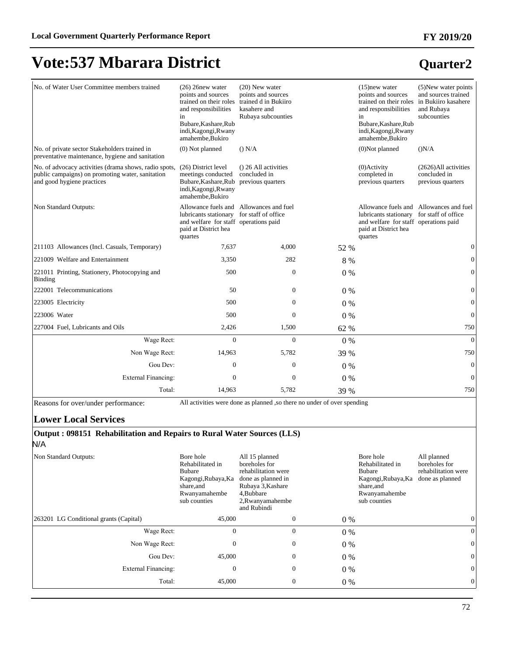#### No. of Water User Committee members trained (26) 26new water points and sources trained on their roles and responsibilities in Bubare,Kashare,Rub indi,Kagongi,Rwany amahembe,Bukiro (20) New water points and sources trained d in Bukiiro kasahere and Rubaya subcounties (15)new water points and sources trained on their roles and responsibilities in Bubare,Kashare,Rub indi,Kagongi,Rwany amahembe,Bukiro (5)New water points and sources trained in Bukiiro kasahere and Rubaya subcounties No. of private sector Stakeholders trained in preventative maintenance, hygiene and sanitation (0) Not planned () N/A (0) Not planned () N/A No. of advocacy activities (drama shows, radio spots, public campaigns) on promoting water, sanitation and good hygiene practices (26) District level meetings conducted Bubare,Kashare,Rub previous quarters indi,Kagongi,Rwany amahembe,Bukiro () 26 All activities concluded in (0)Activity completed in previous quarters (2626)All activities concluded in previous quarters Non Standard Outputs: lubricants stationary for staff of office and welfare for staff operations paid paid at District hea quartes Allowance fuels and Allowances and fuel Allowance fuels and Allowances and fuel lubricants stationary and welfare for staff operations paid paid at District hea quartes for staff of office 211103 Allowances (Incl. Casuals, Temporary) 7,637 4,000 52 % 0 221009 Welfare and Entertainment 2,350 282 8 % 0 221011 Printing, Stationery, Photocopying and Binding  $500$  0 0 0 % 0 222001 Telecommunications 50 0 0 % 0 223005 Electricity 600  $\sqrt{0.00}$  0  $\sqrt{0.00}$  0  $\sqrt{0.00}$  0  $\sqrt{0.00}$  0  $\sqrt{0.00}$  0  $\sqrt{0.00}$  0  $\sqrt{0.00}$  0  $\sqrt{0.00}$  0  $\sqrt{0.00}$  0  $\sqrt{0.00}$  0  $\sqrt{0.00}$  0  $\sqrt{0.00}$  0  $\sqrt{0.00}$  0  $\sqrt{0.00}$  0  $\sqrt{0.00}$  0  $\sqrt$ 223006 Water 500 0 0 % 0 227004 Fuel, Lubricants and Oils 2,426 1,500 62 % 750 :DJH5HFW 0 0 0 % 0 Non Wage Rect: 14,963 5,782 39 % 750 Gou Dev:  $0 \t 0 \t 0 \t 0 \t 0$ ([WHUQDO)LQDQFLQJ 0 0 0 % 0 Total: 14,963 5,782 39 % 750

Reasons for over/under performance: All activities were done as planned ,so there no under of over spending

#### **Lower Local Services**

#### **Output : 098151 Rehabilitation and Repairs to Rural Water Sources (LLS)** N/A

Non Standard Outputs: Bore hole Rehabilitated in Bubare Kagongi,Rubaya,Ka share,and Rwanyamahembe sub counties All 15 planned boreholes for rehabilitation were done as planned in Rubaya 3,Kashare 4,Bubbare 2,Rwanyamahembe and Rubindi Bore hole Rehabilitated in Bubare Kagongi,Rubaya,Ka share,and Rwanyamahembe sub counties All planned boreholes for rehabilitation were done as planned 263201 LG Conditional grants (Capital)  $45,000$  0 0 0  $0\%$  0 0 :DJH5HFW 0 0 0 % 0 1RQ:DJH5HFW 0 0 0 % 0 Gou Dev:  $45,000$  0 0 % 0 0 ([WHUQDO)LQDQFLQJ 0 0 0 % 0 Total: 45,000 0 0 % 0 0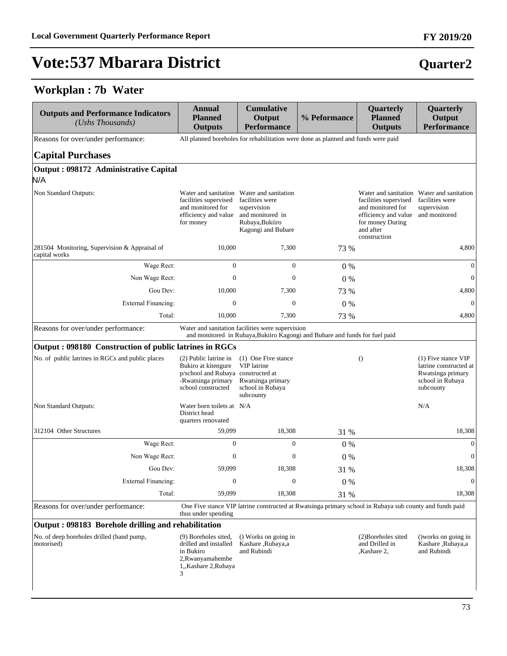#### **Workplan : 7b Water**

| All planned boreholes for rehabilitation were done as planned and funds were paid<br>Reasons for over/under performance:<br><b>Capital Purchases</b><br>Output: 098172 Administrative Capital<br>N/A<br>Non Standard Outputs:<br>Water and sanitation Water and sanitation<br>Water and sanitation Water and sanitation<br>facilities were<br>facilities supervised<br>facilities supervised<br>and monitored for<br>supervision<br>and monitored for<br>supervision<br>efficiency and value<br>and monitored in<br>efficiency and value<br>Rubaya, Bukiiro<br>for money During<br>for money<br>and after<br>Kagongi and Bubare<br>construction<br>281504 Monitoring, Supervision & Appraisal of<br>10,000<br>7,300<br>73 %<br>capital works<br>$\boldsymbol{0}$<br>Wage Rect:<br>$\mathbf{0}$<br>$0\%$<br>Non Wage Rect:<br>0<br>$\mathbf{0}$<br>0%<br>Gou Dev:<br>10,000<br>7,300<br>73 %<br><b>External Financing:</b><br>0<br>$\mathbf{0}$<br>0%<br>10,000<br>Total:<br>7,300<br>73 %<br>Water and sanitation facilities were supervision<br>Reasons for over/under performance:<br>and monitored in Rubaya, Bukiiro Kagongi and Bubare and funds for fuel paid<br>Output: 098180 Construction of public latrines in RGCs<br>No. of public latrines in RGCs and public places<br>(2) Public latrine in<br>(1) One Five stance<br>$\theta$<br>VIP latrine<br>Bukiro at kitengure<br>p/school and Rubaya constructed at<br>-Rwatsinga primary<br>Rwatsinga primary<br>school constructed<br>school in Rubaya<br>subcounty<br>subcounty<br>N/A<br>Non Standard Outputs:<br>Water born toilets at N/A<br>District head<br>quarters renovated<br>312104 Other Structures<br>59,099<br>18,308<br>31 %<br>Wage Rect:<br>$\overline{0}$<br>$\mathbf{0}$<br>$0\%$<br>Non Wage Rect:<br>$\overline{0}$<br>$\mathbf{0}$<br>0%<br>59,099<br>18,308<br>Gou Dev:<br>31 %<br>External Financing:<br>0<br>$\mathbf{0}$<br>$0\%$<br>59,099<br>Total:<br>18,308<br>31 %<br>One Five stance VIP latrine constructed at Rwatsinga primary school in Rubaya sub county and funds paid<br>Reasons for over/under performance:<br>thus under spending<br>Output: 098183 Borehole drilling and rehabilitation<br>No. of deep boreholes drilled (hand pump,<br>() Works on going in<br>(2) Boreholes sited<br>(9) Boreholes sited,<br>motorised)<br>drilled and installed<br>Kashare, Rubaya,a<br>and Drilled in<br>in Bukiro<br>and Rubindi<br>, Kashare 2, | Quarterly<br>Output<br><b>Performance</b>                                              | Quarterly<br><b>Planned</b><br><b>Outputs</b> | % Peformance | <b>Cumulative</b><br>Output<br><b>Performance</b> | <b>Annual</b><br><b>Planned</b><br><b>Outputs</b> | <b>Outputs and Performance Indicators</b><br>(Ushs Thousands) |
|-----------------------------------------------------------------------------------------------------------------------------------------------------------------------------------------------------------------------------------------------------------------------------------------------------------------------------------------------------------------------------------------------------------------------------------------------------------------------------------------------------------------------------------------------------------------------------------------------------------------------------------------------------------------------------------------------------------------------------------------------------------------------------------------------------------------------------------------------------------------------------------------------------------------------------------------------------------------------------------------------------------------------------------------------------------------------------------------------------------------------------------------------------------------------------------------------------------------------------------------------------------------------------------------------------------------------------------------------------------------------------------------------------------------------------------------------------------------------------------------------------------------------------------------------------------------------------------------------------------------------------------------------------------------------------------------------------------------------------------------------------------------------------------------------------------------------------------------------------------------------------------------------------------------------------------------------------------------------------------------------------------------------------------------------------------------------------------------------------------------------------------------------------------------------------------------------------------------------------------------------------------------------------------------------------------------------------------------------------------------------------------------------------------------------------------------|----------------------------------------------------------------------------------------|-----------------------------------------------|--------------|---------------------------------------------------|---------------------------------------------------|---------------------------------------------------------------|
|                                                                                                                                                                                                                                                                                                                                                                                                                                                                                                                                                                                                                                                                                                                                                                                                                                                                                                                                                                                                                                                                                                                                                                                                                                                                                                                                                                                                                                                                                                                                                                                                                                                                                                                                                                                                                                                                                                                                                                                                                                                                                                                                                                                                                                                                                                                                                                                                                                         |                                                                                        |                                               |              |                                                   |                                                   |                                                               |
|                                                                                                                                                                                                                                                                                                                                                                                                                                                                                                                                                                                                                                                                                                                                                                                                                                                                                                                                                                                                                                                                                                                                                                                                                                                                                                                                                                                                                                                                                                                                                                                                                                                                                                                                                                                                                                                                                                                                                                                                                                                                                                                                                                                                                                                                                                                                                                                                                                         |                                                                                        |                                               |              |                                                   |                                                   |                                                               |
|                                                                                                                                                                                                                                                                                                                                                                                                                                                                                                                                                                                                                                                                                                                                                                                                                                                                                                                                                                                                                                                                                                                                                                                                                                                                                                                                                                                                                                                                                                                                                                                                                                                                                                                                                                                                                                                                                                                                                                                                                                                                                                                                                                                                                                                                                                                                                                                                                                         |                                                                                        |                                               |              |                                                   |                                                   |                                                               |
|                                                                                                                                                                                                                                                                                                                                                                                                                                                                                                                                                                                                                                                                                                                                                                                                                                                                                                                                                                                                                                                                                                                                                                                                                                                                                                                                                                                                                                                                                                                                                                                                                                                                                                                                                                                                                                                                                                                                                                                                                                                                                                                                                                                                                                                                                                                                                                                                                                         | facilities were<br>and monitored                                                       |                                               |              |                                                   |                                                   |                                                               |
|                                                                                                                                                                                                                                                                                                                                                                                                                                                                                                                                                                                                                                                                                                                                                                                                                                                                                                                                                                                                                                                                                                                                                                                                                                                                                                                                                                                                                                                                                                                                                                                                                                                                                                                                                                                                                                                                                                                                                                                                                                                                                                                                                                                                                                                                                                                                                                                                                                         | 4,800                                                                                  |                                               |              |                                                   |                                                   |                                                               |
|                                                                                                                                                                                                                                                                                                                                                                                                                                                                                                                                                                                                                                                                                                                                                                                                                                                                                                                                                                                                                                                                                                                                                                                                                                                                                                                                                                                                                                                                                                                                                                                                                                                                                                                                                                                                                                                                                                                                                                                                                                                                                                                                                                                                                                                                                                                                                                                                                                         | $\overline{0}$                                                                         |                                               |              |                                                   |                                                   |                                                               |
|                                                                                                                                                                                                                                                                                                                                                                                                                                                                                                                                                                                                                                                                                                                                                                                                                                                                                                                                                                                                                                                                                                                                                                                                                                                                                                                                                                                                                                                                                                                                                                                                                                                                                                                                                                                                                                                                                                                                                                                                                                                                                                                                                                                                                                                                                                                                                                                                                                         | $\theta$                                                                               |                                               |              |                                                   |                                                   |                                                               |
|                                                                                                                                                                                                                                                                                                                                                                                                                                                                                                                                                                                                                                                                                                                                                                                                                                                                                                                                                                                                                                                                                                                                                                                                                                                                                                                                                                                                                                                                                                                                                                                                                                                                                                                                                                                                                                                                                                                                                                                                                                                                                                                                                                                                                                                                                                                                                                                                                                         | 4,800                                                                                  |                                               |              |                                                   |                                                   |                                                               |
|                                                                                                                                                                                                                                                                                                                                                                                                                                                                                                                                                                                                                                                                                                                                                                                                                                                                                                                                                                                                                                                                                                                                                                                                                                                                                                                                                                                                                                                                                                                                                                                                                                                                                                                                                                                                                                                                                                                                                                                                                                                                                                                                                                                                                                                                                                                                                                                                                                         | $\Omega$                                                                               |                                               |              |                                                   |                                                   |                                                               |
|                                                                                                                                                                                                                                                                                                                                                                                                                                                                                                                                                                                                                                                                                                                                                                                                                                                                                                                                                                                                                                                                                                                                                                                                                                                                                                                                                                                                                                                                                                                                                                                                                                                                                                                                                                                                                                                                                                                                                                                                                                                                                                                                                                                                                                                                                                                                                                                                                                         | 4,800                                                                                  |                                               |              |                                                   |                                                   |                                                               |
|                                                                                                                                                                                                                                                                                                                                                                                                                                                                                                                                                                                                                                                                                                                                                                                                                                                                                                                                                                                                                                                                                                                                                                                                                                                                                                                                                                                                                                                                                                                                                                                                                                                                                                                                                                                                                                                                                                                                                                                                                                                                                                                                                                                                                                                                                                                                                                                                                                         |                                                                                        |                                               |              |                                                   |                                                   |                                                               |
|                                                                                                                                                                                                                                                                                                                                                                                                                                                                                                                                                                                                                                                                                                                                                                                                                                                                                                                                                                                                                                                                                                                                                                                                                                                                                                                                                                                                                                                                                                                                                                                                                                                                                                                                                                                                                                                                                                                                                                                                                                                                                                                                                                                                                                                                                                                                                                                                                                         |                                                                                        |                                               |              |                                                   |                                                   |                                                               |
|                                                                                                                                                                                                                                                                                                                                                                                                                                                                                                                                                                                                                                                                                                                                                                                                                                                                                                                                                                                                                                                                                                                                                                                                                                                                                                                                                                                                                                                                                                                                                                                                                                                                                                                                                                                                                                                                                                                                                                                                                                                                                                                                                                                                                                                                                                                                                                                                                                         | (1) Five stance VIP<br>latrine constructed at<br>Rwatsinga primary<br>school in Rubaya |                                               |              |                                                   |                                                   |                                                               |
|                                                                                                                                                                                                                                                                                                                                                                                                                                                                                                                                                                                                                                                                                                                                                                                                                                                                                                                                                                                                                                                                                                                                                                                                                                                                                                                                                                                                                                                                                                                                                                                                                                                                                                                                                                                                                                                                                                                                                                                                                                                                                                                                                                                                                                                                                                                                                                                                                                         |                                                                                        |                                               |              |                                                   |                                                   |                                                               |
|                                                                                                                                                                                                                                                                                                                                                                                                                                                                                                                                                                                                                                                                                                                                                                                                                                                                                                                                                                                                                                                                                                                                                                                                                                                                                                                                                                                                                                                                                                                                                                                                                                                                                                                                                                                                                                                                                                                                                                                                                                                                                                                                                                                                                                                                                                                                                                                                                                         | 18,308                                                                                 |                                               |              |                                                   |                                                   |                                                               |
|                                                                                                                                                                                                                                                                                                                                                                                                                                                                                                                                                                                                                                                                                                                                                                                                                                                                                                                                                                                                                                                                                                                                                                                                                                                                                                                                                                                                                                                                                                                                                                                                                                                                                                                                                                                                                                                                                                                                                                                                                                                                                                                                                                                                                                                                                                                                                                                                                                         | $\boldsymbol{0}$                                                                       |                                               |              |                                                   |                                                   |                                                               |
|                                                                                                                                                                                                                                                                                                                                                                                                                                                                                                                                                                                                                                                                                                                                                                                                                                                                                                                                                                                                                                                                                                                                                                                                                                                                                                                                                                                                                                                                                                                                                                                                                                                                                                                                                                                                                                                                                                                                                                                                                                                                                                                                                                                                                                                                                                                                                                                                                                         | $\theta$                                                                               |                                               |              |                                                   |                                                   |                                                               |
|                                                                                                                                                                                                                                                                                                                                                                                                                                                                                                                                                                                                                                                                                                                                                                                                                                                                                                                                                                                                                                                                                                                                                                                                                                                                                                                                                                                                                                                                                                                                                                                                                                                                                                                                                                                                                                                                                                                                                                                                                                                                                                                                                                                                                                                                                                                                                                                                                                         | 18,308                                                                                 |                                               |              |                                                   |                                                   |                                                               |
|                                                                                                                                                                                                                                                                                                                                                                                                                                                                                                                                                                                                                                                                                                                                                                                                                                                                                                                                                                                                                                                                                                                                                                                                                                                                                                                                                                                                                                                                                                                                                                                                                                                                                                                                                                                                                                                                                                                                                                                                                                                                                                                                                                                                                                                                                                                                                                                                                                         | $\mathbf{0}$                                                                           |                                               |              |                                                   |                                                   |                                                               |
|                                                                                                                                                                                                                                                                                                                                                                                                                                                                                                                                                                                                                                                                                                                                                                                                                                                                                                                                                                                                                                                                                                                                                                                                                                                                                                                                                                                                                                                                                                                                                                                                                                                                                                                                                                                                                                                                                                                                                                                                                                                                                                                                                                                                                                                                                                                                                                                                                                         | 18,308                                                                                 |                                               |              |                                                   |                                                   |                                                               |
|                                                                                                                                                                                                                                                                                                                                                                                                                                                                                                                                                                                                                                                                                                                                                                                                                                                                                                                                                                                                                                                                                                                                                                                                                                                                                                                                                                                                                                                                                                                                                                                                                                                                                                                                                                                                                                                                                                                                                                                                                                                                                                                                                                                                                                                                                                                                                                                                                                         |                                                                                        |                                               |              |                                                   |                                                   |                                                               |
|                                                                                                                                                                                                                                                                                                                                                                                                                                                                                                                                                                                                                                                                                                                                                                                                                                                                                                                                                                                                                                                                                                                                                                                                                                                                                                                                                                                                                                                                                                                                                                                                                                                                                                                                                                                                                                                                                                                                                                                                                                                                                                                                                                                                                                                                                                                                                                                                                                         |                                                                                        |                                               |              |                                                   |                                                   |                                                               |
| 2, Rwanyamahembe<br>1,,Kashare 2,Rubaya<br>3                                                                                                                                                                                                                                                                                                                                                                                                                                                                                                                                                                                                                                                                                                                                                                                                                                                                                                                                                                                                                                                                                                                                                                                                                                                                                                                                                                                                                                                                                                                                                                                                                                                                                                                                                                                                                                                                                                                                                                                                                                                                                                                                                                                                                                                                                                                                                                                            | () works on going in<br>Kashare, Rubaya,a<br>and Rubindi                               |                                               |              |                                                   |                                                   |                                                               |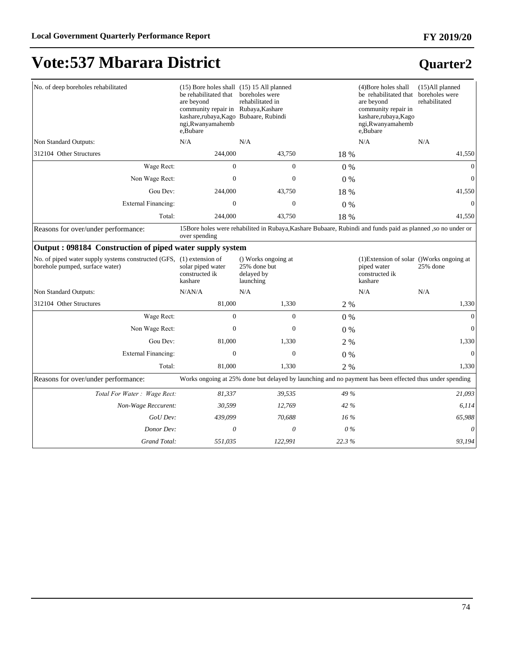## **Vote:537 Mbarara District**

| No. of deep boreholes rehabilitated                                                                     | (15) Bore holes shall (15) 15 All planned<br>be rehabilitated that<br>are beyond<br>community repair in Rubaya, Kashare<br>kashare,rubaya,Kago Bubaare, Rubindi<br>ngi, Rwanyamahemb<br>e, Bubare | boreholes were<br>rehabilitated in                                                                              |        | (4) Bore holes shall<br>be rehabilitated that boreholes were<br>are beyond<br>community repair in<br>kashare,rubaya,Kago<br>ngi, Rwanyamahemb<br>e,Bubare | $(15)$ All planned<br>rehabilitated |
|---------------------------------------------------------------------------------------------------------|---------------------------------------------------------------------------------------------------------------------------------------------------------------------------------------------------|-----------------------------------------------------------------------------------------------------------------|--------|-----------------------------------------------------------------------------------------------------------------------------------------------------------|-------------------------------------|
| Non Standard Outputs:                                                                                   | N/A                                                                                                                                                                                               | N/A                                                                                                             |        | N/A                                                                                                                                                       | N/A                                 |
| 312104 Other Structures                                                                                 | 244,000                                                                                                                                                                                           | 43,750                                                                                                          | 18 %   |                                                                                                                                                           | 41,550                              |
| Wage Rect:                                                                                              | $\Omega$                                                                                                                                                                                          | $\Omega$                                                                                                        | 0%     |                                                                                                                                                           | $\Omega$                            |
| Non Wage Rect:                                                                                          | $\mathbf{0}$                                                                                                                                                                                      | $\mathbf{0}$                                                                                                    | 0%     |                                                                                                                                                           | $\mathbf{0}$                        |
| Gou Dev:                                                                                                | 244,000                                                                                                                                                                                           | 43,750                                                                                                          | 18 %   |                                                                                                                                                           | 41,550                              |
| External Financing:                                                                                     | $\mathbf{0}$                                                                                                                                                                                      | $\overline{0}$                                                                                                  | 0%     |                                                                                                                                                           | $\overline{0}$                      |
| Total:                                                                                                  | 244,000                                                                                                                                                                                           | 43,750                                                                                                          | 18 %   |                                                                                                                                                           | 41,550                              |
| Reasons for over/under performance:                                                                     | over spending                                                                                                                                                                                     | 15 15 Bore holes were rehabilited in Rubaya, Kashare Bubaare, Rubindi and funds paid as planned, so no under or |        |                                                                                                                                                           |                                     |
| Output: 098184 Construction of piped water supply system                                                |                                                                                                                                                                                                   |                                                                                                                 |        |                                                                                                                                                           |                                     |
| No. of piped water supply systems constructed (GFS, (1) extension of<br>borehole pumped, surface water) | solar piped water<br>constructed ik<br>kashare                                                                                                                                                    | () Works ongoing at<br>25% done but<br>delayed by<br>launching                                                  |        | (1) Extension of solar () Works ongoing at<br>piped water<br>constructed ik<br>kashare                                                                    | 25% done                            |
| Non Standard Outputs:                                                                                   | N/AN/A                                                                                                                                                                                            | N/A                                                                                                             |        | N/A                                                                                                                                                       | N/A                                 |
| 312104 Other Structures                                                                                 | 81,000                                                                                                                                                                                            | 1,330                                                                                                           | 2 %    |                                                                                                                                                           | 1,330                               |
| Wage Rect:                                                                                              | $\Omega$                                                                                                                                                                                          | $\Omega$                                                                                                        | 0%     |                                                                                                                                                           | $\mathbf{0}$                        |
| Non Wage Rect:                                                                                          | $\mathbf{0}$                                                                                                                                                                                      | $\mathbf{0}$                                                                                                    | 0%     |                                                                                                                                                           | $\mathbf{0}$                        |
| Gou Dev:                                                                                                | 81,000                                                                                                                                                                                            | 1,330                                                                                                           | 2 %    |                                                                                                                                                           | 1,330                               |
| <b>External Financing:</b>                                                                              | $\mathbf{0}$                                                                                                                                                                                      | $\mathbf{0}$                                                                                                    | 0%     |                                                                                                                                                           | $\overline{0}$                      |
| Total:                                                                                                  | 81,000                                                                                                                                                                                            | 1,330                                                                                                           | 2 %    |                                                                                                                                                           | 1,330                               |
| Reasons for over/under performance:                                                                     |                                                                                                                                                                                                   | Works ongoing at 25% done but delayed by launching and no payment has been effected thus under spending         |        |                                                                                                                                                           |                                     |
| Total For Water: Wage Rect:                                                                             | 81,337                                                                                                                                                                                            | 39,535                                                                                                          | 49 %   |                                                                                                                                                           | 21,093                              |
| Non-Wage Reccurent:                                                                                     | 30,599                                                                                                                                                                                            | 12,769                                                                                                          | 42 %   |                                                                                                                                                           | 6,114                               |
| GoU Dev:                                                                                                | 439,099                                                                                                                                                                                           | 70,688                                                                                                          | $16\%$ |                                                                                                                                                           | 65,988                              |
| Donor Dev:                                                                                              | $\theta$                                                                                                                                                                                          | 0                                                                                                               | $0\%$  |                                                                                                                                                           | $\theta$                            |
| Grand Total:                                                                                            | 551,035                                                                                                                                                                                           | 122,991                                                                                                         | 22.3%  |                                                                                                                                                           | 93,194                              |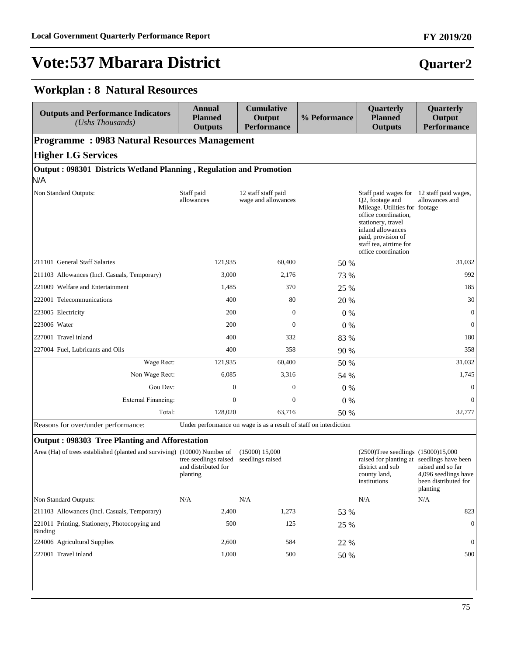# **Quarter2**

#### **Workplan : 8 Natural Resources**

| <b>Outputs and Performance Indicators</b><br>(Ushs Thousands)              | <b>Annual</b><br><b>Planned</b><br><b>Outputs</b>        | <b>Cumulative</b><br>Output<br><b>Performance</b>                 | % Peformance | Quarterly<br><b>Planned</b><br><b>Outputs</b>                                                                                                                                                                                            | Quarterly<br>Output<br><b>Performance</b>                                     |
|----------------------------------------------------------------------------|----------------------------------------------------------|-------------------------------------------------------------------|--------------|------------------------------------------------------------------------------------------------------------------------------------------------------------------------------------------------------------------------------------------|-------------------------------------------------------------------------------|
| <b>Programme: 0983 Natural Resources Management</b>                        |                                                          |                                                                   |              |                                                                                                                                                                                                                                          |                                                                               |
| <b>Higher LG Services</b>                                                  |                                                          |                                                                   |              |                                                                                                                                                                                                                                          |                                                                               |
| Output: 098301 Districts Wetland Planning, Regulation and Promotion<br>N/A |                                                          |                                                                   |              |                                                                                                                                                                                                                                          |                                                                               |
| Non Standard Outputs:                                                      | Staff paid<br>allowances                                 | 12 staff staff paid<br>wage and allowances                        |              | Staff paid wages for 12 staff paid wages,<br>Q2, footage and<br>Mileage. Utilities for footage<br>office coordination,<br>stationery, travel<br>inland allowances<br>paid, provision of<br>staff tea, airtime for<br>office coordination | allowances and                                                                |
| 211101 General Staff Salaries                                              | 121,935                                                  | 60,400                                                            | 50 %         |                                                                                                                                                                                                                                          | 31,032                                                                        |
| 211103 Allowances (Incl. Casuals, Temporary)                               | 3,000                                                    | 2,176                                                             | 73 %         |                                                                                                                                                                                                                                          | 992                                                                           |
| 221009 Welfare and Entertainment                                           | 1,485                                                    | 370                                                               | 25 %         |                                                                                                                                                                                                                                          | 185                                                                           |
| 222001 Telecommunications                                                  | 400                                                      | 80                                                                | 20 %         |                                                                                                                                                                                                                                          | 30                                                                            |
| 223005 Electricity                                                         | 200                                                      | $\mathbf{0}$                                                      | $0\%$        |                                                                                                                                                                                                                                          | $\mathbf{0}$                                                                  |
| 223006 Water                                                               | 200                                                      | $\mathbf{0}$                                                      | $0\%$        |                                                                                                                                                                                                                                          | $\mathbf{0}$                                                                  |
| 227001 Travel inland                                                       | 400                                                      | 332                                                               | 83 %         |                                                                                                                                                                                                                                          | 180                                                                           |
| 227004 Fuel, Lubricants and Oils                                           | 400                                                      | 358                                                               | 90 %         |                                                                                                                                                                                                                                          | 358                                                                           |
| Wage Rect:                                                                 | 121,935                                                  | 60,400                                                            | 50 %         |                                                                                                                                                                                                                                          | 31,032                                                                        |
| Non Wage Rect:                                                             | 6,085                                                    | 3,316                                                             | 54 %         |                                                                                                                                                                                                                                          | 1,745                                                                         |
| Gou Dev:                                                                   | $\mathbf{0}$                                             | $\boldsymbol{0}$                                                  | $0\%$        |                                                                                                                                                                                                                                          | $\boldsymbol{0}$                                                              |
| <b>External Financing:</b>                                                 | $\mathbf{0}$                                             | $\overline{0}$                                                    | $0\%$        |                                                                                                                                                                                                                                          | $\mathbf{0}$                                                                  |
| Total:                                                                     | 128,020                                                  | 63,716                                                            | 50 %         |                                                                                                                                                                                                                                          | 32,777                                                                        |
| Reasons for over/under performance:                                        |                                                          | Under performance on wage is as a result of staff on interdiction |              |                                                                                                                                                                                                                                          |                                                                               |
| <b>Output: 098303 Tree Planting and Afforestation</b>                      |                                                          |                                                                   |              |                                                                                                                                                                                                                                          |                                                                               |
| Area (Ha) of trees established (planted and surviving) (10000) Number of   | tree seedlings raised<br>and distributed for<br>planting | (15000) 15,000<br>seedlings raised                                |              | (2500)Tree seedlings (15000)15,000<br>raised for planting at seedlings have been<br>district and sub<br>county land,<br>institutions                                                                                                     | raised and so far<br>4,096 seedlings have<br>been distributed for<br>planting |
| Non Standard Outputs:                                                      | N/A                                                      | $\rm N/A$                                                         |              | N/A                                                                                                                                                                                                                                      | N/A                                                                           |
| 211103 Allowances (Incl. Casuals, Temporary)                               | 2,400                                                    | 1,273                                                             | 53 %         |                                                                                                                                                                                                                                          | 823                                                                           |
| 221011 Printing, Stationery, Photocopying and<br>Binding                   | 500                                                      | 125                                                               | 25 %         |                                                                                                                                                                                                                                          | $\boldsymbol{0}$                                                              |
| 224006 Agricultural Supplies                                               | 2,600                                                    | 584                                                               | 22 %         |                                                                                                                                                                                                                                          | $\boldsymbol{0}$                                                              |
| 227001 Travel inland                                                       | 1,000                                                    | 500                                                               | 50 %         |                                                                                                                                                                                                                                          | 500                                                                           |

227001 Travel inland 1,000 500 50 % 500

# **FY 2019/20**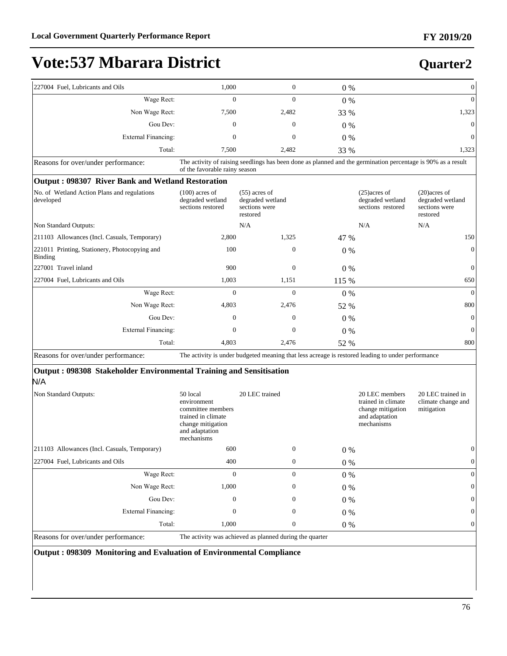#### **Quarter2**

| 227004 Fuel, Lubricants and Oils                         | 1,000                                                     | $\mathbf{0}$                                                                                                 | $0\%$ |                                                          | $\overline{0}$                                                   |
|----------------------------------------------------------|-----------------------------------------------------------|--------------------------------------------------------------------------------------------------------------|-------|----------------------------------------------------------|------------------------------------------------------------------|
| Wage Rect:                                               | $\mathbf{0}$                                              | $\Omega$                                                                                                     | $0\%$ |                                                          | $\mathbf{0}$                                                     |
| Non Wage Rect:                                           | 7,500                                                     | 2,482                                                                                                        | 33 %  |                                                          | 1,323                                                            |
| Gou Dev:                                                 | $\Omega$                                                  | $\Omega$                                                                                                     | $0\%$ |                                                          | $\Omega$                                                         |
| <b>External Financing:</b>                               | $\Omega$                                                  | $\Omega$                                                                                                     | $0\%$ |                                                          | $\mathbf{0}$                                                     |
| Total:                                                   | 7,500                                                     | 2,482                                                                                                        | 33 %  |                                                          | 1,323                                                            |
| Reasons for over/under performance:                      | of the favorable rainy season                             | The activity of raising seedlings has been done as planned and the germination percentage is 90% as a result |       |                                                          |                                                                  |
| Output: 098307 River Bank and Wetland Restoration        |                                                           |                                                                                                              |       |                                                          |                                                                  |
| No. of Wetland Action Plans and regulations<br>developed | $(100)$ acres of<br>degraded wetland<br>sections restored | $(55)$ acres of<br>degraded wetland<br>sections were<br>restored                                             |       | $(25)$ acres of<br>degraded wetland<br>sections restored | $(20)$ acres of<br>degraded wetland<br>sections were<br>restored |
| Non Standard Outputs:                                    |                                                           | N/A                                                                                                          |       | N/A                                                      | N/A                                                              |
| 211103 Allowances (Incl. Casuals, Temporary)             | 2,800                                                     | 1,325                                                                                                        | 47 %  |                                                          | 150                                                              |
| 221011 Printing, Stationery, Photocopying and<br>Binding | 100                                                       | $\mathbf{0}$                                                                                                 | $0\%$ |                                                          | $\mathbf{0}$                                                     |
| 227001 Travel inland                                     | 900                                                       | $\theta$                                                                                                     | 0%    |                                                          | $\mathbf{0}$                                                     |
| 227004 Fuel, Lubricants and Oils                         | 1,003                                                     | 1,151                                                                                                        | 115 % |                                                          | 650                                                              |
| Wage Rect:                                               | $\Omega$                                                  | $\Omega$                                                                                                     | $0\%$ |                                                          | $\Omega$                                                         |
| Non Wage Rect:                                           | 4,803                                                     | 2,476                                                                                                        | 52 %  |                                                          | 800                                                              |
| Gou Dev:                                                 | $\theta$                                                  | $\mathbf{0}$                                                                                                 | $0\%$ |                                                          | $\mathbf{0}$                                                     |
| <b>External Financing:</b>                               | $\Omega$                                                  | $\Omega$                                                                                                     | $0\%$ |                                                          | $\mathbf{0}$                                                     |
| Total:                                                   | 4,803                                                     | 2,476                                                                                                        | 52 %  |                                                          | 800                                                              |
| Reasons for over/under performance:                      |                                                           | The activity is under budgeted meaning that less acreage is restored leading to under performance            |       |                                                          |                                                                  |

#### **Output : 098308 Stakeholder Environmental Training and Sensitisation**  N/A

| Non Standard Outputs:                         | 50 local<br>environment<br>committee members<br>trained in climate<br>change mitigation<br>and adaptation<br>mechanisms | 20 LEC trained |              |       | 20 LEC members<br>trained in climate<br>change mitigation<br>and adaptation<br>mechanisms | 20 LEC trained in<br>climate change and<br>mitigation |
|-----------------------------------------------|-------------------------------------------------------------------------------------------------------------------------|----------------|--------------|-------|-------------------------------------------------------------------------------------------|-------------------------------------------------------|
| [211103 Allowances (Incl. Casuals, Temporary) | 600                                                                                                                     |                | $\mathbf{0}$ | $0\%$ |                                                                                           | 0                                                     |
| 227004 Fuel, Lubricants and Oils              | 400                                                                                                                     |                | $\mathbf{0}$ | $0\%$ |                                                                                           | $\boldsymbol{0}$                                      |
| Wage Rect:                                    | $\mathbf{0}$                                                                                                            |                | $\theta$     | $0\%$ |                                                                                           | 0                                                     |
| Non Wage Rect:                                | 1,000                                                                                                                   |                | $\theta$     | $0\%$ |                                                                                           | $\mathbf 0$                                           |
| Gou Dev:                                      | $\boldsymbol{0}$                                                                                                        |                | $\theta$     | $0\%$ |                                                                                           | $\mathbf 0$                                           |
| External Financing:                           | $\mathbf{0}$                                                                                                            |                | $\theta$     | $0\%$ |                                                                                           | $\overline{0}$                                        |
| Total:                                        | 1,000                                                                                                                   |                | $\mathbf{0}$ | $0\%$ |                                                                                           | $\overline{0}$                                        |
| Reasons for over/under performance:           | The activity was achieved as planned during the quarter                                                                 |                |              |       |                                                                                           |                                                       |

**Output : 098309 Monitoring and Evaluation of Environmental Compliance**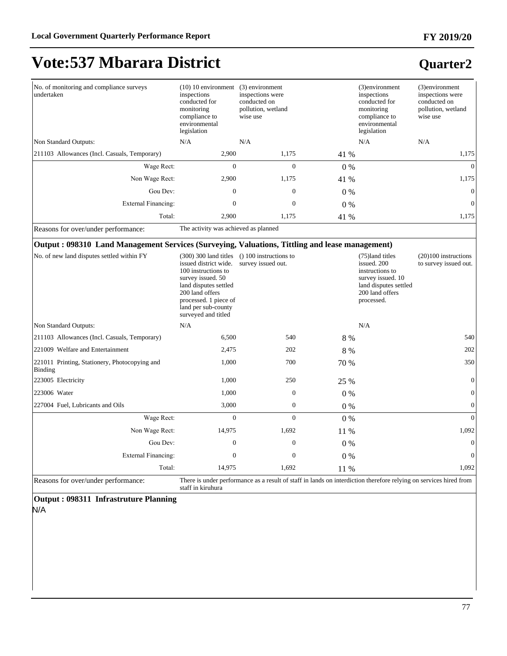## **Vote:537 Mbarara District**

### **Quarter2**

| No. of monitoring and compliance surveys<br>undertaken | $(10)$ 10 environment<br>inspections<br>conducted for<br>monitoring<br>compliance to<br>environmental<br>legislation | (3) environment<br>inspections were<br>conducted on<br>pollution, wetland<br>wise use |       | (3)environment<br>inspections<br>conducted for<br>monitoring<br>compliance to<br>environmental<br>legislation | (3) environment<br>inspections were<br>conducted on<br>pollution, wetland<br>wise use |
|--------------------------------------------------------|----------------------------------------------------------------------------------------------------------------------|---------------------------------------------------------------------------------------|-------|---------------------------------------------------------------------------------------------------------------|---------------------------------------------------------------------------------------|
| Non Standard Outputs:                                  | N/A                                                                                                                  | N/A                                                                                   |       | N/A                                                                                                           | N/A                                                                                   |
| [211103 Allowances (Incl. Casuals, Temporary)          | 2,900                                                                                                                | 1,175                                                                                 | 41 %  |                                                                                                               | 1,175                                                                                 |
| Wage Rect:                                             | $\overline{0}$                                                                                                       | $\mathbf{0}$                                                                          | $0\%$ |                                                                                                               | $\overline{0}$                                                                        |
| Non Wage Rect:                                         | 2,900                                                                                                                | 1,175                                                                                 | 41 %  |                                                                                                               | 1,175                                                                                 |
| Gou Dev:                                               | $\mathbf{0}$                                                                                                         | $\mathbf{0}$                                                                          | $0\%$ |                                                                                                               | $\overline{0}$                                                                        |
| External Financing:                                    | $\mathbf{0}$                                                                                                         | $\boldsymbol{0}$                                                                      | $0\%$ |                                                                                                               | $\overline{0}$                                                                        |
| Total:                                                 | 2,900                                                                                                                | 1,175                                                                                 | 41 %  |                                                                                                               | 1,175                                                                                 |

Reasons for over/under performance: The activity was achieved as planned

#### **Output : 098310 Land Management Services (Surveying, Valuations, Tittling and lease management)**

| No. of new land disputes settled within FY               | (300) 300 land titles<br>issued district wide.<br>100 instructions to<br>survey issued. 50<br>land disputes settled<br>200 land offers<br>processed. 1 piece of<br>land per sub-county<br>surveyed and titled | $( ) 100$ instructions to<br>survey issued out.                                                                   |       | (75)land titles<br>issued. 200<br>instructions to<br>survey issued. 10<br>land disputes settled<br>200 land offers<br>processed. | $(20)100$ instructions<br>to survey issued out. |
|----------------------------------------------------------|---------------------------------------------------------------------------------------------------------------------------------------------------------------------------------------------------------------|-------------------------------------------------------------------------------------------------------------------|-------|----------------------------------------------------------------------------------------------------------------------------------|-------------------------------------------------|
| Non Standard Outputs:                                    | N/A                                                                                                                                                                                                           |                                                                                                                   |       | N/A                                                                                                                              |                                                 |
| 211103 Allowances (Incl. Casuals, Temporary)             | 6,500                                                                                                                                                                                                         | 540                                                                                                               | 8 %   |                                                                                                                                  | 540                                             |
| 221009 Welfare and Entertainment                         | 2,475                                                                                                                                                                                                         | 202                                                                                                               | 8 %   |                                                                                                                                  | 202                                             |
| 221011 Printing, Stationery, Photocopying and<br>Binding | 1,000                                                                                                                                                                                                         | 700                                                                                                               | 70 %  |                                                                                                                                  | 350                                             |
| 223005 Electricity                                       | 1,000                                                                                                                                                                                                         | 250                                                                                                               | 25 %  |                                                                                                                                  | $\overline{0}$                                  |
| 223006 Water                                             | 1,000                                                                                                                                                                                                         | $\Omega$                                                                                                          | $0\%$ |                                                                                                                                  | $\Omega$                                        |
| 227004 Fuel, Lubricants and Oils                         | 3,000                                                                                                                                                                                                         | $\mathbf{0}$                                                                                                      | $0\%$ |                                                                                                                                  | 0                                               |
| Wage Rect:                                               | $\Omega$                                                                                                                                                                                                      | $\Omega$                                                                                                          | $0\%$ |                                                                                                                                  | $\Omega$                                        |
| Non Wage Rect:                                           | 14,975                                                                                                                                                                                                        | 1,692                                                                                                             | 11 %  |                                                                                                                                  | 1,092                                           |
| Gou Dev:                                                 | $\Omega$                                                                                                                                                                                                      | $\Omega$                                                                                                          | $0\%$ |                                                                                                                                  | $\Omega$                                        |
| External Financing:                                      | $\Omega$                                                                                                                                                                                                      | $\Omega$                                                                                                          | $0\%$ |                                                                                                                                  | 0                                               |
| Total:                                                   | 14,975                                                                                                                                                                                                        | 1,692                                                                                                             | 11 %  |                                                                                                                                  | 1,092                                           |
| Dessons for overlunder performance                       |                                                                                                                                                                                                               | There is under performance as a result of staff in lands on interdiction therefore relying on services hired from |       |                                                                                                                                  |                                                 |

Reasons for over/under performance: There is under performance as a result of staff in lands on interdiction therefore relying on services hired from staff in kiruhura

### **Output : 098311 Infrastruture Planning**

N/A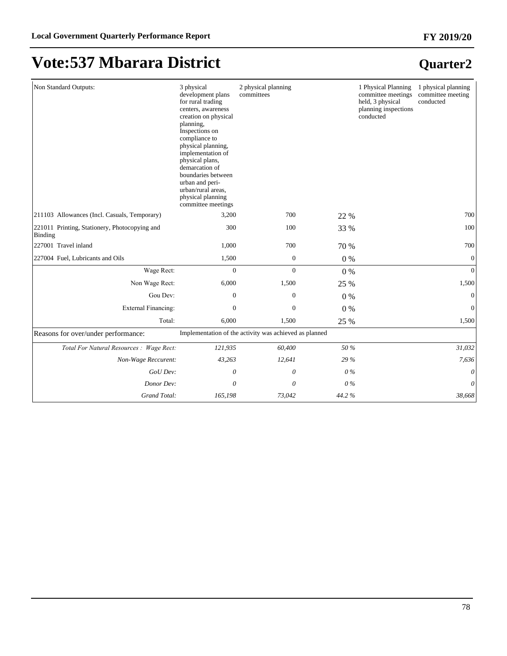| Non Standard Outputs:                                    | 3 physical<br>development plans<br>for rural trading<br>centers, awareness<br>creation on physical<br>planning,<br>Inspections on<br>compliance to<br>physical planning,<br>implementation of<br>physical plans,<br>demarcation of<br>boundaries between<br>urban and peri-<br>urban/rural areas,<br>physical planning<br>committee meetings | 2 physical planning<br>committees                      |       | 1 Physical Planning<br>committee meetings<br>held, 3 physical<br>planning inspections<br>conducted | 1 physical planning<br>committee meeting<br>conducted |
|----------------------------------------------------------|----------------------------------------------------------------------------------------------------------------------------------------------------------------------------------------------------------------------------------------------------------------------------------------------------------------------------------------------|--------------------------------------------------------|-------|----------------------------------------------------------------------------------------------------|-------------------------------------------------------|
| 211103 Allowances (Incl. Casuals, Temporary)             | 3,200                                                                                                                                                                                                                                                                                                                                        | 700                                                    | 22 %  |                                                                                                    | 700                                                   |
| 221011 Printing, Stationery, Photocopying and<br>Binding | 300                                                                                                                                                                                                                                                                                                                                          | 100                                                    | 33 %  |                                                                                                    | 100                                                   |
| 227001 Travel inland                                     | 1,000                                                                                                                                                                                                                                                                                                                                        | 700                                                    | 70 %  |                                                                                                    | 700                                                   |
| 227004 Fuel, Lubricants and Oils                         | 1,500                                                                                                                                                                                                                                                                                                                                        | $\boldsymbol{0}$                                       | 0%    |                                                                                                    | $\mathbf{0}$                                          |
| Wage Rect:                                               | $\overline{0}$                                                                                                                                                                                                                                                                                                                               | $\overline{0}$                                         | $0\%$ |                                                                                                    | $\Omega$                                              |
| Non Wage Rect:                                           | 6,000                                                                                                                                                                                                                                                                                                                                        | 1,500                                                  | 25 %  |                                                                                                    | 1,500                                                 |
| Gou Dev:                                                 | $\boldsymbol{0}$                                                                                                                                                                                                                                                                                                                             | $\boldsymbol{0}$                                       | 0%    |                                                                                                    | $\mathbf{0}$                                          |
| <b>External Financing:</b>                               | $\theta$                                                                                                                                                                                                                                                                                                                                     | $\overline{0}$                                         | $0\%$ |                                                                                                    | $\overline{0}$                                        |
| Total:                                                   | 6,000                                                                                                                                                                                                                                                                                                                                        | 1,500                                                  | 25 %  |                                                                                                    | 1,500                                                 |
| Reasons for over/under performance:                      |                                                                                                                                                                                                                                                                                                                                              | Implementation of the activity was achieved as planned |       |                                                                                                    |                                                       |
| Total For Natural Resources : Wage Rect:                 | 121,935                                                                                                                                                                                                                                                                                                                                      | 60,400                                                 | 50 %  |                                                                                                    | 31,032                                                |
| Non-Wage Reccurent:                                      | 43,263                                                                                                                                                                                                                                                                                                                                       | 12,641                                                 | 29 %  |                                                                                                    | 7,636                                                 |
| GoU Dev:                                                 | 0                                                                                                                                                                                                                                                                                                                                            | 0                                                      | $0\%$ |                                                                                                    | $\theta$                                              |
| Donor Dev:                                               | 0                                                                                                                                                                                                                                                                                                                                            | 0                                                      | 0%    |                                                                                                    | 0                                                     |
| Grand Total:                                             | 165,198                                                                                                                                                                                                                                                                                                                                      | 73,042                                                 | 44.2% |                                                                                                    | 38,668                                                |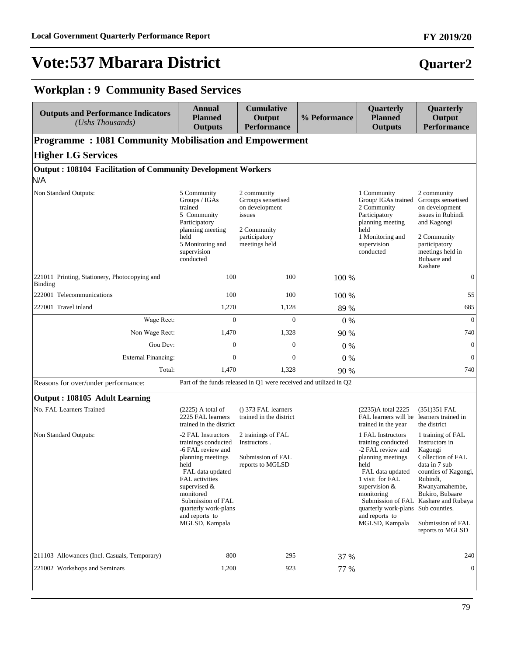#### **FY 2019/20**

### **Quarter2**

### **Workplan : 9 Community Based Services**

| <b>Outputs and Performance Indicators</b><br>$(Ushs$ Thousands)            | <b>Annual</b><br><b>Planned</b><br><b>Outputs</b>                                                                                                                                                                                                  | <b>Cumulative</b><br>Output<br><b>Performance</b>                                                              | % Peformance | Quarterly<br><b>Planned</b><br><b>Outputs</b>                                                                                                                                                                                                    | Quarterly<br>Output<br><b>Performance</b>                                                                                                                                                                                                     |
|----------------------------------------------------------------------------|----------------------------------------------------------------------------------------------------------------------------------------------------------------------------------------------------------------------------------------------------|----------------------------------------------------------------------------------------------------------------|--------------|--------------------------------------------------------------------------------------------------------------------------------------------------------------------------------------------------------------------------------------------------|-----------------------------------------------------------------------------------------------------------------------------------------------------------------------------------------------------------------------------------------------|
| <b>Programme: 1081 Community Mobilisation and Empowerment</b>              |                                                                                                                                                                                                                                                    |                                                                                                                |              |                                                                                                                                                                                                                                                  |                                                                                                                                                                                                                                               |
| <b>Higher LG Services</b>                                                  |                                                                                                                                                                                                                                                    |                                                                                                                |              |                                                                                                                                                                                                                                                  |                                                                                                                                                                                                                                               |
| <b>Output: 108104 Facilitation of Community Development Workers</b><br>N/A |                                                                                                                                                                                                                                                    |                                                                                                                |              |                                                                                                                                                                                                                                                  |                                                                                                                                                                                                                                               |
| Non Standard Outputs:                                                      | 5 Community<br>Groups / IGAs<br>trained<br>5 Community<br>Participatory<br>planning meeting<br>held<br>5 Monitoring and<br>supervision<br>conducted                                                                                                | 2 community<br>Grroups sensetised<br>on development<br>issues<br>2 Community<br>participatory<br>meetings held |              | 1 Community<br>Group/ IGAs trained<br>2 Community<br>Participatory<br>planning meeting<br>held<br>1 Monitoring and<br>supervision<br>conducted                                                                                                   | 2 community<br>Grroups sensetised<br>on development<br>issues in Rubindi<br>and Kagongi<br>2 Community<br>participatory<br>meetings held in<br>Bubaare and<br>Kashare                                                                         |
| 221011 Printing, Stationery, Photocopying and<br><b>Binding</b>            | 100                                                                                                                                                                                                                                                | 100                                                                                                            | 100 %        |                                                                                                                                                                                                                                                  | $\boldsymbol{0}$                                                                                                                                                                                                                              |
| 222001 Telecommunications                                                  | 100                                                                                                                                                                                                                                                | 100                                                                                                            | 100 %        |                                                                                                                                                                                                                                                  | 55                                                                                                                                                                                                                                            |
| 227001 Travel inland                                                       | 1,270                                                                                                                                                                                                                                              | 1,128                                                                                                          | 89 %         |                                                                                                                                                                                                                                                  | 685                                                                                                                                                                                                                                           |
| Wage Rect:                                                                 | $\overline{0}$                                                                                                                                                                                                                                     | $\overline{0}$                                                                                                 | 0%           |                                                                                                                                                                                                                                                  | $\overline{0}$                                                                                                                                                                                                                                |
| Non Wage Rect:                                                             | 1,470                                                                                                                                                                                                                                              | 1,328                                                                                                          | 90 %         |                                                                                                                                                                                                                                                  | 740                                                                                                                                                                                                                                           |
| Gou Dev:                                                                   | $\mathbf{0}$                                                                                                                                                                                                                                       | $\mathbf{0}$                                                                                                   | $0\%$        |                                                                                                                                                                                                                                                  | $\mathbf{0}$                                                                                                                                                                                                                                  |
| <b>External Financing:</b>                                                 | $\overline{0}$                                                                                                                                                                                                                                     | $\mathbf{0}$                                                                                                   | 0%           |                                                                                                                                                                                                                                                  | $\Omega$                                                                                                                                                                                                                                      |
| Total:                                                                     | 1,470                                                                                                                                                                                                                                              | 1,328                                                                                                          | 90 %         |                                                                                                                                                                                                                                                  | 740                                                                                                                                                                                                                                           |
| Reasons for over/under performance:                                        |                                                                                                                                                                                                                                                    | Part of the funds released in Q1 were received and utilized in Q2                                              |              |                                                                                                                                                                                                                                                  |                                                                                                                                                                                                                                               |
| Output: 108105 Adult Learning                                              |                                                                                                                                                                                                                                                    |                                                                                                                |              |                                                                                                                                                                                                                                                  |                                                                                                                                                                                                                                               |
| No. FAL Learners Trained                                                   | $(2225)$ A total of<br>2225 FAL learners<br>trained in the district                                                                                                                                                                                | () 373 FAL learners<br>trained in the district                                                                 |              | (2235)A total 2225<br>FAL learners will be<br>trained in the year                                                                                                                                                                                | $(351)351$ FAL<br>learners trained in<br>the district                                                                                                                                                                                         |
| Non Standard Outputs:                                                      | -2 FAL Instructors<br>trainings conducted<br>-6 FAL review and<br>planning meetings<br>held<br>FAL data updated<br>FAL activities<br>supervised $\&$<br>monitored<br>Submission of FAL<br>quarterly work-plans<br>and reports to<br>MGLSD, Kampala | 2 trainings of FAL<br>Instructors.<br>Submission of FAL<br>reports to MGLSD                                    |              | 1 FAL Instructors<br>training conducted<br>-2 FAL review and<br>planning meetings<br>held<br>FAL data updated<br>1 visit for FAL<br>supervision &<br>monitoring<br>Submission of FAL<br>quarterly work-plans<br>and reports to<br>MGLSD, Kampala | 1 training of FAL<br>Instructors in<br>Kagongi<br>Collection of FAL<br>data in 7 sub<br>counties of Kagongi,<br>Rubindi,<br>Rwanyamahembe,<br>Bukiro, Bubaare<br>Kashare and Rubaya<br>Sub counties.<br>Submission of FAL<br>reports to MGLSD |
| 211103 Allowances (Incl. Casuals, Temporary)                               | 800                                                                                                                                                                                                                                                | 295                                                                                                            | 37 %         |                                                                                                                                                                                                                                                  | 240                                                                                                                                                                                                                                           |
| 221002 Workshops and Seminars                                              | 1,200                                                                                                                                                                                                                                              | 923                                                                                                            | 77 %         |                                                                                                                                                                                                                                                  | $\theta$                                                                                                                                                                                                                                      |
|                                                                            |                                                                                                                                                                                                                                                    |                                                                                                                |              |                                                                                                                                                                                                                                                  |                                                                                                                                                                                                                                               |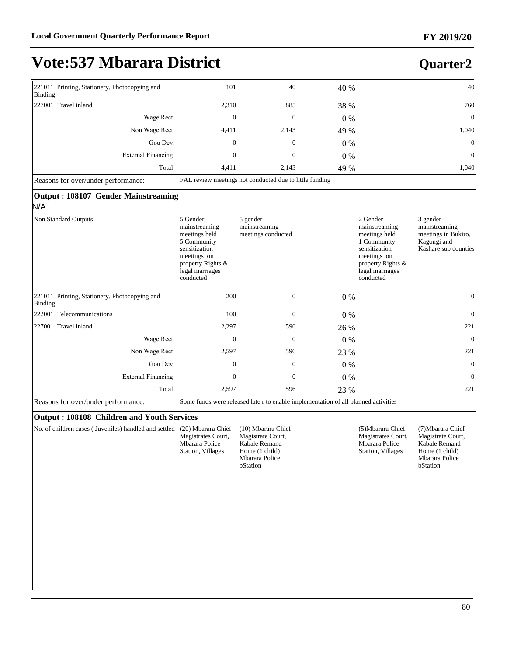**Quarter2**

## **Vote:537 Mbarara District**

| 221011 Printing, Stationery, Photocopying and<br>Binding            | 101                                                                                                                                            | 40                                                      | 40 %  | 40                                                                                                                                                                                                                                        |
|---------------------------------------------------------------------|------------------------------------------------------------------------------------------------------------------------------------------------|---------------------------------------------------------|-------|-------------------------------------------------------------------------------------------------------------------------------------------------------------------------------------------------------------------------------------------|
| 227001 Travel inland                                                | 2,310                                                                                                                                          | 885                                                     | 38 %  | 760                                                                                                                                                                                                                                       |
| Wage Rect:                                                          | $\mathbf{0}$                                                                                                                                   | $\overline{0}$                                          | $0\%$ | $\overline{0}$                                                                                                                                                                                                                            |
| Non Wage Rect:                                                      | 4,411                                                                                                                                          | 2,143                                                   | 49 %  | 1,040                                                                                                                                                                                                                                     |
| Gou Dev:                                                            | $\overline{0}$                                                                                                                                 | $\overline{0}$                                          | 0%    | $\mathbf{0}$                                                                                                                                                                                                                              |
| <b>External Financing:</b>                                          | $\mathbf{0}$                                                                                                                                   | $\overline{0}$                                          | $0\%$ | $\overline{0}$                                                                                                                                                                                                                            |
| Total:                                                              | 4,411                                                                                                                                          | 2,143                                                   | 49 %  | 1.040                                                                                                                                                                                                                                     |
| Reasons for over/under performance:                                 |                                                                                                                                                | FAL review meetings not conducted due to little funding |       |                                                                                                                                                                                                                                           |
| Output: 108107 Gender Mainstreaming<br>N/A<br>Non Standard Outputs: | 5 Gender<br>mainstreaming<br>meetings held<br>5 Community<br>sensitization<br>meetings on<br>property Rights &<br>legal marriages<br>conducted | 5 gender<br>mainstreaming<br>meetings conducted         |       | 2 Gender<br>3 gender<br>mainstreaming<br>mainstreaming<br>meetings held<br>meetings in Bukiro,<br>1 Community<br>Kagongi and<br>sensitization<br>Kashare sub counties<br>meetings on<br>property Rights &<br>legal marriages<br>conducted |
| 221011 Printing, Stationery, Photocopying and<br>Binding            | 200                                                                                                                                            | $\overline{0}$                                          | $0\%$ | $\mathbf{0}$                                                                                                                                                                                                                              |
| 222001 Telecommunications                                           | 100                                                                                                                                            | $\mathbf{0}$                                            | $0\%$ | $\mathbf{0}$                                                                                                                                                                                                                              |
| 227001 Travel inland                                                | 2,297                                                                                                                                          | 596                                                     | 26 %  | 221                                                                                                                                                                                                                                       |
|                                                                     |                                                                                                                                                |                                                         |       |                                                                                                                                                                                                                                           |

| 227001 Travel inland                | 2,297                                                                              | 596          | 26 %  | 221 |
|-------------------------------------|------------------------------------------------------------------------------------|--------------|-------|-----|
| Wage Rect:                          |                                                                                    |              | $0\%$ |     |
| Non Wage Rect:                      | 2,597                                                                              | 596          | 23 %  | 221 |
| Gou Dev:                            |                                                                                    | $\mathbf{0}$ | $0\%$ |     |
| External Financing:                 |                                                                                    |              | $0\%$ |     |
| Total:                              | 2.597                                                                              | 596          | 23 %  | 221 |
| Reasons for over/under performance: | Some funds were released late r to enable implementation of all planned activities |              |       |     |

#### **Output : 108108 Children and Youth Services**

No. of children cases ( Juveniles) handled and settled (20) Mbarara Chief Magistrates Court, Mbarara Police Station, Villages

(10) Mbarara Chief Magistrate Court, Kabale Remand Home (1 child) Mbarara Police bStation

(5)Mbarara Chief Magistrates Court, Mbarara Police Station, Villages

(7)Mbarara Chief Magistrate Court, Kabale Remand Home (1 child) Mbarara Police bStation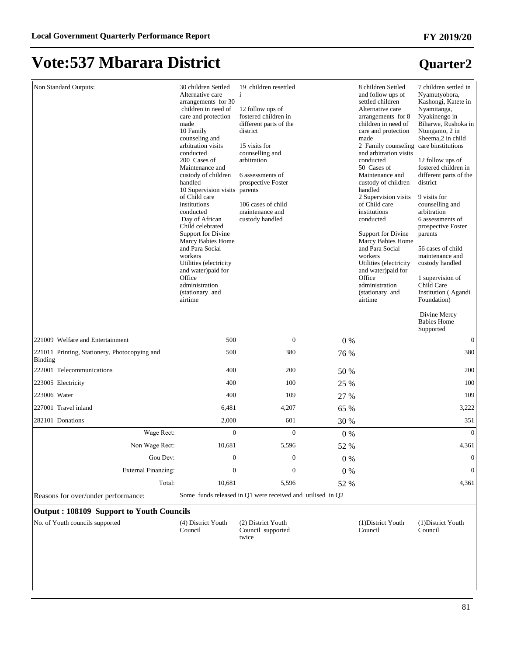**Quarter2**

## **Vote:537 Mbarara District**

| Non Standard Outputs:                                    | 30 children Settled<br>Alternative care<br>arrangements for 30<br>children in need of<br>care and protection<br>made<br>10 Family<br>counseling and<br>arbitration visits<br>conducted<br>200 Cases of<br>Maintenance and<br>custody of children<br>handled<br>10 Supervision visits parents<br>of Child care | 19 children resettled<br>i<br>12 follow ups of<br>fostered children in<br>different parts of the<br>district<br>15 visits for<br>counselling and<br>arbitration<br>6 assessments of<br>prospective Foster |         | 8 children Settled<br>and follow ups of<br>settled children<br>Alternative care<br>arrangements for 8<br>children in need of<br>care and protection<br>made<br>2 Family counseling care binstitutions<br>and arbitration visits<br>conducted<br>50 Cases of<br>Maintenance and<br>custody of children<br>handled<br>2 Supervision visits | 7 children settled in<br>Nyamutyobora,<br>Kashongi, Katete in<br>Nyamitanga,<br>Nyakinengo in<br>Biharwe, Rushoka in<br>Ntungamo, 2 in<br>Sheema,2 in child<br>12 follow ups of<br>fostered children in<br>different parts of the<br>district<br>9 visits for |
|----------------------------------------------------------|---------------------------------------------------------------------------------------------------------------------------------------------------------------------------------------------------------------------------------------------------------------------------------------------------------------|-----------------------------------------------------------------------------------------------------------------------------------------------------------------------------------------------------------|---------|------------------------------------------------------------------------------------------------------------------------------------------------------------------------------------------------------------------------------------------------------------------------------------------------------------------------------------------|---------------------------------------------------------------------------------------------------------------------------------------------------------------------------------------------------------------------------------------------------------------|
|                                                          | institutions<br>conducted<br>Day of African<br>Child celebrated<br>Support for Divine<br><b>Marcy Babies Home</b><br>and Para Social<br>workers<br>Utilities (electricity<br>and water)paid for<br>Office<br>administration<br>(stationary and                                                                | 106 cases of child<br>maintenance and<br>custody handled                                                                                                                                                  |         | of Child care<br>institutions<br>conducted<br>Support for Divine<br>Marcy Babies Home<br>and Para Social<br>workers<br>Utilities (electricity<br>and water) paid for<br>Office<br>administration<br>(stationary and                                                                                                                      | counselling and<br>arbitration<br>6 assessments of<br>prospective Foster<br>parents<br>56 cases of child<br>maintenance and<br>custody handled<br>1 supervision of<br>Child Care<br>Institution (Agandi                                                       |
|                                                          | airtime                                                                                                                                                                                                                                                                                                       |                                                                                                                                                                                                           |         | airtime                                                                                                                                                                                                                                                                                                                                  | Foundation)<br>Divine Mercy<br><b>Babies Home</b><br>Supported                                                                                                                                                                                                |
| 221009 Welfare and Entertainment                         | 500                                                                                                                                                                                                                                                                                                           | $\mathbf{0}$                                                                                                                                                                                              | 0%      |                                                                                                                                                                                                                                                                                                                                          | $\boldsymbol{0}$                                                                                                                                                                                                                                              |
| 221011 Printing, Stationery, Photocopying and<br>Binding | 500                                                                                                                                                                                                                                                                                                           | 380                                                                                                                                                                                                       | 76 %    |                                                                                                                                                                                                                                                                                                                                          | 380                                                                                                                                                                                                                                                           |
| 222001 Telecommunications                                | 400                                                                                                                                                                                                                                                                                                           | 200                                                                                                                                                                                                       | 50 %    |                                                                                                                                                                                                                                                                                                                                          | 200                                                                                                                                                                                                                                                           |
| 223005 Electricity                                       | 400                                                                                                                                                                                                                                                                                                           | 100                                                                                                                                                                                                       | 25 %    |                                                                                                                                                                                                                                                                                                                                          | 100                                                                                                                                                                                                                                                           |
| 223006 Water                                             | 400                                                                                                                                                                                                                                                                                                           | 109                                                                                                                                                                                                       | 27 %    |                                                                                                                                                                                                                                                                                                                                          | 109                                                                                                                                                                                                                                                           |
| 227001 Travel inland                                     | 6,481                                                                                                                                                                                                                                                                                                         | 4,207                                                                                                                                                                                                     | 65 %    |                                                                                                                                                                                                                                                                                                                                          | 3,222                                                                                                                                                                                                                                                         |
| 282101 Donations                                         | 2,000                                                                                                                                                                                                                                                                                                         | 601                                                                                                                                                                                                       | 30 %    |                                                                                                                                                                                                                                                                                                                                          | 351                                                                                                                                                                                                                                                           |
| Wage Rect:                                               | $\overline{0}$                                                                                                                                                                                                                                                                                                | $\mathbf{0}$                                                                                                                                                                                              | $0\%$   |                                                                                                                                                                                                                                                                                                                                          | $\mathbf{0}$                                                                                                                                                                                                                                                  |
| Non Wage Rect:                                           | 10.681                                                                                                                                                                                                                                                                                                        | 5,596                                                                                                                                                                                                     | 52 %    |                                                                                                                                                                                                                                                                                                                                          | 4,361                                                                                                                                                                                                                                                         |
| Gou Dev:                                                 | $\boldsymbol{0}$                                                                                                                                                                                                                                                                                              | $\mathbf{0}$                                                                                                                                                                                              | $0\%$   |                                                                                                                                                                                                                                                                                                                                          | $\boldsymbol{0}$                                                                                                                                                                                                                                              |
| <b>External Financing:</b>                               | $\boldsymbol{0}$                                                                                                                                                                                                                                                                                              | $\boldsymbol{0}$                                                                                                                                                                                          | $0\ \%$ |                                                                                                                                                                                                                                                                                                                                          | $\mathbf{0}$                                                                                                                                                                                                                                                  |
| Total:                                                   | 10,681                                                                                                                                                                                                                                                                                                        | 5,596                                                                                                                                                                                                     | 52 %    |                                                                                                                                                                                                                                                                                                                                          | 4,361                                                                                                                                                                                                                                                         |
| Reasons for over/under performance:                      |                                                                                                                                                                                                                                                                                                               | Some funds released in Q1 were received and utilised in Q2                                                                                                                                                |         |                                                                                                                                                                                                                                                                                                                                          |                                                                                                                                                                                                                                                               |
| Output: 108109 Support to Youth Councils                 |                                                                                                                                                                                                                                                                                                               |                                                                                                                                                                                                           |         |                                                                                                                                                                                                                                                                                                                                          |                                                                                                                                                                                                                                                               |

| No. of Youth councils supported |  |
|---------------------------------|--|
|---------------------------------|--|

(4) District Youth Council

(2) District Youth Council supported twice

(1)District Youth Council

(1)District Youth Council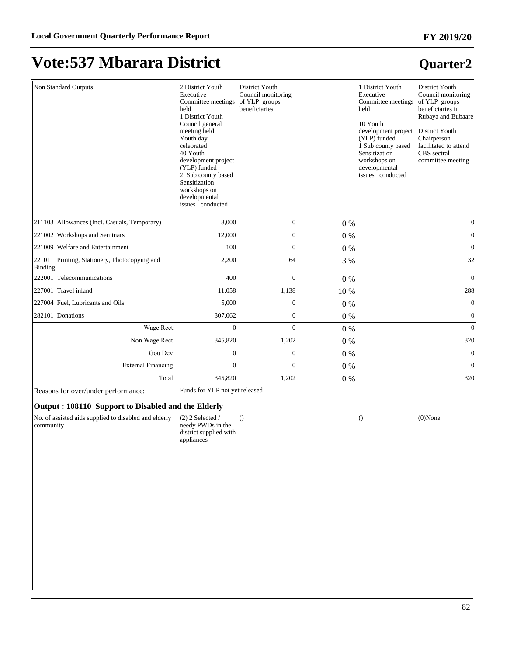#### Non Standard Outputs: 2 District Youth Executive Committee meetings held 1 District Youth Council general meeting held Youth day celebrated 40 Youth development project (YLP) funded 2 Sub county based Sensitization workshops on developmental issues conducted District Youth Council monitoring of YLP groups beneficiaries 1 District Youth Executive Committee meetings held 10 Youth development project (YLP) funded 1 Sub county based Sensitization workshops on developmental issues conducted District Youth Council monitoring of YLP groups beneficiaries in Rubaya and Bubaare District Youth Chairperson facilitated to attend CBS sectral committee meeting 211103 Allowances (Incl. Casuals, Temporary) 8,000 0 0 % 0 221002 Workshops and Seminars 12,000 0 0 % 0 221009 Welfare and Entertainment  $100$  0  $0\%$  0 0  $0\%$  0 221011 Printing, Stationery, Photocopying and Binding 2,200 64 3 % 32  $222001$  Telecommunications  $400$   $0\%$   $0\%$ 227001 Travel inland 288 1,138 10 % 288 1,138 10 % 288 227004 Fuel, Lubricants and Oils 5,000 0 0 % 0 282101 Donations 307,062 0 0 % 0 :DJH5HFW 0 0 0 % 0 Non Wage Rect: 345,820 1,202 0 % 320 \*RX'HY 0 0 0 % 0 ([WHUQDO)LQDQFLQJ 0 0 0 % 0 Total: 345,820 1,202 0 % 320 Reasons for over/under performance: Funds for YLP not yet released **Output : 108110 Support to Disabled and the Elderly**

No. of assisted aids supplied to disabled and elderly community

(2) 2 Selected / needy PWDs in the district supplied with appliances

() () (0)None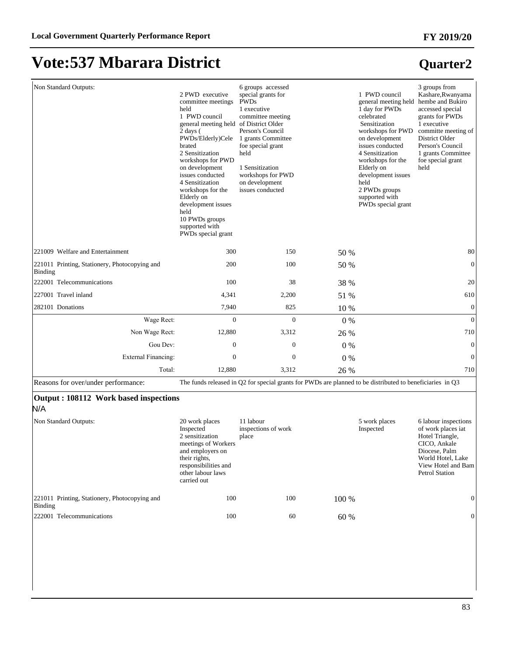## **Vote:537 Mbarara District**

| Non Standard Outputs:                                    | 2 PWD executive<br>committee meetings<br>held<br>1 PWD council<br>general meeting held of District Older<br>$2 \text{ days}$ (<br>PWDs/Elderly)Cele<br>brated<br>2 Sensitization<br>workshops for PWD<br>on development<br>issues conducted<br>4 Sensitization<br>workshops for the<br>Elderly on<br>development issues<br>held<br>10 PWDs groups<br>supported with<br>PWDs special grant | 6 groups accessed<br>special grants for<br><b>PWDs</b><br>1 executive<br>committee meeting<br>Person's Council<br>1 grants Committee<br>foe special grant<br>held<br>1 Sensitization<br>workshops for PWD<br>on development<br>issues conducted |       | 1 PWD council<br>general meeting held<br>1 day for PWDs<br>celebrated<br>Sensitization<br>workshops for PWD<br>on development<br>issues conducted<br>4 Sensitization<br>workshops for the<br>Elderly on<br>development issues<br>held<br>2 PWDs groups<br>supported with<br>PWDs special grant | 3 groups from<br>Kashare, Rwanyama<br>hembe and Bukiro<br>accessed special<br>grants for PWDs<br>1 executive<br>committe meeting of<br>District Older<br>Person's Council<br>1 grants Committee<br>foe special grant<br>held |
|----------------------------------------------------------|-------------------------------------------------------------------------------------------------------------------------------------------------------------------------------------------------------------------------------------------------------------------------------------------------------------------------------------------------------------------------------------------|-------------------------------------------------------------------------------------------------------------------------------------------------------------------------------------------------------------------------------------------------|-------|------------------------------------------------------------------------------------------------------------------------------------------------------------------------------------------------------------------------------------------------------------------------------------------------|------------------------------------------------------------------------------------------------------------------------------------------------------------------------------------------------------------------------------|
| 221009 Welfare and Entertainment                         | 300                                                                                                                                                                                                                                                                                                                                                                                       | 150                                                                                                                                                                                                                                             | 50 %  |                                                                                                                                                                                                                                                                                                | 80                                                                                                                                                                                                                           |
| 221011 Printing, Stationery, Photocopying and<br>Binding | 200                                                                                                                                                                                                                                                                                                                                                                                       | 100                                                                                                                                                                                                                                             | 50 %  |                                                                                                                                                                                                                                                                                                | $\boldsymbol{0}$                                                                                                                                                                                                             |
| 222001 Telecommunications                                | 100                                                                                                                                                                                                                                                                                                                                                                                       | 38                                                                                                                                                                                                                                              | 38 %  |                                                                                                                                                                                                                                                                                                | 20                                                                                                                                                                                                                           |
| 227001 Travel inland                                     | 4,341                                                                                                                                                                                                                                                                                                                                                                                     | 2,200                                                                                                                                                                                                                                           | 51 %  |                                                                                                                                                                                                                                                                                                | 610                                                                                                                                                                                                                          |
| 282101 Donations                                         | 7,940                                                                                                                                                                                                                                                                                                                                                                                     | 825                                                                                                                                                                                                                                             | 10 %  |                                                                                                                                                                                                                                                                                                | $\mathbf{0}$                                                                                                                                                                                                                 |
| Wage Rect:                                               | $\mathbf{0}$                                                                                                                                                                                                                                                                                                                                                                              | $\mathbf{0}$                                                                                                                                                                                                                                    | 0%    |                                                                                                                                                                                                                                                                                                | $\mathbf{0}$                                                                                                                                                                                                                 |
| Non Wage Rect:                                           | 12,880                                                                                                                                                                                                                                                                                                                                                                                    | 3,312                                                                                                                                                                                                                                           | 26 %  |                                                                                                                                                                                                                                                                                                | 710                                                                                                                                                                                                                          |
| Gou Dev:                                                 | $\mathbf{0}$                                                                                                                                                                                                                                                                                                                                                                              | $\mathbf{0}$                                                                                                                                                                                                                                    | 0%    |                                                                                                                                                                                                                                                                                                | $\mathbf{0}$                                                                                                                                                                                                                 |
| <b>External Financing:</b>                               | $\mathbf{0}$                                                                                                                                                                                                                                                                                                                                                                              | $\mathbf{0}$                                                                                                                                                                                                                                    | $0\%$ |                                                                                                                                                                                                                                                                                                | $\boldsymbol{0}$                                                                                                                                                                                                             |
| Total:                                                   | 12,880                                                                                                                                                                                                                                                                                                                                                                                    | 3,312                                                                                                                                                                                                                                           | 26 %  |                                                                                                                                                                                                                                                                                                | 710                                                                                                                                                                                                                          |
| Reasons for over/under performance:                      |                                                                                                                                                                                                                                                                                                                                                                                           | The funds released in Q2 for special grants for PWDs are planned to be distributed to beneficiaries in Q3                                                                                                                                       |       |                                                                                                                                                                                                                                                                                                |                                                                                                                                                                                                                              |

#### **Output : 108112 Work based inspections**

N/A

| Non Standard Outputs:                                    | 20 work places<br>Inspected<br>2 sensitization<br>meetings of Workers<br>and employers on<br>their rights,<br>responsibilities and<br>other labour laws<br>carried out | 11 labour<br>inspections of work<br>place |         | 5 work places<br>Inspected | 6 labour inspections<br>of work places iat<br>Hotel Triangle,<br>CICO, Ankale<br>Diocese, Palm<br>World Hotel, Lake<br>View Hotel and Bam<br><b>Petrol Station</b> |
|----------------------------------------------------------|------------------------------------------------------------------------------------------------------------------------------------------------------------------------|-------------------------------------------|---------|----------------------------|--------------------------------------------------------------------------------------------------------------------------------------------------------------------|
| 221011 Printing, Stationery, Photocopying and<br>Binding | 100                                                                                                                                                                    | 100                                       | $100\%$ |                            | $\Omega$                                                                                                                                                           |
| 222001 Telecommunications                                | 100                                                                                                                                                                    | 60                                        | 60 %    |                            |                                                                                                                                                                    |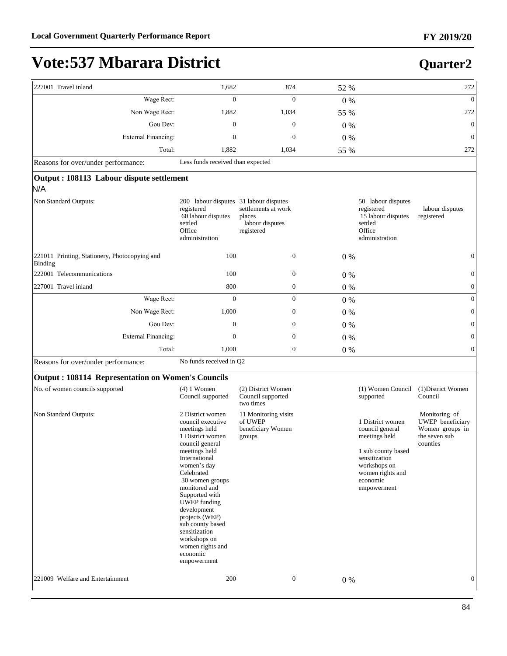**Quarter2**

## **Vote:537 Mbarara District**

#### 227001 Travel inland 272 and 272 874 52 % 272 874 52 % 272 874 52 % 272 874 52 % 273 :DJH5HFW 0 0 0 % 0 Non Wage Rect: 1,882 1,034 55 % 272 Gou Dev:  $0 \t 0 \t 0 \t 0 \t 0$ ([WHUQDO)LQDQFLQJ 0 0 0 % 0 Total: 1,882 1,034 55 % 272 Reasons for over/under performance: Less funds received than expected **Output : 108113 Labour dispute settlement**  N/A Non Standard Outputs: registered 60 labour disputes settled **Office** administration 200 labour disputes 31 labour disputes settlements at work places labour disputes registered 50 labour disputes registered 15 labour disputes settled **Office** administration labour disputes registered 221011 Printing, Stationery, Photocopying and Binding 100 0 0 % 0  $222001$  Telecommunications  $100$  0  $0\%$  0 0  $0\%$  0 227001 Travel inland 800 0 0 % 0 :DJH5HFW 0 0 0 % 0 1RQ:DJH5HFW 1,000 0 0 % 0 \*RX'HY 0 0 0 % 0 ([WHUQDO)LQDQFLQJ 0 0 0 % 0 Total: 1,000 0 0 % 0 0 Reasons for over/under performance: No funds received in Q2

#### **Output : 108114 Representation on Women's Councils**

| No. of women councils supported  | $(4)$ 1 Women<br>Council supported                                                                                                                                                                                                                                                                                                                                             | (2) District Women<br>Council supported<br>two times           |              | (1) Women Council<br>supported                                                                                                                             | (1) District Women<br>Council                                                     |
|----------------------------------|--------------------------------------------------------------------------------------------------------------------------------------------------------------------------------------------------------------------------------------------------------------------------------------------------------------------------------------------------------------------------------|----------------------------------------------------------------|--------------|------------------------------------------------------------------------------------------------------------------------------------------------------------|-----------------------------------------------------------------------------------|
| Non Standard Outputs:            | 2 District women<br>council executive<br>meetings held<br>1 District women<br>council general<br>meetings held<br>International<br>women's day<br>Celebrated<br>30 women groups<br>monitored and<br>Supported with<br><b>UWEP</b> funding<br>development<br>projects (WEP)<br>sub county based<br>sensitization<br>workshops on<br>women rights and<br>economic<br>empowerment | 11 Monitoring visits<br>of UWEP<br>beneficiary Women<br>groups |              | 1 District women<br>council general<br>meetings held<br>1 sub county based<br>sensitization<br>workshops on<br>women rights and<br>economic<br>empowerment | Monitoring of<br>UWEP beneficiary<br>Women groups in<br>the seven sub<br>counties |
| 221009 Welfare and Entertainment | 200                                                                                                                                                                                                                                                                                                                                                                            |                                                                | $\mathbf{0}$ | $0\%$                                                                                                                                                      | $\mathbf{0}$                                                                      |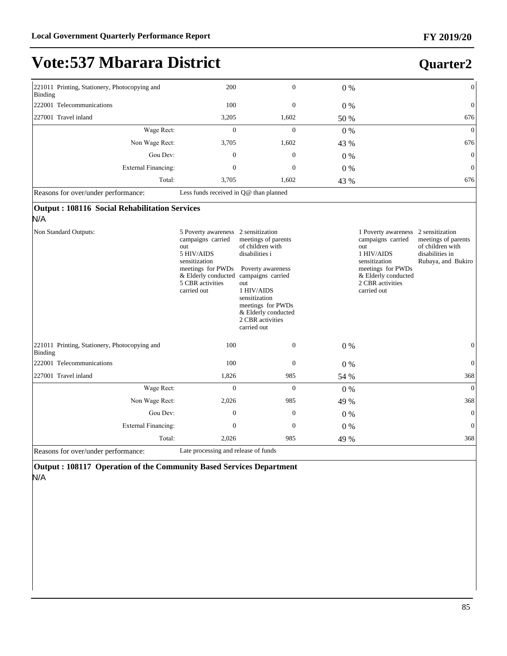### **Quarter2**

| 221011 Printing, Stationery, Photocopying and<br>Binding                      | 200                                                                                                                                    | $\boldsymbol{0}$                                                                                                                                                                                                         | $0\%$ | $\boldsymbol{0}$                                                                                                                                                                                                           |
|-------------------------------------------------------------------------------|----------------------------------------------------------------------------------------------------------------------------------------|--------------------------------------------------------------------------------------------------------------------------------------------------------------------------------------------------------------------------|-------|----------------------------------------------------------------------------------------------------------------------------------------------------------------------------------------------------------------------------|
| 222001 Telecommunications                                                     | 100                                                                                                                                    | $\mathbf{0}$                                                                                                                                                                                                             | $0\%$ | $\boldsymbol{0}$                                                                                                                                                                                                           |
| 227001 Travel inland                                                          | 3,205                                                                                                                                  | 1,602                                                                                                                                                                                                                    | 50 %  | 676                                                                                                                                                                                                                        |
| Wage Rect:                                                                    | $\mathbf{0}$                                                                                                                           | $\overline{0}$                                                                                                                                                                                                           | 0%    | $\boldsymbol{0}$                                                                                                                                                                                                           |
| Non Wage Rect:                                                                | 3,705                                                                                                                                  | 1,602                                                                                                                                                                                                                    | 43 %  | 676                                                                                                                                                                                                                        |
| Gou Dev:                                                                      | $\overline{0}$                                                                                                                         | $\overline{0}$                                                                                                                                                                                                           | 0%    | $\boldsymbol{0}$                                                                                                                                                                                                           |
| <b>External Financing:</b>                                                    | $\overline{0}$                                                                                                                         | $\mathbf{0}$                                                                                                                                                                                                             | $0\%$ | $\boldsymbol{0}$                                                                                                                                                                                                           |
| Total:                                                                        | 3,705                                                                                                                                  | 1,602                                                                                                                                                                                                                    | 43 %  | 676                                                                                                                                                                                                                        |
| Reasons for over/under performance:                                           | Less funds received in Q@ than planned                                                                                                 |                                                                                                                                                                                                                          |       |                                                                                                                                                                                                                            |
| Output: 108116 Social Rehabilitation Services<br>N/A<br>Non Standard Outputs: | 5 Poverty awareness                                                                                                                    | 2 sensitization                                                                                                                                                                                                          |       | 1 Poverty awareness 2 sensitization                                                                                                                                                                                        |
|                                                                               | campaigns carried<br>out<br>5 HIV/AIDS<br>sensitization<br>meetings for PWDs<br>& Elderly conducted<br>5 CBR activities<br>carried out | meetings of parents<br>of children with<br>disabilities i<br>Poverty awareness<br>campaigns carried<br>out<br>1 HIV/AIDS<br>sensitization<br>meetings for PWDs<br>& Elderly conducted<br>2 CBR activities<br>carried out |       | campaigns carried<br>meetings of parents<br>of children with<br>out<br>1 HIV/AIDS<br>disabilities in<br>sensitization<br>Rubaya, and Bukiro<br>meetings for PWDs<br>& Elderly conducted<br>2 CBR activities<br>carried out |
| 221011 Printing, Stationery, Photocopying and<br>Binding                      | 100                                                                                                                                    | $\mathbf{0}$                                                                                                                                                                                                             | $0\%$ | $\mathbf{0}$                                                                                                                                                                                                               |
| 222001 Telecommunications                                                     | 100                                                                                                                                    | $\overline{0}$                                                                                                                                                                                                           | $0\%$ | $\boldsymbol{0}$                                                                                                                                                                                                           |
| 227001 Travel inland                                                          | 1,826                                                                                                                                  | 985                                                                                                                                                                                                                      | 54 %  | 368                                                                                                                                                                                                                        |
| Wage Rect:                                                                    | $\Omega$                                                                                                                               | $\theta$                                                                                                                                                                                                                 | $0\%$ | $\overline{0}$                                                                                                                                                                                                             |
| Non Wage Rect:                                                                | 2,026                                                                                                                                  | 985                                                                                                                                                                                                                      | 49 %  | 368                                                                                                                                                                                                                        |
| Gou Dev:                                                                      | $\theta$                                                                                                                               | $\mathbf{0}$                                                                                                                                                                                                             | 0%    | $\boldsymbol{0}$                                                                                                                                                                                                           |
| <b>External Financing:</b>                                                    | $\mathbf{0}$                                                                                                                           | $\overline{0}$                                                                                                                                                                                                           | $0\%$ | $\overline{0}$                                                                                                                                                                                                             |
| Total:                                                                        | 2,026                                                                                                                                  | 985                                                                                                                                                                                                                      | 49 %  | 368                                                                                                                                                                                                                        |
| Reasons for over/under performance:                                           | Late processing and release of funds                                                                                                   |                                                                                                                                                                                                                          |       |                                                                                                                                                                                                                            |

**Output : 108117 Operation of the Community Based Services Department**  N/A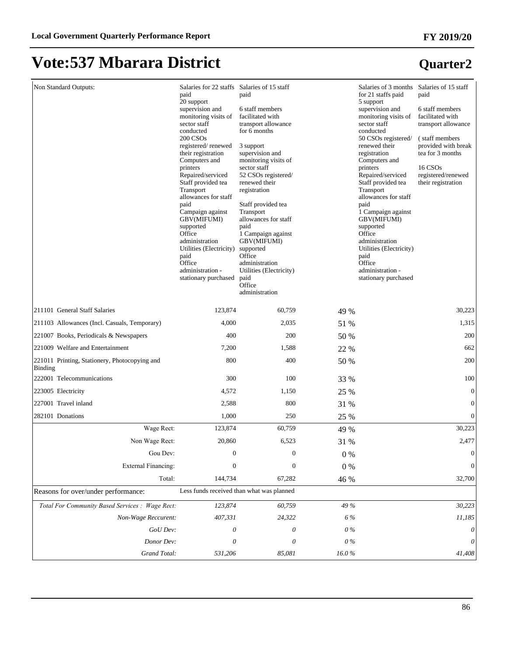| Non Standard Outputs:                                           | Salaries for 22 staffs<br>paid<br>20 support<br>supervision and<br>monitoring visits of<br>sector staff<br>conducted<br>200 CSO <sub>s</sub><br>registered/renewed<br>their registration<br>Computers and<br>printers<br>Repaired/serviced<br>Staff provided tea<br>Transport<br>allowances for staff<br>paid<br>Campaign against<br>GBV(MIFUMI)<br>supported<br>Office<br>administration<br>Utilities (Electricity)<br>paid<br>Office<br>administration -<br>stationary purchased | Salaries of 15 staff<br>paid<br>6 staff members<br>facilitated with<br>transport allowance<br>for 6 months<br>3 support<br>supervision and<br>monitoring visits of<br>sector staff<br>52 CSOs registered/<br>renewed their<br>registration<br>Staff provided tea<br>Transport<br>allowances for staff<br>paid<br>1 Campaign against<br>GBV(MIFUMI)<br>supported<br>Office<br>administration<br>Utilities (Electricity)<br>paid<br>Office<br>administration |         | Salaries of 3 months Salaries of 15 staff<br>for 21 staffs paid<br>5 support<br>supervision and<br>monitoring visits of<br>sector staff<br>conducted<br>50 CSOs registered/<br>renewed their<br>registration<br>Computers and<br>printers<br>Repaired/serviced<br>Staff provided tea<br>Transport<br>allowances for staff<br>paid<br>1 Campaign against<br>GBV(MIFUMI)<br>supported<br>Office<br>administration<br>Utilities (Electricity)<br>paid<br>Office<br>administration -<br>stationary purchased | paid<br>6 staff members<br>facilitated with<br>transport allowance<br>(staff members)<br>provided with break<br>tea for 3 months<br>16 CSO <sub>s</sub><br>registered/renewed<br>their registration |
|-----------------------------------------------------------------|------------------------------------------------------------------------------------------------------------------------------------------------------------------------------------------------------------------------------------------------------------------------------------------------------------------------------------------------------------------------------------------------------------------------------------------------------------------------------------|------------------------------------------------------------------------------------------------------------------------------------------------------------------------------------------------------------------------------------------------------------------------------------------------------------------------------------------------------------------------------------------------------------------------------------------------------------|---------|----------------------------------------------------------------------------------------------------------------------------------------------------------------------------------------------------------------------------------------------------------------------------------------------------------------------------------------------------------------------------------------------------------------------------------------------------------------------------------------------------------|-----------------------------------------------------------------------------------------------------------------------------------------------------------------------------------------------------|
| 211101 General Staff Salaries                                   | 123,874                                                                                                                                                                                                                                                                                                                                                                                                                                                                            | 60,759                                                                                                                                                                                                                                                                                                                                                                                                                                                     | 49 %    |                                                                                                                                                                                                                                                                                                                                                                                                                                                                                                          | 30,223                                                                                                                                                                                              |
| 211103 Allowances (Incl. Casuals, Temporary)                    | 4,000                                                                                                                                                                                                                                                                                                                                                                                                                                                                              | 2,035                                                                                                                                                                                                                                                                                                                                                                                                                                                      | 51 %    |                                                                                                                                                                                                                                                                                                                                                                                                                                                                                                          | 1,315                                                                                                                                                                                               |
| 221007 Books, Periodicals & Newspapers                          | 400                                                                                                                                                                                                                                                                                                                                                                                                                                                                                | 200                                                                                                                                                                                                                                                                                                                                                                                                                                                        | 50 %    |                                                                                                                                                                                                                                                                                                                                                                                                                                                                                                          | 200                                                                                                                                                                                                 |
| 221009 Welfare and Entertainment                                | 7,200                                                                                                                                                                                                                                                                                                                                                                                                                                                                              | 1,588                                                                                                                                                                                                                                                                                                                                                                                                                                                      | 22 %    |                                                                                                                                                                                                                                                                                                                                                                                                                                                                                                          | 662                                                                                                                                                                                                 |
| 221011 Printing, Stationery, Photocopying and<br><b>Binding</b> | 800                                                                                                                                                                                                                                                                                                                                                                                                                                                                                | 400                                                                                                                                                                                                                                                                                                                                                                                                                                                        | 50 %    |                                                                                                                                                                                                                                                                                                                                                                                                                                                                                                          | 200                                                                                                                                                                                                 |
| 222001 Telecommunications                                       | 300                                                                                                                                                                                                                                                                                                                                                                                                                                                                                | 100                                                                                                                                                                                                                                                                                                                                                                                                                                                        | 33 %    |                                                                                                                                                                                                                                                                                                                                                                                                                                                                                                          | 100                                                                                                                                                                                                 |
| 223005 Electricity                                              | 4,572                                                                                                                                                                                                                                                                                                                                                                                                                                                                              | 1,150                                                                                                                                                                                                                                                                                                                                                                                                                                                      | 25 %    |                                                                                                                                                                                                                                                                                                                                                                                                                                                                                                          | $\boldsymbol{0}$                                                                                                                                                                                    |
| 227001 Travel inland                                            | 2,588                                                                                                                                                                                                                                                                                                                                                                                                                                                                              | 800                                                                                                                                                                                                                                                                                                                                                                                                                                                        | 31 %    |                                                                                                                                                                                                                                                                                                                                                                                                                                                                                                          | $\boldsymbol{0}$                                                                                                                                                                                    |
| 282101 Donations                                                | 1,000                                                                                                                                                                                                                                                                                                                                                                                                                                                                              | 250                                                                                                                                                                                                                                                                                                                                                                                                                                                        | 25 %    |                                                                                                                                                                                                                                                                                                                                                                                                                                                                                                          | $\boldsymbol{0}$                                                                                                                                                                                    |
| Wage Rect:                                                      | 123,874                                                                                                                                                                                                                                                                                                                                                                                                                                                                            | 60,759                                                                                                                                                                                                                                                                                                                                                                                                                                                     | 49 %    |                                                                                                                                                                                                                                                                                                                                                                                                                                                                                                          | 30,223                                                                                                                                                                                              |
| Non Wage Rect:                                                  | 20,860                                                                                                                                                                                                                                                                                                                                                                                                                                                                             | 6,523                                                                                                                                                                                                                                                                                                                                                                                                                                                      | 31 %    |                                                                                                                                                                                                                                                                                                                                                                                                                                                                                                          | 2,477                                                                                                                                                                                               |
| Gou Dev:                                                        | $\boldsymbol{0}$                                                                                                                                                                                                                                                                                                                                                                                                                                                                   | $\boldsymbol{0}$                                                                                                                                                                                                                                                                                                                                                                                                                                           | 0%      |                                                                                                                                                                                                                                                                                                                                                                                                                                                                                                          | $\boldsymbol{0}$                                                                                                                                                                                    |
| <b>External Financing:</b>                                      | $\mathbf{0}$                                                                                                                                                                                                                                                                                                                                                                                                                                                                       | $\boldsymbol{0}$                                                                                                                                                                                                                                                                                                                                                                                                                                           | $0\ \%$ |                                                                                                                                                                                                                                                                                                                                                                                                                                                                                                          | $\boldsymbol{0}$                                                                                                                                                                                    |
| Total:                                                          | 144,734                                                                                                                                                                                                                                                                                                                                                                                                                                                                            | 67,282                                                                                                                                                                                                                                                                                                                                                                                                                                                     | 46 %    |                                                                                                                                                                                                                                                                                                                                                                                                                                                                                                          | 32,700                                                                                                                                                                                              |
| Reasons for over/under performance:                             | Less funds received than what was planned                                                                                                                                                                                                                                                                                                                                                                                                                                          |                                                                                                                                                                                                                                                                                                                                                                                                                                                            |         |                                                                                                                                                                                                                                                                                                                                                                                                                                                                                                          |                                                                                                                                                                                                     |
| Total For Community Based Services : Wage Rect:                 | 123,874                                                                                                                                                                                                                                                                                                                                                                                                                                                                            | 60,759                                                                                                                                                                                                                                                                                                                                                                                                                                                     | 49 %    |                                                                                                                                                                                                                                                                                                                                                                                                                                                                                                          | 30,223                                                                                                                                                                                              |
| Non-Wage Reccurent:                                             | 407,331                                                                                                                                                                                                                                                                                                                                                                                                                                                                            | 24,322                                                                                                                                                                                                                                                                                                                                                                                                                                                     | 6 %     |                                                                                                                                                                                                                                                                                                                                                                                                                                                                                                          | 11,185                                                                                                                                                                                              |
| GoU Dev:                                                        | 0                                                                                                                                                                                                                                                                                                                                                                                                                                                                                  | 0                                                                                                                                                                                                                                                                                                                                                                                                                                                          | $0\%$   |                                                                                                                                                                                                                                                                                                                                                                                                                                                                                                          | 0                                                                                                                                                                                                   |
| Donor Dev:                                                      | 0                                                                                                                                                                                                                                                                                                                                                                                                                                                                                  | 0                                                                                                                                                                                                                                                                                                                                                                                                                                                          | 0%      |                                                                                                                                                                                                                                                                                                                                                                                                                                                                                                          | 0                                                                                                                                                                                                   |
| Grand Total:                                                    | 531,206                                                                                                                                                                                                                                                                                                                                                                                                                                                                            | 85,081                                                                                                                                                                                                                                                                                                                                                                                                                                                     | 16.0%   |                                                                                                                                                                                                                                                                                                                                                                                                                                                                                                          | 41,408                                                                                                                                                                                              |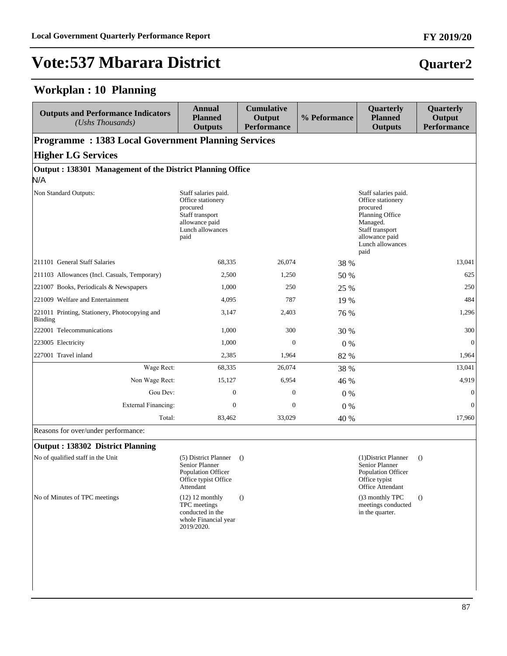#### **Workplan : 10 Planning**

| <b>Outputs and Performance Indicators</b><br>(Ushs Thousands) | <b>Annual</b><br><b>Planned</b><br><b>Outputs</b>                                                                      | <b>Cumulative</b><br>Output<br><b>Performance</b> | % Peformance | Quarterly<br><b>Planned</b><br><b>Outputs</b>                                                                                                         | Quarterly<br>Output<br><b>Performance</b> |  |  |  |
|---------------------------------------------------------------|------------------------------------------------------------------------------------------------------------------------|---------------------------------------------------|--------------|-------------------------------------------------------------------------------------------------------------------------------------------------------|-------------------------------------------|--|--|--|
| <b>Programme: 1383 Local Government Planning Services</b>     |                                                                                                                        |                                                   |              |                                                                                                                                                       |                                           |  |  |  |
| <b>Higher LG Services</b>                                     |                                                                                                                        |                                                   |              |                                                                                                                                                       |                                           |  |  |  |
| Output: 138301 Management of the District Planning Office     |                                                                                                                        |                                                   |              |                                                                                                                                                       |                                           |  |  |  |
| N/A                                                           |                                                                                                                        |                                                   |              |                                                                                                                                                       |                                           |  |  |  |
| Non Standard Outputs:                                         | Staff salaries paid.<br>Office stationery<br>procured<br>Staff transport<br>allowance paid<br>Lunch allowances<br>paid |                                                   |              | Staff salaries paid.<br>Office stationery<br>procured<br>Planning Office<br>Managed.<br>Staff transport<br>allowance paid<br>Lunch allowances<br>paid |                                           |  |  |  |
| 211101 General Staff Salaries                                 | 68,335                                                                                                                 | 26,074                                            | 38 %         |                                                                                                                                                       | 13,041                                    |  |  |  |
| 211103 Allowances (Incl. Casuals, Temporary)                  | 2,500                                                                                                                  | 1,250                                             | 50 %         |                                                                                                                                                       | 625                                       |  |  |  |
| 221007 Books, Periodicals & Newspapers                        | 1,000                                                                                                                  | 250                                               | 25 %         |                                                                                                                                                       | 250                                       |  |  |  |
| 221009 Welfare and Entertainment                              | 4,095                                                                                                                  | 787                                               | 19 %         |                                                                                                                                                       | 484                                       |  |  |  |
| 221011 Printing, Stationery, Photocopying and<br>Binding      | 3,147                                                                                                                  | 2,403                                             | 76 %         |                                                                                                                                                       | 1,296                                     |  |  |  |
| 222001 Telecommunications                                     | 1,000                                                                                                                  | 300                                               | 30 %         |                                                                                                                                                       | 300                                       |  |  |  |
| 223005 Electricity                                            | 1,000                                                                                                                  | $\mathbf{0}$                                      | $0\%$        |                                                                                                                                                       | $\boldsymbol{0}$                          |  |  |  |
| 227001 Travel inland                                          | 2,385                                                                                                                  | 1,964                                             | 82 %         |                                                                                                                                                       | 1,964                                     |  |  |  |
| Wage Rect:                                                    | 68,335                                                                                                                 | 26,074                                            | 38 %         |                                                                                                                                                       | 13,041                                    |  |  |  |
| Non Wage Rect:                                                | 15,127                                                                                                                 | 6,954                                             | 46 %         |                                                                                                                                                       | 4,919                                     |  |  |  |
| Gou Dev:                                                      | $\overline{0}$                                                                                                         | $\mathbf{0}$                                      | $0\%$        |                                                                                                                                                       | $\mathbf{0}$                              |  |  |  |
| <b>External Financing:</b>                                    | $\Omega$                                                                                                               | $\Omega$                                          | $0\%$        |                                                                                                                                                       | $\mathbf{0}$                              |  |  |  |
| Total:                                                        | 83,462                                                                                                                 | 33,029                                            | 40 %         |                                                                                                                                                       | 17,960                                    |  |  |  |

Reasons for over/under performance:

#### **Output : 138302 District Planning**

No of qualified staff in the Unit (5) District Planner (1) Senior Planner Population Officer Office typist Office Attendant () (1)District Planner () Senior Planner Population Officer Office typist Office Attendant No of Minutes of TPC meetings (12) 12 monthly TPC meetings conducted in the whole Financial year 2019/2020. () ()3 monthly TPC meetings conducted in the quarter. ()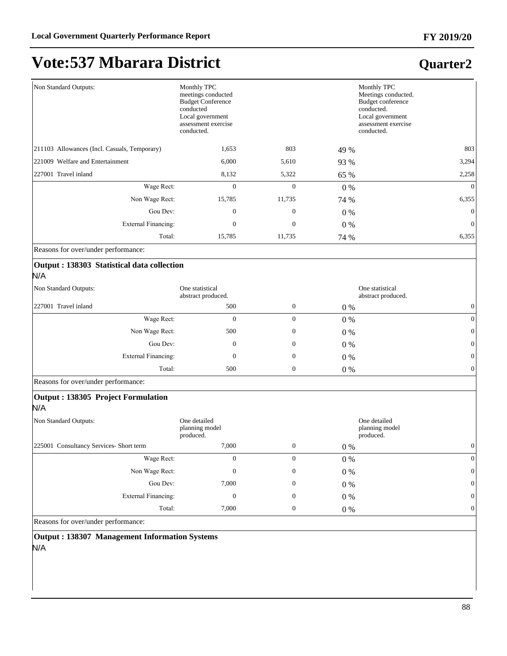### **Quarter2**

| Non Standard Outputs:                              | Monthly TPC<br>meetings conducted<br><b>Budget Conference</b><br>conducted<br>Local government<br>assessment exercise<br>conducted. |              |       | Monthly TPC<br>Meetings conducted.<br>Budget conference<br>conducted.<br>Local government<br>assessment exercise<br>conducted. |
|----------------------------------------------------|-------------------------------------------------------------------------------------------------------------------------------------|--------------|-------|--------------------------------------------------------------------------------------------------------------------------------|
| 211103 Allowances (Incl. Casuals, Temporary)       | 1,653                                                                                                                               | 803          | 49 %  | 803                                                                                                                            |
| 221009 Welfare and Entertainment                   | 6,000                                                                                                                               | 5,610        | 93 %  | 3,294                                                                                                                          |
| 227001 Travel inland                               | 8,132                                                                                                                               | 5,322        | 65 %  | 2,258                                                                                                                          |
| Wage Rect:                                         | $\boldsymbol{0}$                                                                                                                    | $\mathbf{0}$ | $0\%$ | $\overline{0}$                                                                                                                 |
| Non Wage Rect:                                     | 15,785                                                                                                                              | 11,735       | 74 %  | 6,355                                                                                                                          |
| Gou Dev:                                           | $\mathbf{0}$                                                                                                                        | $\Omega$     | $0\%$ | $\theta$                                                                                                                       |
| <b>External Financing:</b>                         | $\Omega$                                                                                                                            | $\mathbf{0}$ | $0\%$ | $\theta$                                                                                                                       |
| Total:                                             | 15,785                                                                                                                              | 11,735       | 74 %  | 6,355                                                                                                                          |
| Reasons for over/under performance:                |                                                                                                                                     |              |       |                                                                                                                                |
| Output : 138303 Statistical data collection<br>N/A |                                                                                                                                     |              |       |                                                                                                                                |
| Non Standard Outputs:                              | One statistical<br>abstract produced.                                                                                               |              |       | One statistical<br>abstract produced.                                                                                          |

| abstract produced.         |     |                  | abstract produced. |                  |
|----------------------------|-----|------------------|--------------------|------------------|
| 227001 Travel inland       | 500 | $\boldsymbol{0}$ | 0 %                | $\overline{0}$   |
| Wage Rect:                 | 0   | 0                | $0\%$              | 0                |
| Non Wage Rect:             | 500 | $\overline{0}$   | $0\%$              | $\boldsymbol{0}$ |
| Gou Dev:                   | 0   | $\boldsymbol{0}$ | $0\%$              | $\boldsymbol{0}$ |
| <b>External Financing:</b> | 0   | $\boldsymbol{0}$ | $0\%$              | $\mathbf{0}$     |
| Total:                     | 500 | $\mathbf{0}$     | 0 %                | $\overline{0}$   |

Reasons for over/under performance:

#### **Output : 138305 Project Formulation**

N/A

| Non Standard Outputs:<br>One detailed<br>planning model<br>produced. |       |                | One detailed<br>planning model<br>produced. |          |
|----------------------------------------------------------------------|-------|----------------|---------------------------------------------|----------|
| 225001 Consultancy Services- Short term                              | 7,000 | $\overline{0}$ | $0\%$                                       |          |
| Wage Rect:                                                           | 0     | 0              | $0\%$                                       |          |
| Non Wage Rect:                                                       | 0     | 0              | $0\%$                                       | $\Omega$ |
| Gou Dev:                                                             | 7,000 | $\mathbf{0}$   | $0\%$                                       | $\Omega$ |
| <b>External Financing:</b>                                           | 0     | $\mathbf{0}$   | $0\%$                                       | $\Omega$ |
| Total:                                                               | 7,000 | $\mathbf{0}$   | $0\%$                                       |          |

Reasons for over/under performance:

**Output : 138307 Management Information Systems** N/A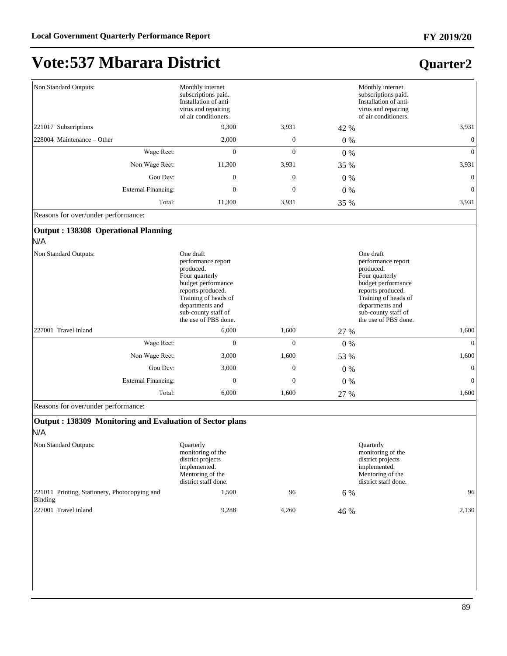## **Vote:537 Mbarara District**

#### **Quarter2**

| Non Standard Outputs:                      | Monthly internet<br>subscriptions paid.<br>Installation of anti-<br>virus and repairing<br>of air conditioners.                                                                                     | Monthly internet<br>subscriptions paid.<br>Installation of anti-<br>virus and repairing<br>of air conditioners. |       |                                                                                                                                                                                                     |
|--------------------------------------------|-----------------------------------------------------------------------------------------------------------------------------------------------------------------------------------------------------|-----------------------------------------------------------------------------------------------------------------|-------|-----------------------------------------------------------------------------------------------------------------------------------------------------------------------------------------------------|
| 221017 Subscriptions                       | 9.300                                                                                                                                                                                               | 3,931                                                                                                           | 42 %  | 3,931                                                                                                                                                                                               |
| 228004 Maintenance – Other                 | 2,000                                                                                                                                                                                               | $\boldsymbol{0}$                                                                                                | $0\%$ | $\mathbf{0}$                                                                                                                                                                                        |
| Wage Rect:                                 | $\Omega$                                                                                                                                                                                            | $\Omega$                                                                                                        | $0\%$ | $\mathbf{0}$                                                                                                                                                                                        |
| Non Wage Rect:                             | 11,300                                                                                                                                                                                              | 3,931                                                                                                           | 35 %  | 3,931                                                                                                                                                                                               |
| Gou Dev:                                   | $\mathbf{0}$                                                                                                                                                                                        | $\mathbf{0}$                                                                                                    | 0%    | $\mathbf{0}$                                                                                                                                                                                        |
| <b>External Financing:</b>                 | $\boldsymbol{0}$                                                                                                                                                                                    | $\boldsymbol{0}$                                                                                                | 0%    | $\mathbf{0}$                                                                                                                                                                                        |
| Total:                                     | 11,300                                                                                                                                                                                              | 3,931                                                                                                           | 35 %  | 3,931                                                                                                                                                                                               |
| Reasons for over/under performance:        |                                                                                                                                                                                                     |                                                                                                                 |       |                                                                                                                                                                                                     |
| Output: 138308 Operational Planning<br>N/A |                                                                                                                                                                                                     |                                                                                                                 |       |                                                                                                                                                                                                     |
| Non Standard Outputs:                      | One draft<br>performance report<br>produced.<br>Four quarterly<br>budget performance<br>reports produced.<br>Training of heads of<br>departments and<br>sub-county staff of<br>the use of PBS done. |                                                                                                                 |       | One draft<br>performance report<br>produced.<br>Four quarterly<br>budget performance<br>reports produced.<br>Training of heads of<br>departments and<br>sub-county staff of<br>the use of PBS done. |
| 227001 Travel inland                       | 6,000                                                                                                                                                                                               | 1,600                                                                                                           | 27 %  | 1,600                                                                                                                                                                                               |
| Wage Rect:                                 | $\overline{0}$                                                                                                                                                                                      | $\Omega$                                                                                                        | $0\%$ | $\mathbf{0}$                                                                                                                                                                                        |
| Non Wage Rect:                             | 3,000                                                                                                                                                                                               | 1,600                                                                                                           | 53 %  | 1,600                                                                                                                                                                                               |
| Gou Dev:                                   | 3,000                                                                                                                                                                                               | $\overline{0}$                                                                                                  | $0\%$ | $\mathbf{0}$                                                                                                                                                                                        |
| <b>External Financing:</b>                 | $\mathbf{0}$                                                                                                                                                                                        | $\mathbf{0}$                                                                                                    | 0%    | $\mathbf{0}$                                                                                                                                                                                        |
| Total:                                     | 6,000                                                                                                                                                                                               | 1,600                                                                                                           | 27 %  | 1,600                                                                                                                                                                                               |

Reasons for over/under performance:

#### **Output : 138309 Monitoring and Evaluation of Sector plans** N/A

Non Standard Outputs: Quarterly monitoring of the district projects implemented. Mentoring of the district staff done. Quarterly monitoring of the district projects implemented. Mentoring of the district staff done. 221011 Printing, Stationery, Photocopying and Binding  $1,500$  96 6 % 96 227001 Travel inland 9,288 4,260 46 % 2,130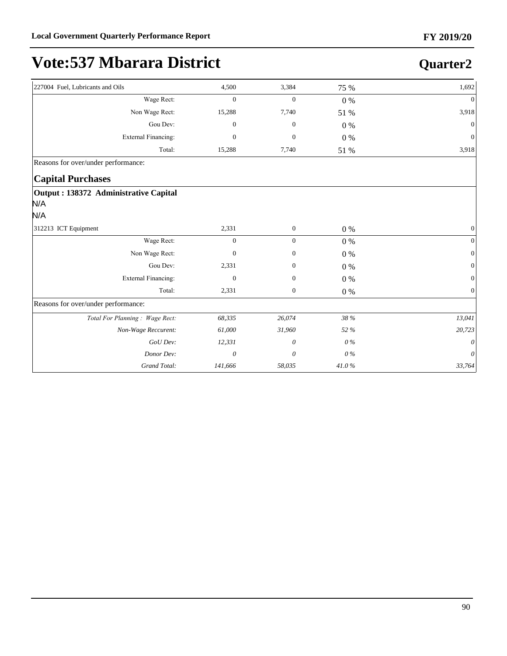| 227004 Fuel, Lubricants and Oils                     | 4,500            | 3,384            | 75 %       | 1,692        |
|------------------------------------------------------|------------------|------------------|------------|--------------|
| Wage Rect:                                           | $\boldsymbol{0}$ | $\boldsymbol{0}$ | $0\%$      | $\Omega$     |
| Non Wage Rect:                                       | 15,288           | 7,740            | 51 %       | 3,918        |
| Gou Dev:                                             | $\mathbf{0}$     | $\mathbf{0}$     | $0\ \%$    | $\mathbf{0}$ |
| <b>External Financing:</b>                           | $\Omega$         | $\mathbf{0}$     | $0\%$      | $\Omega$     |
| Total:                                               | 15,288           | 7,740            | 51 %       | 3,918        |
| Reasons for over/under performance:                  |                  |                  |            |              |
| <b>Capital Purchases</b>                             |                  |                  |            |              |
| Output : 138372 Administrative Capital<br>N/A<br>N/A |                  |                  |            |              |
| 312213 ICT Equipment                                 | 2,331            | $\boldsymbol{0}$ | $0\%$      | $\mathbf{0}$ |
| Wage Rect:                                           | $\overline{0}$   | $\overline{0}$   | $0\ \%$    | $\Omega$     |
| Non Wage Rect:                                       | $\mathbf{0}$     | $\mathbf{0}$     | 0%         | $\Omega$     |
| Gou Dev:                                             | 2,331            | $\mathbf{0}$     | $0\%$      | $\Omega$     |
| <b>External Financing:</b>                           | $\mathbf{0}$     | $\mathbf{0}$     | $0\%$      | $\mathbf{0}$ |
| Total:                                               | 2,331            | $\boldsymbol{0}$ | $0\%$      | $\mathbf{0}$ |
| Reasons for over/under performance:                  |                  |                  |            |              |
| Total For Planning: Wage Rect:                       | 68,335           | 26,074           | 38 %       | 13,041       |
| Non-Wage Reccurent:                                  | 61,000           | 31,960           | 52 %       | 20,723       |
| GoU Dev:                                             | 12,331           | 0                | 0%         | $\theta$     |
| Donor Dev:                                           | $\theta$         | 0                | $0\%$      | 0            |
| Grand Total:                                         | 141,666          | 58,035           | $41.0\,\%$ | 33,764       |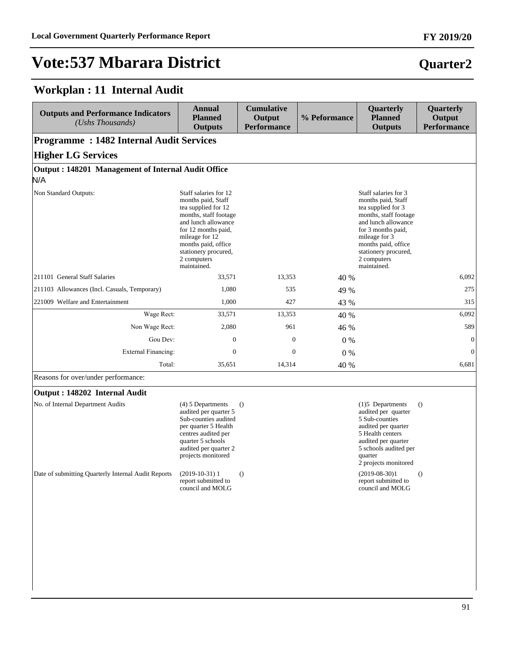## **Vote:537 Mbarara District**

#### **Workplan : 11 Internal Audit**

| <b>Outputs and Performance Indicators</b><br>$(Ushs$ Thousands) | Annual<br><b>Planned</b><br><b>Outputs</b>                                                                                                                                                                                               | <b>Cumulative</b><br>Output<br><b>Performance</b> | % Peformance | <b>Quarterly</b><br><b>Planned</b><br><b>Outputs</b>                                                                                                                                                                                 | <b>Quarterly</b><br>Output<br><b>Performance</b> |
|-----------------------------------------------------------------|------------------------------------------------------------------------------------------------------------------------------------------------------------------------------------------------------------------------------------------|---------------------------------------------------|--------------|--------------------------------------------------------------------------------------------------------------------------------------------------------------------------------------------------------------------------------------|--------------------------------------------------|
| <b>Programme: 1482 Internal Audit Services</b>                  |                                                                                                                                                                                                                                          |                                                   |              |                                                                                                                                                                                                                                      |                                                  |
| <b>Higher LG Services</b>                                       |                                                                                                                                                                                                                                          |                                                   |              |                                                                                                                                                                                                                                      |                                                  |
| Output: 148201 Management of Internal Audit Office              |                                                                                                                                                                                                                                          |                                                   |              |                                                                                                                                                                                                                                      |                                                  |
| N/A                                                             |                                                                                                                                                                                                                                          |                                                   |              |                                                                                                                                                                                                                                      |                                                  |
| Non Standard Outputs:                                           | Staff salaries for 12<br>months paid, Staff<br>tea supplied for 12<br>months, staff footage<br>and lunch allowance<br>for 12 months paid,<br>mileage for 12<br>months paid, office<br>stationery procured,<br>2 computers<br>maintained. |                                                   |              | Staff salaries for 3<br>months paid, Staff<br>tea supplied for 3<br>months, staff footage<br>and lunch allowance<br>for 3 months paid,<br>mileage for 3<br>months paid, office<br>stationery procured,<br>2 computers<br>maintained. |                                                  |
| 211101 General Staff Salaries                                   | 33,571                                                                                                                                                                                                                                   | 13,353                                            | 40 %         |                                                                                                                                                                                                                                      | 6.092                                            |
| 211103 Allowances (Incl. Casuals, Temporary)                    | 1,080                                                                                                                                                                                                                                    | 535                                               | 49 %         |                                                                                                                                                                                                                                      | 275                                              |
| 221009 Welfare and Entertainment                                | 1,000                                                                                                                                                                                                                                    | 427                                               | 43 %         |                                                                                                                                                                                                                                      | 315                                              |
| Wage Rect:                                                      | 33,571                                                                                                                                                                                                                                   | 13,353                                            | 40 %         |                                                                                                                                                                                                                                      | 6,092                                            |
| Non Wage Rect:                                                  | 2,080                                                                                                                                                                                                                                    | 961                                               | 46 %         |                                                                                                                                                                                                                                      | 589                                              |
| Gou Dev:                                                        | $\boldsymbol{0}$                                                                                                                                                                                                                         | $\mathbf{0}$                                      | $0\%$        |                                                                                                                                                                                                                                      | $\theta$                                         |
| <b>External Financing:</b>                                      | $\mathbf{0}$                                                                                                                                                                                                                             | $\mathbf{0}$                                      | $0\%$        |                                                                                                                                                                                                                                      | $\theta$                                         |
| Total:                                                          | 35,651                                                                                                                                                                                                                                   | 14,314                                            | 40 %         |                                                                                                                                                                                                                                      | 6,681                                            |
| Reasons for over/under performance:                             |                                                                                                                                                                                                                                          |                                                   |              |                                                                                                                                                                                                                                      |                                                  |

#### **Output : 148202 Internal Audit**

| No. of Internal Department Audits                   | $(4)$ 5 Departments<br>audited per quarter 5<br>Sub-counties audited<br>per quarter 5 Health<br>centres audited per<br>quarter 5 schools<br>audited per quarter 2<br>projects monitored | $\left( \right)$ |
|-----------------------------------------------------|-----------------------------------------------------------------------------------------------------------------------------------------------------------------------------------------|------------------|
| Date of submitting Quarterly Internal Audit Reports | $(2019-10-31)1$<br>report submitted to<br>council and MOLG                                                                                                                              |                  |

(1)5 Departments audited per quarter 5 Sub-counties audited per quarter 5 Health centers audited per quarter 5 schools audited per quarter 2 projects monitored ()  $(2019-08-30)1$ report submitted to council and MOLG ()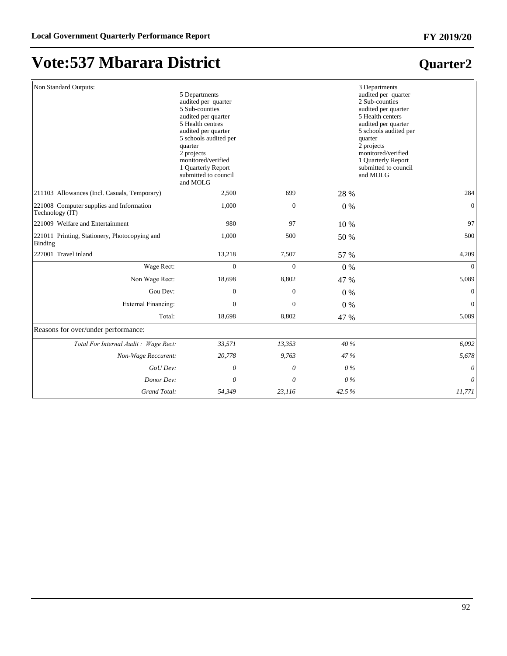## **Vote:537 Mbarara District**

| Non Standard Outputs:                                       | 5 Departments<br>audited per quarter<br>5 Sub-counties<br>audited per quarter<br>5 Health centres<br>audited per quarter<br>5 schools audited per<br>quarter<br>2 projects<br>monitored/verified<br>1 Quarterly Report<br>submitted to council<br>and MOLG |                  |       | 3 Departments<br>audited per quarter<br>2 Sub-counties<br>audited per quarter<br>5 Health centers<br>audited per quarter<br>5 schools audited per<br>quarter<br>2 projects<br>monitored/verified<br>1 Quarterly Report<br>submitted to council<br>and MOLG |
|-------------------------------------------------------------|------------------------------------------------------------------------------------------------------------------------------------------------------------------------------------------------------------------------------------------------------------|------------------|-------|------------------------------------------------------------------------------------------------------------------------------------------------------------------------------------------------------------------------------------------------------------|
| 211103 Allowances (Incl. Casuals, Temporary)                | 2,500                                                                                                                                                                                                                                                      | 699              | 28 %  | 284                                                                                                                                                                                                                                                        |
| 221008 Computer supplies and Information<br>Technology (IT) | 1,000                                                                                                                                                                                                                                                      | $\boldsymbol{0}$ | $0\%$ | $\mathbf{0}$                                                                                                                                                                                                                                               |
| 221009 Welfare and Entertainment                            | 980                                                                                                                                                                                                                                                        | 97               | 10 %  | 97                                                                                                                                                                                                                                                         |
| 221011 Printing, Stationery, Photocopying and<br>Binding    | 1,000                                                                                                                                                                                                                                                      | 500              | 50 %  | 500                                                                                                                                                                                                                                                        |
| 227001 Travel inland                                        | 13,218                                                                                                                                                                                                                                                     | 7,507            | 57 %  | 4,209                                                                                                                                                                                                                                                      |
| Wage Rect:                                                  | $\Omega$                                                                                                                                                                                                                                                   | $\overline{0}$   | $0\%$ | $\Omega$                                                                                                                                                                                                                                                   |
| Non Wage Rect:                                              | 18,698                                                                                                                                                                                                                                                     | 8,802            | 47 %  | 5,089                                                                                                                                                                                                                                                      |
| Gou Dev:                                                    | $\mathbf{0}$                                                                                                                                                                                                                                               | $\mathbf{0}$     | $0\%$ | $\Omega$                                                                                                                                                                                                                                                   |
| <b>External Financing:</b>                                  | $\Omega$                                                                                                                                                                                                                                                   | $\mathbf{0}$     | $0\%$ | $\mathbf{0}$                                                                                                                                                                                                                                               |
| Total:                                                      | 18,698                                                                                                                                                                                                                                                     | 8,802            | 47 %  | 5,089                                                                                                                                                                                                                                                      |
| Reasons for over/under performance:                         |                                                                                                                                                                                                                                                            |                  |       |                                                                                                                                                                                                                                                            |
| Total For Internal Audit: Wage Rect:                        | 33,571                                                                                                                                                                                                                                                     | 13,353           | 40 %  | 6,092                                                                                                                                                                                                                                                      |
| Non-Wage Reccurent:                                         | 20,778                                                                                                                                                                                                                                                     | 9,763            | 47 %  | 5,678                                                                                                                                                                                                                                                      |
| GoU Dev:                                                    | 0                                                                                                                                                                                                                                                          | 0                | $0\%$ | 0                                                                                                                                                                                                                                                          |
| Donor Dev:                                                  | 0                                                                                                                                                                                                                                                          | 0                | $0\%$ | $\theta$                                                                                                                                                                                                                                                   |
| Grand Total:                                                | 54,349                                                                                                                                                                                                                                                     | 23,116           | 42.5% | 11,771                                                                                                                                                                                                                                                     |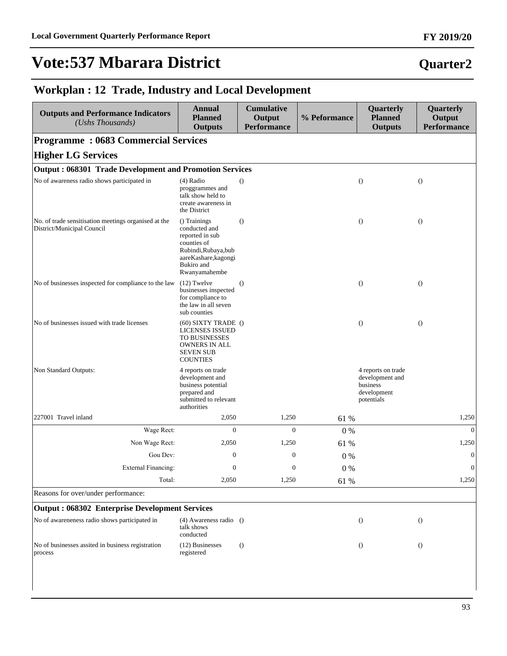## **Vote:537 Mbarara District**

### **Quarter2**

#### **Workplan : 12 Trade, Industry and Local Development**

| <b>Outputs and Performance Indicators</b><br>(Ushs Thousands)                      | <b>Annual</b><br><b>Planned</b><br><b>Outputs</b>                                                                                              | <b>Cumulative</b><br>Output<br><b>Performance</b> | % Peformance | Quarterly<br><b>Planned</b><br><b>Outputs</b>                                  | Quarterly<br>Output<br><b>Performance</b> |
|------------------------------------------------------------------------------------|------------------------------------------------------------------------------------------------------------------------------------------------|---------------------------------------------------|--------------|--------------------------------------------------------------------------------|-------------------------------------------|
| <b>Programme: 0683 Commercial Services</b>                                         |                                                                                                                                                |                                                   |              |                                                                                |                                           |
| <b>Higher LG Services</b>                                                          |                                                                                                                                                |                                                   |              |                                                                                |                                           |
| <b>Output: 068301 Trade Development and Promotion Services</b>                     |                                                                                                                                                |                                                   |              |                                                                                |                                           |
| No of awareness radio shows participated in                                        | $(4)$ Radio<br>proggrammes and<br>talk show held to<br>create awareness in<br>the District                                                     | $\bigcirc$                                        |              | $\bigcirc$                                                                     | $\bigcirc$                                |
| No. of trade sensitisation meetings organised at the<br>District/Municipal Council | () Trainings<br>conducted and<br>reported in sub<br>counties of<br>Rubindi, Rubaya, bub<br>aareKashare, kagongi<br>Bukiro and<br>Rwanyamahembe | $\Omega$                                          |              | $\bigcirc$                                                                     | $\bigcirc$                                |
| No of businesses inspected for compliance to the law                               | $(12)$ Twelve<br>businesses inspected<br>for compliance to<br>the law in all seven<br>sub counties                                             | $\theta$                                          |              | $\bigcirc$                                                                     | $\theta$                                  |
| No of businesses issued with trade licenses                                        | $(60)$ SIXTY TRADE $()$<br><b>LICENSES ISSUED</b><br>TO BUSINESSES<br>OWNERS IN ALL<br><b>SEVEN SUB</b><br><b>COUNTIES</b>                     |                                                   |              | $\theta$                                                                       | $\bigcirc$                                |
| Non Standard Outputs:                                                              | 4 reports on trade<br>development and<br>business potential<br>prepared and<br>submitted to relevant<br>authorities                            |                                                   |              | 4 reports on trade<br>development and<br>business<br>development<br>potentials |                                           |
| 227001 Travel inland                                                               | 2,050                                                                                                                                          | 1,250                                             | 61 %         |                                                                                | 1,250                                     |
| Wage Rect:                                                                         | $\overline{0}$                                                                                                                                 | $\overline{0}$                                    | 0%           |                                                                                | $\mathbf{0}$                              |
| Non Wage Rect:                                                                     | 2,050                                                                                                                                          | 1,250                                             | 61 %         |                                                                                | 1,250                                     |
| Gou Dev:                                                                           | $\boldsymbol{0}$                                                                                                                               | $\boldsymbol{0}$                                  | $0\%$        |                                                                                | $\boldsymbol{0}$                          |
| External Financing:                                                                | 0                                                                                                                                              | 0                                                 | $0\%$        |                                                                                | $\boldsymbol{0}$                          |
| Total:                                                                             | 2,050                                                                                                                                          | 1,250                                             | 61 %         |                                                                                | 1,250                                     |
| Reasons for over/under performance:                                                |                                                                                                                                                |                                                   |              |                                                                                |                                           |
| <b>Output: 068302 Enterprise Development Services</b>                              |                                                                                                                                                |                                                   |              |                                                                                |                                           |
| No of awareneness radio shows participated in                                      | $(4)$ Awareness radio $()$<br>talk shows<br>conducted                                                                                          |                                                   |              | $\bigcirc$                                                                     | $\left( \right)$                          |
| No of businesses assited in business registration<br>process                       | (12) Businesses<br>registered                                                                                                                  | $\theta$                                          |              | $\left( \right)$                                                               | $\theta$                                  |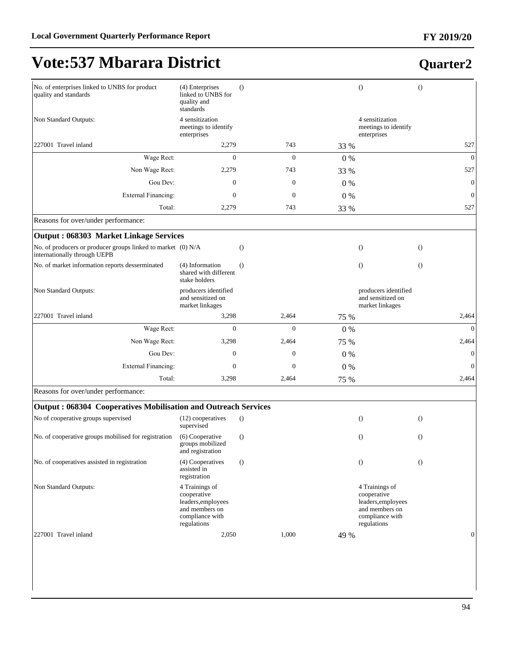## **Vote:537 Mbarara District**

| No. of enterprises linked to UNBS for product<br>quality and standards                       | (4) Enterprises<br>linked to UNBS for<br>quality and<br>standards                                       | $\Omega$         |              |       | $\theta$                                                     |                                                                           | $\overline{O}$ |              |
|----------------------------------------------------------------------------------------------|---------------------------------------------------------------------------------------------------------|------------------|--------------|-------|--------------------------------------------------------------|---------------------------------------------------------------------------|----------------|--------------|
| Non Standard Outputs:                                                                        | 4 sensitization<br>meetings to identify<br>enterprises                                                  |                  |              |       | enterprises                                                  | 4 sensitization<br>meetings to identify                                   |                |              |
| 227001 Travel inland                                                                         | 2,279                                                                                                   |                  | 743          | 33 %  |                                                              |                                                                           |                | 527          |
| Wage Rect:                                                                                   | $\overline{0}$                                                                                          |                  | $\mathbf{0}$ | $0\%$ |                                                              |                                                                           |                | $\theta$     |
| Non Wage Rect:                                                                               | 2,279                                                                                                   |                  | 743          | 33 %  |                                                              |                                                                           |                | 527          |
| Gou Dev:                                                                                     | $\mathbf{0}$                                                                                            |                  | $\mathbf{0}$ | $0\%$ |                                                              |                                                                           |                | $\mathbf{0}$ |
| <b>External Financing:</b>                                                                   | $\Omega$                                                                                                |                  | $\mathbf{0}$ | $0\%$ |                                                              |                                                                           |                | $\mathbf{0}$ |
| Total:                                                                                       | 2,279                                                                                                   |                  | 743          | 33 %  |                                                              |                                                                           |                | 527          |
| Reasons for over/under performance:                                                          |                                                                                                         |                  |              |       |                                                              |                                                                           |                |              |
| Output: 068303 Market Linkage Services                                                       |                                                                                                         |                  |              |       |                                                              |                                                                           |                |              |
| No. of producers or producer groups linked to market (0) N/A<br>internationally through UEPB |                                                                                                         | $\theta$         |              |       | $\theta$                                                     |                                                                           | $\theta$       |              |
| No. of market information reports desserminated                                              | (4) Information<br>shared with different<br>stake holders                                               | $\theta$         |              |       | $\theta$                                                     |                                                                           | $\overline{O}$ |              |
| Non Standard Outputs:                                                                        | producers identified<br>and sensitized on<br>market linkages                                            |                  |              |       | producers identified<br>and sensitized on<br>market linkages |                                                                           |                |              |
| 227001 Travel inland                                                                         | 3,298                                                                                                   |                  | 2,464        | 75 %  |                                                              |                                                                           |                | 2,464        |
| Wage Rect:                                                                                   | $\mathbf{0}$                                                                                            |                  | $\mathbf{0}$ | $0\%$ |                                                              |                                                                           |                | $\mathbf{0}$ |
| Non Wage Rect:                                                                               | 3,298                                                                                                   |                  | 2,464        | 75 %  |                                                              |                                                                           |                | 2,464        |
| Gou Dev:                                                                                     | 0                                                                                                       |                  | $\mathbf{0}$ | $0\%$ |                                                              |                                                                           |                | $\mathbf{0}$ |
| <b>External Financing:</b>                                                                   | $\mathbf{0}$                                                                                            |                  | $\mathbf{0}$ | 0%    |                                                              |                                                                           |                | $\mathbf{0}$ |
| Total:                                                                                       | 3,298                                                                                                   |                  | 2,464        | 75 %  |                                                              |                                                                           |                | 2,464        |
| Reasons for over/under performance:                                                          |                                                                                                         |                  |              |       |                                                              |                                                                           |                |              |
| Output: 068304 Cooperatives Mobilisation and Outreach Services                               |                                                                                                         |                  |              |       |                                                              |                                                                           |                |              |
| No of cooperative groups supervised                                                          | (12) cooperatives<br>supervised                                                                         | $\left( \right)$ |              |       | $\Omega$                                                     |                                                                           | $\overline{O}$ |              |
| No. of cooperative groups mobilised for registration                                         | (6) Cooperative<br>groups mobilized<br>and registration                                                 | $\Omega$         |              |       | $\Omega$                                                     |                                                                           | $\Omega$       |              |
| No. of cooperatives assisted in registration                                                 | (4) Cooperatives<br>assisted in<br>registration                                                         | $\Omega$         |              |       | $\theta$                                                     |                                                                           | $\theta$       |              |
| Non Standard Outputs:                                                                        | 4 Trainings of<br>cooperative<br>leaders, employees<br>and members on<br>compliance with<br>regulations |                  |              |       | cooperative<br>regulations                                   | 4 Trainings of<br>leaders, employees<br>and members on<br>compliance with |                |              |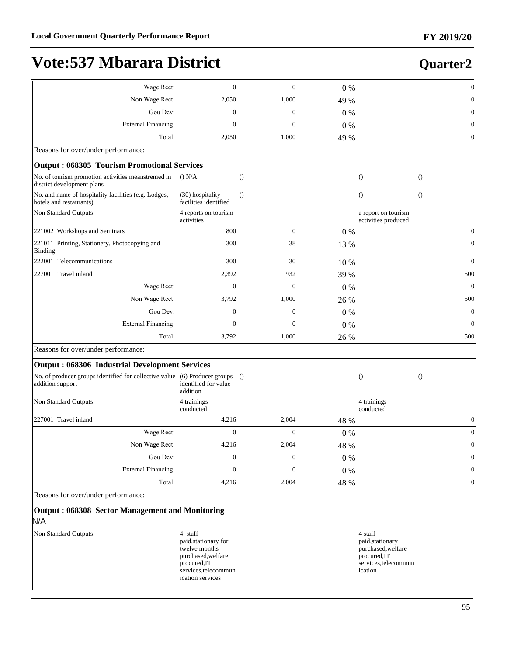#### :DJH5HFW 0 0 0 % 0 Non Wage Rect: 2,050 1,000 49 % 0 Gou Dev:  $0 \t 0 \t 0 \t 0 \t 0$ ([WHUQDO)LQDQFLQJ 0 0 0 % 0 Total: 2,050 1,000 49 % 0 Reasons for over/under performance: **Output : 068305 Tourism Promotional Services** No. of tourism promotion activities meanstremed in () N/A district development plans  $()$  N/A  $()$  ()  $)$  ()  $()$  ()  $()$  ()  $()$  ()  $()$  ()  $()$  ()  $()$  ()  $()$  ()  $()$  ()  $()$  ()  $()$  ()  $()$  ()  $()$  ()  $()$  ()  $()$  ()  $()$  ()  $()$  ()  $()$  ()  $()$  ()  $()$  ()  $()$  ()  $()$  ()  $()$  ()  $()$  ()  $()$  ()  $()$  No. and name of hospitality facilities (e.g. Lodges, hotels and restaurants) (30) hospitality facilities identified  $($ ) () () Non Standard Outputs: 4 reports on tourism activities a report on tourism activities produced 221002 Workshops and Seminars 800 0 0 % 0 221011 Printing, Stationery, Photocopying and 300 38 13 % 0 222001 Telecommunications 300 30 10 % 0 227001 Travel inland 500  $\frac{2,392}{2}$  932  $\frac{39\%}{2}$  939 :DJH5HFW 0 0 0 % 0 Non Wage Rect: 3,792 1,000 26 % 500 Gou Dev:  $0 \t 0 \t 0 \t 0 \t 0$ ([WHUQDO)LQDQFLQJ 0 0 0 % 0 Total: 3,792 1,000 26 % 500 Reasons for over/under performance: **Output : 068306 Industrial Development Services** No. of producer groups identified for collective value (6) Producer groups identified for value addition  $($ ) () () Non Standard Outputs: 4 trainings conducted 4 trainings conducted 227001 Travel inland  $4,216$   $4,216$   $4,2004$   $48\%$  0 :DJH5HFW 0 0 0 % 0 Non Wage Rect: 4,216 2,004 48 % 0 Gou Dev:  $0 \t 0 \t 0 \t 0 \t 0$ **Quarter2**

External Financing:  $\begin{array}{ccc} 0 & 0 & 0 \\ 0 & 0 & 0 \end{array}$ 

Total: 4,216 2,004 48 % 0

Reasons for over/under performance:

| <b>Output: 068308 Sector Management and Monitoring</b> |
|--------------------------------------------------------|

#### N/A

Binding

addition support

- Non Standard Outputs: 4 staff
	- paid,stationary for twelve months purchased,welfare procured,IT services,telecommun ication services

4 staff paid,stationary purchased,welfare procured,IT services,telecommun ication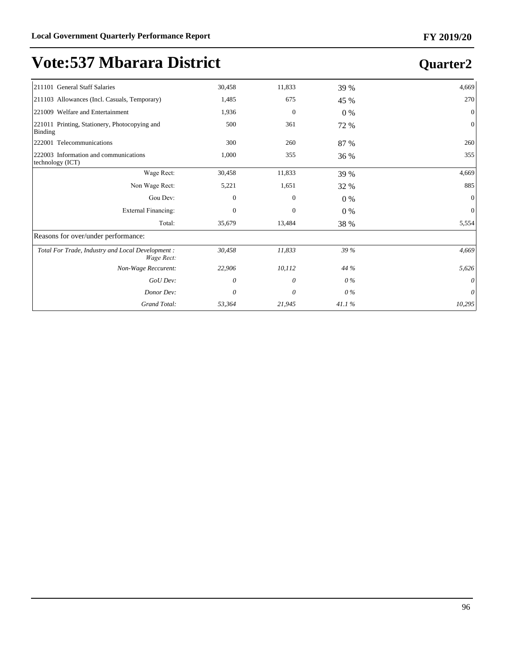| 211101 General Staff Salaries                                   | 30,458       | 11,833         | 39 %  | 4,669    |
|-----------------------------------------------------------------|--------------|----------------|-------|----------|
| [211103 Allowances (Incl. Casuals, Temporary)                   | 1,485        | 675            | 45 %  | 270      |
| 221009 Welfare and Entertainment                                | 1,936        | $\mathbf{0}$   | $0\%$ | $\Omega$ |
| 221011 Printing, Stationery, Photocopying and<br>Binding        | 500          | 361            | 72 %  | $\Omega$ |
| 222001 Telecommunications                                       | 300          | 260            | 87 %  | 260      |
| 222003 Information and communications<br>technology (ICT)       | 1,000        | 355            | 36 %  | 355      |
| Wage Rect:                                                      | 30,458       | 11,833         | 39 %  | 4,669    |
| Non Wage Rect:                                                  | 5,221        | 1,651          | 32 %  | 885      |
| Gou Dev:                                                        | $\mathbf{0}$ | $\overline{0}$ | $0\%$ | $\theta$ |
| <b>External Financing:</b>                                      | $\Omega$     | $\mathbf{0}$   | $0\%$ | $\Omega$ |
| Total:                                                          | 35,679       | 13,484         | 38 %  | 5,554    |
| Reasons for over/under performance:                             |              |                |       |          |
| Total For Trade, Industry and Local Development :<br>Wage Rect: | 30,458       | 11,833         | 39 %  | 4,669    |
| Non-Wage Reccurent:                                             | 22,906       | 10,112         | 44 %  | 5,626    |
| GoU Dev:                                                        | 0            | 0              | $0\%$ | 0        |
| Donor Dev:                                                      | 0            | 0              | $0\%$ | 0        |
| Grand Total:                                                    | 53,364       | 21,945         | 41.1% | 10,295   |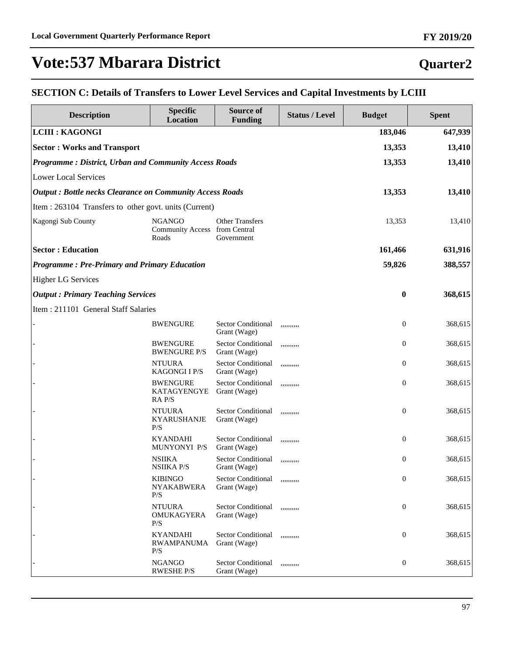#### **Quarter2**

#### **SECTION C: Details of Transfers to Lower Level Services and Capital Investments by LCIII**

| <b>Description</b>                                              | <b>Specific</b><br><b>Location</b>                      | Source of<br><b>Funding</b>               | <b>Status / Level</b> | <b>Budget</b>    | <b>Spent</b> |
|-----------------------------------------------------------------|---------------------------------------------------------|-------------------------------------------|-----------------------|------------------|--------------|
| <b>LCIII : KAGONGI</b>                                          |                                                         |                                           |                       | 183,046          | 647,939      |
| <b>Sector: Works and Transport</b>                              |                                                         |                                           |                       | 13,353           | 13,410       |
| Programme: District, Urban and Community Access Roads           |                                                         |                                           |                       | 13,353           | 13,410       |
| <b>Lower Local Services</b>                                     |                                                         |                                           |                       |                  |              |
| <b>Output: Bottle necks Clearance on Community Access Roads</b> |                                                         |                                           |                       | 13,353           | 13,410       |
| Item : 263104 Transfers to other govt. units (Current)          |                                                         |                                           |                       |                  |              |
| Kagongi Sub County                                              | <b>NGANGO</b><br>Community Access from Central<br>Roads | <b>Other Transfers</b><br>Government      |                       | 13,353           | 13,410       |
| <b>Sector: Education</b>                                        |                                                         |                                           |                       | 161,466          | 631,916      |
| <b>Programme: Pre-Primary and Primary Education</b>             |                                                         |                                           |                       | 59,826           | 388,557      |
| <b>Higher LG Services</b>                                       |                                                         |                                           |                       |                  |              |
| <b>Output: Primary Teaching Services</b>                        |                                                         |                                           |                       | $\bf{0}$         | 368,615      |
| Item: 211101 General Staff Salaries                             |                                                         |                                           |                       |                  |              |
|                                                                 | <b>BWENGURE</b>                                         | <b>Sector Conditional</b><br>Grant (Wage) | ,,,,,,,,,,            | $\boldsymbol{0}$ | 368,615      |
|                                                                 | <b>BWENGURE</b><br><b>BWENGURE P/S</b>                  | Sector Conditional<br>Grant (Wage)        | ,,,,,,,,,,            | $\boldsymbol{0}$ | 368,615      |
|                                                                 | <b>NTUURA</b><br><b>KAGONGI I P/S</b>                   | Sector Conditional<br>Grant (Wage)        | ,,,,,,,,,,            | $\boldsymbol{0}$ | 368,615      |
|                                                                 | <b>BWENGURE</b><br>KATAGYENGYE<br>RA P/S                | <b>Sector Conditional</b><br>Grant (Wage) | ,,,,,,,,,,            | $\boldsymbol{0}$ | 368,615      |
|                                                                 | <b>NTUURA</b><br><b>KYARUSHANJE</b><br>P/S              | <b>Sector Conditional</b><br>Grant (Wage) | ,,,,,,,,,,            | $\boldsymbol{0}$ | 368,615      |
|                                                                 | <b>KYANDAHI</b><br>MUNYONYI P/S                         | <b>Sector Conditional</b><br>Grant (Wage) | ,,,,,,,,,,            | $\boldsymbol{0}$ | 368,615      |
|                                                                 | <b>NSIIKA</b><br><b>NSIIKA P/S</b>                      | <b>Sector Conditional</b><br>Grant (Wage) | ,,,,,,,,,,            | $\boldsymbol{0}$ | 368,615      |
|                                                                 | <b>KIBINGO</b><br><b>NYAKABWERA</b><br>P/S              | Sector Conditional<br>Grant (Wage)        | ,,,,,,,,,,            | $\boldsymbol{0}$ | 368,615      |
|                                                                 | <b>NTUURA</b><br>OMUKAGYERA<br>P/S                      | Sector Conditional<br>Grant (Wage)        | ,,,,,,,,,,            | $\boldsymbol{0}$ | 368,615      |
|                                                                 | <b>KYANDAHI</b><br><b>RWAMPANUMA</b><br>P/S             | <b>Sector Conditional</b><br>Grant (Wage) | ,,,,,,,,,,            | $\boldsymbol{0}$ | 368,615      |
|                                                                 | <b>NGANGO</b><br><b>RWESHE P/S</b>                      | <b>Sector Conditional</b><br>Grant (Wage) | ,,,,,,,,,,            | $\boldsymbol{0}$ | 368,615      |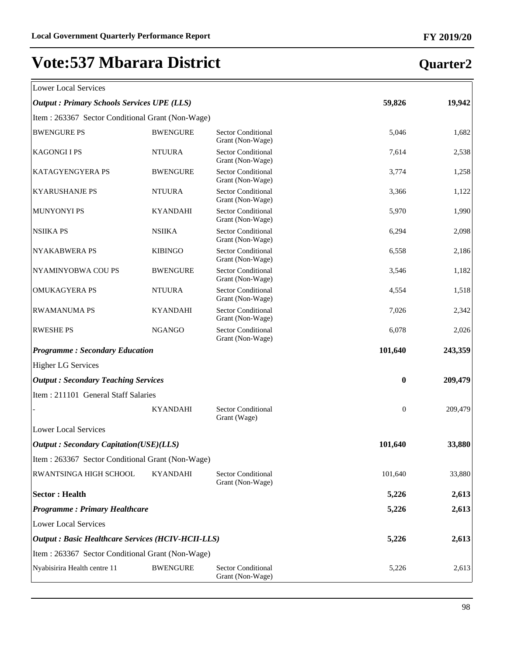| Lower Local Services |  |
|----------------------|--|

## **Quarter2**

 $\overline{\mathbb{1}}$ 

| LOWEI LOCAL SEIVICES                                      |                 |                                               |                  |         |
|-----------------------------------------------------------|-----------------|-----------------------------------------------|------------------|---------|
| <b>Output : Primary Schools Services UPE (LLS)</b>        |                 |                                               | 59,826           | 19,942  |
| Item: 263367 Sector Conditional Grant (Non-Wage)          |                 |                                               |                  |         |
| <b>BWENGURE PS</b>                                        | <b>BWENGURE</b> | <b>Sector Conditional</b><br>Grant (Non-Wage) | 5,046            | 1,682   |
| <b>KAGONGIIPS</b>                                         | <b>NTUURA</b>   | <b>Sector Conditional</b><br>Grant (Non-Wage) | 7,614            | 2,538   |
| KATAGYENGYERA PS                                          | <b>BWENGURE</b> | Sector Conditional<br>Grant (Non-Wage)        | 3,774            | 1,258   |
| <b>KYARUSHANJE PS</b>                                     | <b>NTUURA</b>   | <b>Sector Conditional</b><br>Grant (Non-Wage) | 3,366            | 1,122   |
| <b>MUNYONYI PS</b>                                        | <b>KYANDAHI</b> | <b>Sector Conditional</b><br>Grant (Non-Wage) | 5,970            | 1,990   |
| <b>NSIIKA PS</b>                                          | <b>NSIIKA</b>   | <b>Sector Conditional</b><br>Grant (Non-Wage) | 6,294            | 2,098   |
| <b>NYAKABWERA PS</b>                                      | <b>KIBINGO</b>  | <b>Sector Conditional</b><br>Grant (Non-Wage) | 6,558            | 2,186   |
| NYAMINYOBWA COU PS                                        | <b>BWENGURE</b> | <b>Sector Conditional</b><br>Grant (Non-Wage) | 3,546            | 1,182   |
| <b>OMUKAGYERA PS</b>                                      | <b>NTUURA</b>   | <b>Sector Conditional</b><br>Grant (Non-Wage) | 4,554            | 1,518   |
| <b>RWAMANUMA PS</b>                                       | <b>KYANDAHI</b> | <b>Sector Conditional</b><br>Grant (Non-Wage) | 7,026            | 2,342   |
| <b>RWESHE PS</b>                                          | <b>NGANGO</b>   | <b>Sector Conditional</b><br>Grant (Non-Wage) | 6,078            | 2,026   |
| <b>Programme: Secondary Education</b>                     |                 |                                               | 101,640          | 243,359 |
| <b>Higher LG Services</b>                                 |                 |                                               |                  |         |
| <b>Output: Secondary Teaching Services</b>                |                 |                                               | $\bf{0}$         | 209,479 |
| Item: 211101 General Staff Salaries                       |                 |                                               |                  |         |
|                                                           | <b>KYANDAHI</b> | <b>Sector Conditional</b><br>Grant (Wage)     | $\boldsymbol{0}$ | 209,479 |
| <b>Lower Local Services</b>                               |                 |                                               |                  |         |
| <b>Output: Secondary Capitation(USE)(LLS)</b>             |                 |                                               | 101,640          | 33,880  |
| Item : 263367 Sector Conditional Grant (Non-Wage)         |                 |                                               |                  |         |
| RWANTSINGA HIGH SCHOOL                                    | <b>KYANDAHI</b> | <b>Sector Conditional</b><br>Grant (Non-Wage) | 101,640          | 33,880  |
| <b>Sector: Health</b>                                     |                 |                                               | 5,226            | 2,613   |
| <b>Programme: Primary Healthcare</b>                      |                 |                                               | 5,226            | 2,613   |
| <b>Lower Local Services</b>                               |                 |                                               |                  |         |
| <b>Output : Basic Healthcare Services (HCIV-HCII-LLS)</b> |                 |                                               | 5,226            | 2,613   |
| Item: 263367 Sector Conditional Grant (Non-Wage)          |                 |                                               |                  |         |
| Nyabisirira Health centre 11                              | <b>BWENGURE</b> | <b>Sector Conditional</b><br>Grant (Non-Wage) | 5,226            | 2,613   |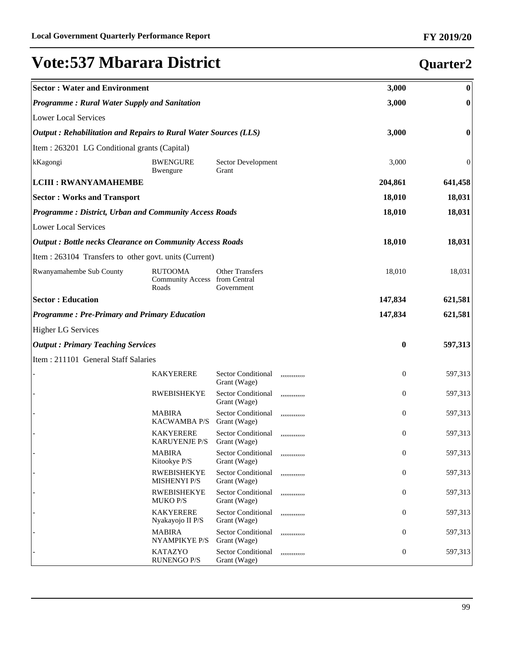#### **Sector : Water and Environment 3,000 0** *Programme : Rural Water Supply and Sanitation* **3,000 0** Lower Local Services *Output : Rehabilitation and Repairs to Rural Water Sources (LLS)* **3,000 0** Item : 263201 LG Conditional grants (Capital) kKagongi BWENGURE Bwengure Sector Development Grant 3,000 0 **LCIII : RWANYAMAHEMBE 204,861 641,458 Sector : Works and Transport 18,010 18,031** *Programme : District, Urban and Community Access Roads* **18,010 18,031** Lower Local Services *Output : Bottle necks Clearance on Community Access Roads* **18,010 18,031** Item : 263104 Transfers to other govt. units (Current) Rwanyamahembe Sub County RUTOOMA Community Access Roads Other Transfers from Central Government 18,010 18,031 **Sector : Education 147,834 621,581** *Programme : Pre-Primary and Primary Education* **147,834 621,581** Higher LG Services *Output : Primary Teaching Services* **0 597,313** Item : 211101 General Staff Salaries KAKYERERE Sector Conditional Grant (Wage) ,,,,,,,,,,,,, 0 597,313 RWEBISHEKYE Sector Conditional Grant (Wage) ,,,,,,,,,,,,, 0 597,313 **MABIRA** KACWAMBA P/S Sector Conditional Grant (Wage) ,,,,,,,,,,,,, 0 597,313 **KAKYERERE** KARUYENJE P/S Sector Conditional Grant (Wage) ,,,,,,,,,,,,, 0 597,313 **MABIRA** Kitookye P/S Sector Conditional Grant (Wage) ,,,,,,,,,,,,, 0 597,313 **RWEBISHEKYE** MISHENYI P/S Sector Conditional Grant (Wage) ,,,,,,,,,,,,, 0 597,313 - RWEBISHEKYE MUKO P/S Sector Conditional Grant (Wage) ,,,,,,,,,,,,, 0 597,313 **KAKYERERE** Nyakayojo II P/S Sector Conditional Grant (Wage) ,,,,,,,,,,,,, 0 597,313 **MABIRA** NYAMPIKYE P/S Sector Conditional Grant (Wage) ,,,,,,,,,,,,, 0 597,313 - KATAZYO RUNENGO P/S Sector Conditional Grant (Wage) ,,,,,,,,,,,,, 0 597,313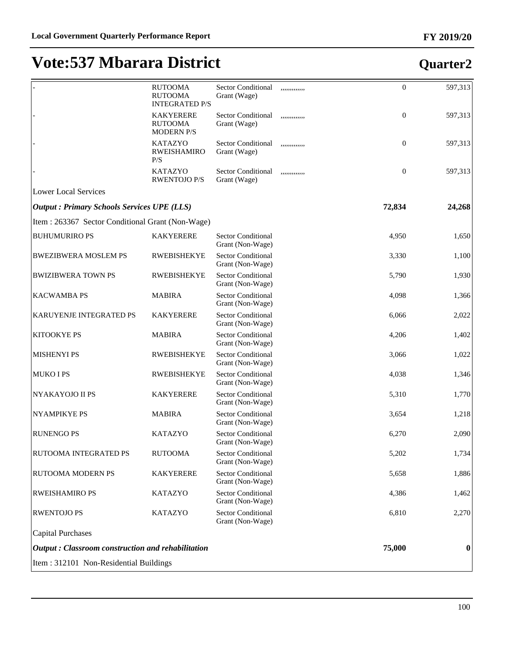|                                                    | <b>RUTOOMA</b><br><b>RUTOOMA</b><br><b>INTEGRATED P/S</b> | <b>Sector Conditional</b><br>Grant (Wage)     | ,,,,,,,,,,,,, | $\boldsymbol{0}$ | 597,313          |
|----------------------------------------------------|-----------------------------------------------------------|-----------------------------------------------|---------------|------------------|------------------|
|                                                    | <b>KAKYERERE</b><br><b>RUTOOMA</b><br><b>MODERN P/S</b>   | <b>Sector Conditional</b><br>Grant (Wage)     | ,,,,,,,,,,,,  | $\boldsymbol{0}$ | 597,313          |
|                                                    | <b>KATAZYO</b><br><b>RWEISHAMIRO</b><br>P/S               | <b>Sector Conditional</b><br>Grant (Wage)     | ,,,,,,,,,,,,, | $\boldsymbol{0}$ | 597,313          |
|                                                    | <b>KATAZYO</b><br><b>RWENTOJO P/S</b>                     | <b>Sector Conditional</b><br>Grant (Wage)     | ,,,,,,,,,,,,, | $\boldsymbol{0}$ | 597,313          |
| <b>Lower Local Services</b>                        |                                                           |                                               |               |                  |                  |
| <b>Output : Primary Schools Services UPE (LLS)</b> |                                                           |                                               |               | 72,834           | 24,268           |
| Item: 263367 Sector Conditional Grant (Non-Wage)   |                                                           |                                               |               |                  |                  |
| <b>BUHUMURIRO PS</b>                               | <b>KAKYERERE</b>                                          | <b>Sector Conditional</b><br>Grant (Non-Wage) |               | 4,950            | 1,650            |
| <b>BWEZIBWERA MOSLEM PS</b>                        | <b>RWEBISHEKYE</b>                                        | Sector Conditional<br>Grant (Non-Wage)        |               | 3,330            | 1,100            |
| <b>BWIZIBWERA TOWN PS</b>                          | <b>RWEBISHEKYE</b>                                        | Sector Conditional<br>Grant (Non-Wage)        |               | 5,790            | 1,930            |
| <b>KACWAMBA PS</b>                                 | <b>MABIRA</b>                                             | <b>Sector Conditional</b><br>Grant (Non-Wage) |               | 4,098            | 1,366            |
| KARUYENJE INTEGRATED PS                            | <b>KAKYERERE</b>                                          | Sector Conditional<br>Grant (Non-Wage)        |               | 6,066            | 2,022            |
| KITOOKYE PS                                        | <b>MABIRA</b>                                             | Sector Conditional<br>Grant (Non-Wage)        |               | 4,206            | 1,402            |
| <b>MISHENYI PS</b>                                 | <b>RWEBISHEKYE</b>                                        | Sector Conditional<br>Grant (Non-Wage)        |               | 3,066            | 1,022            |
| <b>MUKO I PS</b>                                   | <b>RWEBISHEKYE</b>                                        | Sector Conditional<br>Grant (Non-Wage)        |               | 4,038            | 1,346            |
| NYAKAYOJO II PS                                    | <b>KAKYERERE</b>                                          | Sector Conditional<br>Grant (Non-Wage)        |               | 5,310            | 1,770            |
| <b>NYAMPIKYE PS</b>                                | <b>MABIRA</b>                                             | Sector Conditional<br>Grant (Non-Wage)        |               | 3,654            | 1,218            |
| <b>RUNENGO PS</b>                                  | <b>KATAZYO</b>                                            | Sector Conditional<br>Grant (Non-Wage)        |               | 6,270            | 2,090            |
| RUTOOMA INTEGRATED PS                              | <b>RUTOOMA</b>                                            | Sector Conditional<br>Grant (Non-Wage)        |               | 5,202            | 1,734            |
| RUTOOMA MODERN PS                                  | <b>KAKYERERE</b>                                          | <b>Sector Conditional</b><br>Grant (Non-Wage) |               | 5,658            | 1,886            |
| RWEISHAMIRO PS                                     | <b>KATAZYO</b>                                            | <b>Sector Conditional</b><br>Grant (Non-Wage) |               | 4,386            | 1,462            |
| <b>RWENTOJO PS</b>                                 | <b>KATAZYO</b>                                            | <b>Sector Conditional</b><br>Grant (Non-Wage) |               | 6,810            | 2,270            |
| <b>Capital Purchases</b>                           |                                                           |                                               |               |                  |                  |
| Output: Classroom construction and rehabilitation  |                                                           |                                               |               | 75,000           | $\boldsymbol{0}$ |
| Item: 312101 Non-Residential Buildings             |                                                           |                                               |               |                  |                  |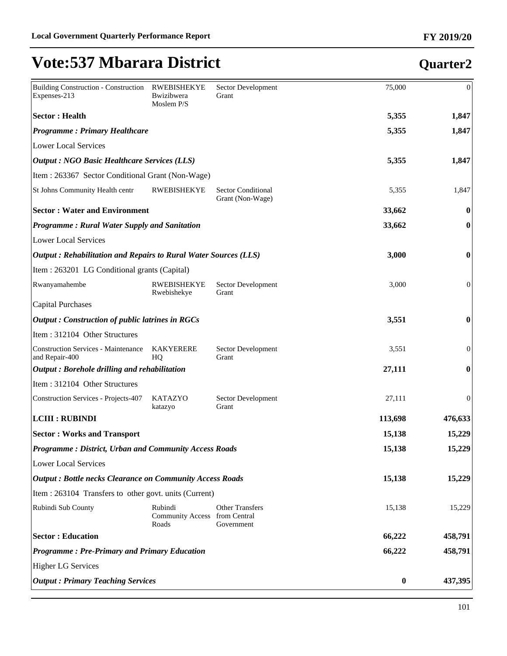#### Building Construction - Construction Expenses-213 RWEBISHEKYE Bwizibwera Moslem P/S Sector Development Grant 75,000 0 **Sector : Health 5,355 1,847** *Programme : Primary Healthcare* **5,355 1,847** Lower Local Services *Output : NGO Basic Healthcare Services (LLS)* **5,355 1,847** Item : 263367 Sector Conditional Grant (Non-Wage) St Johns Community Health centr RWEBISHEKYE Sector Conditional Grant (Non-Wage) 5,355 1,847 **Sector : Water and Environment 33,662 0** *Programme : Rural Water Supply and Sanitation* **33,662 0** Lower Local Services *Output : Rehabilitation and Repairs to Rural Water Sources (LLS)* **3,000 0** Item : 263201 LG Conditional grants (Capital) Rwanyamahembe RWEBISHEKYE Rwebishekye Sector Development Grant 3,000 0 Capital Purchases *Output : Construction of public latrines in RGCs* **3,551 0** Item : 312104 Other Structures Construction Services - Maintenance and Repair-400 KAKYERERE HQ Sector Development Grant 3,551 0 *Output : Borehole drilling and rehabilitation* **27,111 0** Item : 312104 Other Structures Construction Services - Projects-407 KATAZYO katazyo Sector Development Grant 27,111 0 **LCIII : RUBINDI 113,698 476,633 Sector : Works and Transport 15,138 15,229** *Programme : District, Urban and Community Access Roads* **15,138 15,229** Lower Local Services *Output : Bottle necks Clearance on Community Access Roads* **15,138 15,229** Item : 263104 Transfers to other govt. units (Current) Rubindi Sub County Rubindi Community Access from Central Roads Other Transfers Government 15,138 15,229 **Sector : Education 66,222 458,791** *Programme : Pre-Primary and Primary Education* **66,222 458,791** Higher LG Services *Output : Primary Teaching Services* **0 437,395**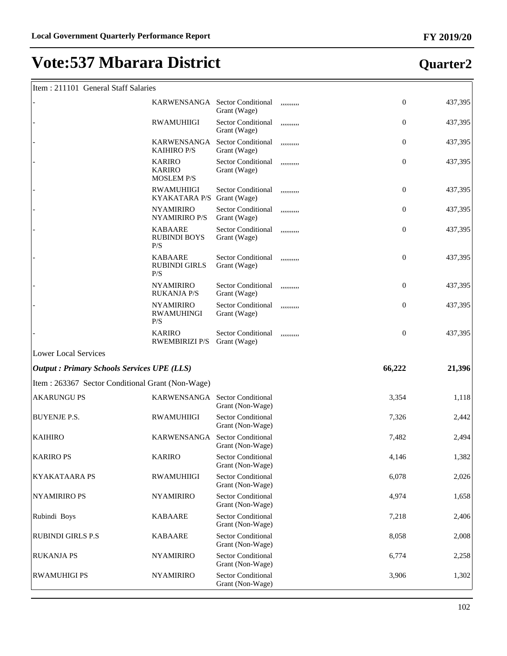#### Item : 211101 General Staff Salaries

|                                                   | KARWENSANGA Sector Conditional                      | Grant (Wage)                                  | ,,,,,,,,,, | $\boldsymbol{0}$ | 437,395 |
|---------------------------------------------------|-----------------------------------------------------|-----------------------------------------------|------------|------------------|---------|
|                                                   | <b>RWAMUHIIGI</b>                                   | <b>Sector Conditional</b><br>Grant (Wage)     | ,,,,,,,,,, | $\boldsymbol{0}$ | 437,395 |
|                                                   | KARWENSANGA<br><b>KAIHIRO P/S</b>                   | <b>Sector Conditional</b><br>Grant (Wage)     | ,,,,,,,,,, | $\boldsymbol{0}$ | 437,395 |
|                                                   | <b>KARIRO</b><br><b>KARIRO</b><br><b>MOSLEM P/S</b> | <b>Sector Conditional</b><br>Grant (Wage)     | ,,,,,,,,,, | $\boldsymbol{0}$ | 437,395 |
|                                                   | <b>RWAMUHIIGI</b><br><b>KYAKATARA P/S</b>           | <b>Sector Conditional</b><br>Grant (Wage)     | ,,,,,,,,,, | $\boldsymbol{0}$ | 437,395 |
|                                                   | <b>NYAMIRIRO</b><br><b>NYAMIRIRO P/S</b>            | <b>Sector Conditional</b><br>Grant (Wage)     | ,,,,,,,,,, | $\boldsymbol{0}$ | 437,395 |
|                                                   | <b>KABAARE</b><br><b>RUBINDI BOYS</b><br>P/S        | <b>Sector Conditional</b><br>Grant (Wage)     | ,,,,,,,,,, | $\boldsymbol{0}$ | 437,395 |
|                                                   | <b>KABAARE</b><br><b>RUBINDI GIRLS</b><br>P/S       | <b>Sector Conditional</b><br>Grant (Wage)     | ,,,,,,,,,, | $\boldsymbol{0}$ | 437,395 |
|                                                   | <b>NYAMIRIRO</b><br><b>RUKANJA P/S</b>              | <b>Sector Conditional</b><br>Grant (Wage)     | ,,,,,,,,,, | $\boldsymbol{0}$ | 437,395 |
|                                                   | <b>NYAMIRIRO</b><br><b>RWAMUHINGI</b><br>P/S        | <b>Sector Conditional</b><br>Grant (Wage)     | ,,,,,,,,,, | $\boldsymbol{0}$ | 437,395 |
|                                                   | <b>KARIRO</b><br><b>RWEMBIRIZI P/S</b>              | <b>Sector Conditional</b><br>Grant (Wage)     | ,,,,,,,,,, | $\boldsymbol{0}$ | 437,395 |
| <b>Lower Local Services</b>                       |                                                     |                                               |            |                  |         |
| <b>Output: Primary Schools Services UPE (LLS)</b> |                                                     |                                               |            | 66,222           | 21,396  |
| Item: 263367 Sector Conditional Grant (Non-Wage)  |                                                     |                                               |            |                  |         |
| <b>AKARUNGU PS</b>                                | KARWENSANGA Sector Conditional                      | Grant (Non-Wage)                              |            | 3,354            | 1,118   |
| <b>BUYENJE P.S.</b>                               | <b>RWAMUHIIGI</b>                                   | <b>Sector Conditional</b><br>Grant (Non-Wage) |            | 7,326            | 2,442   |
| <b>KAIHIRO</b>                                    | KARWENSANGA                                         | <b>Sector Conditional</b><br>Grant (Non-Wage) |            | 7,482            | 2,494   |
| <b>KARIRO PS</b>                                  | <b>KARIRO</b>                                       | <b>Sector Conditional</b><br>Grant (Non-Wage) |            | 4,146            | 1,382   |
| KYAKATAARA PS                                     | <b>RWAMUHIIGI</b>                                   | <b>Sector Conditional</b><br>Grant (Non-Wage) |            | 6,078            | 2,026   |
| <b>NYAMIRIRO PS</b>                               | <b>NYAMIRIRO</b>                                    | <b>Sector Conditional</b><br>Grant (Non-Wage) |            | 4,974            | 1,658   |
| Rubindi Boys                                      | <b>KABAARE</b>                                      | <b>Sector Conditional</b><br>Grant (Non-Wage) |            | 7,218            | 2,406   |
| <b>RUBINDI GIRLS P.S</b>                          | <b>KABAARE</b>                                      | <b>Sector Conditional</b><br>Grant (Non-Wage) |            | 8,058            | 2,008   |
| <b>RUKANJA PS</b>                                 | <b>NYAMIRIRO</b>                                    | <b>Sector Conditional</b><br>Grant (Non-Wage) |            | 6,774            | 2,258   |
| <b>RWAMUHIGI PS</b>                               | <b>NYAMIRIRO</b>                                    | <b>Sector Conditional</b><br>Grant (Non-Wage) |            | 3,906            | 1,302   |

## **Quarter2**

ן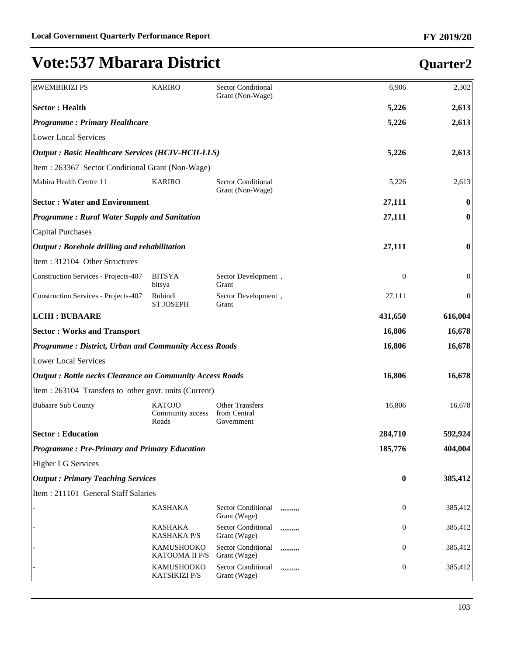| <b>RWEMBIRIZI PS</b>                                            | <b>KARIRO</b>                              | Sector Conditional                                      | 6,906            | 2,302            |
|-----------------------------------------------------------------|--------------------------------------------|---------------------------------------------------------|------------------|------------------|
| <b>Sector: Health</b>                                           |                                            | Grant (Non-Wage)                                        | 5,226            | 2,613            |
| <b>Programme: Primary Healthcare</b>                            |                                            |                                                         | 5,226            | 2,613            |
| <b>Lower Local Services</b>                                     |                                            |                                                         |                  |                  |
| <b>Output : Basic Healthcare Services (HCIV-HCII-LLS)</b>       |                                            |                                                         | 5,226            | 2,613            |
| Item : 263367 Sector Conditional Grant (Non-Wage)               |                                            |                                                         |                  |                  |
| Mabira Health Centre 11                                         | <b>KARIRO</b>                              | <b>Sector Conditional</b><br>Grant (Non-Wage)           | 5,226            | 2,613            |
| <b>Sector: Water and Environment</b>                            |                                            |                                                         | 27,111           | 0                |
| Programme: Rural Water Supply and Sanitation                    |                                            |                                                         | 27,111           | $\bf{0}$         |
| <b>Capital Purchases</b>                                        |                                            |                                                         |                  |                  |
| <b>Output: Borehole drilling and rehabilitation</b>             |                                            |                                                         | 27,111           | $\boldsymbol{0}$ |
| Item: 312104 Other Structures                                   |                                            |                                                         |                  |                  |
| Construction Services - Projects-407                            | <b>BITSYA</b><br>bitsya                    | Sector Development,<br>Grant                            | $\boldsymbol{0}$ | $\boldsymbol{0}$ |
| <b>Construction Services - Projects-407</b>                     | Rubindi<br><b>ST JOSEPH</b>                | Sector Development,<br>Grant                            | 27,111           | 0                |
| <b>LCIII : BUBAARE</b>                                          |                                            |                                                         | 431,650          | 616,004          |
| <b>Sector: Works and Transport</b>                              |                                            |                                                         | 16,806           | 16,678           |
| <b>Programme: District, Urban and Community Access Roads</b>    |                                            |                                                         | 16,806           | 16,678           |
| <b>Lower Local Services</b>                                     |                                            |                                                         |                  |                  |
| <b>Output: Bottle necks Clearance on Community Access Roads</b> |                                            |                                                         | 16,806           | 16,678           |
| Item : 263104 Transfers to other govt. units (Current)          |                                            |                                                         |                  |                  |
| <b>Bubaare Sub County</b>                                       | <b>KATOJO</b><br>Community access<br>Roads | <b>Other Transfers</b><br>from Central<br>Government    | 16,806           | 16,678           |
| <b>Sector: Education</b>                                        |                                            |                                                         | 284,710          | 592,924          |
| <b>Programme: Pre-Primary and Primary Education</b>             |                                            |                                                         | 185,776          | 404,004          |
| <b>Higher LG Services</b>                                       |                                            |                                                         |                  |                  |
| <b>Output : Primary Teaching Services</b>                       |                                            |                                                         | $\bf{0}$         | 385,412          |
| Item: 211101 General Staff Salaries                             |                                            |                                                         |                  |                  |
|                                                                 | <b>KASHAKA</b>                             | Sector Conditional<br>,,,,,,,,,,<br>Grant (Wage)        | $\mathbf{0}$     | 385,412          |
|                                                                 | <b>KASHAKA</b><br><b>KASHAKA P/S</b>       | <b>Sector Conditional</b><br>,,,,,,,,,,<br>Grant (Wage) | $\boldsymbol{0}$ | 385,412          |
|                                                                 | <b>KAMUSHOOKO</b><br>KATOOMA II P/S        | <b>Sector Conditional</b><br>,,,,,,,,,,<br>Grant (Wage) | $\boldsymbol{0}$ | 385,412          |
|                                                                 | KAMUSHOOKO<br><b>KATSIKIZI P/S</b>         | Sector Conditional<br>,,,,,,,,,,<br>Grant (Wage)        | 0                | 385,412          |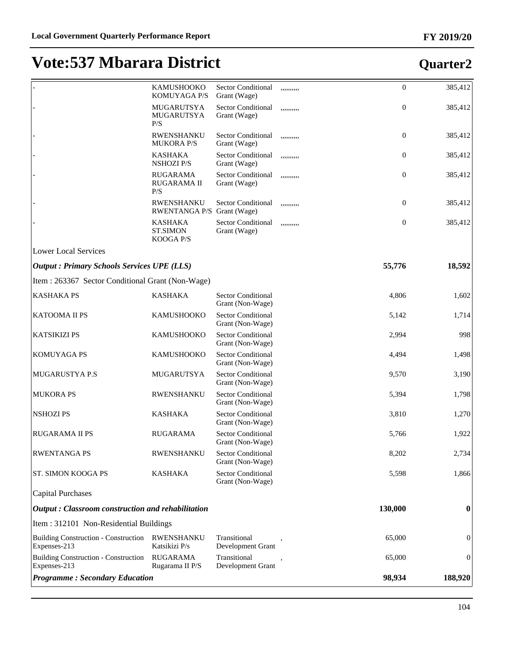|                                                             | KAMUSHOOKO<br>KOMUYAGA P/S                      | <b>Sector Conditional</b><br>Grant (Wage)     | ,,,,,,,,,, | $\mathbf{0}$     | 385,412        |
|-------------------------------------------------------------|-------------------------------------------------|-----------------------------------------------|------------|------------------|----------------|
|                                                             | MUGARUTSYA<br>MUGARUTSYA<br>P/S                 | <b>Sector Conditional</b><br>Grant (Wage)     | ,,,,,,,,,, | $\boldsymbol{0}$ | 385,412        |
|                                                             | <b>RWENSHANKU</b><br><b>MUKORA P/S</b>          | <b>Sector Conditional</b><br>Grant (Wage)     | ,,,,,,,,,, | $\overline{0}$   | 385,412        |
|                                                             | <b>KASHAKA</b><br><b>NSHOZI P/S</b>             | <b>Sector Conditional</b><br>Grant (Wage)     | ,,,,,,,,,, | $\overline{0}$   | 385,412        |
|                                                             | <b>RUGARAMA</b><br><b>RUGARAMA II</b><br>P/S    | <b>Sector Conditional</b><br>Grant (Wage)     | ,,,,,,,,,, | $\overline{0}$   | 385,412        |
|                                                             | <b>RWENSHANKU</b><br>RWENTANGA P/S Grant (Wage) | <b>Sector Conditional</b>                     | ,,,,,,,,,, | $\boldsymbol{0}$ | 385,412        |
|                                                             | <b>KASHAKA</b><br><b>ST.SIMON</b><br>KOOGA P/S  | Sector Conditional<br>Grant (Wage)            | ,,,,,,,,,, | $\boldsymbol{0}$ | 385,412        |
| <b>Lower Local Services</b>                                 |                                                 |                                               |            |                  |                |
| <b>Output: Primary Schools Services UPE (LLS)</b>           |                                                 |                                               |            | 55,776           | 18,592         |
| Item : 263367 Sector Conditional Grant (Non-Wage)           |                                                 |                                               |            |                  |                |
| <b>KASHAKA PS</b>                                           | <b>KASHAKA</b>                                  | <b>Sector Conditional</b><br>Grant (Non-Wage) |            | 4,806            | 1,602          |
| KATOOMA II PS                                               | <b>KAMUSHOOKO</b>                               | <b>Sector Conditional</b><br>Grant (Non-Wage) |            | 5,142            | 1,714          |
| <b>KATSIKIZI PS</b>                                         | <b>KAMUSHOOKO</b>                               | <b>Sector Conditional</b><br>Grant (Non-Wage) |            | 2,994            | 998            |
| <b>KOMUYAGA PS</b>                                          | KAMUSHOOKO                                      | <b>Sector Conditional</b><br>Grant (Non-Wage) |            | 4,494            | 1,498          |
| MUGARUSTYA P.S                                              | MUGARUTSYA                                      | <b>Sector Conditional</b><br>Grant (Non-Wage) |            | 9,570            | 3,190          |
| <b>MUKORA PS</b>                                            | RWENSHANKU                                      | <b>Sector Conditional</b><br>Grant (Non-Wage) |            | 5,394            | 1,798          |
| <b>NSHOZIPS</b>                                             | <b>KASHAKA</b>                                  | <b>Sector Conditional</b><br>Grant (Non-Wage) |            | 3,810            | 1,270          |
| <b>RUGARAMA II PS</b>                                       | <b>RUGARAMA</b>                                 | <b>Sector Conditional</b><br>Grant (Non-Wage) |            | 5,766            | 1,922          |
| <b>RWENTANGA PS</b>                                         | RWENSHANKU                                      | <b>Sector Conditional</b><br>Grant (Non-Wage) |            | 8,202            | 2,734          |
| ST. SIMON KOOGA PS                                          | <b>KASHAKA</b>                                  | <b>Sector Conditional</b><br>Grant (Non-Wage) |            | 5,598            | 1,866          |
| <b>Capital Purchases</b>                                    |                                                 |                                               |            |                  |                |
| Output: Classroom construction and rehabilitation           |                                                 |                                               |            | 130,000          | 0              |
| Item: 312101 Non-Residential Buildings                      |                                                 |                                               |            |                  |                |
| <b>Building Construction - Construction</b><br>Expenses-213 | <b>RWENSHANKU</b><br>Katsikizi P/s              | Transitional<br>Development Grant             |            | 65,000           | $\overline{0}$ |
| <b>Building Construction - Construction</b><br>Expenses-213 | <b>RUGARAMA</b><br>Rugarama II P/S              | Transitional<br>Development Grant             |            | 65,000           | $\mathbf{0}$   |
| <b>Programme: Secondary Education</b>                       |                                                 |                                               |            | 98,934           | 188,920        |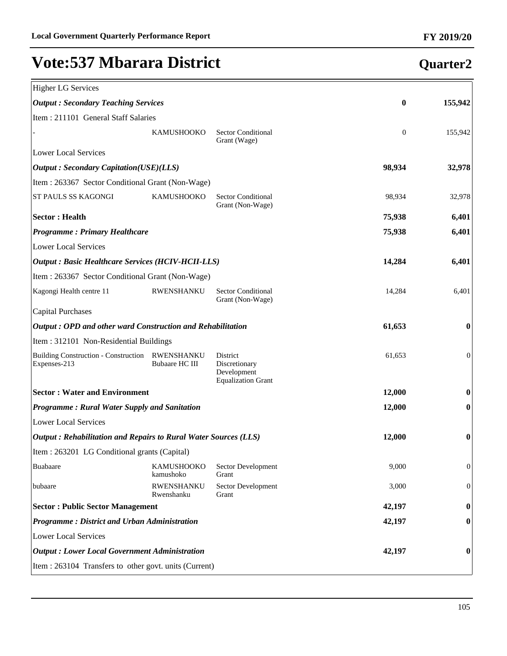| <b>Higher LG Services</b>                                       |                                     |                                                                       |                |                  |
|-----------------------------------------------------------------|-------------------------------------|-----------------------------------------------------------------------|----------------|------------------|
| <b>Output: Secondary Teaching Services</b>                      |                                     |                                                                       | 0              | 155,942          |
| Item : 211101 General Staff Salaries                            |                                     |                                                                       |                |                  |
|                                                                 | <b>KAMUSHOOKO</b>                   | <b>Sector Conditional</b><br>Grant (Wage)                             | $\overline{0}$ | 155,942          |
| <b>Lower Local Services</b>                                     |                                     |                                                                       |                |                  |
| <b>Output: Secondary Capitation(USE)(LLS)</b>                   |                                     |                                                                       | 98,934         | 32,978           |
| Item : 263367 Sector Conditional Grant (Non-Wage)               |                                     |                                                                       |                |                  |
| ST PAULS SS KAGONGI                                             | <b>KAMUSHOOKO</b>                   | <b>Sector Conditional</b><br>Grant (Non-Wage)                         | 98,934         | 32,978           |
| <b>Sector: Health</b>                                           |                                     |                                                                       | 75,938         | 6,401            |
| <b>Programme: Primary Healthcare</b>                            |                                     |                                                                       | 75,938         | 6,401            |
| <b>Lower Local Services</b>                                     |                                     |                                                                       |                |                  |
| <b>Output : Basic Healthcare Services (HCIV-HCII-LLS)</b>       |                                     |                                                                       | 14,284         | 6,401            |
| Item: 263367 Sector Conditional Grant (Non-Wage)                |                                     |                                                                       |                |                  |
| Kagongi Health centre 11                                        | RWENSHANKU                          | <b>Sector Conditional</b><br>Grant (Non-Wage)                         | 14,284         | 6,401            |
| <b>Capital Purchases</b>                                        |                                     |                                                                       |                |                  |
| Output: OPD and other ward Construction and Rehabilitation      |                                     | 61,653                                                                | 0              |                  |
| Item: 312101 Non-Residential Buildings                          |                                     |                                                                       |                |                  |
| <b>Building Construction - Construction</b><br>Expenses-213     | RWENSHANKU<br><b>Bubaare HC III</b> | District<br>Discretionary<br>Development<br><b>Equalization Grant</b> | 61,653         | $\theta$         |
| <b>Sector: Water and Environment</b>                            |                                     |                                                                       | 12,000         | 0                |
| <b>Programme: Rural Water Supply and Sanitation</b>             |                                     | 12,000                                                                | 0              |                  |
| <b>Lower Local Services</b>                                     |                                     |                                                                       |                |                  |
| Output: Rehabilitation and Repairs to Rural Water Sources (LLS) |                                     |                                                                       | 12,000         | 0                |
| Item : 263201 LG Conditional grants (Capital)                   |                                     |                                                                       |                |                  |
| Buabaare                                                        | KAMUSHOOKO<br>kamushoko             | Sector Development<br>Grant                                           | 9,000          | $\mathbf{0}$     |
| bubaare                                                         | <b>RWENSHANKU</b><br>Rwenshanku     | Sector Development<br>Grant                                           | 3,000          | $\mathbf{0}$     |
| <b>Sector: Public Sector Management</b>                         |                                     |                                                                       | 42,197         | $\bf{0}$         |
| <b>Programme: District and Urban Administration</b>             |                                     |                                                                       | 42,197         | $\boldsymbol{0}$ |
| <b>Lower Local Services</b>                                     |                                     |                                                                       |                |                  |
| <b>Output : Lower Local Government Administration</b>           |                                     |                                                                       | 42,197         | 0                |
| Item : 263104 Transfers to other govt. units (Current)          |                                     |                                                                       |                |                  |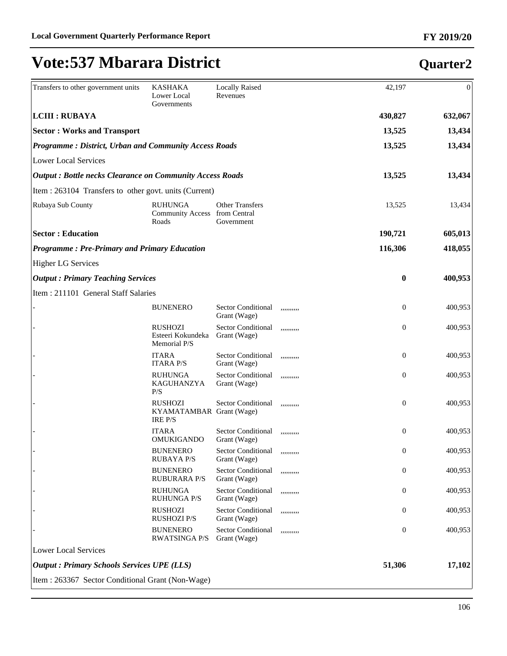| Transfers to other government units                             | <b>KASHAKA</b><br>Lower Local<br>Governments                 | <b>Locally Raised</b><br>Revenues                    |            | 42,197         | $\Omega$ |
|-----------------------------------------------------------------|--------------------------------------------------------------|------------------------------------------------------|------------|----------------|----------|
| <b>LCIII : RUBAYA</b>                                           |                                                              |                                                      |            | 430,827        | 632,067  |
| <b>Sector: Works and Transport</b>                              |                                                              |                                                      |            | 13,525         | 13,434   |
| <b>Programme: District, Urban and Community Access Roads</b>    |                                                              |                                                      |            | 13,525         | 13,434   |
| <b>Lower Local Services</b>                                     |                                                              |                                                      |            |                |          |
| <b>Output: Bottle necks Clearance on Community Access Roads</b> |                                                              |                                                      |            | 13,525         | 13,434   |
| Item : 263104 Transfers to other govt. units (Current)          |                                                              |                                                      |            |                |          |
| Rubaya Sub County                                               | <b>RUHUNGA</b><br><b>Community Access</b><br>Roads           | <b>Other Transfers</b><br>from Central<br>Government |            | 13,525         | 13,434   |
| <b>Sector: Education</b>                                        |                                                              |                                                      |            | 190,721        | 605,013  |
| <b>Programme: Pre-Primary and Primary Education</b>             |                                                              |                                                      |            | 116,306        | 418,055  |
| <b>Higher LG Services</b>                                       |                                                              |                                                      |            |                |          |
| <b>Output: Primary Teaching Services</b>                        |                                                              |                                                      |            | $\bf{0}$       | 400,953  |
| Item: 211101 General Staff Salaries                             |                                                              |                                                      |            |                |          |
|                                                                 | <b>BUNENERO</b>                                              | <b>Sector Conditional</b><br>Grant (Wage)            | ,,,,,,,,,, | $\overline{0}$ | 400,953  |
|                                                                 | <b>RUSHOZI</b><br>Esteeri Kokundeka<br>Memorial P/S          | <b>Sector Conditional</b><br>Grant (Wage)            | ,,,,,,,,,, | $\overline{0}$ | 400,953  |
|                                                                 | <b>ITARA</b><br><b>ITARA P/S</b>                             | <b>Sector Conditional</b><br>Grant (Wage)            | ,,,,,,,,,, | $\mathbf{0}$   | 400,953  |
|                                                                 | <b>RUHUNGA</b><br>KAGUHANZYA<br>P/S                          | <b>Sector Conditional</b><br>Grant (Wage)            | ,,,,,,,,,, | $\mathbf{0}$   | 400,953  |
|                                                                 | <b>RUSHOZI</b><br>KYAMATAMBAR Grant (Wage)<br><b>IRE P/S</b> | <b>Sector Conditional</b>                            | ,,,,,,,,,, | $\overline{0}$ | 400,953  |
|                                                                 | <b>ITARA</b><br><b>OMUKIGANDO</b>                            | <b>Sector Conditional</b><br>Grant (Wage)            | ,,,,,,,,,, | $\theta$       | 400,953  |
|                                                                 | <b>BUNENERO</b><br><b>RUBAYA P/S</b>                         | <b>Sector Conditional</b><br>Grant (Wage)            | ,,,,,,,,,, | $\theta$       | 400,953  |
|                                                                 | <b>BUNENERO</b><br><b>RUBURARA P/S</b>                       | <b>Sector Conditional</b><br>Grant (Wage)            | ,,,,,,,,,, | $\mathbf{0}$   | 400,953  |
|                                                                 | <b>RUHUNGA</b><br><b>RUHUNGA P/S</b>                         | <b>Sector Conditional</b><br>Grant (Wage)            | ,,,,,,,,,, | $\mathbf{0}$   | 400,953  |
|                                                                 | <b>RUSHOZI</b><br><b>RUSHOZI P/S</b>                         | <b>Sector Conditional</b><br>Grant (Wage)            | ,,,,,,,,,, | $\mathbf{0}$   | 400,953  |
|                                                                 | <b>BUNENERO</b><br><b>RWATSINGA P/S</b>                      | <b>Sector Conditional</b><br>Grant (Wage)            | ,,,,,,,,,, | $\mathbf{0}$   | 400,953  |
| <b>Lower Local Services</b>                                     |                                                              |                                                      |            |                |          |
| <b>Output: Primary Schools Services UPE (LLS)</b>               |                                                              |                                                      |            | 51,306         | 17,102   |
| Item: 263367 Sector Conditional Grant (Non-Wage)                |                                                              |                                                      |            |                |          |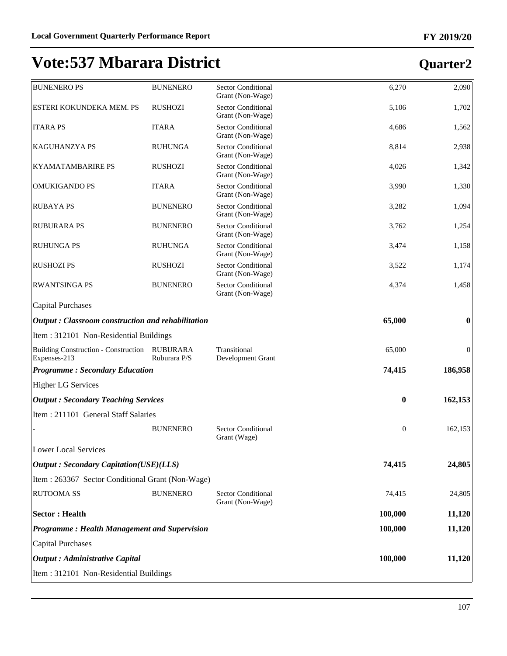| <b>BUNENERO PS</b>                                          | <b>BUNENERO</b>                 | <b>Sector Conditional</b><br>Grant (Non-Wage) | 6,270        | 2,090            |
|-------------------------------------------------------------|---------------------------------|-----------------------------------------------|--------------|------------------|
| ESTERI KOKUNDEKA MEM. PS                                    | <b>RUSHOZI</b>                  | <b>Sector Conditional</b><br>Grant (Non-Wage) | 5,106        | 1,702            |
| <b>ITARA PS</b>                                             | <b>ITARA</b>                    | <b>Sector Conditional</b><br>Grant (Non-Wage) | 4,686        | 1,562            |
| KAGUHANZYA PS                                               | <b>RUHUNGA</b>                  | <b>Sector Conditional</b><br>Grant (Non-Wage) | 8,814        | 2,938            |
| <b>KYAMATAMBARIRE PS</b>                                    | <b>RUSHOZI</b>                  | <b>Sector Conditional</b><br>Grant (Non-Wage) | 4,026        | 1,342            |
| <b>OMUKIGANDO PS</b>                                        | <b>ITARA</b>                    | <b>Sector Conditional</b><br>Grant (Non-Wage) | 3,990        | 1,330            |
| <b>RUBAYA PS</b>                                            | <b>BUNENERO</b>                 | <b>Sector Conditional</b><br>Grant (Non-Wage) | 3,282        | 1,094            |
| <b>RUBURARA PS</b>                                          | <b>BUNENERO</b>                 | <b>Sector Conditional</b><br>Grant (Non-Wage) | 3,762        | 1,254            |
| <b>RUHUNGA PS</b>                                           | <b>RUHUNGA</b>                  | <b>Sector Conditional</b><br>Grant (Non-Wage) | 3,474        | 1,158            |
| <b>RUSHOZI PS</b>                                           | <b>RUSHOZI</b>                  | <b>Sector Conditional</b><br>Grant (Non-Wage) | 3,522        | 1,174            |
| <b>RWANTSINGA PS</b>                                        | <b>BUNENERO</b>                 | <b>Sector Conditional</b><br>Grant (Non-Wage) | 4,374        | 1,458            |
| <b>Capital Purchases</b>                                    |                                 |                                               |              |                  |
| Output: Classroom construction and rehabilitation           |                                 |                                               | 65,000       | $\bf{0}$         |
| Item: 312101 Non-Residential Buildings                      |                                 |                                               |              |                  |
| <b>Building Construction - Construction</b><br>Expenses-213 | <b>RUBURARA</b><br>Ruburara P/S | Transitional<br>Development Grant             | 65,000       | $\boldsymbol{0}$ |
| <b>Programme: Secondary Education</b>                       |                                 |                                               | 74,415       | 186,958          |
| <b>Higher LG Services</b>                                   |                                 |                                               |              |                  |
| <b>Output: Secondary Teaching Services</b>                  |                                 |                                               | $\bf{0}$     | 162,153          |
| Item: 211101 General Staff Salaries                         |                                 |                                               |              |                  |
|                                                             | <b>BUNENERO</b>                 | <b>Sector Conditional</b><br>Grant (Wage)     | $\mathbf{0}$ | 162,153          |
| Lower Local Services                                        |                                 |                                               |              |                  |
| <b>Output: Secondary Capitation(USE)(LLS)</b>               |                                 |                                               | 74,415       | 24,805           |
| Item : 263367 Sector Conditional Grant (Non-Wage)           |                                 |                                               |              |                  |
| <b>RUTOOMA SS</b>                                           | <b>BUNENERO</b>                 | <b>Sector Conditional</b><br>Grant (Non-Wage) | 74,415       | 24,805           |
| <b>Sector: Health</b>                                       |                                 |                                               | 100,000      | 11,120           |
| <b>Programme: Health Management and Supervision</b>         |                                 |                                               | 100,000      | 11,120           |
| <b>Capital Purchases</b>                                    |                                 |                                               |              |                  |
| <b>Output</b> : Administrative Capital                      |                                 |                                               | 100,000      | 11,120           |
| Item: 312101 Non-Residential Buildings                      |                                 |                                               |              |                  |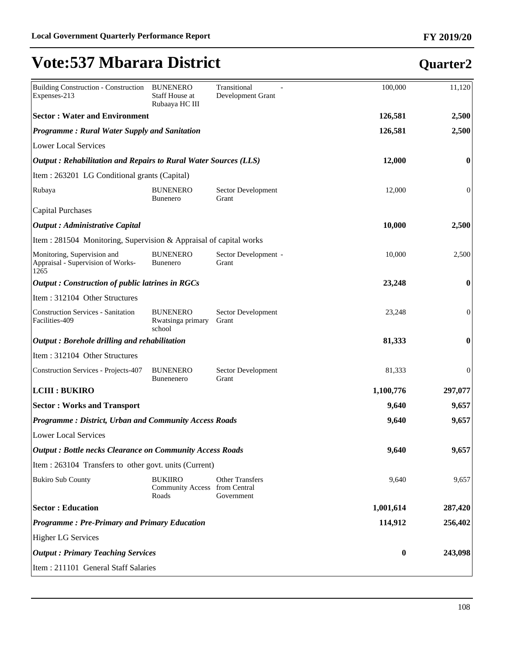| <b>Building Construction - Construction</b><br>Expenses-213              | <b>BUNENERO</b><br>Staff House at<br>Rubaaya HC III      | Transitional<br>Development Grant    | 100,000   | 11,120           |
|--------------------------------------------------------------------------|----------------------------------------------------------|--------------------------------------|-----------|------------------|
| <b>Sector: Water and Environment</b>                                     |                                                          |                                      | 126,581   | 2,500            |
| <b>Programme: Rural Water Supply and Sanitation</b>                      |                                                          |                                      | 126,581   | 2,500            |
| <b>Lower Local Services</b>                                              |                                                          |                                      |           |                  |
| Output: Rehabilitation and Repairs to Rural Water Sources (LLS)          |                                                          |                                      | 12,000    | 0                |
| Item : 263201 LG Conditional grants (Capital)                            |                                                          |                                      |           |                  |
| Rubaya                                                                   | <b>BUNENERO</b><br><b>Bunenero</b>                       | Sector Development<br>Grant          | 12,000    | $\overline{0}$   |
| <b>Capital Purchases</b>                                                 |                                                          |                                      |           |                  |
| <b>Output</b> : Administrative Capital                                   |                                                          |                                      | 10,000    | 2,500            |
| Item : 281504 Monitoring, Supervision & Appraisal of capital works       |                                                          |                                      |           |                  |
| Monitoring, Supervision and<br>Appraisal - Supervision of Works-<br>1265 | <b>BUNENERO</b><br><b>Bunenero</b>                       | Sector Development -<br>Grant        | 10,000    | 2,500            |
| <b>Output</b> : Construction of public latrines in RGCs                  |                                                          |                                      | 23,248    | $\bf{0}$         |
| Item: 312104 Other Structures                                            |                                                          |                                      |           |                  |
| <b>Construction Services - Sanitation</b><br>Facilities-409              | <b>BUNENERO</b><br>Rwatsinga primary<br>school           | Sector Development<br>Grant          | 23,248    | $\boldsymbol{0}$ |
| Output: Borehole drilling and rehabilitation                             |                                                          |                                      | 81,333    | $\bf{0}$         |
| Item: 312104 Other Structures                                            |                                                          |                                      |           |                  |
| <b>Construction Services - Projects-407</b>                              | <b>BUNENERO</b><br>Bunenenero                            | Sector Development<br>Grant          | 81,333    | $\boldsymbol{0}$ |
| <b>LCIII : BUKIRO</b>                                                    |                                                          |                                      | 1,100,776 | 297,077          |
| <b>Sector: Works and Transport</b>                                       |                                                          |                                      | 9,640     | 9,657            |
| <b>Programme: District, Urban and Community Access Roads</b>             |                                                          |                                      | 9,640     | 9,657            |
| <b>Lower Local Services</b>                                              |                                                          |                                      |           |                  |
| <b>Output: Bottle necks Clearance on Community Access Roads</b>          |                                                          |                                      | 9,640     | 9,657            |
| Item : 263104 Transfers to other govt. units (Current)                   |                                                          |                                      |           |                  |
| <b>Bukiro Sub County</b>                                                 | <b>BUKIIRO</b><br>Community Access from Central<br>Roads | <b>Other Transfers</b><br>Government | 9,640     | 9,657            |
| <b>Sector: Education</b>                                                 |                                                          |                                      | 1,001,614 | 287,420          |
| <b>Programme: Pre-Primary and Primary Education</b>                      |                                                          |                                      | 114,912   | 256,402          |
| <b>Higher LG Services</b>                                                |                                                          |                                      |           |                  |
| <b>Output : Primary Teaching Services</b>                                |                                                          |                                      | $\bf{0}$  | 243,098          |
| Item : 211101 General Staff Salaries                                     |                                                          |                                      |           |                  |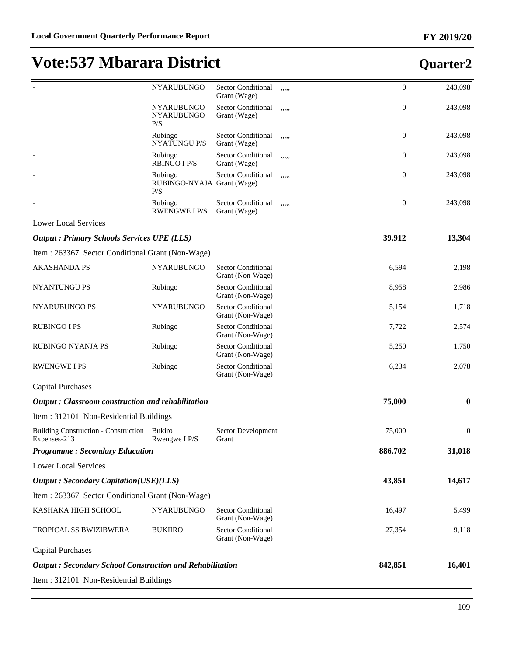|                                                                 | <b>NYARUBUNGO</b>                            | Sector Conditional<br>Grant (Wage)            | ,,,,, | $\boldsymbol{0}$ | 243,098          |
|-----------------------------------------------------------------|----------------------------------------------|-----------------------------------------------|-------|------------------|------------------|
|                                                                 | NYARUBUNGO<br>NYARUBUNGO<br>P/S              | <b>Sector Conditional</b><br>Grant (Wage)     | ,,,,, | $\boldsymbol{0}$ | 243,098          |
|                                                                 | Rubingo<br><b>NYATUNGU P/S</b>               | Sector Conditional<br>Grant (Wage)            | ,,,,, | $\boldsymbol{0}$ | 243,098          |
|                                                                 | Rubingo<br><b>RBINGO I P/S</b>               | Sector Conditional<br>Grant (Wage)            | ,,,,, | $\boldsymbol{0}$ | 243,098          |
|                                                                 | Rubingo<br>RUBINGO-NYAJA Grant (Wage)<br>P/S | Sector Conditional                            | ,,,,, | $\boldsymbol{0}$ | 243,098          |
|                                                                 | Rubingo<br><b>RWENGWE I P/S</b>              | Sector Conditional<br>Grant (Wage)            | ,,,,, | $\boldsymbol{0}$ | 243,098          |
| <b>Lower Local Services</b>                                     |                                              |                                               |       |                  |                  |
| <b>Output : Primary Schools Services UPE (LLS)</b>              |                                              |                                               |       | 39,912           | 13,304           |
| Item: 263367 Sector Conditional Grant (Non-Wage)                |                                              |                                               |       |                  |                  |
| <b>AKASHANDA PS</b>                                             | <b>NYARUBUNGO</b>                            | <b>Sector Conditional</b><br>Grant (Non-Wage) |       | 6,594            | 2,198            |
| NYANTUNGU PS                                                    | Rubingo                                      | <b>Sector Conditional</b><br>Grant (Non-Wage) |       | 8,958            | 2,986            |
| NYARUBUNGO PS                                                   | <b>NYARUBUNGO</b>                            | <b>Sector Conditional</b><br>Grant (Non-Wage) |       | 5,154            | 1,718            |
| <b>RUBINGO I PS</b>                                             | Rubingo                                      | <b>Sector Conditional</b><br>Grant (Non-Wage) |       | 7,722            | 2,574            |
| RUBINGO NYANJA PS                                               | Rubingo                                      | <b>Sector Conditional</b><br>Grant (Non-Wage) |       | 5,250            | 1,750            |
| <b>RWENGWE I PS</b>                                             | Rubingo                                      | <b>Sector Conditional</b><br>Grant (Non-Wage) |       | 6,234            | 2,078            |
| <b>Capital Purchases</b>                                        |                                              |                                               |       |                  |                  |
| Output: Classroom construction and rehabilitation               |                                              |                                               |       | 75,000           | $\boldsymbol{0}$ |
| Item: 312101 Non-Residential Buildings                          |                                              |                                               |       |                  |                  |
| Building Construction - Construction Bukiro<br>Expenses-213     | Rwengwe I P/S                                | Sector Development<br>Grant                   |       | 75,000           | $\mathbf{0}$     |
| <b>Programme: Secondary Education</b>                           |                                              |                                               |       | 886,702          | 31,018           |
| <b>Lower Local Services</b>                                     |                                              |                                               |       |                  |                  |
| <b>Output</b> : Secondary Capitation(USE)(LLS)                  |                                              |                                               |       | 43,851           | 14,617           |
| Item: 263367 Sector Conditional Grant (Non-Wage)                |                                              |                                               |       |                  |                  |
| KASHAKA HIGH SCHOOL                                             | <b>NYARUBUNGO</b>                            | <b>Sector Conditional</b><br>Grant (Non-Wage) |       | 16,497           | 5,499            |
| TROPICAL SS BWIZIBWERA                                          | <b>BUKIIRO</b>                               | <b>Sector Conditional</b><br>Grant (Non-Wage) |       | 27,354           | 9,118            |
| <b>Capital Purchases</b>                                        |                                              |                                               |       |                  |                  |
| <b>Output: Secondary School Construction and Rehabilitation</b> |                                              |                                               |       | 842,851          | 16,401           |
| Item: 312101 Non-Residential Buildings                          |                                              |                                               |       |                  |                  |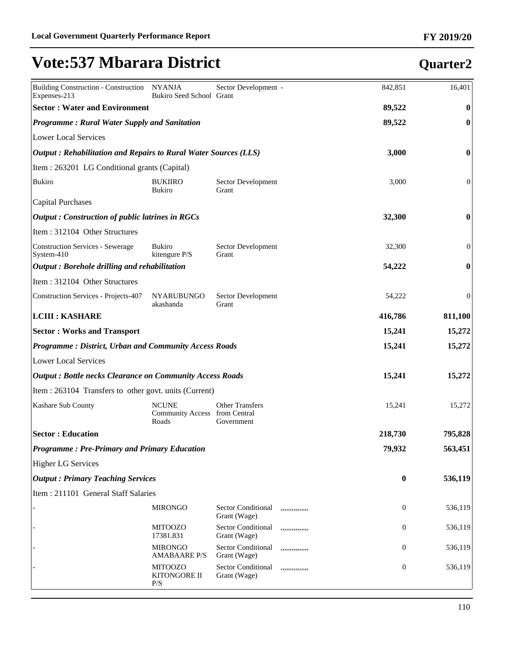| Building Construction - Construction NYANJA<br>Expenses-213            | Bukiro Seed School Grant                               | Sector Development -                      |                 | 842,851          | 16,401           |
|------------------------------------------------------------------------|--------------------------------------------------------|-------------------------------------------|-----------------|------------------|------------------|
| <b>Sector: Water and Environment</b>                                   |                                                        |                                           |                 | 89,522           | $\bf{0}$         |
| <b>Programme: Rural Water Supply and Sanitation</b>                    |                                                        |                                           |                 | 89,522           | $\bf{0}$         |
| Lower Local Services                                                   |                                                        |                                           |                 |                  |                  |
| <b>Output: Rehabilitation and Repairs to Rural Water Sources (LLS)</b> |                                                        |                                           |                 | 3,000            | $\bf{0}$         |
| Item : 263201 LG Conditional grants (Capital)                          |                                                        |                                           |                 |                  |                  |
| Bukiro                                                                 | <b>BUKIIRO</b><br><b>Bukiro</b>                        | Sector Development<br>Grant               |                 | 3,000            | $\overline{0}$   |
| Capital Purchases                                                      |                                                        |                                           |                 |                  |                  |
| $\alpha$ Dutput : Construction of public latrines in RGCs              |                                                        |                                           |                 | 32,300           | $\boldsymbol{0}$ |
| Item: 312104 Other Structures                                          |                                                        |                                           |                 |                  |                  |
| Construction Services - Sewerage<br>$S$ ystem-410                      | <b>Bukiro</b><br>kitengure P/S                         | Sector Development<br>Grant               |                 | 32,300           | $\boldsymbol{0}$ |
| $\vert$ Output : Borehole drilling and rehabilitation                  |                                                        |                                           |                 | 54,222           | $\boldsymbol{0}$ |
| Item: 312104 Other Structures                                          |                                                        |                                           |                 |                  |                  |
| Construction Services - Projects-407                                   | <b>NYARUBUNGO</b><br>akashanda                         | Sector Development<br>Grant               |                 | 54,222           | $\boldsymbol{0}$ |
| <b>LCIII : KASHARE</b>                                                 |                                                        |                                           |                 | 416,786          | 811,100          |
| <b>Sector: Works and Transport</b>                                     |                                                        |                                           |                 | 15,241           | 15,272           |
| <b>Programme: District, Urban and Community Access Roads</b>           |                                                        |                                           |                 | 15,241           | 15,272           |
| <b>Lower Local Services</b>                                            |                                                        |                                           |                 |                  |                  |
| <b>Output: Bottle necks Clearance on Community Access Roads</b>        |                                                        |                                           |                 | 15,241           | 15,272           |
| Item : 263104 Transfers to other govt. units (Current)                 |                                                        |                                           |                 |                  |                  |
| Kashare Sub County                                                     | <b>NCUNE</b><br>Community Access from Central<br>Roads | <b>Other Transfers</b><br>Government      |                 | 15,241           | 15,272           |
| <b>Sector: Education</b>                                               |                                                        |                                           |                 | 218,730          | 795,828          |
| <b>Programme: Pre-Primary and Primary Education</b>                    |                                                        |                                           |                 | 79,932           | 563,451          |
| <b>Higher LG Services</b>                                              |                                                        |                                           |                 |                  |                  |
| <b>Output: Primary Teaching Services</b>                               |                                                        |                                           |                 | $\bf{0}$         | 536,119          |
| Item : 211101 General Staff Salaries                                   |                                                        |                                           |                 |                  |                  |
|                                                                        | <b>MIRONGO</b>                                         | <b>Sector Conditional</b><br>Grant (Wage) | ,,,,,,,,,,,,,,  | $\boldsymbol{0}$ | 536,119          |
|                                                                        | <b>MITOOZO</b><br>17381.831                            | Sector Conditional<br>Grant (Wage)        | ,,,,,,,,,,,,,,  | $\boldsymbol{0}$ | 536,119          |
|                                                                        | <b>MIRONGO</b><br><b>AMABAARE P/S</b>                  | Sector Conditional<br>Grant (Wage)        | ,,,,,,,,,,,,,,, | $\boldsymbol{0}$ | 536,119          |
|                                                                        | <b>MITOOZO</b><br>KITONGORE II<br>P/S                  | Sector Conditional<br>Grant (Wage)        | ,,,,,,,,,,,,,,, | $\boldsymbol{0}$ | 536,119          |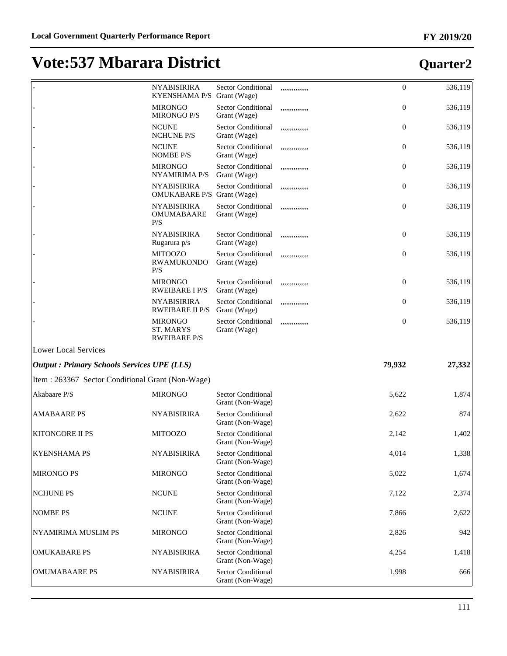|                                                    | <b>NYABISIRIRA</b><br>KYENSHAMA P/S Grant (Wage) | <b>Sector Conditional</b>                     | ,,,,,,,,,,,,,,, | $\mathbf{0}$   | 536,119                                                   |
|----------------------------------------------------|--------------------------------------------------|-----------------------------------------------|-----------------|----------------|-----------------------------------------------------------|
|                                                    | <b>MIRONGO</b><br><b>MIRONGO P/S</b>             | <b>Sector Conditional</b><br>Grant (Wage)     | ,,,,,,,,,,,,,,, | $\mathbf{0}$   | 536,119                                                   |
|                                                    | <b>NCUNE</b><br><b>NCHUNE P/S</b>                | <b>Sector Conditional</b><br>Grant (Wage)     | ,,,,,,,,,,,,,,, | $\mathbf{0}$   | 536,119                                                   |
|                                                    | <b>NCUNE</b><br><b>NOMBE P/S</b>                 | <b>Sector Conditional</b><br>Grant (Wage)     | ,,,,,,,,,,,,,,, | $\mathbf{0}$   | 536,119                                                   |
|                                                    | <b>MIRONGO</b><br><b>NYAMIRIMA P/S</b>           | <b>Sector Conditional</b><br>Grant (Wage)     | ,,,,,,,,,,,,,,, | $\mathbf{0}$   | 536,119                                                   |
|                                                    | <b>NYABISIRIRA</b><br>OMUKABARE P/S Grant (Wage) | <b>Sector Conditional</b>                     |                 | $\mathbf{0}$   | 536,119                                                   |
|                                                    | <b>NYABISIRIRA</b><br><b>OMUMABAARE</b><br>P/S   | <b>Sector Conditional</b><br>Grant (Wage)     | ,,,,,,,,,,,,,,, | $\mathbf{0}$   | 536,119                                                   |
|                                                    | <b>NYABISIRIRA</b><br>Rugarura p/s               | <b>Sector Conditional</b><br>Grant (Wage)     | ,,,,,,,,,,,,,,  | $\mathbf{0}$   | 536,119                                                   |
|                                                    | <b>MITOOZO</b><br><b>RWAMUKONDO</b><br>P/S       | <b>Sector Conditional</b><br>Grant (Wage)     | ,,,,,,,,,,,,,,, | $\mathbf{0}$   | 536,119                                                   |
|                                                    | <b>MIRONGO</b><br><b>RWEIBARE I P/S</b>          | <b>Sector Conditional</b><br>Grant (Wage)     | ,,,,,,,,,,,,,,  | $\mathbf{0}$   | 536,119                                                   |
|                                                    | <b>NYABISIRIRA</b><br><b>RWEIBARE II P/S</b>     | <b>Sector Conditional</b><br>Grant (Wage)     | ,,,,,,,,,,,,,,  | $\overline{0}$ | 536,119                                                   |
|                                                    | <b>MIRONGO</b><br><b>ST. MARYS</b>               | <b>Sector Conditional</b><br>Grant (Wage)     | ,,,,,,,,,,,,,,  | $\mathbf{0}$   | 536,119                                                   |
|                                                    | <b>RWEIBARE P/S</b>                              |                                               |                 |                |                                                           |
| <b>Lower Local Services</b>                        |                                                  |                                               |                 |                |                                                           |
| <b>Output : Primary Schools Services UPE (LLS)</b> |                                                  |                                               |                 | 79,932         | 27,332                                                    |
| Item : 263367 Sector Conditional Grant (Non-Wage)  |                                                  |                                               |                 |                |                                                           |
| Akabaare P/S                                       | <b>MIRONGO</b>                                   | <b>Sector Conditional</b><br>Grant (Non-Wage) |                 | 5,622          |                                                           |
| <b>AMABAARE PS</b>                                 | <b>NYABISIRIRA</b>                               | <b>Sector Conditional</b><br>Grant (Non-Wage) |                 | 2,622          |                                                           |
| KITONGORE II PS                                    | <b>MITOOZO</b>                                   | <b>Sector Conditional</b><br>Grant (Non-Wage) |                 | 2,142          |                                                           |
| <b>KYENSHAMA PS</b>                                | <b>NYABISIRIRA</b>                               | <b>Sector Conditional</b><br>Grant (Non-Wage) |                 | 4,014          |                                                           |
| <b>MIRONGO PS</b>                                  | <b>MIRONGO</b>                                   | <b>Sector Conditional</b><br>Grant (Non-Wage) |                 | 5,022          |                                                           |
| <b>NCHUNE PS</b>                                   | <b>NCUNE</b>                                     | <b>Sector Conditional</b><br>Grant (Non-Wage) |                 | 7,122          |                                                           |
| <b>NOMBE PS</b>                                    | <b>NCUNE</b>                                     | <b>Sector Conditional</b><br>Grant (Non-Wage) |                 | 7,866          | 1,874<br>874<br>1,402<br>1,338<br>1,674<br>2,374<br>2,622 |
| NYAMIRIMA MUSLIM PS                                | <b>MIRONGO</b>                                   | <b>Sector Conditional</b><br>Grant (Non-Wage) |                 | 2,826          |                                                           |
| <b>OMUKABARE PS</b>                                | <b>NYABISIRIRA</b>                               | <b>Sector Conditional</b><br>Grant (Non-Wage) |                 | 4,254          | 942<br>1,418                                              |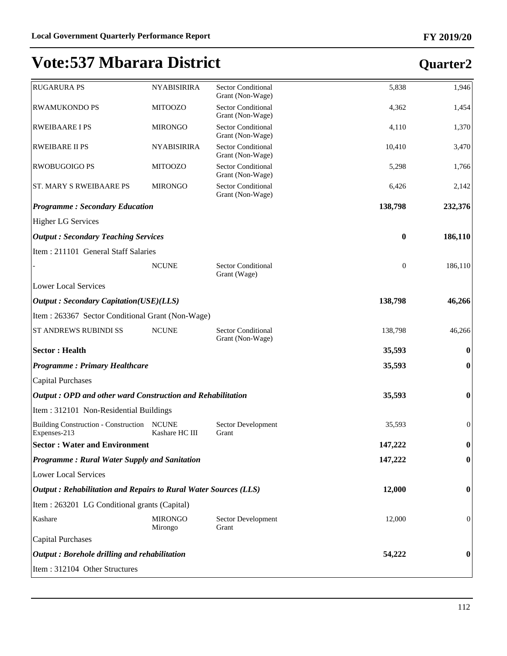#### **FY 2019/20**

| <b>RUGARURA PS</b>                                              | <b>NYABISIRIRA</b>             | <b>Sector Conditional</b><br>Grant (Non-Wage) | 5,838            | 1,946            |
|-----------------------------------------------------------------|--------------------------------|-----------------------------------------------|------------------|------------------|
| <b>RWAMUKONDO PS</b>                                            | <b>MITOOZO</b>                 | <b>Sector Conditional</b><br>Grant (Non-Wage) | 4,362            | 1,454            |
| <b>RWEIBAARE I PS</b>                                           | <b>MIRONGO</b>                 | <b>Sector Conditional</b><br>Grant (Non-Wage) | 4,110            | 1,370            |
| <b>RWEIBARE II PS</b>                                           | <b>NYABISIRIRA</b>             | <b>Sector Conditional</b><br>Grant (Non-Wage) | 10,410           | 3,470            |
| <b>RWOBUGOIGO PS</b>                                            | <b>MITOOZO</b>                 | <b>Sector Conditional</b><br>Grant (Non-Wage) | 5,298            | 1,766            |
| ST. MARY S RWEIBAARE PS                                         | <b>MIRONGO</b>                 | <b>Sector Conditional</b><br>Grant (Non-Wage) | 6,426            | 2,142            |
| <b>Programme: Secondary Education</b>                           |                                |                                               | 138,798          | 232,376          |
| <b>Higher LG Services</b>                                       |                                |                                               |                  |                  |
| <b>Output: Secondary Teaching Services</b>                      |                                |                                               | $\bf{0}$         | 186,110          |
| Item: 211101 General Staff Salaries                             |                                |                                               |                  |                  |
|                                                                 | <b>NCUNE</b>                   | <b>Sector Conditional</b><br>Grant (Wage)     | $\boldsymbol{0}$ | 186,110          |
| <b>Lower Local Services</b>                                     |                                |                                               |                  |                  |
| <b>Output: Secondary Capitation(USE)(LLS)</b>                   |                                |                                               | 138,798          | 46,266           |
| Item: 263367 Sector Conditional Grant (Non-Wage)                |                                |                                               |                  |                  |
| ST ANDREWS RUBINDI SS                                           | <b>NCUNE</b>                   | <b>Sector Conditional</b><br>Grant (Non-Wage) | 138,798          | 46,266           |
| <b>Sector: Health</b>                                           |                                |                                               | 35,593           | $\bf{0}$         |
| <b>Programme: Primary Healthcare</b>                            |                                |                                               | 35,593           | $\boldsymbol{0}$ |
| <b>Capital Purchases</b>                                        |                                |                                               |                  |                  |
| Output: OPD and other ward Construction and Rehabilitation      |                                |                                               | 35,593           | $\boldsymbol{0}$ |
| Item: 312101 Non-Residential Buildings                          |                                |                                               |                  |                  |
| <b>Building Construction - Construction</b><br>Expenses-213     | <b>NCUNE</b><br>Kashare HC III | Sector Development<br>Grant                   | 35,593           | $\boldsymbol{0}$ |
| <b>Sector: Water and Environment</b>                            |                                |                                               | 147,222          | $\boldsymbol{0}$ |
| <b>Programme: Rural Water Supply and Sanitation</b>             |                                |                                               | 147,222          | $\boldsymbol{0}$ |
| <b>Lower Local Services</b>                                     |                                |                                               |                  |                  |
| Output: Rehabilitation and Repairs to Rural Water Sources (LLS) |                                |                                               | 12,000           | $\boldsymbol{0}$ |
| Item : 263201 LG Conditional grants (Capital)                   |                                |                                               |                  |                  |
| Kashare                                                         | <b>MIRONGO</b><br>Mirongo      | Sector Development<br>Grant                   | 12,000           | $\mathbf{0}$     |
| <b>Capital Purchases</b>                                        |                                |                                               |                  |                  |
| Output: Borehole drilling and rehabilitation                    |                                |                                               | 54,222           | $\bf{0}$         |
| Item: 312104 Other Structures                                   |                                |                                               |                  |                  |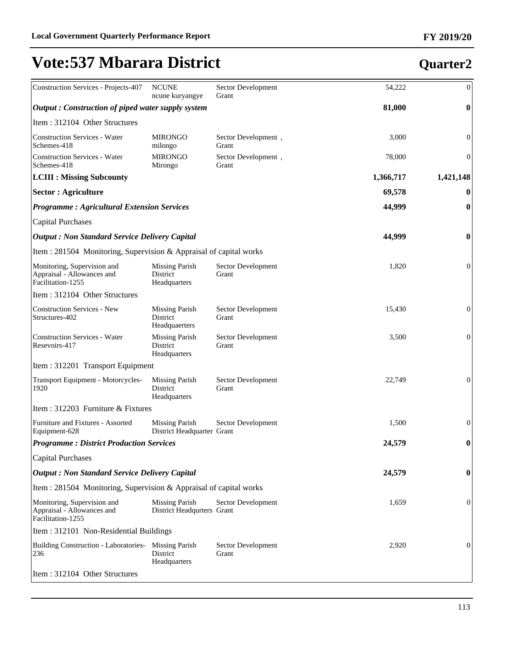| Construction Services - Projects-407                                           | <b>NCUNE</b><br>ncune kuryangye                     | Sector Development<br>Grant  | 54,222    | $\overline{0}$   |
|--------------------------------------------------------------------------------|-----------------------------------------------------|------------------------------|-----------|------------------|
| Output: Construction of piped water supply system                              |                                                     |                              | 81,000    | $\boldsymbol{0}$ |
| Item: 312104 Other Structures                                                  |                                                     |                              |           |                  |
| <b>Construction Services - Water</b><br>Schemes-418                            | <b>MIRONGO</b><br>milongo                           | Sector Development,<br>Grant | 3,000     | $\boldsymbol{0}$ |
| <b>Construction Services - Water</b><br>Schemes-418                            | <b>MIRONGO</b><br>Mirongo                           | Sector Development,<br>Grant | 78,000    | $\boldsymbol{0}$ |
| <b>LCIII : Missing Subcounty</b>                                               |                                                     |                              | 1,366,717 | 1,421,148        |
| <b>Sector : Agriculture</b>                                                    |                                                     |                              | 69,578    | $\boldsymbol{0}$ |
| <b>Programme: Agricultural Extension Services</b>                              |                                                     |                              | 44,999    | $\boldsymbol{0}$ |
| <b>Capital Purchases</b>                                                       |                                                     |                              |           |                  |
| <b>Output: Non Standard Service Delivery Capital</b>                           |                                                     |                              | 44,999    | $\boldsymbol{0}$ |
| Item : 281504 Monitoring, Supervision & Appraisal of capital works             |                                                     |                              |           |                  |
| Monitoring, Supervision and<br>Appraisal - Allowances and<br>Facilitation-1255 | <b>Missing Parish</b><br>District<br>Headquarters   | Sector Development<br>Grant  | 1,820     | $\boldsymbol{0}$ |
| Item: 312104 Other Structures                                                  |                                                     |                              |           |                  |
| <b>Construction Services - New</b><br>Structures-402                           | <b>Missing Parish</b><br>District<br>Headquaerters  | Sector Development<br>Grant  | 15,430    | $\overline{0}$   |
| <b>Construction Services - Water</b><br>Resevoirs-417                          | <b>Missing Parish</b><br>District<br>Headquarters   | Sector Development<br>Grant  | 3,500     | $\boldsymbol{0}$ |
| Item: 312201 Transport Equipment                                               |                                                     |                              |           |                  |
| Transport Equipment - Motorcycles-<br>1920                                     | <b>Missing Parish</b><br>District<br>Headquarters   | Sector Development<br>Grant  | 22,749    | $\overline{0}$   |
| Item: 312203 Furniture & Fixtures                                              |                                                     |                              |           |                  |
| Furniture and Fixtures - Assorted<br>Equipment-628                             | <b>Missing Parish</b><br>District Headquarter Grant | Sector Development           | 1,500     | $\boldsymbol{0}$ |
| <b>Programme: District Production Services</b>                                 |                                                     |                              | 24,579    | 0                |
| <b>Capital Purchases</b>                                                       |                                                     |                              |           |                  |
| <b>Output: Non Standard Service Delivery Capital</b>                           |                                                     |                              | 24,579    | 0                |
| Item : 281504 Monitoring, Supervision & Appraisal of capital works             |                                                     |                              |           |                  |
| Monitoring, Supervision and<br>Appraisal - Allowances and<br>Facilitation-1255 | <b>Missing Parish</b><br>District Headqurters Grant | Sector Development           | 1,659     | 0                |
| Item: 312101 Non-Residential Buildings                                         |                                                     |                              |           |                  |
| <b>Building Construction - Laboratories-</b><br>236                            | <b>Missing Parish</b><br>District<br>Headquarters   | Sector Development<br>Grant  | 2,920     | 0                |
| Item: 312104 Other Structures                                                  |                                                     |                              |           |                  |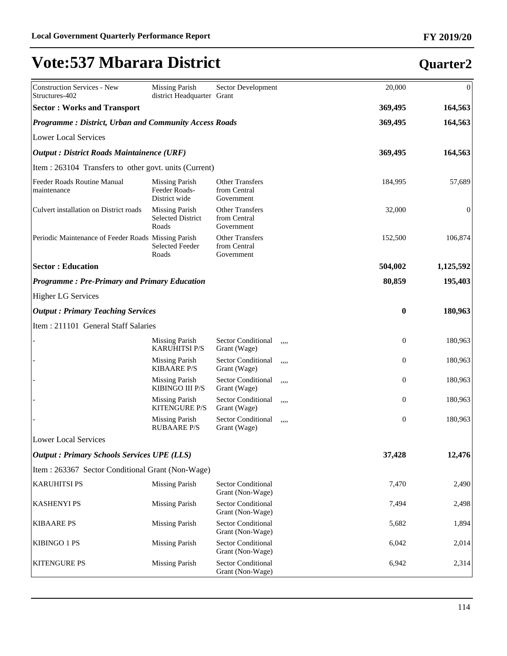KITENGURE PS Missing Parish Sector Conditional

#### Construction Services - New Structures-402 Missing Parish district Headquarter Grant Sector Development 20,000 0 **Sector : Works and Transport 369,495 164,563** *Programme : District, Urban and Community Access Roads* **369,495 164,563** Lower Local Services *Output : District Roads Maintainence (URF)* **369,495 164,563** Item : 263104 Transfers to other govt. units (Current) Feeder Roads Routine Manual maintenance Missing Parish Feeder Roads-District wide Other Transfers from Central Government 184,995 57,689 Culvert installation on District roads Missing Parish Selected District Roads Other Transfers from Central Government 32,000 0 Periodic Maintenance of Feeder Roads Missing Parish Selected Feeder Roads Other Transfers from Central Government 152,500 106,874 **Sector : Education 504,002 1,125,592** *Programme : Pre-Primary and Primary Education* **80,859 195,403** Higher LG Services *Output : Primary Teaching Services* **0 180,963** Item : 211101 General Staff Salaries Missing Parish KARUHITSI P/S Sector Conditional Grant (Wage) ,,,, 0 180,963 Missing Parish KIBAARE P/S Sector Conditional Grant (Wage) ,,,, 0 180,963 Missing Parish KIBINGO III P/S Sector Conditional Grant (Wage) ,,,, 0 180,963 Missing Parish KITENGURE P/S Sector Conditional Grant (Wage) ,,,, 0 180,963 Missing Parish RUBAARE P/S Sector Conditional Grant (Wage) ,,,, 0 180,963 Lower Local Services *Output : Primary Schools Services UPE (LLS)* **37,428 12,476** Item : 263367 Sector Conditional Grant (Non-Wage) KARUHITSI PS Missing Parish Sector Conditional Grant (Non-Wage) 7,470 2,490 KASHENYI PS Missing Parish Sector Conditional Grant (Non-Wage) 7,494 2,498 KIBAARE PS Missing Parish Sector Conditional Grant (Non-Wage) 5,682 1,894 KIBINGO 1 PS Missing Parish Sector Conditional Grant (Non-Wage) 6,042 2,014

Grant (Non-Wage)

#### **Quarter2**

6,942 2,314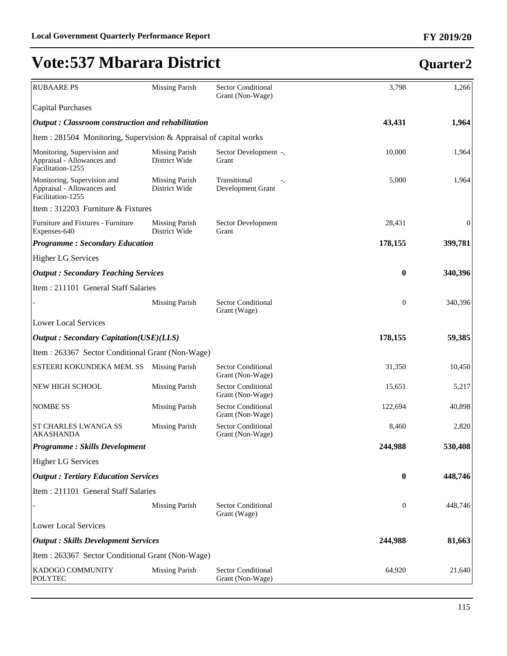| <b>RUBAARE PS</b>                                                              | <b>Missing Parish</b>                  | <b>Sector Conditional</b><br>Grant (Non-Wage) | 3,798            | 1,266            |
|--------------------------------------------------------------------------------|----------------------------------------|-----------------------------------------------|------------------|------------------|
| Capital Purchases                                                              |                                        |                                               |                  |                  |
| <b>Output</b> : Classroom construction and rehabilitation                      |                                        |                                               | 43,431           | 1,964            |
| Item : 281504 Monitoring, Supervision & Appraisal of capital works             |                                        |                                               |                  |                  |
| Monitoring, Supervision and<br>Appraisal - Allowances and<br>Facilitation-1255 | <b>Missing Parish</b><br>District Wide | Sector Development -,<br>Grant                | 10,000           | 1,964            |
| Monitoring, Supervision and<br>Appraisal - Allowances and<br>Facilitation-1255 | <b>Missing Parish</b><br>District Wide | Transitional<br>Development Grant             | 5,000            | 1,964            |
| Item : 312203 Furniture & Fixtures                                             |                                        |                                               |                  |                  |
| Furniture and Fixtures - Furniture<br>Expenses-640                             | <b>Missing Parish</b><br>District Wide | Sector Development<br>Grant                   | 28,431           | $\boldsymbol{0}$ |
| <b>Programme: Secondary Education</b>                                          |                                        |                                               | 178,155          | 399,781          |
| <b>Higher LG Services</b>                                                      |                                        |                                               |                  |                  |
| <b>Output</b> : Secondary Teaching Services                                    |                                        |                                               | $\bf{0}$         | 340,396          |
| Item : 211101 General Staff Salaries                                           |                                        |                                               |                  |                  |
|                                                                                | <b>Missing Parish</b>                  | Sector Conditional<br>Grant (Wage)            | $\boldsymbol{0}$ | 340,396          |
| <b>Lower Local Services</b>                                                    |                                        |                                               |                  |                  |
| <b>Output: Secondary Capitation(USE)(LLS)</b>                                  |                                        |                                               | 178,155          | 59,385           |
| Item : 263367 Sector Conditional Grant (Non-Wage)                              |                                        |                                               |                  |                  |
| ESTEERI KOKUNDEKA MEM. SS                                                      | <b>Missing Parish</b>                  | <b>Sector Conditional</b><br>Grant (Non-Wage) | 31,350           | 10,450           |
| NEW HIGH SCHOOL                                                                | <b>Missing Parish</b>                  | <b>Sector Conditional</b><br>Grant (Non-Wage) | 15,651           | 5,217            |
| <b>NOMBE SS</b>                                                                | <b>Missing Parish</b>                  | <b>Sector Conditional</b><br>Grant (Non-Wage) | 122,694          | 40,898           |
| <b>ST CHARLES LWANGA SS</b><br><b>AKASHANDA</b>                                | <b>Missing Parish</b>                  | <b>Sector Conditional</b><br>Grant (Non-Wage) | 8,460            | 2,820            |
| <b>Programme: Skills Development</b>                                           |                                        |                                               | 244,988          | 530,408          |
| <b>Higher LG Services</b>                                                      |                                        |                                               |                  |                  |
| <b>Output: Tertiary Education Services</b>                                     |                                        |                                               | $\bf{0}$         | 448,746          |
| Item : 211101 General Staff Salaries                                           |                                        |                                               |                  |                  |
|                                                                                | <b>Missing Parish</b>                  | <b>Sector Conditional</b><br>Grant (Wage)     | $\boldsymbol{0}$ | 448,746          |
| <b>Lower Local Services</b>                                                    |                                        |                                               |                  |                  |
| <b>Output : Skills Development Services</b>                                    |                                        |                                               | 244,988          | 81,663           |
| Item : 263367 Sector Conditional Grant (Non-Wage)                              |                                        |                                               |                  |                  |
| KADOGO COMMUNITY<br><b>POLYTEC</b>                                             | <b>Missing Parish</b>                  | <b>Sector Conditional</b><br>Grant (Non-Wage) | 64,920           | 21,640           |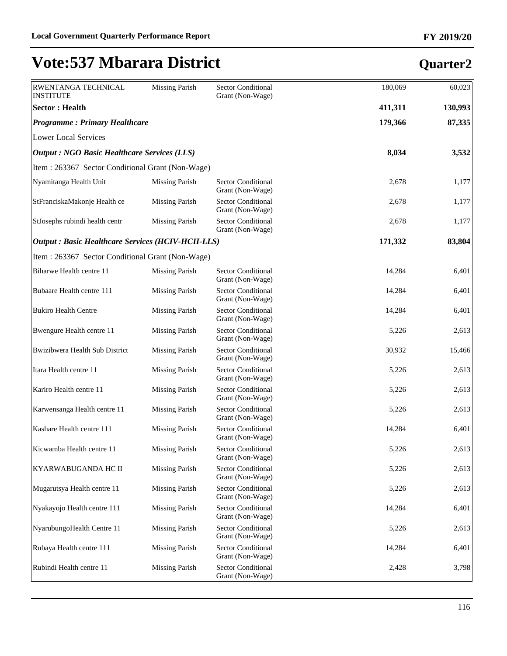| RWENTANGA TECHNICAL<br><b>INSTITUTE</b>                  | <b>Missing Parish</b> | <b>Sector Conditional</b><br>Grant (Non-Wage) | 180,069 | 60,023  |
|----------------------------------------------------------|-----------------------|-----------------------------------------------|---------|---------|
| <b>Sector: Health</b>                                    |                       |                                               | 411,311 | 130,993 |
| <b>Programme: Primary Healthcare</b>                     |                       |                                               | 179,366 | 87,335  |
| <b>Lower Local Services</b>                              |                       |                                               |         |         |
| <b>Output : NGO Basic Healthcare Services (LLS)</b>      |                       |                                               | 8,034   | 3,532   |
| Item: 263367 Sector Conditional Grant (Non-Wage)         |                       |                                               |         |         |
| Nyamitanga Health Unit                                   | <b>Missing Parish</b> | <b>Sector Conditional</b><br>Grant (Non-Wage) | 2,678   | 1,177   |
| StFranciskaMakonje Health ce                             | <b>Missing Parish</b> | <b>Sector Conditional</b><br>Grant (Non-Wage) | 2,678   | 1,177   |
| StJosephs rubindi health centr                           | <b>Missing Parish</b> | <b>Sector Conditional</b><br>Grant (Non-Wage) | 2,678   | 1,177   |
| <b>Output: Basic Healthcare Services (HCIV-HCII-LLS)</b> |                       |                                               | 171,332 | 83,804  |
| Item: 263367 Sector Conditional Grant (Non-Wage)         |                       |                                               |         |         |
| Biharwe Health centre 11                                 | <b>Missing Parish</b> | <b>Sector Conditional</b><br>Grant (Non-Wage) | 14,284  | 6,401   |
| Bubaare Health centre 111                                | <b>Missing Parish</b> | <b>Sector Conditional</b><br>Grant (Non-Wage) | 14,284  | 6,401   |
| <b>Bukiro Health Centre</b>                              | <b>Missing Parish</b> | <b>Sector Conditional</b><br>Grant (Non-Wage) | 14,284  | 6,401   |
| Bwengure Health centre 11                                | <b>Missing Parish</b> | <b>Sector Conditional</b><br>Grant (Non-Wage) | 5,226   | 2,613   |
| Bwizibwera Health Sub District                           | <b>Missing Parish</b> | Sector Conditional<br>Grant (Non-Wage)        | 30,932  | 15,466  |
| Itara Health centre 11                                   | <b>Missing Parish</b> | <b>Sector Conditional</b><br>Grant (Non-Wage) | 5,226   | 2,613   |
| Kariro Health centre 11                                  | <b>Missing Parish</b> | <b>Sector Conditional</b><br>Grant (Non-Wage) | 5,226   | 2,613   |
| Karwensanga Health centre 11                             | <b>Missing Parish</b> | <b>Sector Conditional</b><br>Grant (Non-Wage) | 5,226   | 2,613   |
| Kashare Health centre 111                                | <b>Missing Parish</b> | Sector Conditional<br>Grant (Non-Wage)        | 14,284  | 6,401   |
| Kicwamba Health centre 11                                | Missing Parish        | <b>Sector Conditional</b><br>Grant (Non-Wage) | 5,226   | 2,613   |
| KYARWABUGANDA HC II                                      | <b>Missing Parish</b> | <b>Sector Conditional</b><br>Grant (Non-Wage) | 5,226   | 2,613   |
| Mugarutsya Health centre 11                              | <b>Missing Parish</b> | <b>Sector Conditional</b><br>Grant (Non-Wage) | 5,226   | 2,613   |
| Nyakayojo Health centre 111                              | <b>Missing Parish</b> | <b>Sector Conditional</b><br>Grant (Non-Wage) | 14,284  | 6,401   |
| NyarubungoHealth Centre 11                               | <b>Missing Parish</b> | Sector Conditional<br>Grant (Non-Wage)        | 5,226   | 2,613   |
| Rubaya Health centre 111                                 | <b>Missing Parish</b> | Sector Conditional<br>Grant (Non-Wage)        | 14,284  | 6,401   |
| Rubindi Health centre 11                                 | <b>Missing Parish</b> | <b>Sector Conditional</b><br>Grant (Non-Wage) | 2,428   | 3,798   |